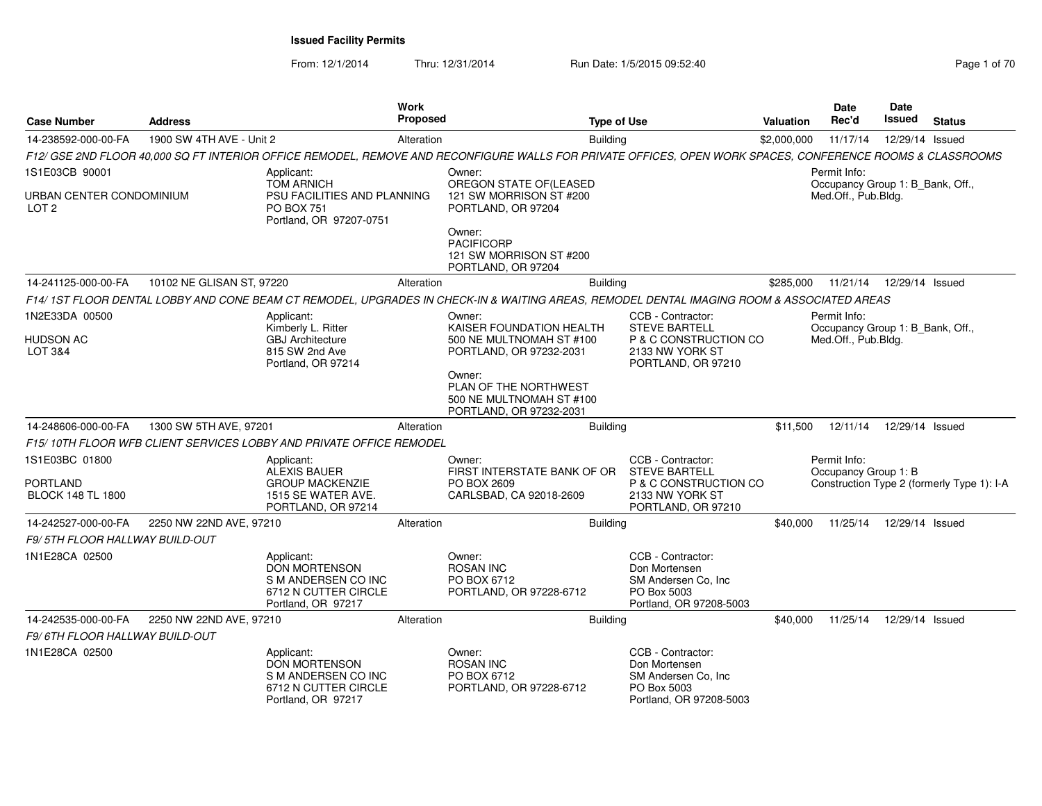From: 12/1/2014

Thru: 12/31/2014 Run Date: 1/5/2015 09:52:40

|                                              |                           |                                                                                                         | <b>Work</b><br>Proposed |                                                                                                                                                            |                    |                                                                                                             |                  | <b>Date</b><br>Rec'd                                                    | <b>Date</b><br><b>Issued</b> |                                            |
|----------------------------------------------|---------------------------|---------------------------------------------------------------------------------------------------------|-------------------------|------------------------------------------------------------------------------------------------------------------------------------------------------------|--------------------|-------------------------------------------------------------------------------------------------------------|------------------|-------------------------------------------------------------------------|------------------------------|--------------------------------------------|
| <b>Case Number</b>                           | <b>Address</b>            |                                                                                                         |                         |                                                                                                                                                            | <b>Type of Use</b> |                                                                                                             | <b>Valuation</b> |                                                                         |                              | <b>Status</b>                              |
| 14-238592-000-00-FA                          | 1900 SW 4TH AVE - Unit 2  |                                                                                                         | Alteration              |                                                                                                                                                            | <b>Building</b>    |                                                                                                             | \$2,000,000      | 11/17/14                                                                | 12/29/14 Issued              |                                            |
|                                              |                           |                                                                                                         |                         | F12/ GSE 2ND FLOOR 40,000 SQ FT INTERIOR OFFICE REMODEL, REMOVE AND RECONFIGURE WALLS FOR PRIVATE OFFICES, OPEN WORK SPACES, CONFERENCE ROOMS & CLASSROOMS |                    |                                                                                                             |                  |                                                                         |                              |                                            |
| 1S1E03CB 90001                               |                           | Applicant:                                                                                              |                         | Owner:                                                                                                                                                     |                    |                                                                                                             |                  | Permit Info:                                                            |                              |                                            |
| URBAN CENTER CONDOMINIUM<br>LOT <sub>2</sub> |                           | <b>TOM ARNICH</b><br>PSU FACILITIES AND PLANNING<br><b>PO BOX 751</b><br>Portland, OR 97207-0751        |                         | OREGON STATE OF(LEASED<br>121 SW MORRISON ST #200<br>PORTLAND, OR 97204                                                                                    |                    |                                                                                                             |                  | Occupancy Group 1: B_Bank, Off.,<br>Med.Off., Pub.Bldg.                 |                              |                                            |
|                                              |                           |                                                                                                         |                         | Owner:<br><b>PACIFICORP</b><br>121 SW MORRISON ST #200<br>PORTLAND, OR 97204                                                                               |                    |                                                                                                             |                  |                                                                         |                              |                                            |
| 14-241125-000-00-FA                          | 10102 NE GLISAN ST, 97220 |                                                                                                         | Alteration              |                                                                                                                                                            | <b>Building</b>    |                                                                                                             | \$285,000        | 11/21/14                                                                | 12/29/14 Issued              |                                            |
|                                              |                           |                                                                                                         |                         | F14/ 1ST FLOOR DENTAL LOBBY AND CONE BEAM CT REMODEL, UPGRADES IN CHECK-IN & WAITING AREAS, REMODEL DENTAL IMAGING ROOM & ASSOCIATED AREAS                 |                    |                                                                                                             |                  |                                                                         |                              |                                            |
| 1N2E33DA 00500<br>HUDSON AC<br>LOT 3&4       |                           | Applicant:<br>Kimberly L. Ritter<br><b>GBJ</b> Architecture<br>815 SW 2nd Ave<br>Portland, OR 97214     |                         | Owner:<br>KAISER FOUNDATION HEALTH<br>500 NE MULTNOMAH ST #100<br>PORTLAND, OR 97232-2031                                                                  |                    | CCB - Contractor:<br><b>STEVE BARTELL</b><br>P & C CONSTRUCTION CO<br>2133 NW YORK ST<br>PORTLAND, OR 97210 |                  | Permit Info:<br>Occupancy Group 1: B_Bank, Off.,<br>Med.Off., Pub.Bldg. |                              |                                            |
|                                              |                           |                                                                                                         |                         | Owner:<br>PLAN OF THE NORTHWEST<br>500 NE MULTNOMAH ST #100<br>PORTLAND, OR 97232-2031                                                                     |                    |                                                                                                             |                  |                                                                         |                              |                                            |
| 14-248606-000-00-FA                          | 1300 SW 5TH AVE, 97201    |                                                                                                         | Alteration              |                                                                                                                                                            | Building           |                                                                                                             | \$11,500         | 12/11/14                                                                | 12/29/14 Issued              |                                            |
|                                              |                           | F15/10TH FLOOR WFB CLIENT SERVICES LOBBY AND PRIVATE OFFICE REMODEL                                     |                         |                                                                                                                                                            |                    |                                                                                                             |                  |                                                                         |                              |                                            |
| 1S1E03BC 01800                               |                           | Applicant:<br>ALEXIS BAUER                                                                              |                         | Owner:<br>FIRST INTERSTATE BANK OF OR                                                                                                                      |                    | CCB - Contractor:<br><b>STEVE BARTELL</b>                                                                   |                  | Permit Info:<br>Occupancy Group 1: B                                    |                              |                                            |
| PORTLAND<br><b>BLOCK 148 TL 1800</b>         |                           | <b>GROUP MACKENZIE</b><br>1515 SE WATER AVE.<br>PORTLAND, OR 97214                                      |                         | PO BOX 2609<br>CARLSBAD, CA 92018-2609                                                                                                                     |                    | P & C CONSTRUCTION CO<br>2133 NW YORK ST<br>PORTLAND, OR 97210                                              |                  |                                                                         |                              | Construction Type 2 (formerly Type 1): I-A |
| 14-242527-000-00-FA                          | 2250 NW 22ND AVE, 97210   |                                                                                                         | Alteration              |                                                                                                                                                            | <b>Building</b>    |                                                                                                             | \$40,000         | 11/25/14                                                                | 12/29/14 Issued              |                                            |
| <b>F9/ 5TH FLOOR HALLWAY BUILD-OUT</b>       |                           |                                                                                                         |                         |                                                                                                                                                            |                    |                                                                                                             |                  |                                                                         |                              |                                            |
| 1N1E28CA 02500                               |                           | Applicant:<br><b>DON MORTENSON</b><br>S M ANDERSEN CO INC<br>6712 N CUTTER CIRCLE<br>Portland, OR 97217 |                         | Owner:<br><b>ROSAN INC</b><br>PO BOX 6712<br>PORTLAND, OR 97228-6712                                                                                       |                    | CCB - Contractor:<br>Don Mortensen<br>SM Andersen Co, Inc.<br>PO Box 5003<br>Portland, OR 97208-5003        |                  |                                                                         |                              |                                            |
| 14-242535-000-00-FA                          | 2250 NW 22ND AVE, 97210   |                                                                                                         | Alteration              |                                                                                                                                                            | <b>Building</b>    |                                                                                                             | \$40,000         | 11/25/14                                                                | 12/29/14 Issued              |                                            |
| F9/ 6TH FLOOR HALLWAY BUILD-OUT              |                           |                                                                                                         |                         |                                                                                                                                                            |                    |                                                                                                             |                  |                                                                         |                              |                                            |
| 1N1E28CA 02500                               |                           | Applicant:<br><b>DON MORTENSON</b><br>S M ANDERSEN CO INC<br>6712 N CUTTER CIRCLE<br>Portland, OR 97217 |                         | Owner:<br><b>ROSAN INC</b><br>PO BOX 6712<br>PORTLAND, OR 97228-6712                                                                                       |                    | CCB - Contractor:<br>Don Mortensen<br>SM Andersen Co, Inc.<br>PO Box 5003<br>Portland, OR 97208-5003        |                  |                                                                         |                              |                                            |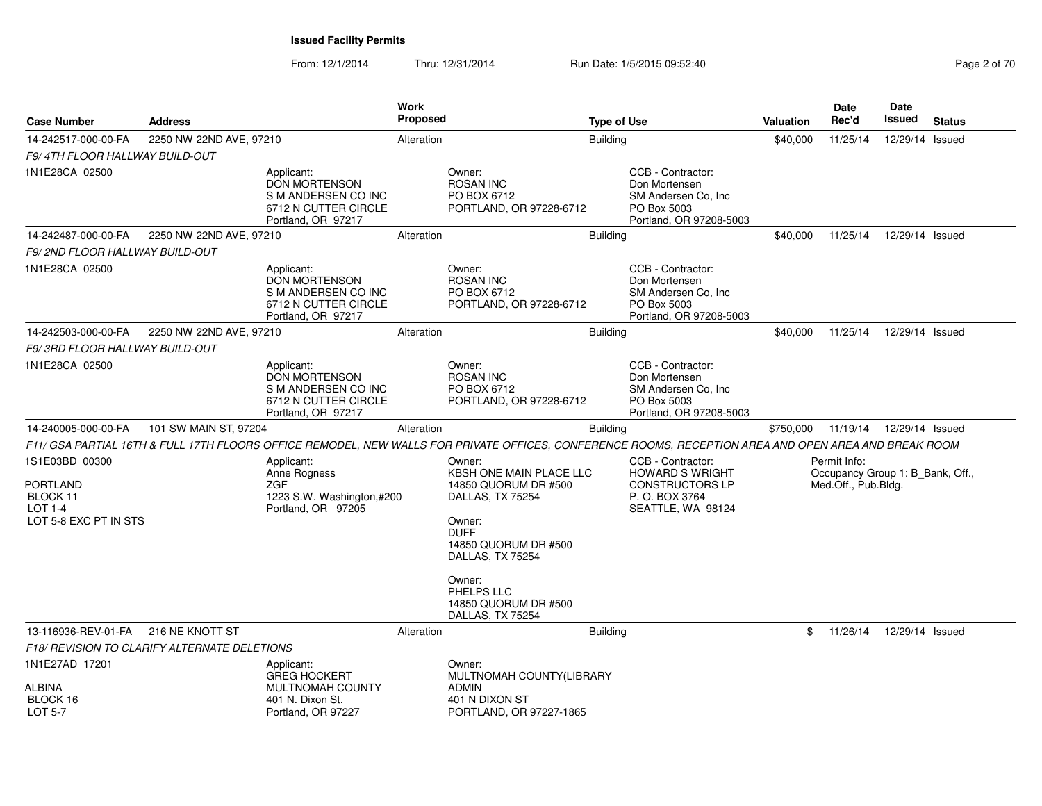| <b>Case Number</b>                                                                       | <b>Address</b>          |                                                                                                         | <b>Work</b><br><b>Proposed</b> |                                                                                                                                                           | <b>Type of Use</b> |                                                                                                              | <b>Valuation</b> | Date<br>Rec'd                                                           | <b>Date</b><br>Issued | <b>Status</b> |
|------------------------------------------------------------------------------------------|-------------------------|---------------------------------------------------------------------------------------------------------|--------------------------------|-----------------------------------------------------------------------------------------------------------------------------------------------------------|--------------------|--------------------------------------------------------------------------------------------------------------|------------------|-------------------------------------------------------------------------|-----------------------|---------------|
| 14-242517-000-00-FA                                                                      | 2250 NW 22ND AVE, 97210 |                                                                                                         | Alteration                     |                                                                                                                                                           | <b>Building</b>    |                                                                                                              | \$40,000         | 11/25/14                                                                | 12/29/14 Issued       |               |
| F9/4TH FLOOR HALLWAY BUILD-OUT                                                           |                         |                                                                                                         |                                |                                                                                                                                                           |                    |                                                                                                              |                  |                                                                         |                       |               |
| 1N1E28CA 02500                                                                           |                         | Applicant:<br><b>DON MORTENSON</b><br>S M ANDERSEN CO INC<br>6712 N CUTTER CIRCLE<br>Portland, OR 97217 |                                | Owner:<br><b>ROSAN INC</b><br>PO BOX 6712<br>PORTLAND, OR 97228-6712                                                                                      |                    | CCB - Contractor:<br>Don Mortensen<br>SM Andersen Co, Inc.<br>PO Box 5003<br>Portland, OR 97208-5003         |                  |                                                                         |                       |               |
| 14-242487-000-00-FA                                                                      | 2250 NW 22ND AVE, 97210 |                                                                                                         | Alteration                     |                                                                                                                                                           | <b>Building</b>    |                                                                                                              | \$40,000         | 11/25/14                                                                | 12/29/14 Issued       |               |
| F9/2ND FLOOR HALLWAY BUILD-OUT                                                           |                         |                                                                                                         |                                |                                                                                                                                                           |                    |                                                                                                              |                  |                                                                         |                       |               |
| 1N1E28CA 02500                                                                           |                         | Applicant:<br>DON MORTENSON<br>S M ANDERSEN CO INC<br>6712 N CUTTER CIRCLE<br>Portland, OR 97217        |                                | Owner:<br><b>ROSAN INC</b><br>PO BOX 6712<br>PORTLAND, OR 97228-6712                                                                                      |                    | CCB - Contractor:<br>Don Mortensen<br>SM Andersen Co, Inc<br>PO Box 5003<br>Portland, OR 97208-5003          |                  |                                                                         |                       |               |
| 14-242503-000-00-FA                                                                      | 2250 NW 22ND AVE, 97210 |                                                                                                         | Alteration                     |                                                                                                                                                           | <b>Building</b>    |                                                                                                              | \$40,000         | 11/25/14                                                                | 12/29/14 Issued       |               |
| F9/3RD FLOOR HALLWAY BUILD-OUT                                                           |                         |                                                                                                         |                                |                                                                                                                                                           |                    |                                                                                                              |                  |                                                                         |                       |               |
| 1N1E28CA 02500                                                                           |                         | Applicant:<br><b>DON MORTENSON</b><br>S M ANDERSEN CO INC<br>6712 N CUTTER CIRCLE<br>Portland, OR 97217 |                                | Owner:<br><b>ROSAN INC</b><br>PO BOX 6712<br>PORTLAND, OR 97228-6712                                                                                      |                    | CCB - Contractor:<br>Don Mortensen<br>SM Andersen Co, Inc.<br>PO Box 5003<br>Portland, OR 97208-5003         |                  |                                                                         |                       |               |
| 14-240005-000-00-FA                                                                      | 101 SW MAIN ST, 97204   |                                                                                                         | Alteration                     |                                                                                                                                                           | Building           |                                                                                                              | \$750,000        | 11/19/14                                                                | 12/29/14 Issued       |               |
|                                                                                          |                         |                                                                                                         |                                | F11/ GSA PARTIAL 16TH & FULL 17TH FLOORS OFFICE REMODEL, NEW WALLS FOR PRIVATE OFFICES, CONFERENCE ROOMS, RECEPTION AREA AND OPEN AREA AND BREAK ROOM     |                    |                                                                                                              |                  |                                                                         |                       |               |
| 1S1E03BD 00300<br><b>PORTLAND</b><br>BLOCK 11<br><b>LOT 1-4</b><br>LOT 5-8 EXC PT IN STS |                         | Applicant:<br>Anne Rogness<br>ZGF<br>1223 S.W. Washington,#200<br>Portland, OR 97205                    |                                | Owner:<br><b>KBSH ONE MAIN PLACE LLC</b><br>14850 QUORUM DR #500<br>DALLAS, TX 75254<br>Owner:<br><b>DUFF</b><br>14850 QUORUM DR #500<br>DALLAS, TX 75254 |                    | CCB - Contractor:<br><b>HOWARD S WRIGHT</b><br><b>CONSTRUCTORS LP</b><br>P. O. BOX 3764<br>SEATTLE, WA 98124 |                  | Permit Info:<br>Occupancy Group 1: B_Bank, Off.,<br>Med.Off., Pub.Bldg. |                       |               |
|                                                                                          |                         |                                                                                                         |                                | Owner:<br>PHELPS LLC<br>14850 QUORUM DR #500<br>DALLAS, TX 75254                                                                                          |                    |                                                                                                              |                  |                                                                         |                       |               |
| 13-116936-REV-01-FA                                                                      | 216 NE KNOTT ST         |                                                                                                         | Alteration                     |                                                                                                                                                           | Building           |                                                                                                              | \$               | 11/26/14                                                                | 12/29/14 Issued       |               |
| F18/ REVISION TO CLARIFY ALTERNATE DELETIONS                                             |                         |                                                                                                         |                                |                                                                                                                                                           |                    |                                                                                                              |                  |                                                                         |                       |               |
| 1N1E27AD 17201                                                                           |                         | Applicant:<br><b>GREG HOCKERT</b>                                                                       |                                | Owner:<br>MULTNOMAH COUNTY(LIBRARY                                                                                                                        |                    |                                                                                                              |                  |                                                                         |                       |               |
| <b>ALBINA</b><br>BLOCK 16<br>LOT 5-7                                                     |                         | MULTNOMAH COUNTY<br>401 N. Dixon St.<br>Portland, OR 97227                                              |                                | <b>ADMIN</b><br>401 N DIXON ST<br>PORTLAND, OR 97227-1865                                                                                                 |                    |                                                                                                              |                  |                                                                         |                       |               |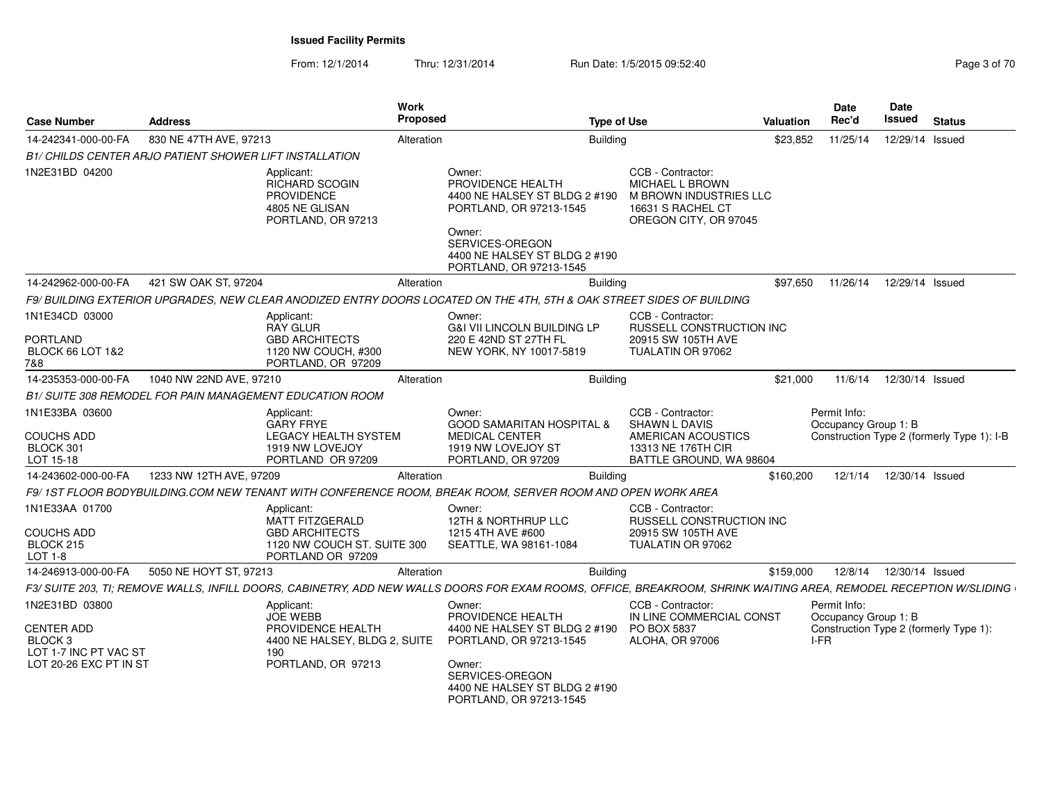From: 12/1/2014Thru: 12/31/2014 **Run Date: 1/5/2015 09:52:40** Page 3 of 70.

| <b>Case Number</b>                                                                                | <b>Address</b>                                                  |                                                                                                                   | Work<br>Proposed | <b>Type of Use</b>                                                                                                                                                               |                                                                                                                  | Valuation | <b>Date</b><br>Rec'd                         | Date<br><b>Issued</b> | <b>Status</b>                              |
|---------------------------------------------------------------------------------------------------|-----------------------------------------------------------------|-------------------------------------------------------------------------------------------------------------------|------------------|----------------------------------------------------------------------------------------------------------------------------------------------------------------------------------|------------------------------------------------------------------------------------------------------------------|-----------|----------------------------------------------|-----------------------|--------------------------------------------|
| 14-242341-000-00-FA                                                                               | 830 NE 47TH AVE, 97213                                          |                                                                                                                   | Alteration       | <b>Building</b>                                                                                                                                                                  |                                                                                                                  | \$23,852  | 11/25/14                                     | 12/29/14 Issued       |                                            |
|                                                                                                   | B1/ CHILDS CENTER ARJO PATIENT SHOWER LIFT INSTALLATION         |                                                                                                                   |                  |                                                                                                                                                                                  |                                                                                                                  |           |                                              |                       |                                            |
| 1N2E31BD 04200                                                                                    |                                                                 | Applicant:<br>RICHARD SCOGIN<br><b>PROVIDENCE</b><br>4805 NE GLISAN<br>PORTLAND, OR 97213                         |                  | Owner:<br>PROVIDENCE HEALTH<br>4400 NE HALSEY ST BLDG 2 #190<br>PORTLAND, OR 97213-1545<br>Owner:<br>SERVICES-OREGON<br>4400 NE HALSEY ST BLDG 2 #190<br>PORTLAND, OR 97213-1545 | CCB - Contractor:<br>MICHAEL L BROWN<br>M BROWN INDUSTRIES LLC<br>16631 S RACHEL CT<br>OREGON CITY, OR 97045     |           |                                              |                       |                                            |
| 14-242962-000-00-FA                                                                               | 421 SW OAK ST, 97204                                            |                                                                                                                   | Alteration       | <b>Building</b>                                                                                                                                                                  |                                                                                                                  | \$97,650  | 11/26/14                                     | 12/29/14 Issued       |                                            |
|                                                                                                   |                                                                 |                                                                                                                   |                  | F9/ BUILDING EXTERIOR UPGRADES, NEW CLEAR ANODIZED ENTRY DOORS LOCATED ON THE 4TH, 5TH & OAK STREET SIDES OF BUILDING                                                            |                                                                                                                  |           |                                              |                       |                                            |
| 1N1E34CD 03000<br><b>PORTLAND</b><br><b>BLOCK 66 LOT 1&amp;2</b><br>7&8                           |                                                                 | Applicant:<br><b>RAY GLUR</b><br><b>GBD ARCHITECTS</b><br>1120 NW COUCH, #300<br>PORTLAND, OR 97209               |                  | Owner:<br><b>G&amp;I VII LINCOLN BUILDING LP</b><br>220 E 42ND ST 27TH FL<br>NEW YORK, NY 10017-5819                                                                             | CCB - Contractor:<br><b>RUSSELL CONSTRUCTION INC</b><br>20915 SW 105TH AVE<br>TUALATIN OR 97062                  |           |                                              |                       |                                            |
| 14-235353-000-00-FA                                                                               | 1040 NW 22ND AVE, 97210                                         |                                                                                                                   | Alteration       | <b>Building</b>                                                                                                                                                                  |                                                                                                                  | \$21,000  | 11/6/14                                      | 12/30/14 Issued       |                                            |
|                                                                                                   | <b>B1/ SUITE 308 REMODEL FOR PAIN MANAGEMENT EDUCATION ROOM</b> |                                                                                                                   |                  |                                                                                                                                                                                  |                                                                                                                  |           |                                              |                       |                                            |
| 1N1E33BA 03600<br><b>COUCHS ADD</b><br>BLOCK 301<br>LOT 15-18                                     |                                                                 | Applicant:<br><b>GARY FRYE</b><br><b>LEGACY HEALTH SYSTEM</b><br>1919 NW LOVEJOY<br>PORTLAND OR 97209             |                  | Owner:<br><b>GOOD SAMARITAN HOSPITAL &amp;</b><br><b>MEDICAL CENTER</b><br>1919 NW LOVEJOY ST<br>PORTLAND, OR 97209                                                              | CCB - Contractor:<br><b>SHAWN L DAVIS</b><br>AMERICAN ACOUSTICS<br>13313 NE 176TH CIR<br>BATTLE GROUND, WA 98604 |           | Permit Info:<br>Occupancy Group 1: B         |                       | Construction Type 2 (formerly Type 1): I-B |
| 14-243602-000-00-FA                                                                               | 1233 NW 12TH AVE, 97209                                         |                                                                                                                   | Alteration       | <b>Building</b>                                                                                                                                                                  |                                                                                                                  | \$160,200 | 12/1/14                                      | 12/30/14 Issued       |                                            |
|                                                                                                   |                                                                 |                                                                                                                   |                  | F9/1ST FLOOR BODYBUILDING.COM NEW TENANT WITH CONFERENCE ROOM, BREAK ROOM, SERVER ROOM AND OPEN WORK AREA                                                                        |                                                                                                                  |           |                                              |                       |                                            |
| 1N1E33AA 01700<br><b>COUCHS ADD</b><br>BLOCK 215<br>LOT 1-8                                       |                                                                 | Applicant:<br><b>MATT FITZGERALD</b><br><b>GBD ARCHITECTS</b><br>1120 NW COUCH ST. SUITE 300<br>PORTLAND OR 97209 |                  | Owner:<br>12TH & NORTHRUP LLC<br>1215 4TH AVE #600<br>SEATTLE, WA 98161-1084                                                                                                     | CCB - Contractor:<br><b>RUSSELL CONSTRUCTION INC</b><br>20915 SW 105TH AVE<br>TUALATIN OR 97062                  |           |                                              |                       |                                            |
| 14-246913-000-00-FA                                                                               | 5050 NE HOYT ST, 97213                                          |                                                                                                                   | Alteration       | <b>Building</b>                                                                                                                                                                  |                                                                                                                  | \$159,000 | 12/8/14                                      | 12/30/14 Issued       |                                            |
|                                                                                                   |                                                                 |                                                                                                                   |                  | F3/ SUITE 203, TI; REMOVE WALLS, INFILL DOORS, CABINETRY, ADD NEW WALLS DOORS FOR EXAM ROOMS, OFFICE, BREAKROOM, SHRINK WAITING AREA, REMODEL RECEPTION W/SLIDING                |                                                                                                                  |           |                                              |                       |                                            |
| 1N2E31BD 03800<br><b>CENTER ADD</b><br>BLOCK 3<br>LOT 1-7 INC PT VAC ST<br>LOT 20-26 EXC PT IN ST | 190                                                             | Applicant:<br><b>JOE WEBB</b><br>PROVIDENCE HEALTH<br>4400 NE HALSEY, BLDG 2, SUITE<br>PORTLAND, OR 97213         |                  | Owner:<br>PROVIDENCE HEALTH<br>4400 NE HALSEY ST BLDG 2 #190<br>PORTLAND, OR 97213-1545<br>Owner:<br>SERVICES-OREGON<br>4400 NE HALSEY ST BLDG 2 #190<br>PORTLAND, OR 97213-1545 | CCB - Contractor:<br>IN LINE COMMERCIAL CONST<br><b>PO BOX 5837</b><br>ALOHA, OR 97006                           |           | Permit Info:<br>Occupancy Group 1: B<br>I-FR |                       | Construction Type 2 (formerly Type 1):     |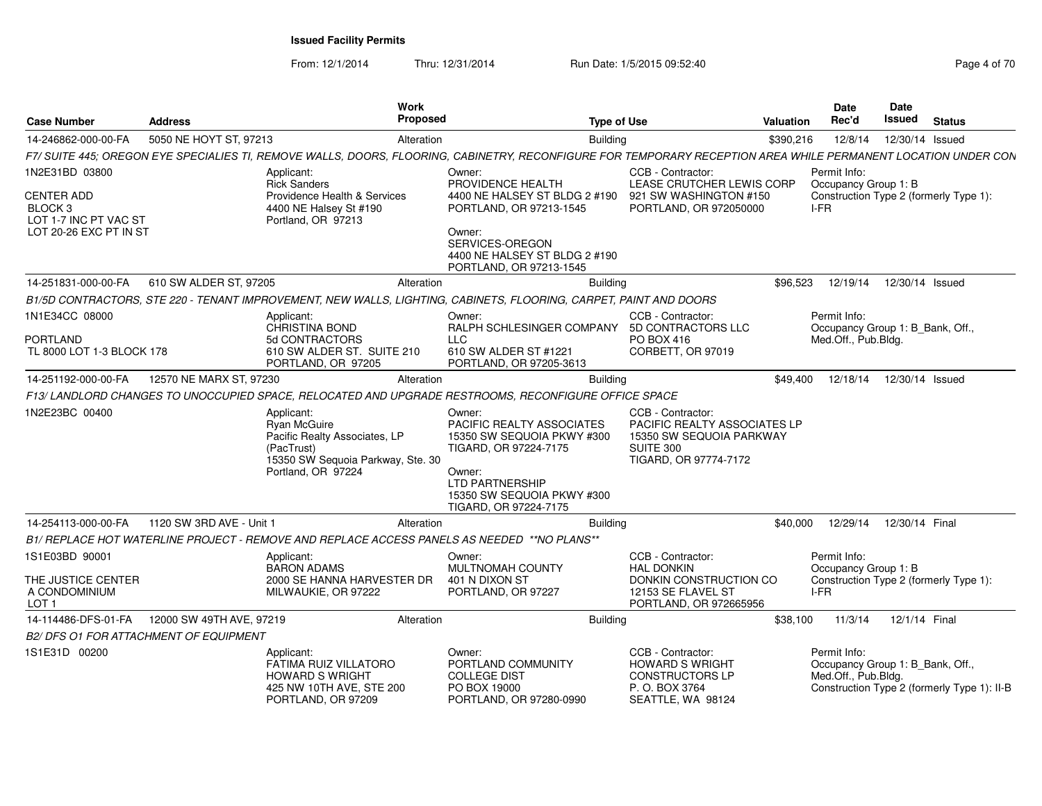| <b>Case Number</b>                                        | <b>Address</b>                         | Work<br><b>Proposed</b>                                                                                                                                        | Type of Use                                                                                                                                                                    |                                                                                                                            | Valuation | <b>Date</b><br>Rec'd                                                    | Date<br>Issued  | <b>Status</b>                               |
|-----------------------------------------------------------|----------------------------------------|----------------------------------------------------------------------------------------------------------------------------------------------------------------|--------------------------------------------------------------------------------------------------------------------------------------------------------------------------------|----------------------------------------------------------------------------------------------------------------------------|-----------|-------------------------------------------------------------------------|-----------------|---------------------------------------------|
| 14-246862-000-00-FA                                       | 5050 NE HOYT ST, 97213                 | Alteration                                                                                                                                                     | <b>Building</b>                                                                                                                                                                |                                                                                                                            | \$390,216 | 12/8/14                                                                 |                 | 12/30/14 Issued                             |
|                                                           |                                        | F7/ SUITE 445; OREGON EYE SPECIALIES TI, REMOVE WALLS, DOORS, FLOORING, CABINETRY, RECONFIGURE FOR TEMPORARY RECEPTION AREA WHILE PERMANENT LOCATION UNDER CON |                                                                                                                                                                                |                                                                                                                            |           |                                                                         |                 |                                             |
| 1N2E31BD 03800<br><b>CENTER ADD</b><br>BLOCK <sub>3</sub> |                                        | Applicant:<br><b>Rick Sanders</b><br>Providence Health & Services<br>4400 NE Halsey St #190                                                                    | Owner:<br>PROVIDENCE HEALTH<br>4400 NE HALSEY ST BLDG 2 #190<br>PORTLAND, OR 97213-1545                                                                                        | CCB - Contractor:<br>LEASE CRUTCHER LEWIS CORP<br>921 SW WASHINGTON #150<br>PORTLAND, OR 972050000                         |           | Permit Info:<br>Occupancy Group 1: B<br>I-FR                            |                 | Construction Type 2 (formerly Type 1):      |
| LOT 1-7 INC PT VAC ST<br>LOT 20-26 EXC PT IN ST           |                                        | Portland, OR 97213                                                                                                                                             | Owner:<br>SERVICES-OREGON<br>4400 NE HALSEY ST BLDG 2 #190<br>PORTLAND, OR 97213-1545                                                                                          |                                                                                                                            |           |                                                                         |                 |                                             |
| 14-251831-000-00-FA                                       | 610 SW ALDER ST, 97205                 | Alteration                                                                                                                                                     | <b>Building</b>                                                                                                                                                                |                                                                                                                            | \$96,523  | 12/19/14                                                                | 12/30/14 Issued |                                             |
|                                                           |                                        | B1/5D CONTRACTORS, STE 220 - TENANT IMPROVEMENT, NEW WALLS, LIGHTING, CABINETS, FLOORING, CARPET, PAINT AND DOORS                                              |                                                                                                                                                                                |                                                                                                                            |           |                                                                         |                 |                                             |
| 1N1E34CC 08000<br>PORTLAND<br>TL 8000 LOT 1-3 BLOCK 178   |                                        | Applicant:<br>CHRISTINA BOND<br>5d CONTRACTORS<br>610 SW ALDER ST. SUITE 210<br>PORTLAND, OR 97205                                                             | Owner:<br>RALPH SCHLESINGER COMPANY<br><b>LLC</b><br>610 SW ALDER ST #1221<br>PORTLAND, OR 97205-3613                                                                          | CCB - Contractor:<br>5D CONTRACTORS LLC<br>PO BOX 416<br>CORBETT, OR 97019                                                 |           | Permit Info:<br>Occupancy Group 1: B_Bank, Off.,<br>Med.Off., Pub.Bldg. |                 |                                             |
| 14-251192-000-00-FA                                       | 12570 NE MARX ST, 97230                | Alteration                                                                                                                                                     | <b>Building</b>                                                                                                                                                                |                                                                                                                            | \$49.400  | 12/18/14                                                                | 12/30/14 Issued |                                             |
|                                                           |                                        | F13/LANDLORD CHANGES TO UNOCCUPIED SPACE, RELOCATED AND UPGRADE RESTROOMS, RECONFIGURE OFFICE SPACE                                                            |                                                                                                                                                                                |                                                                                                                            |           |                                                                         |                 |                                             |
| 1N2E23BC 00400                                            |                                        | Applicant:<br>Ryan McGuire<br>Pacific Realty Associates, LP<br>(PacTrust)<br>15350 SW Sequoia Parkway, Ste. 30<br>Portland, OR 97224                           | Owner:<br>PACIFIC REALTY ASSOCIATES<br>15350 SW SEQUOIA PKWY #300<br>TIGARD, OR 97224-7175<br>Owner:<br>LTD PARTNERSHIP<br>15350 SW SEQUOIA PKWY #300<br>TIGARD, OR 97224-7175 | CCB - Contractor:<br>PACIFIC REALTY ASSOCIATES LP<br>15350 SW SEQUOIA PARKWAY<br><b>SUITE 300</b><br>TIGARD, OR 97774-7172 |           |                                                                         |                 |                                             |
| 14-254113-000-00-FA                                       | 1120 SW 3RD AVE - Unit 1               | Alteration                                                                                                                                                     | <b>Building</b>                                                                                                                                                                |                                                                                                                            | \$40,000  | 12/29/14                                                                | 12/30/14 Final  |                                             |
|                                                           |                                        | B1/ REPLACE HOT WATERLINE PROJECT - REMOVE AND REPLACE ACCESS PANELS AS NEEDED **NO PLANS**                                                                    |                                                                                                                                                                                |                                                                                                                            |           |                                                                         |                 |                                             |
| 1S1E03BD 90001                                            |                                        | Applicant:<br><b>BARON ADAMS</b>                                                                                                                               | Owner:<br><b>MULTNOMAH COUNTY</b>                                                                                                                                              | CCB - Contractor:<br><b>HAL DONKIN</b>                                                                                     |           | Permit Info:<br>Occupancy Group 1: B                                    |                 |                                             |
| THE JUSTICE CENTER<br>A CONDOMINIUM<br>LOT <sub>1</sub>   |                                        | 2000 SE HANNA HARVESTER DR<br>MILWAUKIE, OR 97222                                                                                                              | 401 N DIXON ST<br>PORTLAND, OR 97227                                                                                                                                           | DONKIN CONSTRUCTION CO<br>12153 SE FLAVEL ST<br>PORTLAND, OR 972665956                                                     |           | I-FR                                                                    |                 | Construction Type 2 (formerly Type 1):      |
| 14-114486-DFS-01-FA                                       | 12000 SW 49TH AVE, 97219               | Alteration                                                                                                                                                     | <b>Building</b>                                                                                                                                                                |                                                                                                                            | \$38,100  | 11/3/14                                                                 | 12/1/14 Final   |                                             |
|                                                           | B2/ DFS O1 FOR ATTACHMENT OF EQUIPMENT |                                                                                                                                                                |                                                                                                                                                                                |                                                                                                                            |           |                                                                         |                 |                                             |
| 1S1E31D 00200                                             |                                        | Applicant:<br><b>FATIMA RUIZ VILLATORO</b><br><b>HOWARD S WRIGHT</b><br>425 NW 10TH AVE, STE 200<br>PORTLAND, OR 97209                                         | Owner:<br>PORTLAND COMMUNITY<br><b>COLLEGE DIST</b><br>PO BOX 19000<br>PORTLAND, OR 97280-0990                                                                                 | CCB - Contractor:<br><b>HOWARD S WRIGHT</b><br><b>CONSTRUCTORS LP</b><br>P. O. BOX 3764<br>SEATTLE, WA 98124               |           | Permit Info:<br>Occupancy Group 1: B_Bank, Off.,<br>Med.Off., Pub.Bldg. |                 | Construction Type 2 (formerly Type 1): II-B |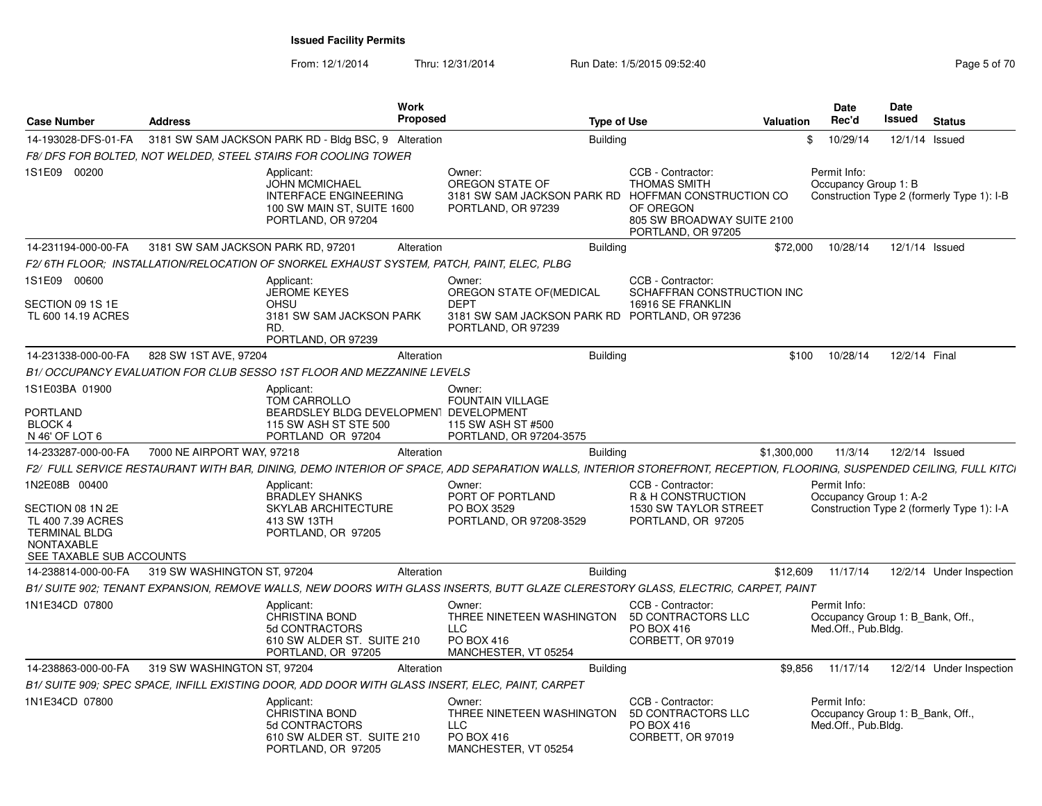|                                                                                                                          |                                    | <b>Work</b>                                                                                                             |                                                                                                                                                                     |                                                                                                                                      |             | <b>Date</b>                                                             | Date          |                                            |
|--------------------------------------------------------------------------------------------------------------------------|------------------------------------|-------------------------------------------------------------------------------------------------------------------------|---------------------------------------------------------------------------------------------------------------------------------------------------------------------|--------------------------------------------------------------------------------------------------------------------------------------|-------------|-------------------------------------------------------------------------|---------------|--------------------------------------------|
| <b>Case Number</b>                                                                                                       | <b>Address</b>                     | <b>Proposed</b>                                                                                                         | <b>Type of Use</b>                                                                                                                                                  |                                                                                                                                      | Valuation   | Rec'd                                                                   | Issued        | <b>Status</b>                              |
| 14-193028-DFS-01-FA                                                                                                      |                                    | 3181 SW SAM JACKSON PARK RD - Bldg BSC, 9 Alteration                                                                    | <b>Building</b>                                                                                                                                                     |                                                                                                                                      |             | 10/29/14<br>\$                                                          |               | 12/1/14 Issued                             |
|                                                                                                                          |                                    | F8/ DFS FOR BOLTED, NOT WELDED, STEEL STAIRS FOR COOLING TOWER                                                          |                                                                                                                                                                     |                                                                                                                                      |             |                                                                         |               |                                            |
| 1S1E09 00200                                                                                                             |                                    | Applicant:<br><b>JOHN MCMICHAEL</b><br><b>INTERFACE ENGINEERING</b><br>100 SW MAIN ST, SUITE 1600<br>PORTLAND, OR 97204 | Owner:<br>OREGON STATE OF<br>3181 SW SAM JACKSON PARK RD<br>PORTLAND, OR 97239                                                                                      | CCB - Contractor:<br><b>THOMAS SMITH</b><br>HOFFMAN CONSTRUCTION CO<br>OF OREGON<br>805 SW BROADWAY SUITE 2100<br>PORTLAND, OR 97205 |             | Permit Info:<br>Occupancy Group 1: B                                    |               | Construction Type 2 (formerly Type 1): I-B |
| 14-231194-000-00-FA                                                                                                      | 3181 SW SAM JACKSON PARK RD, 97201 | Alteration                                                                                                              | <b>Building</b>                                                                                                                                                     |                                                                                                                                      | \$72,000    | 10/28/14                                                                |               | 12/1/14 Issued                             |
|                                                                                                                          |                                    | F2/ 6TH FLOOR: INSTALLATION/RELOCATION OF SNORKEL EXHAUST SYSTEM. PATCH. PAINT. ELEC. PLBG                              |                                                                                                                                                                     |                                                                                                                                      |             |                                                                         |               |                                            |
| 1S1E09 00600<br>SECTION 09 1S 1E<br>TL 600 14.19 ACRES                                                                   |                                    | Applicant:<br><b>JEROME KEYES</b><br>OHSU<br>3181 SW SAM JACKSON PARK<br>RD.<br>PORTLAND, OR 97239                      | Owner:<br>OREGON STATE OF (MEDICAL<br><b>DEPT</b><br>3181 SW SAM JACKSON PARK RD PORTLAND, OR 97236<br>PORTLAND, OR 97239                                           | CCB - Contractor:<br>SCHAFFRAN CONSTRUCTION INC<br>16916 SE FRANKLIN                                                                 |             |                                                                         |               |                                            |
| 14-231338-000-00-FA                                                                                                      | 828 SW 1ST AVE, 97204              | Alteration                                                                                                              | <b>Building</b>                                                                                                                                                     |                                                                                                                                      | \$100       | 10/28/14                                                                | 12/2/14 Final |                                            |
|                                                                                                                          |                                    | B1/ OCCUPANCY EVALUATION FOR CLUB SESSO 1ST FLOOR AND MEZZANINE LEVELS                                                  |                                                                                                                                                                     |                                                                                                                                      |             |                                                                         |               |                                            |
| 1S1E03BA 01900                                                                                                           |                                    | Applicant:<br>TOM CARROLLO                                                                                              | Owner:<br><b>FOUNTAIN VILLAGE</b>                                                                                                                                   |                                                                                                                                      |             |                                                                         |               |                                            |
| PORTLAND                                                                                                                 |                                    | BEARDSLEY BLDG DEVELOPMENT DEVELOPMENT                                                                                  |                                                                                                                                                                     |                                                                                                                                      |             |                                                                         |               |                                            |
| <b>BLOCK 4</b><br>N 46' OF LOT 6                                                                                         |                                    | 115 SW ASH ST STE 500<br>PORTLAND OR 97204                                                                              | 115 SW ASH ST #500<br>PORTLAND, OR 97204-3575                                                                                                                       |                                                                                                                                      |             |                                                                         |               |                                            |
| 14-233287-000-00-FA                                                                                                      | 7000 NE AIRPORT WAY, 97218         | Alteration                                                                                                              | <b>Building</b>                                                                                                                                                     |                                                                                                                                      | \$1,300,000 | 11/3/14                                                                 |               | 12/2/14 Issued                             |
|                                                                                                                          |                                    |                                                                                                                         | F2/ FULL SERVICE RESTAURANT WITH BAR, DINING, DEMO INTERIOR OF SPACE, ADD SEPARATION WALLS, INTERIOR STOREFRONT, RECEPTION, FLOORING, SUSPENDED CEILING, FULL KITCI |                                                                                                                                      |             |                                                                         |               |                                            |
| 1N2E08B 00400<br>SECTION 08 1N 2E<br>TL 400 7.39 ACRES<br><b>TERMINAL BLDG</b><br>NONTAXABLE<br>SEE TAXABLE SUB ACCOUNTS |                                    | Applicant:<br><b>BRADLEY SHANKS</b><br><b>SKYLAB ARCHITECTURE</b><br>413 SW 13TH<br>PORTLAND, OR 97205                  | Owner:<br>PORT OF PORTLAND<br>PO BOX 3529<br>PORTLAND, OR 97208-3529                                                                                                | CCB - Contractor:<br>R & H CONSTRUCTION<br><b>1530 SW TAYLOR STREET</b><br>PORTLAND, OR 97205                                        |             | Permit Info:<br>Occupancy Group 1: A-2                                  |               | Construction Type 2 (formerly Type 1): I-A |
| 14-238814-000-00-FA                                                                                                      | 319 SW WASHINGTON ST, 97204        | Alteration                                                                                                              | <b>Building</b>                                                                                                                                                     |                                                                                                                                      | \$12,609    | 11/17/14                                                                |               | 12/2/14 Under Inspection                   |
|                                                                                                                          |                                    |                                                                                                                         | B1/ SUITE 902; TENANT EXPANSION, REMOVE WALLS, NEW DOORS WITH GLASS INSERTS, BUTT GLAZE CLERESTORY GLASS, ELECTRIC, CARPET, PAINT                                   |                                                                                                                                      |             |                                                                         |               |                                            |
| 1N1E34CD 07800                                                                                                           |                                    | Applicant:<br>CHRISTINA BOND<br>5d CONTRACTORS<br>610 SW ALDER ST. SUITE 210<br>PORTLAND, OR 97205                      | Owner:<br>THREE NINETEEN WASHINGTON<br>LLC<br>PO BOX 416<br>MANCHESTER, VT 05254                                                                                    | CCB - Contractor:<br>5D CONTRACTORS LLC<br>PO BOX 416<br>CORBETT, OR 97019                                                           |             | Permit Info:<br>Occupancy Group 1: B Bank, Off.,<br>Med.Off., Pub.Bldg. |               |                                            |
| 14-238863-000-00-FA                                                                                                      | 319 SW WASHINGTON ST, 97204        | Alteration                                                                                                              | <b>Building</b>                                                                                                                                                     |                                                                                                                                      | \$9,856     | 11/17/14                                                                |               | 12/2/14 Under Inspection                   |
|                                                                                                                          |                                    | B1/ SUITE 909; SPEC SPACE, INFILL EXISTING DOOR, ADD DOOR WITH GLASS INSERT, ELEC, PAINT, CARPET                        |                                                                                                                                                                     |                                                                                                                                      |             |                                                                         |               |                                            |
| 1N1E34CD 07800                                                                                                           |                                    | Applicant:<br><b>CHRISTINA BOND</b><br>5d CONTRACTORS<br>610 SW ALDER ST. SUITE 210<br>PORTLAND, OR 97205               | Owner:<br>THREE NINETEEN WASHINGTON<br>LLC<br>PO BOX 416<br>MANCHESTER. VT 05254                                                                                    | CCB - Contractor:<br>5D CONTRACTORS LLC<br>PO BOX 416<br>CORBETT, OR 97019                                                           |             | Permit Info:<br>Occupancy Group 1: B Bank, Off.,<br>Med.Off., Pub.Bldg. |               |                                            |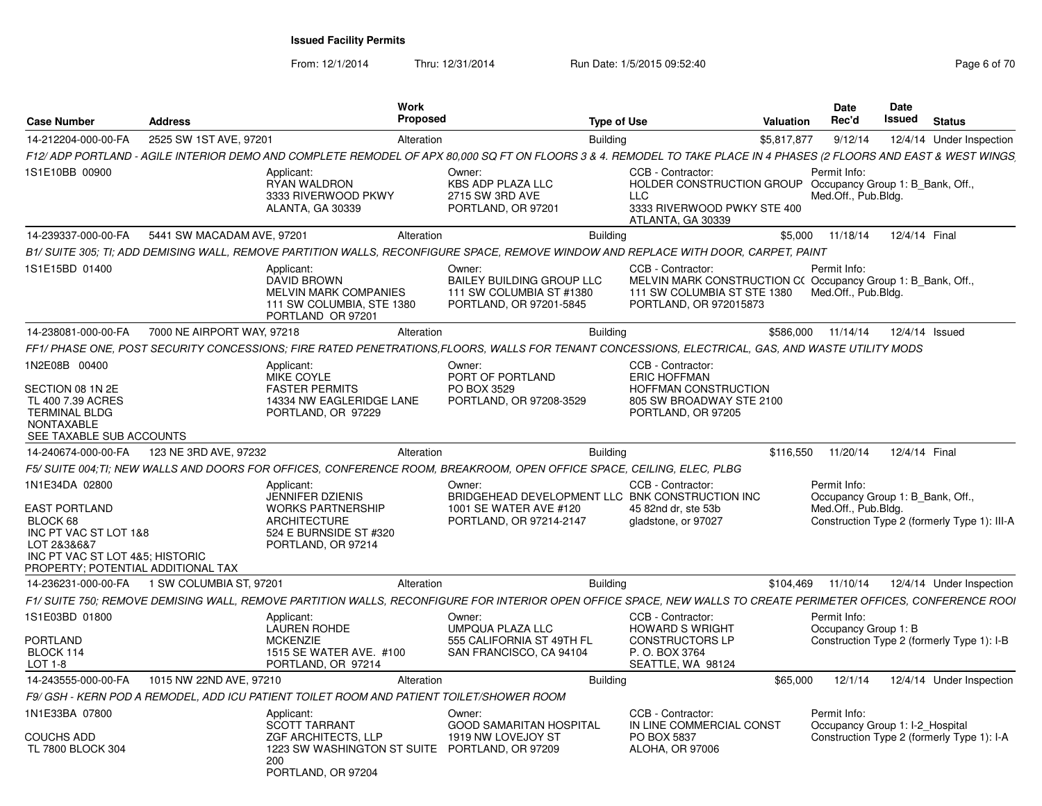| <b>Case Number</b>                                                    | <b>Address</b>             |                                                                                                                       | Work<br>Proposed |                                                                                         | <b>Type of Use</b>                                                                                                                                                 | Valuation   | <b>Date</b><br>Rec'd                                    | <b>Date</b><br>Issued | <b>Status</b>                                |
|-----------------------------------------------------------------------|----------------------------|-----------------------------------------------------------------------------------------------------------------------|------------------|-----------------------------------------------------------------------------------------|--------------------------------------------------------------------------------------------------------------------------------------------------------------------|-------------|---------------------------------------------------------|-----------------------|----------------------------------------------|
| 14-212204-000-00-FA                                                   | 2525 SW 1ST AVE, 97201     |                                                                                                                       | Alteration       | <b>Building</b>                                                                         |                                                                                                                                                                    | \$5.817.877 | 9/12/14                                                 |                       | 12/4/14 Under Inspection                     |
|                                                                       |                            |                                                                                                                       |                  |                                                                                         | F12/ADP PORTLAND - AGILE INTERIOR DEMO AND COMPLETE REMODEL OF APX 80,000 SQ FT ON FLOORS 3 & 4. REMODEL TO TAKE PLACE IN 4 PHASES (2 FLOORS AND EAST & WEST WINGS |             |                                                         |                       |                                              |
| 1S1E10BB 00900                                                        |                            | Applicant:                                                                                                            | Owner:           |                                                                                         | CCB - Contractor:                                                                                                                                                  |             | Permit Info:                                            |                       |                                              |
|                                                                       |                            | <b>RYAN WALDRON</b><br>3333 RIVERWOOD PKWY<br><b>ALANTA, GA 30339</b>                                                 |                  | <b>KBS ADP PLAZA LLC</b><br>2715 SW 3RD AVE<br>PORTLAND, OR 97201                       | HOLDER CONSTRUCTION GROUP Occupancy Group 1: B Bank, Off.,<br><b>LLC</b><br>3333 RIVERWOOD PWKY STE 400                                                            |             | Med.Off., Pub.Blda.                                     |                       |                                              |
| 14-239337-000-00-FA                                                   | 5441 SW MACADAM AVE, 97201 |                                                                                                                       | Alteration       | <b>Building</b>                                                                         | ATLANTA, GA 30339                                                                                                                                                  | \$5.000     | 11/18/14                                                | 12/4/14 Final         |                                              |
|                                                                       |                            |                                                                                                                       |                  |                                                                                         | B1/ SUITE 305: TI: ADD DEMISING WALL, REMOVE PARTITION WALLS, RECONFIGURE SPACE, REMOVE WINDOW AND REPLACE WITH DOOR, CARPET, PAINT                                |             |                                                         |                       |                                              |
| 1S1E15BD 01400                                                        |                            | Applicant:                                                                                                            | Owner:           |                                                                                         | CCB - Contractor:                                                                                                                                                  |             | Permit Info:                                            |                       |                                              |
|                                                                       |                            | DAVID BROWN<br><b>MELVIN MARK COMPANIES</b><br>111 SW COLUMBIA, STE 1380<br>PORTLAND OR 97201                         |                  | <b>BAILEY BUILDING GROUP LLC</b><br>111 SW COLUMBIA ST #1380<br>PORTLAND, OR 97201-5845 | MELVIN MARK CONSTRUCTION C(Occupancy Group 1: B Bank, Off.,<br>111 SW COLUMBIA ST STE 1380<br>PORTLAND, OR 972015873                                               |             | Med.Off., Pub.Blda.                                     |                       |                                              |
| 14-238081-000-00-FA                                                   | 7000 NE AIRPORT WAY, 97218 |                                                                                                                       | Alteration       | <b>Building</b>                                                                         |                                                                                                                                                                    | \$586,000   | 11/14/14                                                | 12/4/14 Issued        |                                              |
|                                                                       |                            |                                                                                                                       |                  |                                                                                         | FF1/ PHASE ONE. POST SECURITY CONCESSIONS: FIRE RATED PENETRATIONS.FLOORS. WALLS FOR TENANT CONCESSIONS. ELECTRICAL. GAS. AND WASTE UTILITY MODS                   |             |                                                         |                       |                                              |
| 1N2E08B 00400                                                         |                            | Applicant:<br>MIKE COYLE                                                                                              | Owner:           | PORT OF PORTLAND                                                                        | CCB - Contractor:<br><b>ERIC HOFFMAN</b>                                                                                                                           |             |                                                         |                       |                                              |
| SECTION 08 1N 2E                                                      |                            | <b>FASTER PERMITS</b>                                                                                                 | PO BOX 3529      |                                                                                         | HOFFMAN CONSTRUCTION                                                                                                                                               |             |                                                         |                       |                                              |
| TL 400 7.39 ACRES                                                     |                            | 14334 NW EAGLERIDGE LANE                                                                                              |                  | PORTLAND, OR 97208-3529                                                                 | 805 SW BROADWAY STE 2100                                                                                                                                           |             |                                                         |                       |                                              |
| <b>TERMINAL BLDG</b><br><b>NONTAXABLE</b>                             |                            | PORTLAND, OR 97229                                                                                                    |                  |                                                                                         | PORTLAND, OR 97205                                                                                                                                                 |             |                                                         |                       |                                              |
| SEE TAXABLE SUB ACCOUNTS                                              |                            |                                                                                                                       |                  |                                                                                         |                                                                                                                                                                    |             |                                                         |                       |                                              |
| 14-240674-000-00-FA                                                   | 123 NE 3RD AVE, 97232      |                                                                                                                       | Alteration       | <b>Building</b>                                                                         |                                                                                                                                                                    | \$116,550   | 11/20/14                                                | 12/4/14 Final         |                                              |
|                                                                       |                            | F5/ SUITE 004:TI: NEW WALLS AND DOORS FOR OFFICES, CONFERENCE ROOM, BREAKROOM, OPEN OFFICE SPACE, CEILING, ELEC, PLBG |                  |                                                                                         |                                                                                                                                                                    |             |                                                         |                       |                                              |
| 1N1E34DA 02800                                                        |                            | Applicant:                                                                                                            | Owner:           |                                                                                         | CCB - Contractor:                                                                                                                                                  |             | Permit Info:                                            |                       |                                              |
| <b>EAST PORTLAND</b>                                                  |                            | <b>JENNIFER DZIENIS</b><br><b>WORKS PARTNERSHIP</b>                                                                   |                  | 1001 SE WATER AVE #120                                                                  | BRIDGEHEAD DEVELOPMENT LLC BNK CONSTRUCTION INC<br>45 82nd dr. ste 53b                                                                                             |             | Occupancy Group 1: B_Bank, Off.,<br>Med.Off., Pub.Blda. |                       |                                              |
| BLOCK 68                                                              |                            | <b>ARCHITECTURE</b>                                                                                                   |                  | PORTLAND, OR 97214-2147                                                                 | gladstone, or 97027                                                                                                                                                |             |                                                         |                       | Construction Type 2 (formerly Type 1): III-A |
| INC PT VAC ST LOT 1&8                                                 |                            | 524 E BURNSIDE ST #320                                                                                                |                  |                                                                                         |                                                                                                                                                                    |             |                                                         |                       |                                              |
| LOT 2&3&6&7                                                           |                            | PORTLAND, OR 97214                                                                                                    |                  |                                                                                         |                                                                                                                                                                    |             |                                                         |                       |                                              |
| INC PT VAC ST LOT 4&5: HISTORIC<br>PROPERTY; POTENTIAL ADDITIONAL TAX |                            |                                                                                                                       |                  |                                                                                         |                                                                                                                                                                    |             |                                                         |                       |                                              |
|                                                                       |                            |                                                                                                                       | Alteration       | <b>Building</b>                                                                         |                                                                                                                                                                    | \$104,469   | 11/10/14                                                |                       | 12/4/14 Under Inspection                     |
|                                                                       |                            |                                                                                                                       |                  |                                                                                         | F1/ SUITE 750; REMOVE DEMISING WALL, REMOVE PARTITION WALLS, RECONFIGURE FOR INTERIOR OPEN OFFICE SPACE, NEW WALLS TO CREATE PERIMETER OFFICES, CONFERENCE ROOI    |             |                                                         |                       |                                              |
| 1S1E03BD 01800                                                        |                            | Applicant:                                                                                                            | Owner:           |                                                                                         | CCB - Contractor:                                                                                                                                                  |             | Permit Info:                                            |                       |                                              |
|                                                                       |                            | <b>LAUREN ROHDE</b>                                                                                                   |                  | <b>UMPQUA PLAZA LLC</b>                                                                 | <b>HOWARD S WRIGHT</b>                                                                                                                                             |             | Occupancy Group 1: B                                    |                       |                                              |
| <b>PORTLAND</b>                                                       |                            | <b>MCKENZIE</b>                                                                                                       |                  | 555 CALIFORNIA ST 49TH FL                                                               | <b>CONSTRUCTORS LP</b>                                                                                                                                             |             |                                                         |                       | Construction Type 2 (formerly Type 1): I-B   |
| BLOCK 114                                                             |                            | 1515 SE WATER AVE. #100                                                                                               |                  | SAN FRANCISCO, CA 94104                                                                 | P. O. BOX 3764                                                                                                                                                     |             |                                                         |                       |                                              |
| LOT 1-8                                                               |                            | PORTLAND, OR 97214                                                                                                    |                  |                                                                                         | SEATTLE, WA 98124                                                                                                                                                  |             |                                                         |                       |                                              |
| 14-243555-000-00-FA                                                   | 1015 NW 22ND AVE, 97210    |                                                                                                                       | Alteration       | Building                                                                                |                                                                                                                                                                    | \$65,000    | 12/1/14                                                 |                       | 12/4/14 Under Inspection                     |
|                                                                       |                            | F9/ GSH - KERN POD A REMODEL. ADD ICU PATIENT TOILET ROOM AND PATIENT TOILET/SHOWER ROOM                              |                  |                                                                                         |                                                                                                                                                                    |             |                                                         |                       |                                              |
| 1N1E33BA 07800                                                        |                            | Applicant:                                                                                                            | Owner:           |                                                                                         | CCB - Contractor:                                                                                                                                                  |             | Permit Info:                                            |                       |                                              |
| COUCHS ADD                                                            |                            | <b>SCOTT TARRANT</b><br>ZGF ARCHITECTS, LLP                                                                           |                  | <b>GOOD SAMARITAN HOSPITAL</b><br>1919 NW LOVEJOY ST                                    | IN LINE COMMERCIAL CONST<br>PO BOX 5837                                                                                                                            |             | Occupancy Group 1: I-2 Hospital                         |                       | Construction Type 2 (formerly Type 1): I-A   |
| <b>TL 7800 BLOCK 304</b>                                              |                            | 1223 SW WASHINGTON ST SUITE                                                                                           |                  | PORTLAND, OR 97209                                                                      | <b>ALOHA, OR 97006</b>                                                                                                                                             |             |                                                         |                       |                                              |
|                                                                       |                            | 200                                                                                                                   |                  |                                                                                         |                                                                                                                                                                    |             |                                                         |                       |                                              |
|                                                                       |                            | PORTLAND, OR 97204                                                                                                    |                  |                                                                                         |                                                                                                                                                                    |             |                                                         |                       |                                              |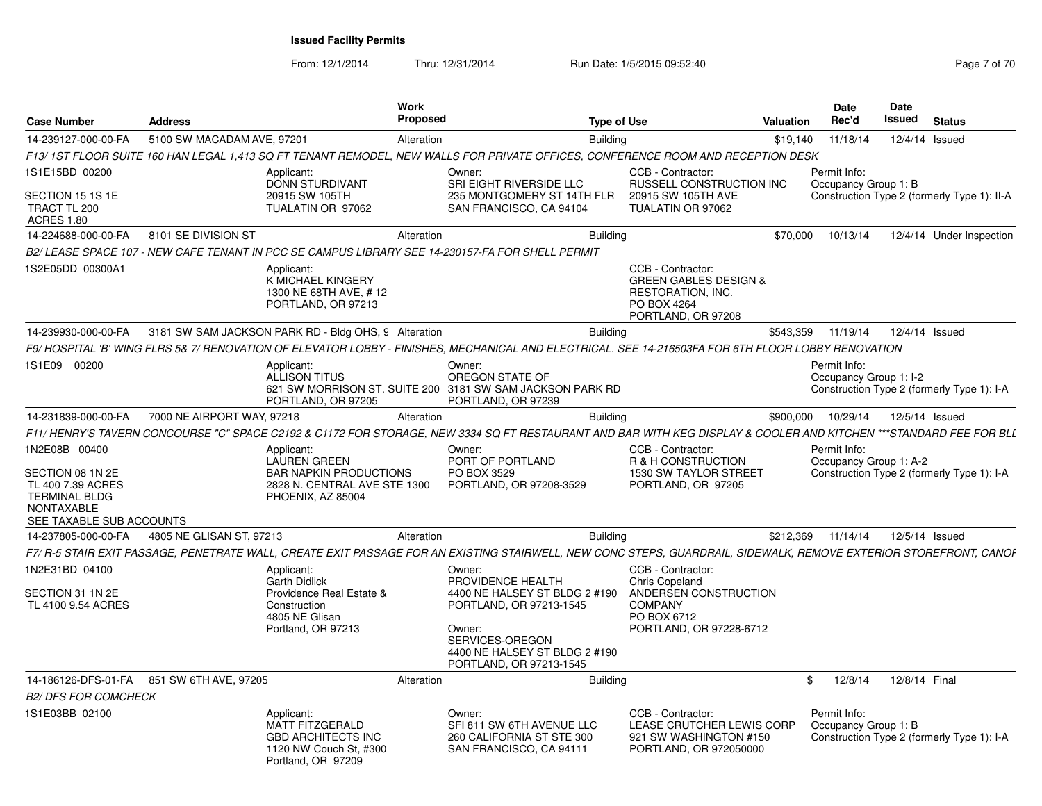| <b>Case Number</b>                                                                                             | <b>Address</b>                            |                                                                                                                   | <b>Work</b><br>Proposed |                                                                                                                                                                        | <b>Type of Use</b>                                                                                              | Valuation | <b>Date</b><br>Rec'd                   | Date<br>Issued |               | <b>Status</b>                               |
|----------------------------------------------------------------------------------------------------------------|-------------------------------------------|-------------------------------------------------------------------------------------------------------------------|-------------------------|------------------------------------------------------------------------------------------------------------------------------------------------------------------------|-----------------------------------------------------------------------------------------------------------------|-----------|----------------------------------------|----------------|---------------|---------------------------------------------|
| 14-239127-000-00-FA                                                                                            | 5100 SW MACADAM AVE, 97201                |                                                                                                                   | Alteration              | <b>Building</b>                                                                                                                                                        |                                                                                                                 | \$19,140  | 11/18/14                               |                |               | 12/4/14 Issued                              |
|                                                                                                                |                                           |                                                                                                                   |                         | F13/ 1ST FLOOR SUITE 160 HAN LEGAL 1.413 SQ FT TENANT REMODEL. NEW WALLS FOR PRIVATE OFFICES. CONFERENCE ROOM AND RECEPTION DESK                                       |                                                                                                                 |           |                                        |                |               |                                             |
| 1S1E15BD 00200                                                                                                 |                                           | Applicant:<br>DONN STURDIVANT                                                                                     |                         | Owner:<br><b>SRI EIGHT RIVERSIDE LLC</b>                                                                                                                               | CCB - Contractor:<br><b>RUSSELL CONSTRUCTION INC.</b>                                                           |           | Permit Info:<br>Occupancy Group 1: B   |                |               |                                             |
| SECTION 15 1S 1E<br>TRACT TL 200<br><b>ACRES 1.80</b>                                                          |                                           | 20915 SW 105TH<br>TUALATIN OR 97062                                                                               |                         | 235 MONTGOMERY ST 14TH FLR<br>SAN FRANCISCO, CA 94104                                                                                                                  | 20915 SW 105TH AVE<br>TUALATIN OR 97062                                                                         |           |                                        |                |               | Construction Type 2 (formerly Type 1): II-A |
| 14-224688-000-00-FA                                                                                            | 8101 SE DIVISION ST                       |                                                                                                                   | Alteration              | <b>Building</b>                                                                                                                                                        |                                                                                                                 | \$70,000  | 10/13/14                               |                |               | 12/4/14 Under Inspection                    |
|                                                                                                                |                                           |                                                                                                                   |                         | B2/ LEASE SPACE 107 - NEW CAFE TENANT IN PCC SE CAMPUS LIBRARY SEE 14-230157-FA FOR SHELL PERMIT                                                                       |                                                                                                                 |           |                                        |                |               |                                             |
| 1S2E05DD 00300A1                                                                                               |                                           | Applicant:<br>K MICHAEL KINGERY<br>1300 NE 68TH AVE, #12<br>PORTLAND, OR 97213                                    |                         |                                                                                                                                                                        | CCB - Contractor:<br><b>GREEN GABLES DESIGN &amp;</b><br>RESTORATION, INC.<br>PO BOX 4264<br>PORTLAND, OR 97208 |           |                                        |                |               |                                             |
| 14-239930-000-00-FA                                                                                            |                                           | 3181 SW SAM JACKSON PARK RD - Bldg OHS, 9 Alteration                                                              |                         | <b>Building</b>                                                                                                                                                        |                                                                                                                 | \$543,359 | 11/19/14                               |                |               | 12/4/14 Issued                              |
|                                                                                                                |                                           |                                                                                                                   |                         | F9/ HOSPITAL 'B' WING FLRS 5& 7/ RENOVATION OF ELEVATOR LOBBY - FINISHES. MECHANICAL AND ELECTRICAL. SEE 14-216503FA FOR 6TH FLOOR LOBBY RENOVATION                    |                                                                                                                 |           |                                        |                |               |                                             |
| 1S1E09 00200                                                                                                   |                                           | Applicant:<br><b>ALLISON TITUS</b><br>PORTLAND, OR 97205                                                          |                         | Owner:<br>OREGON STATE OF<br>621 SW MORRISON ST. SUITE 200 3181 SW SAM JACKSON PARK RD<br>PORTLAND, OR 97239                                                           |                                                                                                                 |           | Permit Info:<br>Occupancy Group 1: I-2 |                |               | Construction Type 2 (formerly Type 1): I-A  |
| 14-231839-000-00-FA                                                                                            | 7000 NE AIRPORT WAY, 97218                |                                                                                                                   | Alteration              | <b>Building</b>                                                                                                                                                        |                                                                                                                 | \$900,000 | 10/29/14                               |                |               | 12/5/14 Issued                              |
|                                                                                                                |                                           |                                                                                                                   |                         | F11/ HENRY'S TAVERN CONCOURSE "C" SPACE C2192 & C1172 FOR STORAGE, NEW 3334 SQ FT RESTAURANT AND BAR WITH KEG DISPLAY & COOLER AND KITCHEN ***STANDARD FEE FOR BLL     |                                                                                                                 |           |                                        |                |               |                                             |
| 1N2E08B 00400                                                                                                  |                                           | Applicant:<br><b>LAUREN GREEN</b>                                                                                 |                         | Owner:<br>PORT OF PORTLAND                                                                                                                                             | CCB - Contractor:<br>R & H CONSTRUCTION                                                                         |           | Permit Info:<br>Occupancy Group 1: A-2 |                |               |                                             |
| SECTION 08 1N 2E<br>TL 400 7.39 ACRES<br><b>TERMINAL BLDG</b><br><b>NONTAXABLE</b><br>SEE TAXABLE SUB ACCOUNTS |                                           | <b>BAR NAPKIN PRODUCTIONS</b><br>2828 N. CENTRAL AVE STE 1300<br>PHOENIX. AZ 85004                                |                         | PO BOX 3529<br>PORTLAND, OR 97208-3529                                                                                                                                 | 1530 SW TAYLOR STREET<br>PORTLAND, OR 97205                                                                     |           |                                        |                |               | Construction Type 2 (formerly Type 1): I-A  |
| 14-237805-000-00-FA                                                                                            | 4805 NE GLISAN ST, 97213                  |                                                                                                                   | Alteration              | <b>Building</b>                                                                                                                                                        |                                                                                                                 | \$212,369 | 11/14/14                               |                |               | 12/5/14 Issued                              |
|                                                                                                                |                                           |                                                                                                                   |                         | F7/ R-5 STAIR EXIT PASSAGE. PENETRATE WALL. CREATE EXIT PASSAGE FOR AN EXISTING STAIRWELL. NEW CONC STEPS. GUARDRAIL. SIDEWALK. REMOVE EXTERIOR STOREFRONT. CANOI      |                                                                                                                 |           |                                        |                |               |                                             |
| 1N2E31BD 04100                                                                                                 |                                           | Applicant:                                                                                                        |                         | Owner:                                                                                                                                                                 | CCB - Contractor:                                                                                               |           |                                        |                |               |                                             |
| SECTION 31 1N 2E<br>TL 4100 9.54 ACRES                                                                         |                                           | <b>Garth Didlick</b><br>Providence Real Estate &<br>Construction<br>4805 NE Glisan<br>Portland, OR 97213          |                         | PROVIDENCE HEALTH<br>4400 NE HALSEY ST BLDG 2 #190<br>PORTLAND, OR 97213-1545<br>Owner:<br>SERVICES-OREGON<br>4400 NE HALSEY ST BLDG 2 #190<br>PORTLAND, OR 97213-1545 | <b>Chris Copeland</b><br>ANDERSEN CONSTRUCTION<br><b>COMPANY</b><br>PO BOX 6712<br>PORTLAND, OR 97228-6712      |           |                                        |                |               |                                             |
|                                                                                                                | 14-186126-DFS-01-FA 851 SW 6TH AVE, 97205 |                                                                                                                   | Alteration              | <b>Building</b>                                                                                                                                                        |                                                                                                                 |           | 12/8/14<br>\$                          |                | 12/8/14 Final |                                             |
| <b>B2/ DFS FOR COMCHECK</b>                                                                                    |                                           |                                                                                                                   |                         |                                                                                                                                                                        |                                                                                                                 |           |                                        |                |               |                                             |
| 1S1E03BB 02100                                                                                                 |                                           | Applicant:<br><b>MATT FITZGERALD</b><br><b>GBD ARCHITECTS INC</b><br>1120 NW Couch St. #300<br>Portland, OR 97209 |                         | Owner:<br>SFI 811 SW 6TH AVENUE LLC<br>260 CALIFORNIA ST STE 300<br>SAN FRANCISCO, CA 94111                                                                            | CCB - Contractor:<br>LEASE CRUTCHER LEWIS CORP<br>921 SW WASHINGTON #150<br>PORTLAND, OR 972050000              |           | Permit Info:<br>Occupancy Group 1: B   |                |               | Construction Type 2 (formerly Type 1): I-A  |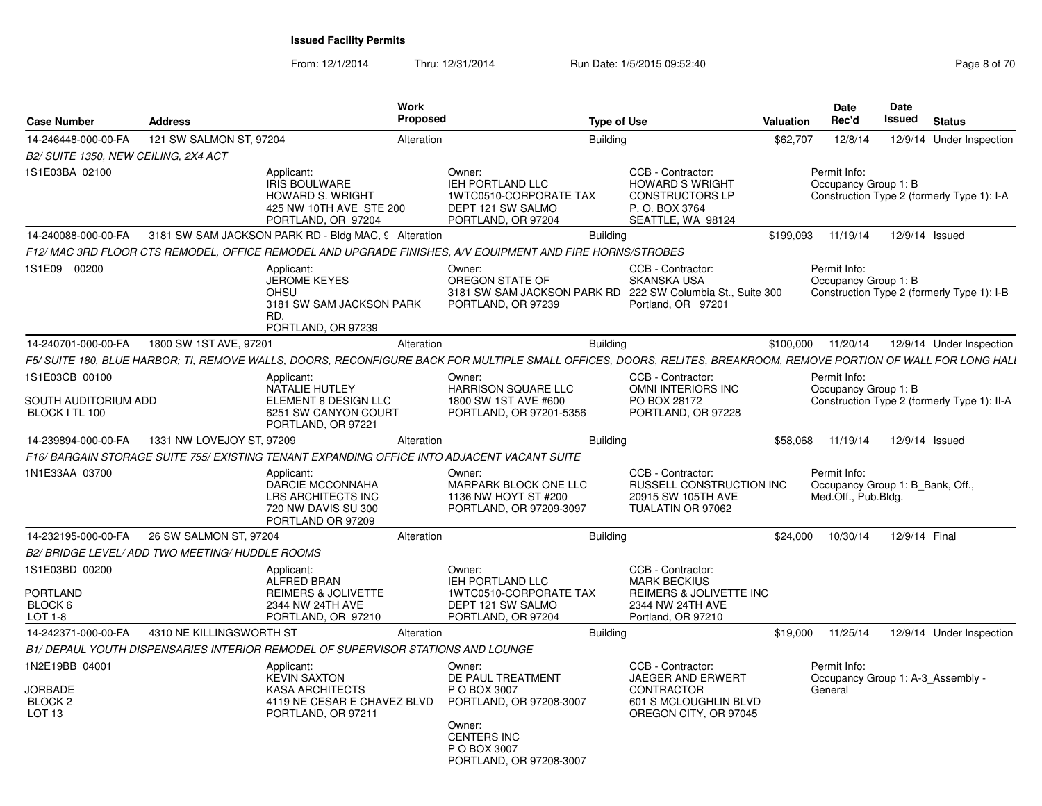| <b>Case Number</b>                                                          | <b>Address</b>            | <b>Work</b><br>Proposed                                                                                                                                           |                                                                                                                                                   | <b>Type of Use</b> |                                                                                                               | <b>Valuation</b> | <b>Date</b><br>Rec'd                                                    | Date<br>Issued | <b>Status</b>                               |
|-----------------------------------------------------------------------------|---------------------------|-------------------------------------------------------------------------------------------------------------------------------------------------------------------|---------------------------------------------------------------------------------------------------------------------------------------------------|--------------------|---------------------------------------------------------------------------------------------------------------|------------------|-------------------------------------------------------------------------|----------------|---------------------------------------------|
| 14-246448-000-00-FA                                                         | 121 SW SALMON ST, 97204   | Alteration                                                                                                                                                        |                                                                                                                                                   | <b>Building</b>    |                                                                                                               | \$62,707         | 12/8/14                                                                 | 12/9/14        | Under Inspection                            |
| B2/ SUITE 1350, NEW CEILING, 2X4 ACT                                        |                           |                                                                                                                                                                   |                                                                                                                                                   |                    |                                                                                                               |                  |                                                                         |                |                                             |
| 1S1E03BA 02100                                                              |                           | Applicant:<br><b>IRIS BOULWARE</b><br><b>HOWARD S. WRIGHT</b><br>425 NW 10TH AVE STE 200<br>PORTLAND, OR 97204                                                    | Owner:<br><b>IEH PORTLAND LLC</b><br>1WTC0510-CORPORATE TAX<br>DEPT 121 SW SALMO<br>PORTLAND, OR 97204                                            |                    | CCB - Contractor:<br><b>HOWARD S WRIGHT</b><br><b>CONSTRUCTORS LP</b><br>P.O. BOX 3764<br>SEATTLE, WA 98124   |                  | Permit Info:<br>Occupancy Group 1: B                                    |                | Construction Type 2 (formerly Type 1): I-A  |
| 14-240088-000-00-FA                                                         |                           | 3181 SW SAM JACKSON PARK RD - Bldg MAC, 9 Alteration                                                                                                              |                                                                                                                                                   | <b>Building</b>    |                                                                                                               | \$199,093        | 11/19/14                                                                | 12/9/14 Issued |                                             |
|                                                                             |                           | F12/ MAC 3RD FLOOR CTS REMODEL, OFFICE REMODEL AND UPGRADE FINISHES, A/V EQUIPMENT AND FIRE HORNS/STROBES                                                         |                                                                                                                                                   |                    |                                                                                                               |                  |                                                                         |                |                                             |
| 1S1E09 00200                                                                |                           | Applicant:<br><b>JEROME KEYES</b><br>OHSU<br>3181 SW SAM JACKSON PARK<br>RD.<br>PORTLAND, OR 97239                                                                | Owner:<br>OREGON STATE OF<br>3181 SW SAM JACKSON PARK RD<br>PORTLAND, OR 97239                                                                    |                    | CCB - Contractor:<br><b>SKANSKA USA</b><br>222 SW Columbia St., Suite 300<br>Portland, OR 97201               |                  | Permit Info:<br>Occupancy Group 1: B                                    |                | Construction Type 2 (formerly Type 1): I-B  |
| 14-240701-000-00-FA                                                         | 1800 SW 1ST AVE, 97201    | Alteration                                                                                                                                                        |                                                                                                                                                   | <b>Building</b>    |                                                                                                               | \$100,000        | 11/20/14                                                                |                | 12/9/14 Under Inspection                    |
|                                                                             |                           | F5/ SUITE 180, BLUE HARBOR; TI, REMOVE WALLS, DOORS, RECONFIGURE BACK FOR MULTIPLE SMALL OFFICES, DOORS, RELITES, BREAKROOM, REMOVE PORTION OF WALL FOR LONG HALI |                                                                                                                                                   |                    |                                                                                                               |                  |                                                                         |                |                                             |
| 1S1E03CB 00100                                                              |                           | Applicant:                                                                                                                                                        | Owner:                                                                                                                                            |                    | CCB - Contractor:                                                                                             |                  | Permit Info:                                                            |                |                                             |
| SOUTH AUDITORIUM ADD<br>BLOCK I TL 100                                      |                           | <b>NATALIE HUTLEY</b><br>ELEMENT 8 DESIGN LLC<br>6251 SW CANYON COURT<br>PORTLAND, OR 97221                                                                       | HARRISON SQUARE LLC<br>1800 SW 1ST AVE #600<br>PORTLAND, OR 97201-5356                                                                            |                    | OMNI INTERIORS INC<br>PO BOX 28172<br>PORTLAND, OR 97228                                                      |                  | Occupancy Group 1: B                                                    |                | Construction Type 2 (formerly Type 1): II-A |
| 14-239894-000-00-FA                                                         | 1331 NW LOVEJOY ST, 97209 | Alteration                                                                                                                                                        |                                                                                                                                                   | <b>Building</b>    |                                                                                                               | \$58,068         | 11/19/14                                                                | 12/9/14 Issued |                                             |
|                                                                             |                           | F16/BARGAIN STORAGE SUITE 755/EXISTING TENANT EXPANDING OFFICE INTO ADJACENT VACANT SUITE                                                                         |                                                                                                                                                   |                    |                                                                                                               |                  |                                                                         |                |                                             |
| 1N1E33AA 03700                                                              |                           | Applicant:<br><b>DARCIE MCCONNAHA</b><br><b>LRS ARCHITECTS INC</b><br>720 NW DAVIS SU 300<br>PORTLAND OR 97209                                                    | Owner:<br>MARPARK BLOCK ONE LLC<br>1136 NW HOYT ST #200<br>PORTLAND, OR 97209-3097                                                                |                    | CCB - Contractor:<br>RUSSELL CONSTRUCTION INC<br>20915 SW 105TH AVE<br>TUALATIN OR 97062                      |                  | Permit Info:<br>Occupancy Group 1: B Bank, Off.,<br>Med.Off., Pub.Bldg. |                |                                             |
| 14-232195-000-00-FA                                                         | 26 SW SALMON ST, 97204    | Alteration                                                                                                                                                        |                                                                                                                                                   | <b>Building</b>    |                                                                                                               | \$24,000         | 10/30/14                                                                | 12/9/14 Final  |                                             |
| B2/ BRIDGE LEVEL/ ADD TWO MEETING/ HUDDLE ROOMS                             |                           |                                                                                                                                                                   |                                                                                                                                                   |                    |                                                                                                               |                  |                                                                         |                |                                             |
| 1S1E03BD 00200<br>PORTLAND<br>BLOCK 6<br>LOT 1-8                            |                           | Applicant:<br><b>ALFRED BRAN</b><br><b>REIMERS &amp; JOLIVETTE</b><br>2344 NW 24TH AVE<br>PORTLAND, OR 97210                                                      | Owner:<br>IEH PORTLAND LLC<br>1WTC0510-CORPORATE TAX<br>DEPT 121 SW SALMO<br>PORTLAND, OR 97204                                                   |                    | CCB - Contractor:<br><b>MARK BECKIUS</b><br>REIMERS & JOLIVETTE INC<br>2344 NW 24TH AVE<br>Portland, OR 97210 |                  |                                                                         |                |                                             |
| 14-242371-000-00-FA                                                         | 4310 NE KILLINGSWORTH ST  | Alteration                                                                                                                                                        |                                                                                                                                                   | <b>Building</b>    |                                                                                                               | \$19,000         | 11/25/14                                                                |                | 12/9/14 Under Inspection                    |
|                                                                             |                           | B1/ DEPAUL YOUTH DISPENSARIES INTERIOR REMODEL OF SUPERVISOR STATIONS AND LOUNGE                                                                                  |                                                                                                                                                   |                    |                                                                                                               |                  |                                                                         |                |                                             |
| 1N2E19BB 04001<br><b>JORBADE</b><br>BLOCK <sub>2</sub><br>LOT <sub>13</sub> |                           | Applicant:<br><b>KEVIN SAXTON</b><br><b>KASA ARCHITECTS</b><br>4119 NE CESAR E CHAVEZ BLVD<br>PORTLAND, OR 97211                                                  | Owner:<br>DE PAUL TREATMENT<br>P O BOX 3007<br>PORTLAND, OR 97208-3007<br>Owner:<br><b>CENTERS INC</b><br>P O BOX 3007<br>PORTLAND, OR 97208-3007 |                    | CCB - Contractor:<br>JAEGER AND ERWERT<br><b>CONTRACTOR</b><br>601 S MCLOUGHLIN BLVD<br>OREGON CITY, OR 97045 |                  | Permit Info:<br>General                                                 |                | Occupancy Group 1: A-3_Assembly -           |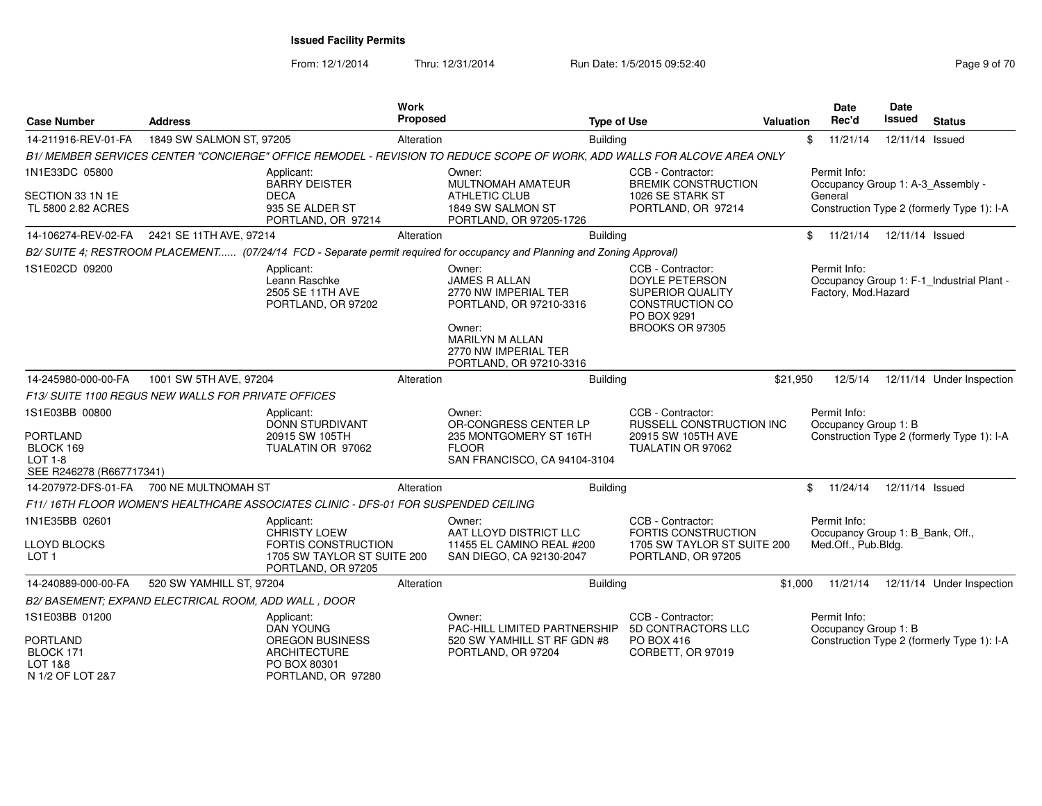| <b>Case Number</b>                                                                           | <b>Address</b>                                       |                                                                                                                      | Work<br>Proposed |                                                                                                                                                                   | <b>Type of Use</b> |                                                                                                                                   | <b>Valuation</b> | <b>Date</b><br>Rec'd                 | Date<br><b>Issued</b> | <b>Status</b>                                                                   |
|----------------------------------------------------------------------------------------------|------------------------------------------------------|----------------------------------------------------------------------------------------------------------------------|------------------|-------------------------------------------------------------------------------------------------------------------------------------------------------------------|--------------------|-----------------------------------------------------------------------------------------------------------------------------------|------------------|--------------------------------------|-----------------------|---------------------------------------------------------------------------------|
| 14-211916-REV-01-FA                                                                          | 1849 SW SALMON ST, 97205                             |                                                                                                                      | Alteration       |                                                                                                                                                                   | <b>Building</b>    |                                                                                                                                   |                  | \$<br>11/21/14                       |                       | 12/11/14 Issued                                                                 |
|                                                                                              |                                                      |                                                                                                                      |                  | B1/MEMBER SERVICES CENTER "CONCIERGE" OFFICE REMODEL - REVISION TO REDUCE SCOPE OF WORK, ADD WALLS FOR ALCOVE AREA ONLY                                           |                    |                                                                                                                                   |                  |                                      |                       |                                                                                 |
| 1N1E33DC 05800<br>SECTION 33 1N 1E<br>TL 5800 2.82 ACRES                                     |                                                      | Applicant:<br><b>BARRY DEISTER</b><br><b>DECA</b><br>935 SE ALDER ST<br>PORTLAND, OR 97214                           |                  | Owner:<br><b>MULTNOMAH AMATEUR</b><br><b>ATHLETIC CLUB</b><br>1849 SW SALMON ST<br>PORTLAND, OR 97205-1726                                                        |                    | CCB - Contractor:<br><b>BREMIK CONSTRUCTION</b><br>1026 SE STARK ST<br>PORTLAND, OR 97214                                         |                  | Permit Info:<br>General              |                       | Occupancy Group 1: A-3_Assembly -<br>Construction Type 2 (formerly Type 1): I-A |
| 14-106274-REV-02-FA                                                                          | 2421 SE 11TH AVE, 97214                              |                                                                                                                      | Alteration       |                                                                                                                                                                   | <b>Building</b>    |                                                                                                                                   |                  | \$<br>11/21/14                       |                       | 12/11/14 Issued                                                                 |
|                                                                                              |                                                      |                                                                                                                      |                  | B2/ SUITE 4; RESTROOM PLACEMENT (07/24/14 FCD - Separate permit required for occupancy and Planning and Zoning Approval)                                          |                    |                                                                                                                                   |                  |                                      |                       |                                                                                 |
| 1S1E02CD 09200                                                                               |                                                      | Applicant:<br>Leann Raschke<br>2505 SE 11TH AVE<br>PORTLAND, OR 97202                                                |                  | Owner:<br><b>JAMES R ALLAN</b><br>2770 NW IMPERIAL TER<br>PORTLAND, OR 97210-3316<br>Owner:<br>MARILYN M ALLAN<br>2770 NW IMPERIAL TER<br>PORTLAND, OR 97210-3316 |                    | CCB - Contractor:<br><b>DOYLE PETERSON</b><br><b>SUPERIOR QUALITY</b><br><b>CONSTRUCTION CO</b><br>PO BOX 9291<br>BROOKS OR 97305 |                  | Permit Info:<br>Factory, Mod.Hazard  |                       | Occupancy Group 1: F-1 Industrial Plant -                                       |
| 14-245980-000-00-FA                                                                          | 1001 SW 5TH AVE, 97204                               |                                                                                                                      | Alteration       |                                                                                                                                                                   | <b>Building</b>    |                                                                                                                                   | \$21,950         | 12/5/14                              |                       | 12/11/14 Under Inspection                                                       |
|                                                                                              | F13/ SUITE 1100 REGUS NEW WALLS FOR PRIVATE OFFICES  |                                                                                                                      |                  |                                                                                                                                                                   |                    |                                                                                                                                   |                  |                                      |                       |                                                                                 |
| 1S1E03BB 00800<br><b>PORTLAND</b><br>BLOCK 169<br><b>LOT 1-8</b><br>SEE R246278 (R667717341) |                                                      | Applicant:<br>DONN STURDIVANT<br>20915 SW 105TH<br>TUALATIN OR 97062                                                 |                  | Owner:<br>OR-CONGRESS CENTER LP<br>235 MONTGOMERY ST 16TH<br><b>FLOOR</b><br>SAN FRANCISCO, CA 94104-3104                                                         |                    | CCB - Contractor:<br><b>RUSSELL CONSTRUCTION INC</b><br>20915 SW 105TH AVE<br>TUALATIN OR 97062                                   |                  | Permit Info:<br>Occupancy Group 1: B |                       | Construction Type 2 (formerly Type 1): I-A                                      |
| 14-207972-DFS-01-FA                                                                          | 700 NE MULTNOMAH ST                                  |                                                                                                                      | Alteration       |                                                                                                                                                                   | <b>Building</b>    |                                                                                                                                   |                  | 11/24/14<br>\$                       |                       | 12/11/14 Issued                                                                 |
|                                                                                              |                                                      | F11/16TH FLOOR WOMEN'S HEALTHCARE ASSOCIATES CLINIC - DFS-01 FOR SUSPENDED CEILING                                   |                  |                                                                                                                                                                   |                    |                                                                                                                                   |                  |                                      |                       |                                                                                 |
| 1N1E35BB 02601<br>LLOYD BLOCKS<br>LOT <sub>1</sub>                                           |                                                      | Applicant:<br><b>CHRISTY LOEW</b><br><b>FORTIS CONSTRUCTION</b><br>1705 SW TAYLOR ST SUITE 200<br>PORTLAND, OR 97205 |                  | Owner:<br>AAT LLOYD DISTRICT LLC<br>11455 EL CAMINO REAL #200<br>SAN DIEGO, CA 92130-2047                                                                         |                    | CCB - Contractor:<br><b>FORTIS CONSTRUCTION</b><br>1705 SW TAYLOR ST SUITE 200<br>PORTLAND, OR 97205                              |                  | Permit Info:<br>Med.Off., Pub.Bldg.  |                       | Occupancy Group 1: B_Bank, Off.,                                                |
| 14-240889-000-00-FA                                                                          | 520 SW YAMHILL ST, 97204                             |                                                                                                                      | Alteration       |                                                                                                                                                                   | <b>Building</b>    |                                                                                                                                   | \$1,000          | 11/21/14                             |                       | 12/11/14 Under Inspection                                                       |
|                                                                                              | B2/ BASEMENT; EXPAND ELECTRICAL ROOM, ADD WALL, DOOR |                                                                                                                      |                  |                                                                                                                                                                   |                    |                                                                                                                                   |                  |                                      |                       |                                                                                 |
| 1S1E03BB 01200<br><b>PORTLAND</b><br>BLOCK 171<br>LOT 1&8<br>N 1/2 OF LOT 2&7                |                                                      | Applicant:<br><b>DAN YOUNG</b><br>OREGON BUSINESS<br><b>ARCHITECTURE</b><br>PO BOX 80301<br>PORTLAND, OR 97280       |                  | Owner:<br>PAC-HILL LIMITED PARTNERSHIP<br>520 SW YAMHILL ST RF GDN #8<br>PORTLAND, OR 97204                                                                       |                    | CCB - Contractor:<br>5D CONTRACTORS LLC<br>PO BOX 416<br>CORBETT, OR 97019                                                        |                  | Permit Info:<br>Occupancy Group 1: B |                       | Construction Type 2 (formerly Type 1): I-A                                      |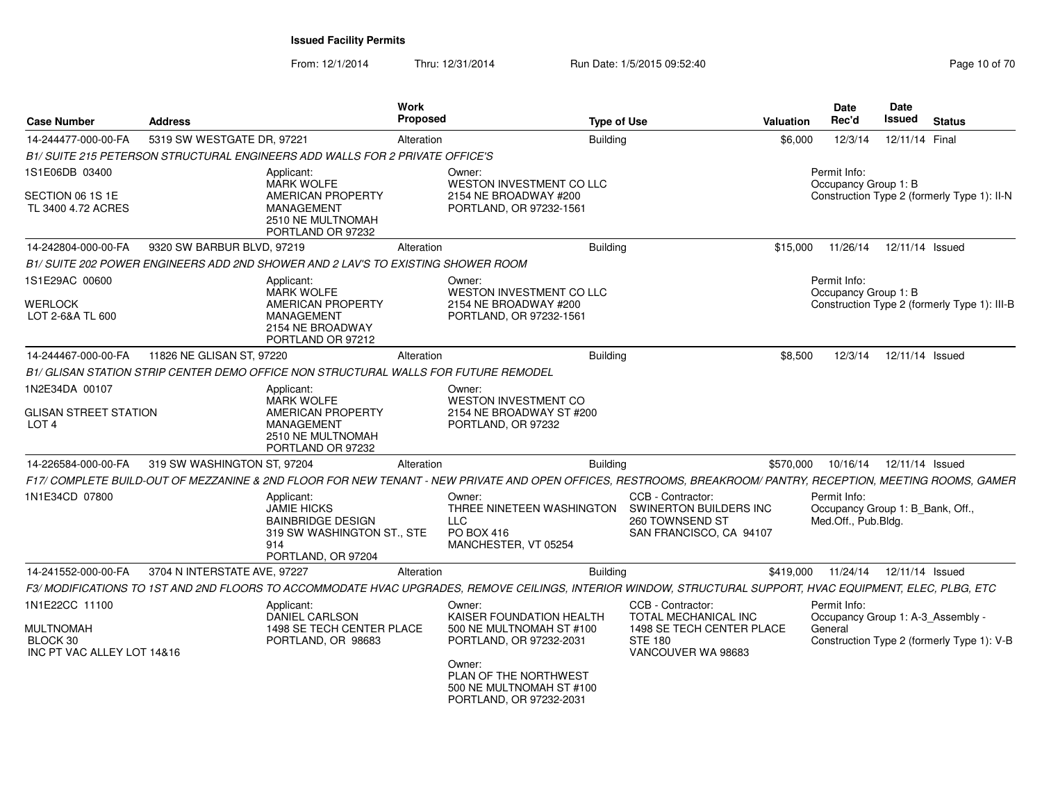From: 12/1/2014

Thru: 12/31/2014 Run Date: 1/5/2015 09:52:40

| <b>Case Number</b>                                         | <b>Address</b>               | Work<br><b>Proposed</b>                                                                                     | <b>Type of Use</b>                                                                                                                                            | Valuation                                                                                 | <b>Date</b><br>Rec'd                                                    | Date<br>Issued  | <b>Status</b>                                                                   |
|------------------------------------------------------------|------------------------------|-------------------------------------------------------------------------------------------------------------|---------------------------------------------------------------------------------------------------------------------------------------------------------------|-------------------------------------------------------------------------------------------|-------------------------------------------------------------------------|-----------------|---------------------------------------------------------------------------------|
| 14-244477-000-00-FA                                        | 5319 SW WESTGATE DR, 97221   | Alteration                                                                                                  | Building                                                                                                                                                      |                                                                                           | \$6,000<br>12/3/14                                                      | 12/11/14 Final  |                                                                                 |
|                                                            |                              | B1/ SUITE 215 PETERSON STRUCTURAL ENGINEERS ADD WALLS FOR 2 PRIVATE OFFICE'S                                |                                                                                                                                                               |                                                                                           |                                                                         |                 |                                                                                 |
| 1S1E06DB 03400                                             | Applicant:                   | <b>MARK WOLFE</b>                                                                                           | Owner:<br>WESTON INVESTMENT CO LLC                                                                                                                            |                                                                                           | Permit Info:<br>Occupancy Group 1: B                                    |                 |                                                                                 |
| SECTION 06 1S 1E<br>TL 3400 4.72 ACRES                     |                              | AMERICAN PROPERTY<br><b>MANAGEMENT</b><br>2510 NE MULTNOMAH<br>PORTLAND OR 97232                            | 2154 NE BROADWAY #200<br>PORTLAND, OR 97232-1561                                                                                                              |                                                                                           |                                                                         |                 | Construction Type 2 (formerly Type 1): II-N                                     |
| 14-242804-000-00-FA                                        | 9320 SW BARBUR BLVD, 97219   | Alteration                                                                                                  | <b>Building</b>                                                                                                                                               | \$15,000                                                                                  | 11/26/14                                                                | 12/11/14 Issued |                                                                                 |
|                                                            |                              | B1/ SUITE 202 POWER ENGINEERS ADD 2ND SHOWER AND 2 LAV'S TO EXISTING SHOWER ROOM                            |                                                                                                                                                               |                                                                                           |                                                                         |                 |                                                                                 |
| 1S1E29AC 00600                                             | Applicant:                   |                                                                                                             | Owner:                                                                                                                                                        |                                                                                           | Permit Info:                                                            |                 |                                                                                 |
| <b>WERLOCK</b><br>LOT 2-6&A TL 600                         |                              | <b>MARK WOLFE</b><br><b>AMERICAN PROPERTY</b><br><b>MANAGEMENT</b><br>2154 NE BROADWAY<br>PORTLAND OR 97212 | WESTON INVESTMENT CO LLC<br>2154 NE BROADWAY #200<br>PORTLAND, OR 97232-1561                                                                                  |                                                                                           | Occupancy Group 1: B                                                    |                 | Construction Type 2 (formerly Type 1): III-B                                    |
| 14-244467-000-00-FA                                        | 11826 NE GLISAN ST, 97220    | Alteration                                                                                                  | <b>Building</b>                                                                                                                                               |                                                                                           | \$8,500<br>12/3/14                                                      |                 | 12/11/14 Issued                                                                 |
|                                                            |                              | B1/ GLISAN STATION STRIP CENTER DEMO OFFICE NON STRUCTURAL WALLS FOR FUTURE REMODEL                         |                                                                                                                                                               |                                                                                           |                                                                         |                 |                                                                                 |
| 1N2E34DA 00107                                             | Applicant:                   |                                                                                                             | Owner:                                                                                                                                                        |                                                                                           |                                                                         |                 |                                                                                 |
| <b>GLISAN STREET STATION</b><br>LOT <sub>4</sub>           |                              | <b>MARK WOLFE</b><br>AMERICAN PROPERTY<br><b>MANAGEMENT</b><br>2510 NE MULTNOMAH<br>PORTLAND OR 97232       | <b>WESTON INVESTMENT CO</b><br>2154 NE BROADWAY ST #200<br>PORTLAND, OR 97232                                                                                 |                                                                                           |                                                                         |                 |                                                                                 |
| 14-226584-000-00-FA                                        | 319 SW WASHINGTON ST, 97204  | Alteration                                                                                                  | <b>Building</b>                                                                                                                                               | \$570,000                                                                                 | 10/16/14                                                                | 12/11/14 Issued |                                                                                 |
|                                                            |                              |                                                                                                             | F17/ COMPLETE BUILD-OUT OF MEZZANINE & 2ND FLOOR FOR NEW TENANT - NEW PRIVATE AND OPEN OFFICES, RESTROOMS, BREAKROOM/ PANTRY, RECEPTION, MEETING ROOMS, GAMER |                                                                                           |                                                                         |                 |                                                                                 |
| 1N1E34CD 07800                                             | Applicant:<br>914            | <b>JAMIE HICKS</b><br><b>BAINBRIDGE DESIGN</b><br>319 SW WASHINGTON ST., STE<br>PORTLAND, OR 97204          | Owner:<br>THREE NINETEEN WASHINGTON<br>LLC.<br>PO BOX 416<br>MANCHESTER, VT 05254                                                                             | CCB - Contractor:<br>SWINERTON BUILDERS INC<br>260 TOWNSEND ST<br>SAN FRANCISCO, CA 94107 | Permit Info:<br>Occupancy Group 1: B_Bank, Off.,<br>Med.Off., Pub.Bldg. |                 |                                                                                 |
| 14-241552-000-00-FA                                        | 3704 N INTERSTATE AVE, 97227 | Alteration                                                                                                  | <b>Building</b>                                                                                                                                               | \$419,000                                                                                 | 11/24/14                                                                | 12/11/14 Issued |                                                                                 |
|                                                            |                              |                                                                                                             | F3/ MODIFICATIONS TO 1ST AND 2ND FLOORS TO ACCOMMODATE HVAC UPGRADES, REMOVE CEILINGS, INTERIOR WINDOW, STRUCTURAL SUPPORT, HVAC EQUIPMENT, ELEC, PLBG, ETC   |                                                                                           |                                                                         |                 |                                                                                 |
| 1N1E22CC 11100                                             | Applicant:                   |                                                                                                             | Owner:                                                                                                                                                        | CCB - Contractor:                                                                         | Permit Info:                                                            |                 |                                                                                 |
| <b>MULTNOMAH</b><br>BLOCK 30<br>INC PT VAC ALLEY LOT 14&16 |                              | <b>DANIEL CARLSON</b><br>1498 SE TECH CENTER PLACE<br>PORTLAND, OR 98683                                    | KAISER FOUNDATION HEALTH<br>500 NE MULTNOMAH ST #100<br>PORTLAND, OR 97232-2031                                                                               | TOTAL MECHANICAL INC<br>1498 SE TECH CENTER PLACE<br><b>STE 180</b><br>VANCOUVER WA 98683 | General                                                                 |                 | Occupancy Group 1: A-3 Assembly -<br>Construction Type 2 (formerly Type 1): V-B |
|                                                            |                              |                                                                                                             | Owner:<br>PLAN OF THE NORTHWEST<br>500 NE MULTNOMAH ST #100<br>PORTLAND, OR 97232-2031                                                                        |                                                                                           |                                                                         |                 |                                                                                 |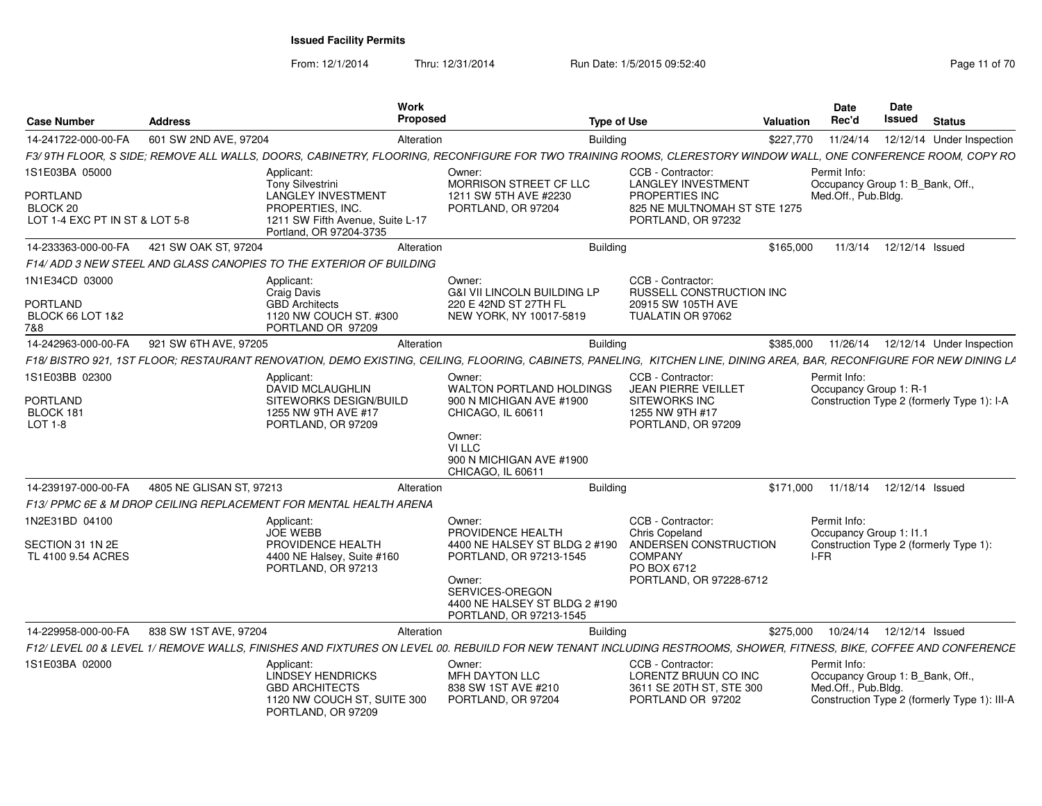From: 12/1/2014

Thru: 12/31/2014 Run Date: 1/5/2015 09:52:40

| <b>Case Number</b>                                                      | <b>Address</b>           | <b>Work</b><br><b>Proposed</b>                                                                                | <b>Type of Use</b>                                                                                                                                                     |                                                                                                           | <b>Valuation</b> | <b>Date</b><br>Rec'd                                                    | Date<br>Issued  | <b>Status</b>                                |
|-------------------------------------------------------------------------|--------------------------|---------------------------------------------------------------------------------------------------------------|------------------------------------------------------------------------------------------------------------------------------------------------------------------------|-----------------------------------------------------------------------------------------------------------|------------------|-------------------------------------------------------------------------|-----------------|----------------------------------------------|
| 14-241722-000-00-FA                                                     | 601 SW 2ND AVE, 97204    | Alteration                                                                                                    | <b>Building</b>                                                                                                                                                        |                                                                                                           | \$227,770        | 11/24/14                                                                |                 | 12/12/14 Under Inspection                    |
|                                                                         |                          |                                                                                                               | F3/ 9TH FLOOR. S SIDE: REMOVE ALL WALLS. DOORS. CABINETRY. FLOORING. RECONFIGURE FOR TWO TRAINING ROOMS. CLERESTORY WINDOW WALL. ONE CONFERENCE ROOM. COPY RO          |                                                                                                           |                  |                                                                         |                 |                                              |
| 1S1E03BA 05000<br>PORTLAND<br>BLOCK 20                                  |                          | Applicant:<br>Tony Silvestrini<br><b>LANGLEY INVESTMENT</b><br>PROPERTIES, INC.                               | Owner:<br>MORRISON STREET CF LLC<br>1211 SW 5TH AVE #2230<br>PORTLAND, OR 97204                                                                                        | CCB - Contractor:<br><b>LANGLEY INVESTMENT</b><br>PROPERTIES INC<br>825 NE MULTNOMAH ST STE 1275          |                  | Permit Info:<br>Occupancy Group 1: B Bank, Off.,<br>Med.Off., Pub.Bldg. |                 |                                              |
| LOT 1-4 EXC PT IN ST & LOT 5-8                                          |                          | 1211 SW Fifth Avenue, Suite L-17<br>Portland, OR 97204-3735                                                   |                                                                                                                                                                        | PORTLAND, OR 97232                                                                                        |                  |                                                                         |                 |                                              |
| 14-233363-000-00-FA                                                     | 421 SW OAK ST, 97204     | Alteration                                                                                                    | Building                                                                                                                                                               |                                                                                                           | \$165,000        | 11/3/14                                                                 | 12/12/14 Issued |                                              |
|                                                                         |                          | F14/ ADD 3 NEW STEEL AND GLASS CANOPIES TO THE EXTERIOR OF BUILDING                                           |                                                                                                                                                                        |                                                                                                           |                  |                                                                         |                 |                                              |
| 1N1E34CD 03000<br><b>PORTLAND</b><br><b>BLOCK 66 LOT 1&amp;2</b><br>7&8 |                          | Applicant:<br>Craig Davis<br><b>GBD Architects</b><br>1120 NW COUCH ST. #300<br>PORTLAND OR 97209             | Owner:<br><b>G&amp;I VII LINCOLN BUILDING LP</b><br>220 E 42ND ST 27TH FL<br>NEW YORK, NY 10017-5819                                                                   | CCB - Contractor:<br>RUSSELL CONSTRUCTION INC<br>20915 SW 105TH AVE<br>TUALATIN OR 97062                  |                  |                                                                         |                 |                                              |
| 14-242963-000-00-FA                                                     | 921 SW 6TH AVE, 97205    | Alteration                                                                                                    | <b>Building</b>                                                                                                                                                        |                                                                                                           | \$385,000        | 11/26/14                                                                |                 | 12/12/14 Under Inspection                    |
|                                                                         |                          |                                                                                                               | F18/ BISTRO 921, 1ST FLOOR; RESTAURANT RENOVATION, DEMO EXISTING, CEILING, FLOORING, CABINETS, PANELING, KITCHEN LINE, DINING AREA, BAR, RECONFIGURE FOR NEW DINING LA |                                                                                                           |                  |                                                                         |                 |                                              |
| 1S1E03BB 02300<br><b>PORTLAND</b><br>BLOCK 181<br><b>LOT 1-8</b>        |                          | Applicant:<br>DAVID MCLAUGHLIN<br>SITEWORKS DESIGN/BUILD<br>1255 NW 9TH AVE #17<br>PORTLAND, OR 97209         | Owner:<br><b>WALTON PORTLAND HOLDINGS</b><br>900 N MICHIGAN AVE #1900<br>CHICAGO, IL 60611<br>Owner:<br>VI LLC<br>900 N MICHIGAN AVE #1900<br>CHICAGO, IL 60611        | CCB - Contractor:<br>JEAN PIERRE VEILLET<br><b>SITEWORKS INC</b><br>1255 NW 9TH #17<br>PORTLAND, OR 97209 |                  | Permit Info:<br>Occupancy Group 1: R-1                                  |                 | Construction Type 2 (formerly Type 1): I-A   |
| 14-239197-000-00-FA                                                     | 4805 NE GLISAN ST, 97213 | Alteration                                                                                                    | <b>Building</b>                                                                                                                                                        |                                                                                                           | \$171,000        | 11/18/14                                                                | 12/12/14 Issued |                                              |
|                                                                         |                          | F13/ PPMC 6E & M DROP CEILING REPLACEMENT FOR MENTAL HEALTH ARENA                                             |                                                                                                                                                                        |                                                                                                           |                  |                                                                         |                 |                                              |
| 1N2E31BD 04100                                                          |                          | Applicant:<br><b>JOE WEBB</b>                                                                                 | Owner:<br>PROVIDENCE HEALTH                                                                                                                                            | CCB - Contractor:<br>Chris Copeland                                                                       |                  | Permit Info:<br>Occupancy Group 1: 11.1                                 |                 |                                              |
| SECTION 31 1N 2E<br>TL 4100 9.54 ACRES                                  |                          | PROVIDENCE HEALTH<br>4400 NE Halsey, Suite #160<br>PORTLAND, OR 97213                                         | 4400 NE HALSEY ST BLDG 2 #190<br>PORTLAND, OR 97213-1545<br>Owner:<br>SERVICES-OREGON<br>4400 NE HALSEY ST BLDG 2 #190<br>PORTLAND, OR 97213-1545                      | ANDERSEN CONSTRUCTION<br><b>COMPANY</b><br>PO BOX 6712<br>PORTLAND, OR 97228-6712                         |                  | I-FR                                                                    |                 | Construction Type 2 (formerly Type 1):       |
| 14-229958-000-00-FA                                                     | 838 SW 1ST AVE, 97204    | Alteration                                                                                                    | <b>Building</b>                                                                                                                                                        |                                                                                                           | \$275,000        | 10/24/14                                                                | 12/12/14 Issued |                                              |
|                                                                         |                          |                                                                                                               | F12/ LEVEL 00 & LEVEL 1/ REMOVE WALLS, FINISHES AND FIXTURES ON LEVEL 00. REBUILD FOR NEW TENANT INCLUDING RESTROOMS, SHOWER, FITNESS, BIKE, COFFEE AND CONFERENCE     |                                                                                                           |                  |                                                                         |                 |                                              |
| 1S1E03BA 02000                                                          |                          | Applicant:<br>LINDSEY HENDRICKS<br><b>GBD ARCHITECTS</b><br>1120 NW COUCH ST, SUITE 300<br>PORTLAND, OR 97209 | Owner:<br><b>MFH DAYTON LLC</b><br>838 SW 1ST AVE #210<br>PORTLAND, OR 97204                                                                                           | CCB - Contractor:<br>LORENTZ BRUUN CO INC<br>3611 SE 20TH ST, STE 300<br>PORTLAND OR 97202                |                  | Permit Info:<br>Occupancy Group 1: B_Bank, Off.,<br>Med.Off., Pub.Bldg. |                 | Construction Type 2 (formerly Type 1): III-A |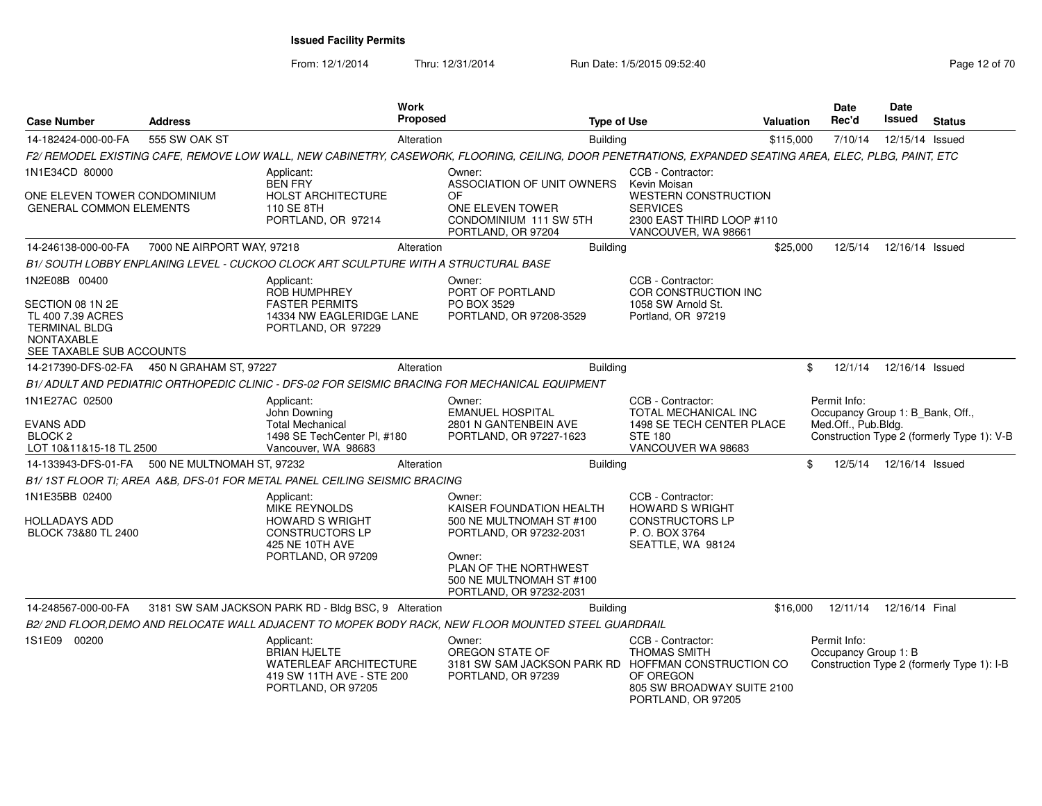| <b>Case Number</b>                                                                                                              | <b>Address</b>                                 | Work<br><b>Proposed</b>                                                                                                                                  |                                                                                                                                                                                     | <b>Type of Use</b>                                                                                             | Valuation | <b>Date</b><br>Rec'd                                                    | <b>Date</b><br>Issued | <b>Status</b>                              |
|---------------------------------------------------------------------------------------------------------------------------------|------------------------------------------------|----------------------------------------------------------------------------------------------------------------------------------------------------------|-------------------------------------------------------------------------------------------------------------------------------------------------------------------------------------|----------------------------------------------------------------------------------------------------------------|-----------|-------------------------------------------------------------------------|-----------------------|--------------------------------------------|
| 14-182424-000-00-FA                                                                                                             | 555 SW OAK ST                                  | Alteration                                                                                                                                               |                                                                                                                                                                                     | <b>Building</b>                                                                                                | \$115,000 | 7/10/14                                                                 | 12/15/14 Issued       |                                            |
|                                                                                                                                 |                                                | F2/ REMODEL EXISTING CAFE, REMOVE LOW WALL, NEW CABINETRY, CASEWORK, FLOORING, CEILING, DOOR PENETRATIONS, EXPANDED SEATING AREA, ELEC, PLBG, PAINT, ETC |                                                                                                                                                                                     |                                                                                                                |           |                                                                         |                       |                                            |
| 1N1E34CD 80000                                                                                                                  |                                                | Applicant:<br><b>BEN FRY</b>                                                                                                                             | Owner:<br>ASSOCIATION OF UNIT OWNERS                                                                                                                                                | CCB - Contractor:<br>Kevin Moisan                                                                              |           |                                                                         |                       |                                            |
| ONE ELEVEN TOWER CONDOMINIUM<br><b>GENERAL COMMON ELEMENTS</b>                                                                  |                                                | HOLST ARCHITECTURE<br>110 SE 8TH<br>PORTLAND, OR 97214                                                                                                   | OF<br>ONE ELEVEN TOWER<br>CONDOMINIUM 111 SW 5TH<br>PORTLAND, OR 97204                                                                                                              | <b>WESTERN CONSTRUCTION</b><br><b>SERVICES</b><br>2300 EAST THIRD LOOP #110<br>VANCOUVER, WA 98661             |           |                                                                         |                       |                                            |
| 14-246138-000-00-FA                                                                                                             | 7000 NE AIRPORT WAY, 97218                     | Alteration                                                                                                                                               |                                                                                                                                                                                     | <b>Building</b>                                                                                                | \$25,000  | 12/5/14                                                                 | 12/16/14 Issued       |                                            |
|                                                                                                                                 |                                                | B1/ SOUTH LOBBY ENPLANING LEVEL - CUCKOO CLOCK ART SCULPTURE WITH A STRUCTURAL BASE                                                                      |                                                                                                                                                                                     |                                                                                                                |           |                                                                         |                       |                                            |
| 1N2E08B 00400<br>SECTION 08 1N 2E<br>TL 400 7.39 ACRES<br><b>TERMINAL BLDG</b><br><b>NONTAXABLE</b><br>SEE TAXABLE SUB ACCOUNTS |                                                | Applicant:<br>ROB HUMPHREY<br><b>FASTER PERMITS</b><br>14334 NW EAGLERIDGE LANE<br>PORTLAND, OR 97229                                                    | Owner:<br>PORT OF PORTLAND<br>PO BOX 3529<br>PORTLAND, OR 97208-3529                                                                                                                | CCB - Contractor:<br>COR CONSTRUCTION INC<br>1058 SW Arnold St.<br>Portland, OR 97219                          |           |                                                                         |                       |                                            |
| 14-217390-DFS-02-FA                                                                                                             | 450 N GRAHAM ST, 97227                         | Alteration                                                                                                                                               |                                                                                                                                                                                     | Building                                                                                                       |           | \$<br>12/1/14                                                           | 12/16/14 Issued       |                                            |
|                                                                                                                                 |                                                | B1/ADULT AND PEDIATRIC ORTHOPEDIC CLINIC - DFS-02 FOR SEISMIC BRACING FOR MECHANICAL EQUIPMENT                                                           |                                                                                                                                                                                     |                                                                                                                |           |                                                                         |                       |                                            |
| 1N1E27AC 02500<br>EVANS ADD<br><b>BLOCK 2</b><br>LOT 10&11&15-18 TL 2500                                                        |                                                | Applicant:<br>John Downing<br><b>Total Mechanical</b><br>1498 SE TechCenter PI, #180<br>Vancouver, WA 98683                                              | Owner:<br><b>EMANUEL HOSPITAL</b><br>2801 N GANTENBEIN AVE<br>PORTLAND, OR 97227-1623                                                                                               | CCB - Contractor:<br>TOTAL MECHANICAL INC<br>1498 SE TECH CENTER PLACE<br><b>STE 180</b><br>VANCOUVER WA 98683 |           | Permit Info:<br>Occupancy Group 1: B Bank, Off.,<br>Med.Off., Pub.Bldg. |                       | Construction Type 2 (formerly Type 1): V-B |
|                                                                                                                                 | 14-133943-DFS-01-FA 500 NE MULTNOMAH ST, 97232 | Alteration                                                                                                                                               |                                                                                                                                                                                     | Building                                                                                                       |           | \$<br>12/5/14                                                           | 12/16/14 Issued       |                                            |
|                                                                                                                                 |                                                | B1/1ST FLOOR TI; AREA A&B, DFS-01 FOR METAL PANEL CEILING SEISMIC BRACING                                                                                |                                                                                                                                                                                     |                                                                                                                |           |                                                                         |                       |                                            |
| 1N1E35BB 02400<br>HOLLADAYS ADD<br>BLOCK 73&80 TL 2400                                                                          |                                                | Applicant:<br>MIKE REYNOLDS<br><b>HOWARD S WRIGHT</b><br><b>CONSTRUCTORS LP</b><br>425 NE 10TH AVE<br>PORTLAND, OR 97209                                 | Owner:<br>KAISER FOUNDATION HEALTH<br>500 NE MULTNOMAH ST #100<br>PORTLAND, OR 97232-2031<br>Owner:<br>PLAN OF THE NORTHWEST<br>500 NE MULTNOMAH ST #100<br>PORTLAND, OR 97232-2031 | CCB - Contractor:<br><b>HOWARD S WRIGHT</b><br><b>CONSTRUCTORS LP</b><br>P. O. BOX 3764<br>SEATTLE, WA 98124   |           |                                                                         |                       |                                            |
| 14-248567-000-00-FA                                                                                                             |                                                | 3181 SW SAM JACKSON PARK RD - Bldg BSC, 9 Alteration                                                                                                     |                                                                                                                                                                                     | <b>Building</b>                                                                                                | \$16,000  | 12/11/14                                                                | 12/16/14 Final        |                                            |
|                                                                                                                                 |                                                | B2/2ND FLOOR, DEMO AND RELOCATE WALL ADJACENT TO MOPEK BODY RACK, NEW FLOOR MOUNTED STEEL GUARDRAIL                                                      |                                                                                                                                                                                     |                                                                                                                |           |                                                                         |                       |                                            |
| 1S1E09 00200                                                                                                                    |                                                | Applicant:<br><b>BRIAN HJELTE</b><br><b>WATERLEAF ARCHITECTURE</b><br>419 SW 11TH AVE - STE 200<br>PORTLAND, OR 97205                                    | Owner:<br>OREGON STATE OF<br>3181 SW SAM JACKSON PARK RD HOFFMAN CONSTRUCTION CO<br>PORTLAND, OR 97239                                                                              | CCB - Contractor:<br><b>THOMAS SMITH</b><br>OF OREGON<br>805 SW BROADWAY SUITE 2100<br>PORTLAND, OR 97205      |           | Permit Info:<br>Occupancy Group 1: B                                    |                       | Construction Type 2 (formerly Type 1): I-B |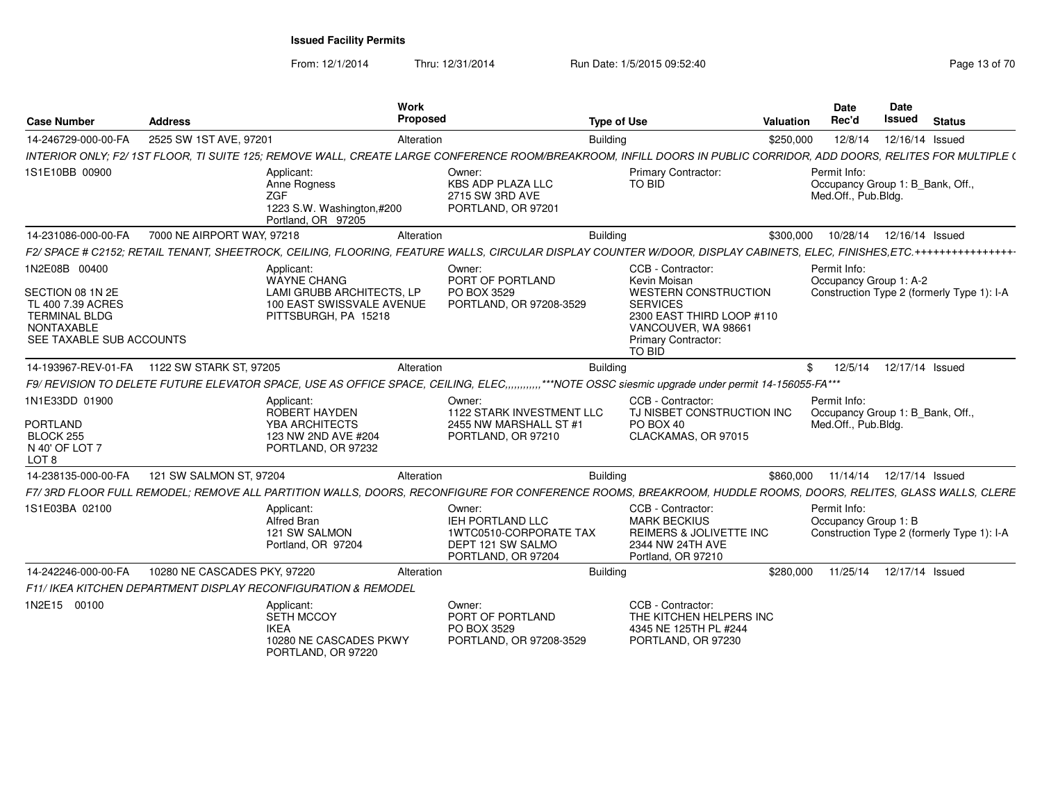From: 12/1/2014

Thru: 12/31/2014 Run Date: 1/5/2015 09:52:40

| <b>Case Number</b>                                                                                                              | <b>Address</b>                                |                                                                                                                    | Work<br><b>Proposed</b> |                                                                                                                                                                           | <b>Type of Use</b> |                                                                                                                                                                                 | <b>Valuation</b> | Date<br>Rec'd                                                           | <b>Date</b><br><b>Issued</b> | <b>Status</b>                              |
|---------------------------------------------------------------------------------------------------------------------------------|-----------------------------------------------|--------------------------------------------------------------------------------------------------------------------|-------------------------|---------------------------------------------------------------------------------------------------------------------------------------------------------------------------|--------------------|---------------------------------------------------------------------------------------------------------------------------------------------------------------------------------|------------------|-------------------------------------------------------------------------|------------------------------|--------------------------------------------|
| 14-246729-000-00-FA                                                                                                             | 2525 SW 1ST AVE, 97201                        |                                                                                                                    | Alteration              |                                                                                                                                                                           | <b>Building</b>    |                                                                                                                                                                                 | \$250,000        | 12/8/14                                                                 |                              | 12/16/14 Issued                            |
|                                                                                                                                 |                                               |                                                                                                                    |                         | INTERIOR ONLY: F2/ 1ST FLOOR. TI SUITE 125: REMOVE WALL. CREATE LARGE CONFERENCE ROOM/BREAKROOM. INFILL DOORS IN PUBLIC CORRIDOR. ADD DOORS. RELITES FOR MULTIPLE (       |                    |                                                                                                                                                                                 |                  |                                                                         |                              |                                            |
| 1S1E10BB 00900                                                                                                                  |                                               | Applicant:<br>Anne Rogness<br>ZGF<br>1223 S.W. Washington,#200<br>Portland, OR 97205                               |                         | Owner:<br><b>KBS ADP PLAZA LLC</b><br>2715 SW 3RD AVE<br>PORTLAND, OR 97201                                                                                               |                    | <b>Primary Contractor:</b><br><b>TO BID</b>                                                                                                                                     |                  | Permit Info:<br>Occupancy Group 1: B Bank, Off.,<br>Med.Off., Pub.Bldg. |                              |                                            |
| 14-231086-000-00-FA                                                                                                             | 7000 NE AIRPORT WAY, 97218                    |                                                                                                                    | Alteration              |                                                                                                                                                                           | <b>Building</b>    |                                                                                                                                                                                 | \$300,000        | 10/28/14                                                                |                              | 12/16/14 Issued                            |
|                                                                                                                                 |                                               |                                                                                                                    |                         | F2/SPACE # C2152; RETAIL TENANT, SHEETROCK, CEILING, FLOORING, FEATURE WALLS, CIRCULAR DISPLAY COUNTER W/DOOR, DISPLAY CABINETS, ELEC, FINISHES,ETC.+++++++++++++++++++++ |                    |                                                                                                                                                                                 |                  |                                                                         |                              |                                            |
| 1N2E08B 00400<br>SECTION 08 1N 2E<br>TL 400 7.39 ACRES<br><b>TERMINAL BLDG</b><br><b>NONTAXABLE</b><br>SEE TAXABLE SUB ACCOUNTS |                                               | Applicant:<br><b>WAYNE CHANG</b><br>LAMI GRUBB ARCHITECTS. LP<br>100 EAST SWISSVALE AVENUE<br>PITTSBURGH, PA 15218 |                         | Owner:<br>PORT OF PORTLAND<br>PO BOX 3529<br>PORTLAND, OR 97208-3529                                                                                                      |                    | CCB - Contractor:<br>Kevin Moisan<br><b>WESTERN CONSTRUCTION</b><br><b>SERVICES</b><br>2300 EAST THIRD LOOP #110<br>VANCOUVER, WA 98661<br>Primary Contractor:<br><b>TO BID</b> |                  | Permit Info:<br>Occupancy Group 1: A-2                                  |                              | Construction Type 2 (formerly Type 1): I-A |
|                                                                                                                                 | 14-193967-REV-01-FA   1122 SW STARK ST, 97205 |                                                                                                                    | Alteration              |                                                                                                                                                                           | <b>Building</b>    |                                                                                                                                                                                 |                  | 12/5/14<br>\$                                                           |                              | 12/17/14 Issued                            |
|                                                                                                                                 |                                               |                                                                                                                    |                         | F9/ REVISION TO DELETE FUTURE ELEVATOR SPACE, USE AS OFFICE SPACE, CEILING, ELEC,,,,,,,,,,,,,***NOTE OSSC siesmic upgrade under permit 14-156055-FA***                    |                    |                                                                                                                                                                                 |                  |                                                                         |                              |                                            |
| 1N1E33DD 01900<br><b>PORTLAND</b><br>BLOCK 255<br>N 40' OF LOT 7<br>LOT <sub>8</sub>                                            |                                               | Applicant:<br>ROBERT HAYDEN<br>YBA ARCHITECTS<br>123 NW 2ND AVE #204<br>PORTLAND, OR 97232                         |                         | Owner:<br>1122 STARK INVESTMENT LLC<br>2455 NW MARSHALL ST #1<br>PORTLAND, OR 97210                                                                                       |                    | CCB - Contractor:<br>TJ NISBET CONSTRUCTION INC<br>PO BOX 40<br>CLACKAMAS, OR 97015                                                                                             |                  | Permit Info:<br>Occupancy Group 1: B Bank, Off.,<br>Med.Off., Pub.Bldg. |                              |                                            |
| 14-238135-000-00-FA                                                                                                             | 121 SW SALMON ST, 97204                       |                                                                                                                    | Alteration              |                                                                                                                                                                           | <b>Building</b>    |                                                                                                                                                                                 | \$860,000        | 11/14/14                                                                |                              | 12/17/14 Issued                            |
|                                                                                                                                 |                                               |                                                                                                                    |                         | F7/3RD FLOOR FULL REMODEL; REMOVE ALL PARTITION WALLS, DOORS, RECONFIGURE FOR CONFERENCE ROOMS, BREAKROOM, HUDDLE ROOMS, DOORS, RELITES, GLASS WALLS, CLERE               |                    |                                                                                                                                                                                 |                  |                                                                         |                              |                                            |
| 1S1E03BA 02100                                                                                                                  |                                               | Applicant:<br><b>Alfred Bran</b><br>121 SW SALMON<br>Portland, OR 97204                                            |                         | Owner:<br>IEH PORTLAND LLC<br>1WTC0510-CORPORATE TAX<br>DEPT 121 SW SALMO<br>PORTLAND, OR 97204                                                                           |                    | CCB - Contractor:<br><b>MARK BECKIUS</b><br>REIMERS & JOLIVETTE INC<br>2344 NW 24TH AVE<br>Portland, OR 97210                                                                   |                  | Permit Info:<br>Occupancy Group 1: B                                    |                              | Construction Type 2 (formerly Type 1): I-A |
| 14-242246-000-00-FA                                                                                                             | 10280 NE CASCADES PKY, 97220                  |                                                                                                                    | Alteration              |                                                                                                                                                                           | Building           |                                                                                                                                                                                 | \$280,000        | 11/25/14                                                                |                              | 12/17/14 Issued                            |
|                                                                                                                                 |                                               | F11/ IKEA KITCHEN DEPARTMENT DISPLAY RECONFIGURATION & REMODEL                                                     |                         |                                                                                                                                                                           |                    |                                                                                                                                                                                 |                  |                                                                         |                              |                                            |
| 1N2E15 00100                                                                                                                    |                                               | Applicant:<br><b>SETH MCCOY</b><br><b>IKEA</b><br>10280 NE CASCADES PKWY<br>PORTLAND, OR 97220                     |                         | Owner:<br>PORT OF PORTLAND<br>PO BOX 3529<br>PORTLAND, OR 97208-3529                                                                                                      |                    | CCB - Contractor:<br>THE KITCHEN HELPERS INC<br>4345 NE 125TH PL #244<br>PORTLAND, OR 97230                                                                                     |                  |                                                                         |                              |                                            |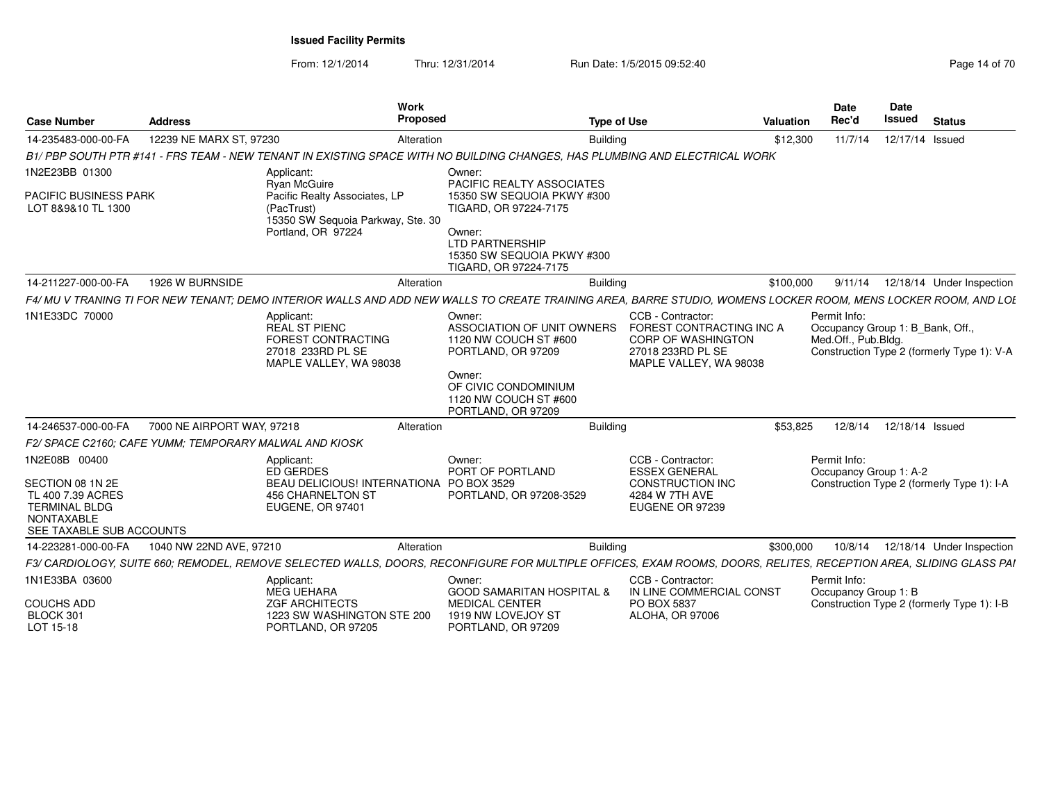|                                                                                                                                 |                            | Work<br>Proposed                                                                                                    |                                                                                                                                                                             |                                                                                                                   |           | <b>Date</b><br>Rec'd                                                    | Date<br><b>Issued</b> |                                            |
|---------------------------------------------------------------------------------------------------------------------------------|----------------------------|---------------------------------------------------------------------------------------------------------------------|-----------------------------------------------------------------------------------------------------------------------------------------------------------------------------|-------------------------------------------------------------------------------------------------------------------|-----------|-------------------------------------------------------------------------|-----------------------|--------------------------------------------|
| <b>Case Number</b>                                                                                                              | <b>Address</b>             |                                                                                                                     |                                                                                                                                                                             | <b>Type of Use</b>                                                                                                | Valuation |                                                                         |                       | <b>Status</b>                              |
| 14-235483-000-00-FA                                                                                                             | 12239 NE MARX ST, 97230    | Alteration                                                                                                          | <b>Building</b>                                                                                                                                                             |                                                                                                                   | \$12,300  | 11/7/14                                                                 | 12/17/14 Issued       |                                            |
|                                                                                                                                 |                            |                                                                                                                     | B1/ PBP SOUTH PTR #141 - FRS TEAM - NEW TENANT IN EXISTING SPACE WITH NO BUILDING CHANGES. HAS PLUMBING AND ELECTRICAL WORK                                                 |                                                                                                                   |           |                                                                         |                       |                                            |
| 1N2E23BB 01300                                                                                                                  |                            | Applicant:<br>Ryan McGuire                                                                                          | Owner:<br>PACIFIC REALTY ASSOCIATES                                                                                                                                         |                                                                                                                   |           |                                                                         |                       |                                            |
| PACIFIC BUSINESS PARK<br>LOT 8&9&10 TL 1300                                                                                     |                            | Pacific Realty Associates, LP<br>(PacTrust)<br>15350 SW Sequoia Parkway, Ste. 30<br>Portland, OR 97224              | 15350 SW SEQUOIA PKWY #300<br>TIGARD, OR 97224-7175<br>Owner:<br><b>LTD PARTNERSHIP</b><br>15350 SW SEQUOIA PKWY #300                                                       |                                                                                                                   |           |                                                                         |                       |                                            |
|                                                                                                                                 |                            |                                                                                                                     | TIGARD, OR 97224-7175                                                                                                                                                       |                                                                                                                   |           |                                                                         |                       |                                            |
| 14-211227-000-00-FA                                                                                                             | 1926 W BURNSIDE            | Alteration                                                                                                          | Building                                                                                                                                                                    |                                                                                                                   | \$100,000 | 9/11/14                                                                 |                       | 12/18/14 Under Inspection                  |
|                                                                                                                                 |                            |                                                                                                                     | F4/ MU V TRANING TI FOR NEW TENANT: DEMO INTERIOR WALLS AND ADD NEW WALLS TO CREATE TRAINING AREA. BARRE STUDIO, WOMENS LOCKER ROOM, MENS LOCKER ROOM, AND LOL              |                                                                                                                   |           |                                                                         |                       |                                            |
| 1N1E33DC 70000                                                                                                                  |                            | Applicant:<br><b>REAL ST PIENC</b><br>FOREST CONTRACTING<br>27018 233RD PL SE<br>MAPLE VALLEY, WA 98038             | Owner:<br><b>ASSOCIATION OF UNIT OWNERS</b><br>1120 NW COUCH ST #600<br>PORTLAND, OR 97209<br>Owner:<br>OF CIVIC CONDOMINIUM<br>1120 NW COUCH ST #600<br>PORTLAND, OR 97209 | CCB - Contractor<br>FOREST CONTRACTING INC A<br>CORP OF WASHINGTON<br>27018 233RD PL SE<br>MAPLE VALLEY, WA 98038 |           | Permit Info:<br>Occupancy Group 1: B Bank, Off.,<br>Med.Off., Pub.Bldg. |                       | Construction Type 2 (formerly Type 1): V-A |
| 14-246537-000-00-FA                                                                                                             | 7000 NE AIRPORT WAY, 97218 | Alteration                                                                                                          | <b>Building</b>                                                                                                                                                             |                                                                                                                   | \$53,825  | 12/8/14                                                                 | 12/18/14 Issued       |                                            |
| F2/ SPACE C2160; CAFE YUMM; TEMPORARY MALWAL AND KIOSK                                                                          |                            |                                                                                                                     |                                                                                                                                                                             |                                                                                                                   |           |                                                                         |                       |                                            |
| 1N2E08B 00400<br>SECTION 08 1N 2E<br>TL 400 7.39 ACRES<br><b>TERMINAL BLDG</b><br><b>NONTAXABLE</b><br>SEE TAXABLE SUB ACCOUNTS |                            | Applicant:<br>ED GERDES<br>BEAU DELICIOUS! INTERNATIONA PO BOX 3529<br>456 CHARNELTON ST<br><b>EUGENE, OR 97401</b> | Owner:<br>PORT OF PORTLAND<br>PORTLAND, OR 97208-3529                                                                                                                       | CCB - Contractor:<br><b>ESSEX GENERAL</b><br><b>CONSTRUCTION INC</b><br>4284 W 7TH AVE<br>EUGENE OR 97239         |           | Permit Info:<br>Occupancy Group 1: A-2                                  |                       | Construction Type 2 (formerly Type 1): I-A |
| 14-223281-000-00-FA                                                                                                             | 1040 NW 22ND AVE, 97210    | Alteration                                                                                                          | <b>Building</b>                                                                                                                                                             |                                                                                                                   | \$300,000 | 10/8/14                                                                 |                       | 12/18/14 Under Inspection                  |
|                                                                                                                                 |                            |                                                                                                                     | F3/ CARDIOLOGY, SUITE 660; REMODEL, REMOVE SELECTED WALLS, DOORS, RECONFIGURE FOR MULTIPLE OFFICES, EXAM ROOMS, DOORS, RELITES, RECEPTION AREA, SLIDING GLASS PAI           |                                                                                                                   |           |                                                                         |                       |                                            |
| 1N1E33BA 03600<br><b>COUCHS ADD</b><br>BLOCK 301<br>LOT 15-18                                                                   |                            | Applicant:<br>MEG UEHARA<br><b>ZGF ARCHITECTS</b><br>1223 SW WASHINGTON STE 200<br>PORTLAND, OR 97205               | Owner:<br><b>GOOD SAMARITAN HOSPITAL &amp;</b><br><b>MEDICAL CENTER</b><br>1919 NW LOVEJOY ST<br>PORTLAND, OR 97209                                                         | CCB - Contractor:<br>IN LINE COMMERCIAL CONST<br>PO BOX 5837<br>ALOHA, OR 97006                                   |           | Permit Info:<br>Occupancy Group 1: B                                    |                       | Construction Type 2 (formerly Type 1): I-B |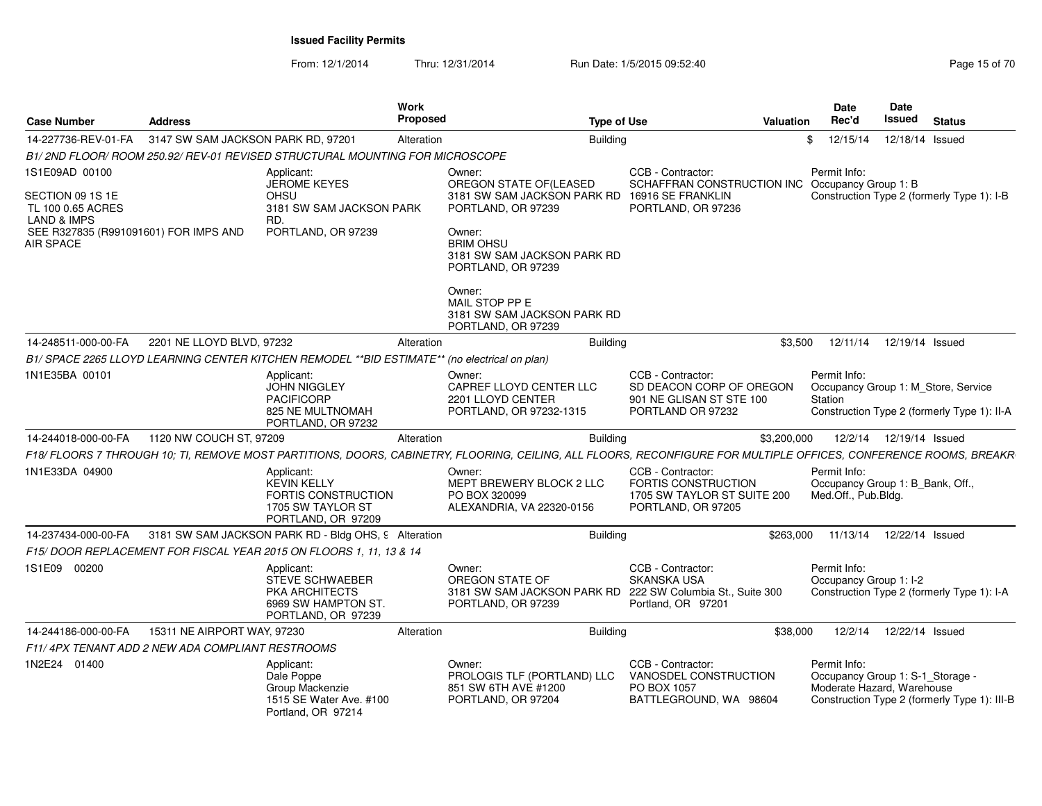| <b>Case Number</b>                                                                | <b>Address</b>                                   |                                                                                                           | <b>Work</b><br>Proposed | <b>Type of Use</b>                                                                                                                                                |                                                                                                      | <b>Valuation</b> | <b>Date</b><br>Rec'd                   | Date<br>Issued<br><b>Status</b>                                                                                |
|-----------------------------------------------------------------------------------|--------------------------------------------------|-----------------------------------------------------------------------------------------------------------|-------------------------|-------------------------------------------------------------------------------------------------------------------------------------------------------------------|------------------------------------------------------------------------------------------------------|------------------|----------------------------------------|----------------------------------------------------------------------------------------------------------------|
| 14-227736-REV-01-FA                                                               | 3147 SW SAM JACKSON PARK RD, 97201               |                                                                                                           | Alteration              | <b>Building</b>                                                                                                                                                   |                                                                                                      | \$               | 12/15/14                               | 12/18/14 Issued                                                                                                |
|                                                                                   |                                                  | B1/2ND FLOOR/ROOM 250.92/ REV-01 REVISED STRUCTURAL MOUNTING FOR MICROSCOPE                               |                         |                                                                                                                                                                   |                                                                                                      |                  |                                        |                                                                                                                |
| 1S1E09AD 00100<br>SECTION 09 1S 1E<br>TL 100 0.65 ACRES<br><b>LAND &amp; IMPS</b> |                                                  | Applicant:<br><b>JEROME KEYES</b><br><b>OHSU</b><br>3181 SW SAM JACKSON PARK<br>RD.                       |                         | Owner:<br>OREGON STATE OF(LEASED<br>3181 SW SAM JACKSON PARK RD<br>PORTLAND, OR 97239                                                                             | CCB - Contractor:<br>SCHAFFRAN CONSTRUCTION INC<br>16916 SE FRANKLIN<br>PORTLAND, OR 97236           |                  | Permit Info:<br>Occupancy Group 1: B   | Construction Type 2 (formerly Type 1): I-B                                                                     |
| SEE R327835 (R991091601) FOR IMPS AND<br>AIR SPACE                                |                                                  | PORTLAND, OR 97239                                                                                        |                         | Owner:<br><b>BRIM OHSU</b><br>3181 SW SAM JACKSON PARK RD<br>PORTLAND, OR 97239                                                                                   |                                                                                                      |                  |                                        |                                                                                                                |
|                                                                                   |                                                  |                                                                                                           |                         | Owner:<br>MAIL STOP PP E<br>3181 SW SAM JACKSON PARK RD<br>PORTLAND, OR 97239                                                                                     |                                                                                                      |                  |                                        |                                                                                                                |
| 14-248511-000-00-FA                                                               | 2201 NE LLOYD BLVD, 97232                        |                                                                                                           | Alteration              | <b>Building</b>                                                                                                                                                   |                                                                                                      | \$3,500          |                                        | 12/11/14  12/19/14  Issued                                                                                     |
|                                                                                   |                                                  | B1/ SPACE 2265 LLOYD LEARNING CENTER KITCHEN REMODEL **BID ESTIMATE** (no electrical on plan)             |                         |                                                                                                                                                                   |                                                                                                      |                  |                                        |                                                                                                                |
| 1N1E35BA 00101                                                                    |                                                  | Applicant:<br><b>JOHN NIGGLEY</b><br>PACIFICORP<br>825 NE MULTNOMAH<br>PORTLAND, OR 97232                 |                         | Owner:<br>CAPREF LLOYD CENTER LLC<br>2201 LLOYD CENTER<br>PORTLAND, OR 97232-1315                                                                                 | CCB - Contractor:<br>SD DEACON CORP OF OREGON<br>901 NE GLISAN ST STE 100<br>PORTLAND OR 97232       |                  | Permit Info:<br>Station                | Occupancy Group 1: M Store, Service<br>Construction Type 2 (formerly Type 1): II-A                             |
| 14-244018-000-00-FA                                                               | 1120 NW COUCH ST, 97209                          |                                                                                                           | Alteration              | <b>Building</b>                                                                                                                                                   |                                                                                                      | \$3,200,000      |                                        | 12/2/14  12/19/14  Issued                                                                                      |
|                                                                                   |                                                  |                                                                                                           |                         | F18/ FLOORS 7 THROUGH 10; TI, REMOVE MOST PARTITIONS, DOORS, CABINETRY, FLOORING, CEILING, ALL FLOORS, RECONFIGURE FOR MULTIPLE OFFICES, CONFERENCE ROOMS, BREAKR |                                                                                                      |                  |                                        |                                                                                                                |
| 1N1E33DA 04900                                                                    |                                                  | Applicant:<br><b>KEVIN KELLY</b><br><b>FORTIS CONSTRUCTION</b><br>1705 SW TAYLOR ST<br>PORTLAND, OR 97209 |                         | Owner:<br>MEPT BREWERY BLOCK 2 LLC<br>PO BOX 320099<br>ALEXANDRIA, VA 22320-0156                                                                                  | CCB - Contractor:<br><b>FORTIS CONSTRUCTION</b><br>1705 SW TAYLOR ST SUITE 200<br>PORTLAND, OR 97205 |                  | Permit Info:<br>Med.Off., Pub.Bldg.    | Occupancy Group 1: B_Bank, Off.,                                                                               |
| 14-237434-000-00-FA                                                               |                                                  | 3181 SW SAM JACKSON PARK RD - Bldg OHS, 9 Alteration                                                      |                         | <b>Building</b>                                                                                                                                                   |                                                                                                      | \$263,000        |                                        | 11/13/14  12/22/14  Issued                                                                                     |
|                                                                                   |                                                  | F15/DOOR REPLACEMENT FOR FISCAL YEAR 2015 ON FLOORS 1, 11, 13 & 14                                        |                         |                                                                                                                                                                   |                                                                                                      |                  |                                        |                                                                                                                |
| 1S1E09 00200                                                                      |                                                  | Applicant:<br><b>STEVE SCHWAEBER</b><br>PKA ARCHITECTS<br>6969 SW HAMPTON ST<br>PORTLAND, OR 97239        |                         | Owner:<br>OREGON STATE OF<br>3181 SW SAM JACKSON PARK RD<br>PORTLAND, OR 97239                                                                                    | CCB - Contractor:<br>SKANSKA USA<br>222 SW Columbia St., Suite 300<br>Portland, OR 97201             |                  | Permit Info:<br>Occupancy Group 1: I-2 | Construction Type 2 (formerly Type 1): I-A                                                                     |
| 14-244186-000-00-FA                                                               | 15311 NE AIRPORT WAY, 97230                      |                                                                                                           | Alteration              | Building                                                                                                                                                          |                                                                                                      | \$38,000         |                                        | 12/2/14  12/22/14  Issued                                                                                      |
|                                                                                   | F11/4PX TENANT ADD 2 NEW ADA COMPLIANT RESTROOMS |                                                                                                           |                         |                                                                                                                                                                   |                                                                                                      |                  |                                        |                                                                                                                |
| 1N2E24 01400                                                                      |                                                  | Applicant:<br>Dale Poppe<br>Group Mackenzie<br>1515 SE Water Ave. #100<br>Portland, OR 97214              |                         | Owner:<br>PROLOGIS TLF (PORTLAND) LLC<br>851 SW 6TH AVE #1200<br>PORTLAND, OR 97204                                                                               | CCB - Contractor:<br>VANOSDEL CONSTRUCTION<br>PO BOX 1057<br>BATTLEGROUND, WA 98604                  |                  | Permit Info:                           | Occupancy Group 1: S-1_Storage -<br>Moderate Hazard, Warehouse<br>Construction Type 2 (formerly Type 1): III-B |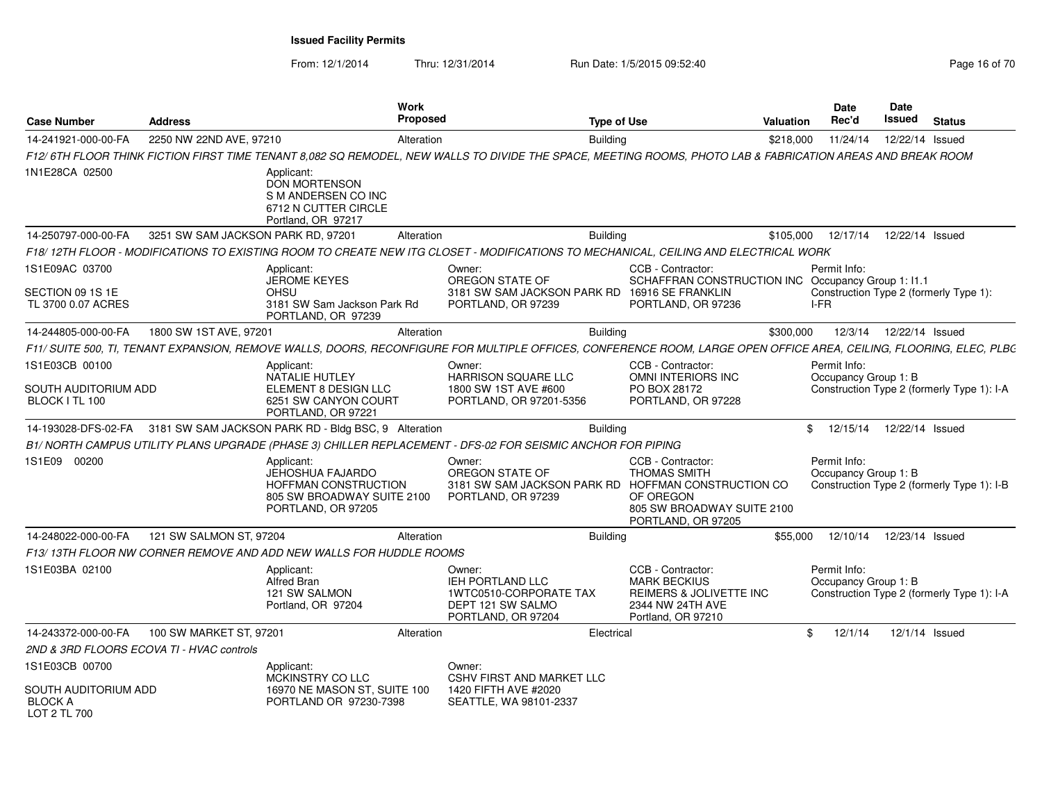From: 12/1/2014

Thru: 12/31/2014 Run Date: 1/5/2015 09:52:40

| <b>Case Number</b>                                       | <b>Address</b>                     | Work<br>Proposed                                                                                                                                                    |                                                                                                        | <b>Type of Use</b> |                                                                                                                                                                  | <b>Valuation</b> | <b>Date</b><br>Rec'd                 | Date<br>Issued  | <b>Status</b>                              |
|----------------------------------------------------------|------------------------------------|---------------------------------------------------------------------------------------------------------------------------------------------------------------------|--------------------------------------------------------------------------------------------------------|--------------------|------------------------------------------------------------------------------------------------------------------------------------------------------------------|------------------|--------------------------------------|-----------------|--------------------------------------------|
| 14-241921-000-00-FA                                      | 2250 NW 22ND AVE, 97210            | Alteration                                                                                                                                                          |                                                                                                        | <b>Building</b>    |                                                                                                                                                                  | \$218,000        | 11/24/14                             | 12/22/14 Issued |                                            |
|                                                          |                                    | F12/ 6TH FLOOR THINK FICTION FIRST TIME TENANT 8,082 SQ REMODEL, NEW WALLS TO DIVIDE THE SPACE, MEETING ROOMS, PHOTO LAB & FABRICATION AREAS AND BREAK ROOM         |                                                                                                        |                    |                                                                                                                                                                  |                  |                                      |                 |                                            |
| 1N1E28CA 02500                                           |                                    | Applicant:<br><b>DON MORTENSON</b><br>S M ANDERSEN CO INC<br>6712 N CUTTER CIRCLE<br>Portland, OR 97217                                                             |                                                                                                        |                    |                                                                                                                                                                  |                  |                                      |                 |                                            |
| 14-250797-000-00-FA                                      | 3251 SW SAM JACKSON PARK RD, 97201 | Alteration                                                                                                                                                          |                                                                                                        | <b>Building</b>    |                                                                                                                                                                  | \$105,000        | 12/17/14                             | 12/22/14 Issued |                                            |
|                                                          |                                    | F18/12TH FLOOR - MODIFICATIONS TO EXISTING ROOM TO CREATE NEW ITG CLOSET - MODIFICATIONS TO MECHANICAL, CEILING AND ELECTRICAL WORK                                 |                                                                                                        |                    |                                                                                                                                                                  |                  |                                      |                 |                                            |
| 1S1E09AC 03700<br>SECTION 09 1S 1E<br>TL 3700 0.07 ACRES |                                    | Applicant:<br><b>JEROME KEYES</b><br>OHSU<br>3181 SW Sam Jackson Park Rd<br>PORTLAND, OR 97239                                                                      | Owner:<br>OREGON STATE OF<br>3181 SW SAM JACKSON PARK RD 16916 SE FRANKLIN<br>PORTLAND, OR 97239       |                    | CCB - Contractor:<br>SCHAFFRAN CONSTRUCTION INC Occupancy Group 1: 11.1<br>PORTLAND, OR 97236                                                                    |                  | Permit Info:<br>I-FR                 |                 | Construction Type 2 (formerly Type 1):     |
| 14-244805-000-00-FA                                      | 1800 SW 1ST AVE, 97201             | Alteration                                                                                                                                                          |                                                                                                        | Building           |                                                                                                                                                                  | \$300.000        | 12/3/14                              | 12/22/14 Issued |                                            |
|                                                          |                                    | F11/ SUITE 500, TI, TENANT EXPANSION, REMOVE WALLS, DOORS, RECONFIGURE FOR MULTIPLE OFFICES, CONFERENCE ROOM, LARGE OPEN OFFICE AREA, CEILING, FLOORING, ELEC, PLBC |                                                                                                        |                    |                                                                                                                                                                  |                  |                                      |                 |                                            |
| 1S1E03CB 00100<br>SOUTH AUDITORIUM ADD<br>BLOCK I TL 100 |                                    | Applicant:<br><b>NATALIE HUTLEY</b><br>ELEMENT 8 DESIGN LLC<br>6251 SW CANYON COURT<br>PORTLAND, OR 97221                                                           | Owner:<br>HARRISON SQUARE LLC<br>1800 SW 1ST AVE #600<br>PORTLAND, OR 97201-5356                       |                    | CCB - Contractor:<br><b>OMNI INTERIORS INC</b><br>PO BOX 28172<br>PORTLAND, OR 97228                                                                             |                  | Permit Info:<br>Occupancy Group 1: B |                 | Construction Type 2 (formerly Type 1): I-A |
| 14-193028-DFS-02-FA                                      |                                    | 3181 SW SAM JACKSON PARK RD - Bldg BSC, 9 Alteration                                                                                                                |                                                                                                        | Building           |                                                                                                                                                                  | \$               | 12/15/14                             | 12/22/14 Issued |                                            |
|                                                          |                                    | B1/ NORTH CAMPUS UTILITY PLANS UPGRADE (PHASE 3) CHILLER REPLACEMENT - DFS-02 FOR SEISMIC ANCHOR FOR PIPING                                                         |                                                                                                        |                    |                                                                                                                                                                  |                  |                                      |                 |                                            |
| 1S1E09 00200                                             |                                    | Applicant:<br><b>JEHOSHUA FAJARDO</b><br><b>HOFFMAN CONSTRUCTION</b><br>805 SW BROADWAY SUITE 2100<br>PORTLAND, OR 97205                                            | Owner:<br>OREGON STATE OF<br>PORTLAND, OR 97239                                                        |                    | CCB - Contractor:<br><b>THOMAS SMITH</b><br>3181 SW SAM JACKSON PARK RD HOFFMAN CONSTRUCTION CO<br>OF OREGON<br>805 SW BROADWAY SUITE 2100<br>PORTLAND, OR 97205 |                  | Permit Info:<br>Occupancy Group 1: B |                 | Construction Type 2 (formerly Type 1): I-B |
| 14-248022-000-00-FA                                      | 121 SW SALMON ST, 97204            | Alteration                                                                                                                                                          |                                                                                                        | <b>Building</b>    |                                                                                                                                                                  | \$55,000         | 12/10/14                             | 12/23/14 Issued |                                            |
|                                                          |                                    | F13/13TH FLOOR NW CORNER REMOVE AND ADD NEW WALLS FOR HUDDLE ROOMS                                                                                                  |                                                                                                        |                    |                                                                                                                                                                  |                  |                                      |                 |                                            |
| 1S1E03BA 02100                                           |                                    | Applicant:<br><b>Alfred Bran</b><br>121 SW SALMON<br>Portland, OR 97204                                                                                             | Owner:<br><b>IEH PORTLAND LLC</b><br>1WTC0510-CORPORATE TAX<br>DEPT 121 SW SALMO<br>PORTLAND, OR 97204 |                    | CCB - Contractor:<br><b>MARK BECKIUS</b><br>REIMERS & JOLIVETTE INC<br>2344 NW 24TH AVE<br>Portland, OR 97210                                                    |                  | Permit Info:<br>Occupancy Group 1: B |                 | Construction Type 2 (formerly Type 1): I-A |
| 14-243372-000-00-FA                                      | 100 SW MARKET ST, 97201            | Alteration                                                                                                                                                          |                                                                                                        | Electrical         |                                                                                                                                                                  | \$               | 12/1/14                              | 12/1/14 Issued  |                                            |
| 2ND & 3RD FLOORS ECOVA TI - HVAC controls                |                                    |                                                                                                                                                                     |                                                                                                        |                    |                                                                                                                                                                  |                  |                                      |                 |                                            |
| 1S1E03CB 00700<br>SOUTH AUDITORIUM ADD                   |                                    | Applicant:<br>MCKINSTRY CO LLC<br>16970 NE MASON ST, SUITE 100                                                                                                      | Owner:<br><b>CSHV FIRST AND MARKET LLC</b><br>1420 FIFTH AVE #2020                                     |                    |                                                                                                                                                                  |                  |                                      |                 |                                            |
| <b>BLOCK A</b><br>LOT 2 TL 700                           |                                    | PORTLAND OR 97230-7398                                                                                                                                              | SEATTLE, WA 98101-2337                                                                                 |                    |                                                                                                                                                                  |                  |                                      |                 |                                            |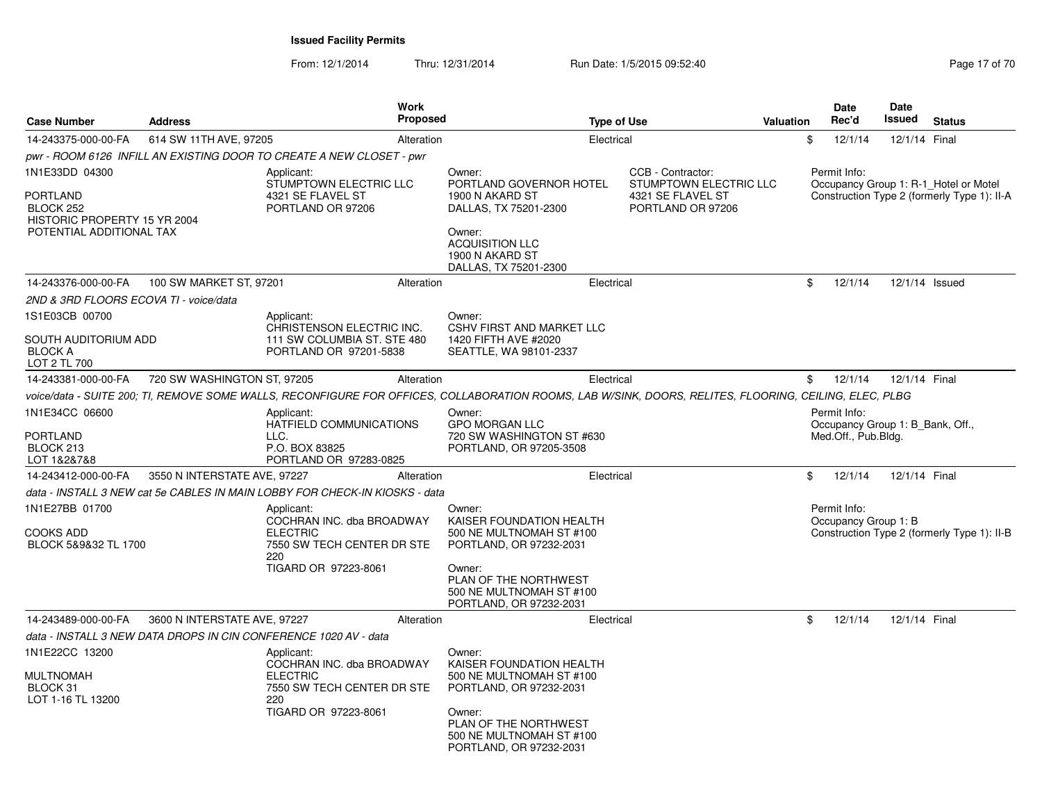| <b>Case Number</b>                                                                                         | <b>Address</b>               | <b>Work</b><br><b>Proposed</b>                                                                                                                         |                                                                                                                                                                                     | <b>Type of Use</b>                                          | <b>Valuation</b>       | Date<br>Rec'd                                                           | Date<br>Issued | <b>Status</b>                                                                        |
|------------------------------------------------------------------------------------------------------------|------------------------------|--------------------------------------------------------------------------------------------------------------------------------------------------------|-------------------------------------------------------------------------------------------------------------------------------------------------------------------------------------|-------------------------------------------------------------|------------------------|-------------------------------------------------------------------------|----------------|--------------------------------------------------------------------------------------|
| 14-243375-000-00-FA                                                                                        | 614 SW 11TH AVE, 97205       | Alteration                                                                                                                                             |                                                                                                                                                                                     | Electrical                                                  |                        | \$<br>12/1/14                                                           | 12/1/14 Final  |                                                                                      |
|                                                                                                            |                              | pwr - ROOM 6126  INFILL AN EXISTING DOOR TO CREATE A NEW CLOSET - pwr                                                                                  |                                                                                                                                                                                     |                                                             |                        |                                                                         |                |                                                                                      |
| 1N1E33DD 04300<br><b>PORTLAND</b><br>BLOCK 252<br>HISTORIC PROPERTY 15 YR 2004<br>POTENTIAL ADDITIONAL TAX |                              | Applicant:<br>STUMPTOWN ELECTRIC LLC<br>4321 SE FLAVEL ST<br>PORTLAND OR 97206                                                                         | Owner:<br>PORTLAND GOVERNOR HOTEL<br>1900 N AKARD ST<br>DALLAS, TX 75201-2300<br>Owner:<br><b>ACQUISITION LLC</b><br>1900 N AKARD ST                                                | CCB - Contractor:<br>4321 SE FLAVEL ST<br>PORTLAND OR 97206 | STUMPTOWN ELECTRIC LLC | Permit Info:                                                            |                | Occupancy Group 1: R-1 Hotel or Motel<br>Construction Type 2 (formerly Type 1): II-A |
|                                                                                                            |                              |                                                                                                                                                        | DALLAS, TX 75201-2300                                                                                                                                                               |                                                             |                        |                                                                         |                |                                                                                      |
| 14-243376-000-00-FA                                                                                        | 100 SW MARKET ST, 97201      | Alteration                                                                                                                                             |                                                                                                                                                                                     | Electrical                                                  |                        | \$<br>12/1/14                                                           | 12/1/14 Issued |                                                                                      |
| 2ND & 3RD FLOORS ECOVA TI - voice/data                                                                     |                              |                                                                                                                                                        |                                                                                                                                                                                     |                                                             |                        |                                                                         |                |                                                                                      |
| 1S1E03CB 00700<br>SOUTH AUDITORIUM ADD<br><b>BLOCK A</b><br>LOT 2 TL 700                                   |                              | Applicant:<br>CHRISTENSON ELECTRIC INC.<br>111 SW COLUMBIA ST. STE 480<br>PORTLAND OR 97201-5838                                                       | Owner:<br>CSHV FIRST AND MARKET LLC<br>1420 FIFTH AVE #2020<br>SEATTLE, WA 98101-2337                                                                                               |                                                             |                        |                                                                         |                |                                                                                      |
| 14-243381-000-00-FA                                                                                        | 720 SW WASHINGTON ST, 97205  | Alteration                                                                                                                                             |                                                                                                                                                                                     | Electrical                                                  |                        | \$<br>12/1/14                                                           | 12/1/14 Final  |                                                                                      |
|                                                                                                            |                              | voice/data - SUITE 200; TI, REMOVE SOME WALLS, RECONFIGURE FOR OFFICES, COLLABORATION ROOMS, LAB W/SINK, DOORS, RELITES, FLOORING, CEILING, ELEC, PLBG |                                                                                                                                                                                     |                                                             |                        |                                                                         |                |                                                                                      |
| 1N1E34CC 06600<br><b>PORTLAND</b><br>BLOCK 213<br>LOT 1&2&7&8                                              |                              | Applicant:<br>HATFIELD COMMUNICATIONS<br>LLC.<br>P.O. BOX 83825<br>PORTLAND OR 97283-0825                                                              | Owner:<br><b>GPO MORGAN LLC</b><br>720 SW WASHINGTON ST #630<br>PORTLAND, OR 97205-3508                                                                                             |                                                             |                        | Permit Info:<br>Occupancy Group 1: B Bank, Off.,<br>Med.Off., Pub.Bldg. |                |                                                                                      |
| 14-243412-000-00-FA                                                                                        | 3550 N INTERSTATE AVE, 97227 | Alteration                                                                                                                                             |                                                                                                                                                                                     | Electrical                                                  |                        | \$<br>12/1/14                                                           | 12/1/14 Final  |                                                                                      |
|                                                                                                            |                              | data - INSTALL 3 NEW cat 5e CABLES IN MAIN LOBBY FOR CHECK-IN KIOSKS - data                                                                            |                                                                                                                                                                                     |                                                             |                        |                                                                         |                |                                                                                      |
| 1N1E27BB 01700<br><b>COOKS ADD</b><br>BLOCK 5&9&32 TL 1700                                                 |                              | Applicant:<br>COCHRAN INC. dba BROADWAY<br><b>ELECTRIC</b><br>7550 SW TECH CENTER DR STE<br>220<br>TIGARD OR 97223-8061                                | Owner:<br>KAISER FOUNDATION HEALTH<br>500 NE MULTNOMAH ST #100<br>PORTLAND, OR 97232-2031<br>Owner:<br>PLAN OF THE NORTHWEST<br>500 NE MULTNOMAH ST #100<br>PORTLAND, OR 97232-2031 |                                                             |                        | Permit Info:<br>Occupancy Group 1: B                                    |                | Construction Type 2 (formerly Type 1): II-B                                          |
| 14-243489-000-00-FA                                                                                        | 3600 N INTERSTATE AVE, 97227 | Alteration                                                                                                                                             |                                                                                                                                                                                     | Electrical                                                  |                        | \$<br>12/1/14                                                           | 12/1/14 Final  |                                                                                      |
|                                                                                                            |                              | data - INSTALL 3 NEW DATA DROPS IN CIN CONFERENCE 1020 AV - data                                                                                       |                                                                                                                                                                                     |                                                             |                        |                                                                         |                |                                                                                      |
| 1N1E22CC 13200<br><b>MULTNOMAH</b><br>BLOCK 31<br>LOT 1-16 TL 13200                                        |                              | Applicant:<br>COCHRAN INC. dba BROADWAY<br><b>ELECTRIC</b><br>7550 SW TECH CENTER DR STE<br>220<br>TIGARD OR 97223-8061                                | Owner:<br>KAISER FOUNDATION HEALTH<br>500 NE MULTNOMAH ST #100<br>PORTLAND, OR 97232-2031<br>Owner:<br>PLAN OF THE NORTHWEST<br>500 NE MULTNOMAH ST #100<br>PORTLAND, OR 97232-2031 |                                                             |                        |                                                                         |                |                                                                                      |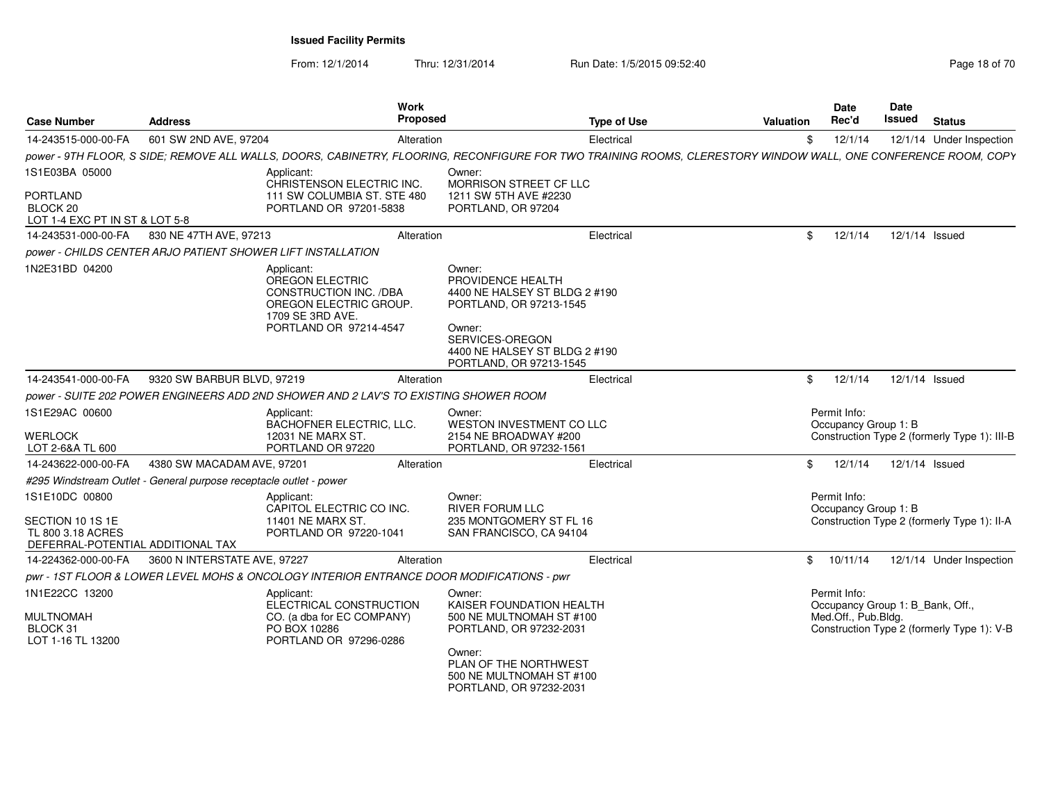| <b>Case Number</b>                                                                           | <b>Address</b>               | Work<br><b>Proposed</b>                                                                                                                                        |                                                                                                                                                                                     | <b>Type of Use</b> | <b>Valuation</b> | <b>Date</b><br>Rec'd                                                    | Date<br>Issued | <b>Status</b>                                |
|----------------------------------------------------------------------------------------------|------------------------------|----------------------------------------------------------------------------------------------------------------------------------------------------------------|-------------------------------------------------------------------------------------------------------------------------------------------------------------------------------------|--------------------|------------------|-------------------------------------------------------------------------|----------------|----------------------------------------------|
| 14-243515-000-00-FA                                                                          | 601 SW 2ND AVE, 97204        | Alteration                                                                                                                                                     |                                                                                                                                                                                     | Electrical         |                  | \$<br>12/1/14                                                           |                | 12/1/14 Under Inspection                     |
|                                                                                              |                              | power - 9TH FLOOR, S SIDE; REMOVE ALL WALLS, DOORS, CABINETRY, FLOORING, RECONFIGURE FOR TWO TRAINING ROOMS, CLERESTORY WINDOW WALL, ONE CONFERENCE ROOM, COPY |                                                                                                                                                                                     |                    |                  |                                                                         |                |                                              |
| 1S1E03BA 05000<br><b>PORTLAND</b><br>BLOCK <sub>20</sub><br>LOT 1-4 EXC PT IN ST & LOT 5-8   |                              | Applicant:<br>CHRISTENSON ELECTRIC INC.<br>111 SW COLUMBIA ST. STE 480<br>PORTLAND OR 97201-5838                                                               | Owner:<br>MORRISON STREET CF LLC<br>1211 SW 5TH AVE #2230<br>PORTLAND, OR 97204                                                                                                     |                    |                  |                                                                         |                |                                              |
| 14-243531-000-00-FA                                                                          | 830 NE 47TH AVE, 97213       | Alteration                                                                                                                                                     |                                                                                                                                                                                     | Electrical         |                  | \$<br>12/1/14                                                           |                | 12/1/14 Issued                               |
|                                                                                              |                              | power - CHILDS CENTER ARJO PATIENT SHOWER LIFT INSTALLATION                                                                                                    |                                                                                                                                                                                     |                    |                  |                                                                         |                |                                              |
| 1N2E31BD 04200                                                                               |                              | Applicant:<br><b>OREGON ELECTRIC</b><br>CONSTRUCTION INC. /DBA<br>OREGON ELECTRIC GROUP.<br>1709 SE 3RD AVE.<br>PORTLAND OR 97214-4547                         | Owner:<br>PROVIDENCE HEALTH<br>4400 NE HALSEY ST BLDG 2 #190<br>PORTLAND, OR 97213-1545<br>Owner:<br>SERVICES-OREGON<br>4400 NE HALSEY ST BLDG 2 #190<br>PORTLAND, OR 97213-1545    |                    |                  |                                                                         |                |                                              |
| 14-243541-000-00-FA                                                                          | 9320 SW BARBUR BLVD, 97219   | Alteration                                                                                                                                                     |                                                                                                                                                                                     | Electrical         |                  | \$<br>12/1/14                                                           |                | 12/1/14 Issued                               |
|                                                                                              |                              | power - SUITE 202 POWER ENGINEERS ADD 2ND SHOWER AND 2 LAV'S TO EXISTING SHOWER ROOM                                                                           |                                                                                                                                                                                     |                    |                  |                                                                         |                |                                              |
| 1S1E29AC 00600<br><b>WERLOCK</b><br>LOT 2-6&A TL 600                                         |                              | Applicant:<br><b>BACHOFNER ELECTRIC, LLC.</b><br>12031 NE MARX ST.<br>PORTLAND OR 97220                                                                        | Owner:<br>WESTON INVESTMENT CO LLC<br>2154 NE BROADWAY #200<br>PORTLAND, OR 97232-1561                                                                                              |                    |                  | Permit Info:<br>Occupancy Group 1: B                                    |                | Construction Type 2 (formerly Type 1): III-B |
| 14-243622-000-00-FA                                                                          | 4380 SW MACADAM AVE, 97201   | Alteration                                                                                                                                                     |                                                                                                                                                                                     | Electrical         |                  | 12/1/14<br>\$                                                           |                | 12/1/14 Issued                               |
| #295 Windstream Outlet - General purpose receptacle outlet - power                           |                              |                                                                                                                                                                |                                                                                                                                                                                     |                    |                  |                                                                         |                |                                              |
| 1S1E10DC 00800<br>SECTION 10 1S 1E<br>TL 800 3.18 ACRES<br>DEFERRAL-POTENTIAL ADDITIONAL TAX |                              | Applicant:<br>CAPITOL ELECTRIC CO INC.<br>11401 NE MARX ST.<br>PORTLAND OR 97220-1041                                                                          | Owner:<br><b>RIVER FORUM LLC</b><br>235 MONTGOMERY ST FL 16<br>SAN FRANCISCO, CA 94104                                                                                              |                    |                  | Permit Info:<br>Occupancy Group 1: B                                    |                | Construction Type 2 (formerly Type 1): II-A  |
| 14-224362-000-00-FA                                                                          | 3600 N INTERSTATE AVE, 97227 | Alteration                                                                                                                                                     |                                                                                                                                                                                     | Electrical         |                  | $\mathfrak{S}$<br>10/11/14                                              |                | 12/1/14 Under Inspection                     |
|                                                                                              |                              | pwr - 1ST FLOOR & LOWER LEVEL MOHS & ONCOLOGY INTERIOR ENTRANCE DOOR MODIFICATIONS - pwr                                                                       |                                                                                                                                                                                     |                    |                  |                                                                         |                |                                              |
| 1N1E22CC 13200<br><b>MULTNOMAH</b><br>BLOCK 31<br>LOT 1-16 TL 13200                          |                              | Applicant:<br>ELECTRICAL CONSTRUCTION<br>CO. (a dba for EC COMPANY)<br>PO BOX 10286<br>PORTLAND OR 97296-0286                                                  | Owner:<br>KAISER FOUNDATION HEALTH<br>500 NE MULTNOMAH ST #100<br>PORTLAND, OR 97232-2031<br>Owner:<br>PLAN OF THE NORTHWEST<br>500 NE MULTNOMAH ST #100<br>PORTLAND, OR 97232-2031 |                    |                  | Permit Info:<br>Occupancy Group 1: B_Bank, Off.,<br>Med.Off., Pub.Bldg. |                | Construction Type 2 (formerly Type 1): V-B   |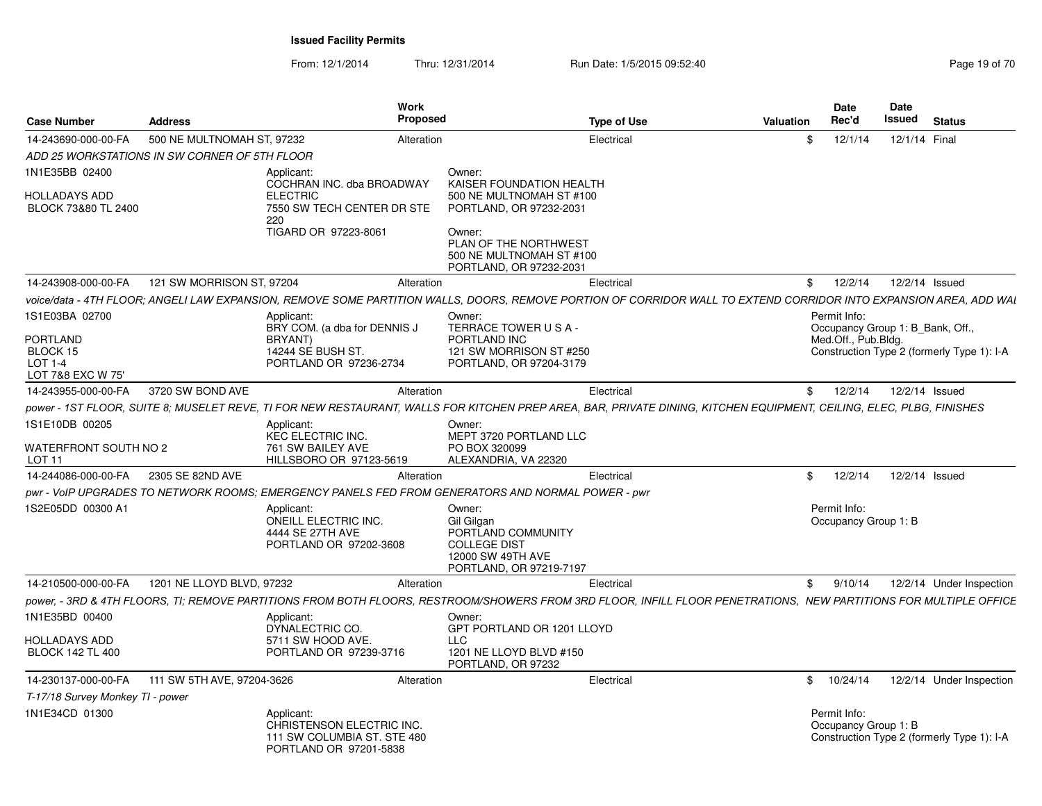| <b>Case Number</b>                              | <b>Address</b>                                |                                                                                                  | Work<br><b>Proposed</b> |                                                                                                                   | <b>Type of Use</b>                                                                                                                                                  | <b>Valuation</b> | <b>Date</b><br>Rec'd                 | Date<br>Issued | Status                                     |
|-------------------------------------------------|-----------------------------------------------|--------------------------------------------------------------------------------------------------|-------------------------|-------------------------------------------------------------------------------------------------------------------|---------------------------------------------------------------------------------------------------------------------------------------------------------------------|------------------|--------------------------------------|----------------|--------------------------------------------|
| 14-243690-000-00-FA                             | 500 NE MULTNOMAH ST, 97232                    |                                                                                                  | Alteration              |                                                                                                                   | Electrical                                                                                                                                                          | \$.              | 12/1/14                              |                | 12/1/14 Final                              |
|                                                 | ADD 25 WORKSTATIONS IN SW CORNER OF 5TH FLOOR |                                                                                                  |                         |                                                                                                                   |                                                                                                                                                                     |                  |                                      |                |                                            |
| 1N1E35BB 02400                                  |                                               | Applicant:                                                                                       |                         | Owner:                                                                                                            |                                                                                                                                                                     |                  |                                      |                |                                            |
| HOLLADAYS ADD<br>BLOCK 73&80 TL 2400            |                                               | COCHRAN INC. dba BROADWAY<br><b>ELECTRIC</b><br>7550 SW TECH CENTER DR STE<br>220                |                         | KAISER FOUNDATION HEALTH<br>500 NE MULTNOMAH ST #100<br>PORTLAND, OR 97232-2031                                   |                                                                                                                                                                     |                  |                                      |                |                                            |
|                                                 |                                               | TIGARD OR 97223-8061                                                                             |                         | Owner:<br>PLAN OF THE NORTHWEST<br>500 NE MULTNOMAH ST #100<br>PORTLAND, OR 97232-2031                            |                                                                                                                                                                     |                  |                                      |                |                                            |
| 14-243908-000-00-FA                             | 121 SW MORRISON ST, 97204                     |                                                                                                  | Alteration              |                                                                                                                   | Electrical                                                                                                                                                          | \$               | 12/2/14                              |                | 12/2/14 Issued                             |
|                                                 |                                               |                                                                                                  |                         |                                                                                                                   | voice/data - 4TH FLOOR; ANGELI LAW EXPANSION, REMOVE SOME PARTITION WALLS, DOORS, REMOVE PORTION OF CORRIDOR WALL TO EXTEND CORRIDOR INTO EXPANSION AREA, ADD WAI   |                  |                                      |                |                                            |
| 1S1E03BA 02700                                  |                                               | Applicant                                                                                        |                         | Owner:                                                                                                            |                                                                                                                                                                     |                  | Permit Info:                         |                |                                            |
| <b>PORTLAND</b>                                 |                                               | BRY COM. (a dba for DENNIS J<br>BRYANT)                                                          |                         | TERRACE TOWER USA-<br>PORTLAND INC                                                                                |                                                                                                                                                                     |                  | Med.Off., Pub.Bldg.                  |                | Occupancy Group 1: B Bank, Off.,           |
| BLOCK 15                                        |                                               | 14244 SE BUSH ST.                                                                                |                         | 121 SW MORRISON ST #250                                                                                           |                                                                                                                                                                     |                  |                                      |                | Construction Type 2 (formerly Type 1): I-A |
| LOT 1-4<br>LOT 7&8 EXC W 75'                    |                                               | PORTLAND OR 97236-2734                                                                           |                         | PORTLAND, OR 97204-3179                                                                                           |                                                                                                                                                                     |                  |                                      |                |                                            |
| 14-243955-000-00-FA                             | 3720 SW BOND AVE                              |                                                                                                  | Alteration              |                                                                                                                   | Electrical                                                                                                                                                          |                  | 12/2/14<br>\$                        |                | 12/2/14 Issued                             |
|                                                 |                                               |                                                                                                  |                         |                                                                                                                   | power - 1ST FLOOR, SUITE 8; MUSELET REVE, TI FOR NEW RESTAURANT, WALLS FOR KITCHEN PREP AREA, BAR, PRIVATE DINING, KITCHEN EQUIPMENT, CEILING, ELEC, PLBG, FINISHES |                  |                                      |                |                                            |
| 1S1E10DB 00205                                  |                                               | Applicant<br>KEC ELECTRIC INC.                                                                   |                         | Owner<br>MEPT 3720 PORTLAND LLC                                                                                   |                                                                                                                                                                     |                  |                                      |                |                                            |
| WATERFRONT SOUTH NO 2<br><b>LOT 11</b>          |                                               | 761 SW BAILEY AVE<br>HILLSBORO OR 97123-5619                                                     |                         | PO BOX 320099<br>ALEXANDRIA, VA 22320                                                                             |                                                                                                                                                                     |                  |                                      |                |                                            |
| 14-244086-000-00-FA                             | 2305 SE 82ND AVE                              |                                                                                                  | Alteration              |                                                                                                                   | Electrical                                                                                                                                                          | \$               | 12/2/14                              |                | 12/2/14 Issued                             |
|                                                 |                                               |                                                                                                  |                         | pwr - VoIP UPGRADES TO NETWORK ROOMS; EMERGENCY PANELS FED FROM GENERATORS AND NORMAL POWER - pwr                 |                                                                                                                                                                     |                  |                                      |                |                                            |
| 1S2E05DD 00300 A1                               |                                               | Applicant:<br>ONEILL ELECTRIC INC.<br>4444 SE 27TH AVE<br>PORTLAND OR 97202-3608                 |                         | Owner:<br>Gil Gilgan<br>PORTLAND COMMUNITY<br><b>COLLEGE DIST</b><br>12000 SW 49TH AVE<br>PORTLAND, OR 97219-7197 |                                                                                                                                                                     |                  | Permit Info:<br>Occupancy Group 1: B |                |                                            |
| 14-210500-000-00-FA                             | 1201 NE LLOYD BLVD, 97232                     |                                                                                                  | Alteration              |                                                                                                                   | Electrical                                                                                                                                                          | \$               | 9/10/14                              |                | 12/2/14 Under Inspection                   |
|                                                 |                                               |                                                                                                  |                         |                                                                                                                   | power, - 3RD & 4TH FLOORS, TI; REMOVE PARTITIONS FROM BOTH FLOORS, RESTROOM/SHOWERS FROM 3RD FLOOR, INFILL FLOOR PENETRATIONS, NEW PARTITIONS FOR MULTIPLE OFFICE   |                  |                                      |                |                                            |
| 1N1E35BD 00400                                  |                                               | Applicant<br>DYNALECTRIC CO.                                                                     |                         | Owner:<br>GPT PORTLAND OR 1201 LLOYD                                                                              |                                                                                                                                                                     |                  |                                      |                |                                            |
| <b>HOLLADAYS ADD</b><br><b>BLOCK 142 TL 400</b> |                                               | 5711 SW HOOD AVE.<br>PORTLAND OR 97239-3716                                                      |                         | <b>LLC</b><br>1201 NE LLOYD BLVD #150<br>PORTLAND, OR 97232                                                       |                                                                                                                                                                     |                  |                                      |                |                                            |
| 14-230137-000-00-FA                             | 111 SW 5TH AVE, 97204-3626                    |                                                                                                  | Alteration              |                                                                                                                   | Electrical                                                                                                                                                          |                  | \$10/24/14                           |                | 12/2/14 Under Inspection                   |
| T-17/18 Survey Monkey TI - power                |                                               |                                                                                                  |                         |                                                                                                                   |                                                                                                                                                                     |                  |                                      |                |                                            |
| 1N1E34CD 01300                                  |                                               | Applicant:<br>CHRISTENSON ELECTRIC INC.<br>111 SW COLUMBIA ST. STE 480<br>PORTLAND OR 97201-5838 |                         |                                                                                                                   |                                                                                                                                                                     |                  | Permit Info:<br>Occupancy Group 1: B |                | Construction Type 2 (formerly Type 1): I-A |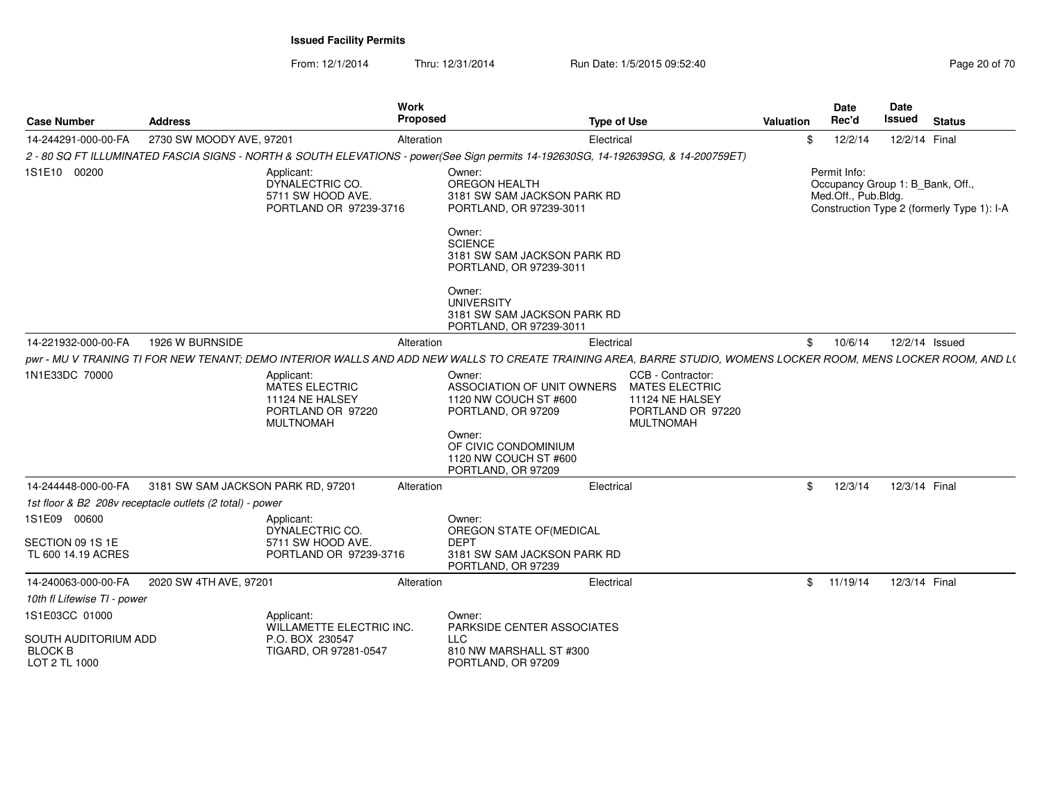| <b>Case Number</b>                                      | <b>Address</b>                                           |                                                                                                 | <b>Work</b><br>Proposed |                                                                                                                                                                 | <b>Type of Use</b> |                                                                                                 | <b>Valuation</b> | <b>Date</b><br>Rec'd                                                    | <b>Date</b><br><b>Issued</b> | <b>Status</b>                              |  |
|---------------------------------------------------------|----------------------------------------------------------|-------------------------------------------------------------------------------------------------|-------------------------|-----------------------------------------------------------------------------------------------------------------------------------------------------------------|--------------------|-------------------------------------------------------------------------------------------------|------------------|-------------------------------------------------------------------------|------------------------------|--------------------------------------------|--|
| 14-244291-000-00-FA                                     | 2730 SW MOODY AVE, 97201                                 |                                                                                                 | Alteration              |                                                                                                                                                                 | Electrical         |                                                                                                 | \$               | 12/2/14                                                                 |                              | 12/2/14 Final                              |  |
|                                                         |                                                          |                                                                                                 |                         | 2 - 80 SQ FT ILLUMINATED FASCIA SIGNS - NORTH & SOUTH ELEVATIONS - power(See Sign permits 14-192630SG, 14-192639SG, & 14-200759ET)                              |                    |                                                                                                 |                  |                                                                         |                              |                                            |  |
| 1S1E10 00200                                            |                                                          | Applicant:<br>DYNALECTRIC CO.<br>5711 SW HOOD AVE.<br>PORTLAND OR 97239-3716                    |                         | Owner:<br><b>OREGON HEALTH</b><br>3181 SW SAM JACKSON PARK RD<br>PORTLAND, OR 97239-3011                                                                        |                    |                                                                                                 |                  | Permit Info:<br>Occupancy Group 1: B_Bank, Off.,<br>Med.Off., Pub.Bldg. |                              | Construction Type 2 (formerly Type 1): I-A |  |
|                                                         |                                                          |                                                                                                 |                         | Owner:<br><b>SCIENCE</b><br>3181 SW SAM JACKSON PARK RD<br>PORTLAND, OR 97239-3011                                                                              |                    |                                                                                                 |                  |                                                                         |                              |                                            |  |
|                                                         |                                                          |                                                                                                 |                         | Owner:<br><b>UNIVERSITY</b><br>3181 SW SAM JACKSON PARK RD<br>PORTLAND, OR 97239-3011                                                                           |                    |                                                                                                 |                  |                                                                         |                              |                                            |  |
| 14-221932-000-00-FA                                     | 1926 W BURNSIDE                                          |                                                                                                 | Alteration              |                                                                                                                                                                 | Electrical         |                                                                                                 |                  | \$10/6/14                                                               |                              | 12/2/14 Issued                             |  |
|                                                         |                                                          |                                                                                                 |                         | pwr - MU V TRANING TI FOR NEW TENANT; DEMO INTERIOR WALLS AND ADD NEW WALLS TO CREATE TRAINING AREA, BARRE STUDIO, WOMENS LOCKER ROOM, MENS LOCKER ROOM, AND L( |                    |                                                                                                 |                  |                                                                         |                              |                                            |  |
| 1N1E33DC 70000                                          |                                                          | Applicant:<br><b>MATES ELECTRIC</b><br>11124 NE HALSEY<br>PORTLAND OR 97220<br><b>MULTNOMAH</b> |                         | Owner:<br>ASSOCIATION OF UNIT OWNERS<br>1120 NW COUCH ST #600<br>PORTLAND, OR 97209<br>Owner:                                                                   |                    | CCB - Contractor:<br><b>MATES ELECTRIC</b><br>11124 NE HALSEY<br>PORTLAND OR 97220<br>MULTNOMAH |                  |                                                                         |                              |                                            |  |
|                                                         |                                                          |                                                                                                 |                         | OF CIVIC CONDOMINIUM<br>1120 NW COUCH ST #600<br>PORTLAND, OR 97209                                                                                             |                    |                                                                                                 |                  |                                                                         |                              |                                            |  |
| 14-244448-000-00-FA                                     | 3181 SW SAM JACKSON PARK RD, 97201                       |                                                                                                 | Alteration              |                                                                                                                                                                 | Electrical         |                                                                                                 | $^{\circ}$       | 12/3/14                                                                 |                              | 12/3/14 Final                              |  |
|                                                         | 1st floor & B2 208v receptacle outlets (2 total) - power |                                                                                                 |                         |                                                                                                                                                                 |                    |                                                                                                 |                  |                                                                         |                              |                                            |  |
| 1S1E09 00600<br>SECTION 09 1S 1E<br>TL 600 14.19 ACRES  |                                                          | Applicant:<br>DYNALECTRIC CO.<br>5711 SW HOOD AVE.<br>PORTLAND OR 97239-3716                    |                         | Owner:<br>OREGON STATE OF (MEDICAL<br><b>DEPT</b><br>3181 SW SAM JACKSON PARK RD<br>PORTLAND, OR 97239                                                          |                    |                                                                                                 |                  |                                                                         |                              |                                            |  |
| 14-240063-000-00-FA                                     | 2020 SW 4TH AVE, 97201                                   |                                                                                                 | Alteration              |                                                                                                                                                                 | Electrical         |                                                                                                 |                  | \$11/19/14                                                              |                              | 12/3/14 Final                              |  |
| 10th fl Lifewise TI - power                             |                                                          |                                                                                                 |                         |                                                                                                                                                                 |                    |                                                                                                 |                  |                                                                         |                              |                                            |  |
| 1S1E03CC 01000                                          |                                                          | Applicant:<br>WILLAMETTE ELECTRIC INC.                                                          |                         | Owner:<br>PARKSIDE CENTER ASSOCIATES                                                                                                                            |                    |                                                                                                 |                  |                                                                         |                              |                                            |  |
| SOUTH AUDITORIUM ADD<br><b>BLOCK B</b><br>LOT 2 TL 1000 |                                                          | P.O. BOX 230547<br>TIGARD, OR 97281-0547                                                        |                         | <b>LLC</b><br>810 NW MARSHALL ST #300<br>PORTLAND, OR 97209                                                                                                     |                    |                                                                                                 |                  |                                                                         |                              |                                            |  |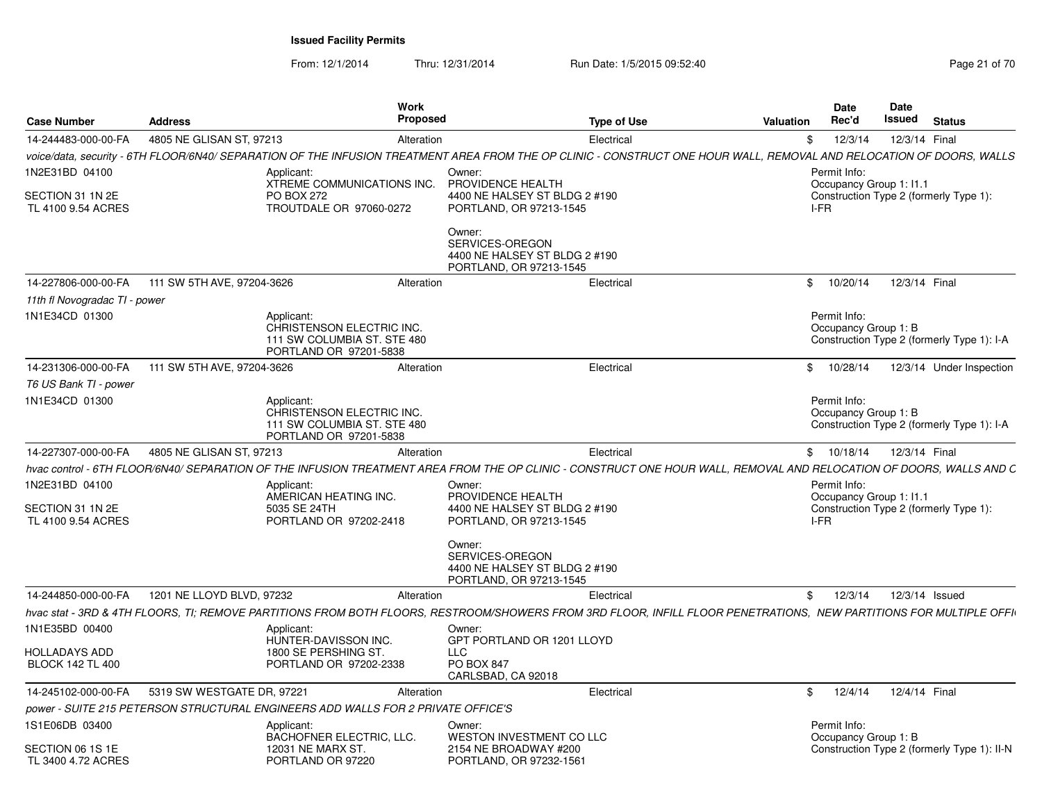| <b>Case Number</b>                                       | <b>Address</b>             |                                                                                                  | Work<br><b>Proposed</b> | <b>Type of Use</b>                                                                                                                                                    | <b>Valuation</b> | Date<br>Rec'd                                   | Date<br>Issued | <b>Status</b>                               |
|----------------------------------------------------------|----------------------------|--------------------------------------------------------------------------------------------------|-------------------------|-----------------------------------------------------------------------------------------------------------------------------------------------------------------------|------------------|-------------------------------------------------|----------------|---------------------------------------------|
| 14-244483-000-00-FA                                      | 4805 NE GLISAN ST, 97213   |                                                                                                  | Alteration              | Electrical                                                                                                                                                            | \$               | 12/3/14                                         | 12/3/14 Final  |                                             |
|                                                          |                            |                                                                                                  |                         | voice/data, security - 6TH FLOOR/6N40/ SEPARATION OF THE INFUSION TREATMENT AREA FROM THE OP CLINIC - CONSTRUCT ONE HOUR WALL, REMOVAL AND RELOCATION OF DOORS, WALLS |                  |                                                 |                |                                             |
| 1N2E31BD 04100<br>SECTION 31 1N 2E<br>TL 4100 9.54 ACRES |                            | Applicant:<br>XTREME COMMUNICATIONS INC.<br><b>PO BOX 272</b><br>TROUTDALE OR 97060-0272         |                         | Owner:<br>PROVIDENCE HEALTH<br>4400 NE HALSEY ST BLDG 2 #190<br>PORTLAND, OR 97213-1545                                                                               |                  | Permit Info:<br>Occupancy Group 1: 11.1<br>I-FR |                | Construction Type 2 (formerly Type 1):      |
|                                                          |                            |                                                                                                  |                         | Owner:<br>SERVICES-OREGON<br>4400 NE HALSEY ST BLDG 2 #190<br>PORTLAND, OR 97213-1545                                                                                 |                  |                                                 |                |                                             |
| 14-227806-000-00-FA                                      | 111 SW 5TH AVE, 97204-3626 |                                                                                                  | Alteration              | Electrical                                                                                                                                                            |                  | \$10/20/14                                      | 12/3/14 Final  |                                             |
| 11th fl Novogradac TI - power                            |                            |                                                                                                  |                         |                                                                                                                                                                       |                  |                                                 |                |                                             |
| 1N1E34CD 01300                                           |                            | Applicant:<br>CHRISTENSON ELECTRIC INC.<br>111 SW COLUMBIA ST. STE 480<br>PORTLAND OR 97201-5838 |                         |                                                                                                                                                                       |                  | Permit Info:<br>Occupancy Group 1: B            |                | Construction Type 2 (formerly Type 1): I-A  |
| 14-231306-000-00-FA                                      | 111 SW 5TH AVE, 97204-3626 |                                                                                                  | Alteration              | Electrical                                                                                                                                                            |                  | \$10/28/14                                      |                | 12/3/14 Under Inspection                    |
| T6 US Bank TI - power                                    |                            |                                                                                                  |                         |                                                                                                                                                                       |                  |                                                 |                |                                             |
| 1N1E34CD 01300                                           |                            | Applicant:<br>CHRISTENSON ELECTRIC INC.<br>111 SW COLUMBIA ST. STE 480<br>PORTLAND OR 97201-5838 |                         |                                                                                                                                                                       |                  | Permit Info:<br>Occupancy Group 1: B            |                | Construction Type 2 (formerly Type 1): I-A  |
| 14-227307-000-00-FA                                      | 4805 NE GLISAN ST. 97213   |                                                                                                  | Alteration              | Electrical                                                                                                                                                            |                  | \$10/18/14                                      | 12/3/14 Final  |                                             |
|                                                          |                            |                                                                                                  |                         | hvac control - 6TH FLOOR/6N40/ SEPARATION OF THE INFUSION TREATMENT AREA FROM THE OP CLINIC - CONSTRUCT ONE HOUR WALL, REMOVAL AND RELOCATION OF DOORS, WALLS AND C   |                  |                                                 |                |                                             |
| 1N2E31BD 04100                                           |                            | Applicant:                                                                                       |                         | Owner:                                                                                                                                                                |                  | Permit Info:                                    |                |                                             |
|                                                          |                            | AMERICAN HEATING INC.                                                                            |                         | PROVIDENCE HEALTH                                                                                                                                                     |                  | Occupancy Group 1: 11.1                         |                |                                             |
| SECTION 31 1N 2E<br>TL 4100 9.54 ACRES                   |                            | 5035 SE 24TH<br>PORTLAND OR 97202-2418                                                           |                         | 4400 NE HALSEY ST BLDG 2 #190<br>PORTLAND, OR 97213-1545                                                                                                              |                  | I-FR                                            |                | Construction Type 2 (formerly Type 1):      |
|                                                          |                            |                                                                                                  |                         | Owner:<br>SERVICES-OREGON<br>4400 NE HALSEY ST BLDG 2 #190<br>PORTLAND, OR 97213-1545                                                                                 |                  |                                                 |                |                                             |
| 14-244850-000-00-FA                                      | 1201 NE LLOYD BLVD, 97232  |                                                                                                  | Alteration              | Electrical                                                                                                                                                            | $^{\circ}$       | 12/3/14                                         | 12/3/14 Issued |                                             |
|                                                          |                            |                                                                                                  |                         | hvac stat - 3RD & 4TH FLOORS, TI; REMOVE PARTITIONS FROM BOTH FLOORS, RESTROOM/SHOWERS FROM 3RD FLOOR, INFILL FLOOR PENETRATIONS, NEW PARTITIONS FOR MULTIPLE OFFI    |                  |                                                 |                |                                             |
| 1N1E35BD 00400                                           |                            | Applicant:<br>HUNTER-DAVISSON INC.                                                               |                         | Owner:<br>GPT PORTLAND OR 1201 LLOYD                                                                                                                                  |                  |                                                 |                |                                             |
| <b>HOLLADAYS ADD</b><br><b>BLOCK 142 TL 400</b>          |                            | 1800 SE PERSHING ST.<br>PORTLAND OR 97202-2338                                                   |                         | <b>LLC</b><br><b>PO BOX 847</b><br>CARLSBAD, CA 92018                                                                                                                 |                  |                                                 |                |                                             |
| 14-245102-000-00-FA                                      | 5319 SW WESTGATE DR, 97221 |                                                                                                  | Alteration              | Electrical                                                                                                                                                            | $\mathbb{S}$     | 12/4/14                                         | 12/4/14 Final  |                                             |
|                                                          |                            | power - SUITE 215 PETERSON STRUCTURAL ENGINEERS ADD WALLS FOR 2 PRIVATE OFFICE'S                 |                         |                                                                                                                                                                       |                  |                                                 |                |                                             |
| 1S1E06DB 03400                                           |                            | Applicant:<br><b>BACHOFNER ELECTRIC, LLC.</b>                                                    |                         | Owner:<br>WESTON INVESTMENT CO LLC                                                                                                                                    |                  | Permit Info:<br>Occupancy Group 1: B            |                |                                             |
| SECTION 06 1S 1E<br>TL 3400 4.72 ACRES                   |                            | 12031 NE MARX ST.<br>PORTLAND OR 97220                                                           |                         | 2154 NE BROADWAY #200<br>PORTLAND, OR 97232-1561                                                                                                                      |                  |                                                 |                | Construction Type 2 (formerly Type 1): II-N |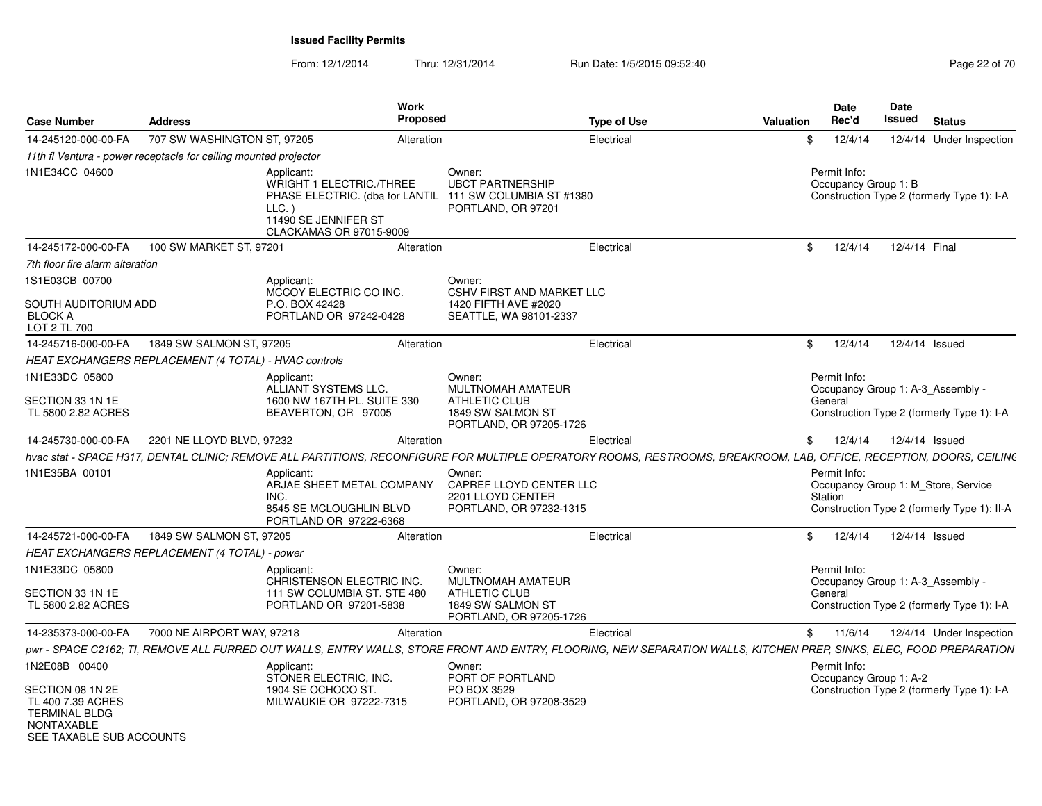| <b>Case Number</b>                                                             | <b>Address</b>                                                   |                                                                                                                                                                      | Work<br><b>Proposed</b> |                                                                                                     | <b>Type of Use</b> | Valuation | <b>Date</b><br>Rec'd                 |         | <b>Date</b><br>Issued               | <b>Status</b>  |                                             |
|--------------------------------------------------------------------------------|------------------------------------------------------------------|----------------------------------------------------------------------------------------------------------------------------------------------------------------------|-------------------------|-----------------------------------------------------------------------------------------------------|--------------------|-----------|--------------------------------------|---------|-------------------------------------|----------------|---------------------------------------------|
| 14-245120-000-00-FA                                                            | 707 SW WASHINGTON ST, 97205                                      |                                                                                                                                                                      | Alteration              |                                                                                                     | Electrical         | -\$       | 12/4/14                              |         |                                     |                | 12/4/14 Under Inspection                    |
|                                                                                | 11th fl Ventura - power receptacle for ceiling mounted projector |                                                                                                                                                                      |                         |                                                                                                     |                    |           |                                      |         |                                     |                |                                             |
| 1N1E34CC 04600                                                                 |                                                                  | Applicant:<br><b>WRIGHT 1 ELECTRIC./THREE</b><br>PHASE ELECTRIC. (dba for LANTIL<br>LLC.<br>11490 SE JENNIFER ST<br>CLACKAMAS OR 97015-9009                          |                         | Owner:<br><b>UBCT PARTNERSHIP</b><br>111 SW COLUMBIA ST #1380<br>PORTLAND, OR 97201                 |                    |           | Permit Info:<br>Occupancy Group 1: B |         |                                     |                | Construction Type 2 (formerly Type 1): I-A  |
| 14-245172-000-00-FA                                                            | 100 SW MARKET ST, 97201                                          |                                                                                                                                                                      | Alteration              |                                                                                                     | Electrical         | \$        |                                      | 12/4/14 |                                     | 12/4/14 Final  |                                             |
| 7th floor fire alarm alteration                                                |                                                                  |                                                                                                                                                                      |                         |                                                                                                     |                    |           |                                      |         |                                     |                |                                             |
| 1S1E03CB 00700<br>SOUTH AUDITORIUM ADD<br><b>BLOCK A</b><br>LOT 2 TL 700       |                                                                  | Applicant:<br>MCCOY ELECTRIC CO INC.<br>P.O. BOX 42428<br>PORTLAND OR 97242-0428                                                                                     |                         | Owner:<br><b>CSHV FIRST AND MARKET LLC</b><br>1420 FIFTH AVE #2020<br>SEATTLE, WA 98101-2337        |                    |           |                                      |         |                                     |                |                                             |
| 14-245716-000-00-FA                                                            | 1849 SW SALMON ST, 97205                                         |                                                                                                                                                                      | Alteration              |                                                                                                     | Electrical         | \$        | 12/4/14                              |         |                                     | 12/4/14 Issued |                                             |
|                                                                                | HEAT EXCHANGERS REPLACEMENT (4 TOTAL) - HVAC controls            |                                                                                                                                                                      |                         |                                                                                                     |                    |           |                                      |         |                                     |                |                                             |
| 1N1E33DC 05800<br>SECTION 33 1N 1E<br>TL 5800 2.82 ACRES                       |                                                                  | Applicant:<br>ALLIANT SYSTEMS LLC.<br>1600 NW 167TH PL, SUITE 330<br>BEAVERTON, OR 97005                                                                             |                         | Owner:<br>MULTNOMAH AMATEUR<br><b>ATHLETIC CLUB</b><br>1849 SW SALMON ST<br>PORTLAND, OR 97205-1726 |                    |           | Permit Info:<br>General              |         | Occupancy Group 1: A-3 Assembly -   |                | Construction Type 2 (formerly Type 1): I-A  |
| 14-245730-000-00-FA                                                            | 2201 NE LLOYD BLVD, 97232                                        |                                                                                                                                                                      | Alteration              |                                                                                                     | Electrical         | \$        |                                      | 12/4/14 |                                     | 12/4/14 Issued |                                             |
|                                                                                |                                                                  | hvac stat - SPACE H317, DENTAL CLINIC; REMOVE ALL PARTITIONS, RECONFIGURE FOR MULTIPLE OPERATORY ROOMS, RESTROOMS, BREAKROOM, LAB, OFFICE, RECEPTION, DOORS, CEILIN( |                         |                                                                                                     |                    |           |                                      |         |                                     |                |                                             |
| 1N1E35BA 00101                                                                 |                                                                  | Applicant:<br>ARJAE SHEET METAL COMPANY<br>INC.<br>8545 SE MCLOUGHLIN BLVD<br>PORTLAND OR 97222-6368                                                                 |                         | Owner:<br>CAPREF LLOYD CENTER LLC<br>2201 LLOYD CENTER<br>PORTLAND, OR 97232-1315                   |                    |           | Permit Info:<br>Station              |         | Occupancy Group 1: M Store, Service |                | Construction Type 2 (formerly Type 1): II-A |
| 14-245721-000-00-FA                                                            | 1849 SW SALMON ST, 97205                                         |                                                                                                                                                                      | Alteration              |                                                                                                     | Electrical         | \$        | 12/4/14                              |         |                                     | 12/4/14 Issued |                                             |
|                                                                                | HEAT EXCHANGERS REPLACEMENT (4 TOTAL) - power                    |                                                                                                                                                                      |                         |                                                                                                     |                    |           |                                      |         |                                     |                |                                             |
| 1N1E33DC 05800<br>SECTION 33 1N 1E<br>TL 5800 2.82 ACRES                       |                                                                  | Applicant:<br>CHRISTENSON ELECTRIC INC.<br>111 SW COLUMBIA ST. STE 480<br>PORTLAND OR 97201-5838                                                                     |                         | Owner:<br>MULTNOMAH AMATEUR<br><b>ATHLETIC CLUB</b><br>1849 SW SALMON ST<br>PORTLAND, OR 97205-1726 |                    |           | Permit Info:<br>General              |         | Occupancy Group 1: A-3 Assembly -   |                | Construction Type 2 (formerly Type 1): I-A  |
| 14-235373-000-00-FA                                                            | 7000 NE AIRPORT WAY, 97218                                       |                                                                                                                                                                      | Alteration              |                                                                                                     | Electrical         | \$        | 11/6/14                              |         |                                     |                | 12/4/14 Under Inspection                    |
|                                                                                |                                                                  | pwr - SPACE C2162; TI, REMOVE ALL FURRED OUT WALLS, ENTRY WALLS, STORE FRONT AND ENTRY, FLOORING, NEW SEPARATION WALLS, KITCHEN PREP, SINKS, ELEC, FOOD PREPARATION  |                         |                                                                                                     |                    |           |                                      |         |                                     |                |                                             |
| 1N2E08B 00400<br>SECTION 08 1N 2E<br>TL 400 7.39 ACRES<br><b>TERMINAL BLDG</b> |                                                                  | Applicant:<br>STONER ELECTRIC, INC.<br>1904 SE OCHOCO ST.<br>MILWAUKIE OR 97222-7315                                                                                 |                         | Owner:<br>PORT OF PORTLAND<br>PO BOX 3529<br>PORTLAND, OR 97208-3529                                |                    |           | Permit Info:                         |         | Occupancy Group 1: A-2              |                | Construction Type 2 (formerly Type 1): I-A  |
| <b>NONTAXABLE</b><br>SEE TAXABLE SUB ACCOUNTS                                  |                                                                  |                                                                                                                                                                      |                         |                                                                                                     |                    |           |                                      |         |                                     |                |                                             |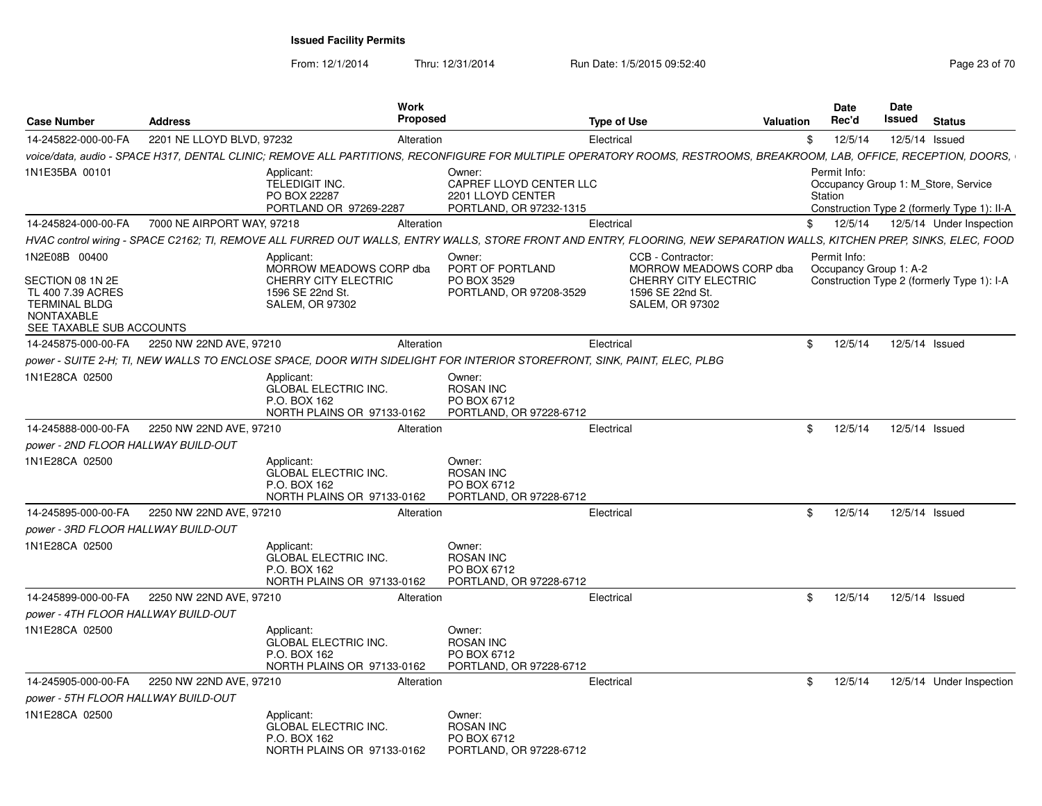From: 12/1/2014

Thru: 12/31/2014 Run Date: 1/5/2015 09:52:40

| <b>Case Number</b>                                                                                             | <b>Address</b>             |                                                                                         | Work<br>Proposed |                                                                                                                                                                         | <b>Type of Use</b> |                                                                           | Valuation   | <b>Date</b><br>Rec'd                   | Date<br>Issued | <b>Status</b>                                                                      |
|----------------------------------------------------------------------------------------------------------------|----------------------------|-----------------------------------------------------------------------------------------|------------------|-------------------------------------------------------------------------------------------------------------------------------------------------------------------------|--------------------|---------------------------------------------------------------------------|-------------|----------------------------------------|----------------|------------------------------------------------------------------------------------|
| 14-245822-000-00-FA                                                                                            | 2201 NE LLOYD BLVD, 97232  |                                                                                         | Alteration       |                                                                                                                                                                         | Electrical         |                                                                           | \$          | 12/5/14                                | 12/5/14 Issued |                                                                                    |
|                                                                                                                |                            |                                                                                         |                  | voice/data, audio - SPACE H317, DENTAL CLINIC; REMOVE ALL PARTITIONS, RECONFIGURE FOR MULTIPLE OPERATORY ROOMS, RESTROOMS, BREAKROOM, LAB, OFFICE, RECEPTION, DOORS,    |                    |                                                                           |             |                                        |                |                                                                                    |
| 1N1E35BA 00101                                                                                                 |                            | Applicant:<br>TELEDIGIT INC.<br>PO BOX 22287<br>PORTLAND OR 97269-2287                  |                  | Owner:<br>CAPREF LLOYD CENTER LLC<br>2201 LLOYD CENTER<br>PORTLAND, OR 97232-1315                                                                                       |                    |                                                                           |             | Permit Info:<br>Station                |                | Occupancy Group 1: M Store, Service<br>Construction Type 2 (formerly Type 1): II-A |
| 14-245824-000-00-FA                                                                                            | 7000 NE AIRPORT WAY, 97218 |                                                                                         | Alteration       |                                                                                                                                                                         | Electrical         |                                                                           | \$          | 12/5/14                                |                | 12/5/14 Under Inspection                                                           |
|                                                                                                                |                            |                                                                                         |                  | HVAC control wiring - SPACE C2162; TI, REMOVE ALL FURRED OUT WALLS, ENTRY WALLS, STORE FRONT AND ENTRY, FLOORING, NEW SEPARATION WALLS, KITCHEN PREP, SINKS, ELEC, FOOD |                    |                                                                           |             |                                        |                |                                                                                    |
| 1N2E08B 00400                                                                                                  |                            | Applicant:<br>MORROW MEADOWS CORP dba                                                   |                  | Owner:<br>PORT OF PORTLAND                                                                                                                                              |                    | CCB - Contractor:<br>MORROW MEADOWS CORP dba                              |             | Permit Info:<br>Occupancy Group 1: A-2 |                |                                                                                    |
| SECTION 08 1N 2E<br>TL 400 7.39 ACRES<br><b>TERMINAL BLDG</b><br><b>NONTAXABLE</b><br>SEE TAXABLE SUB ACCOUNTS |                            | CHERRY CITY ELECTRIC<br>1596 SE 22nd St.<br><b>SALEM, OR 97302</b>                      |                  | PO BOX 3529<br>PORTLAND, OR 97208-3529                                                                                                                                  |                    | <b>CHERRY CITY ELECTRIC</b><br>1596 SE 22nd St.<br><b>SALEM, OR 97302</b> |             |                                        |                | Construction Type 2 (formerly Type 1): I-A                                         |
| 14-245875-000-00-FA                                                                                            | 2250 NW 22ND AVE, 97210    |                                                                                         | Alteration       |                                                                                                                                                                         | Electrical         |                                                                           | \$          | 12/5/14                                | 12/5/14 Issued |                                                                                    |
|                                                                                                                |                            |                                                                                         |                  | power - SUITE 2-H; TI, NEW WALLS TO ENCLOSE SPACE, DOOR WITH SIDELIGHT FOR INTERIOR STOREFRONT, SINK, PAINT, ELEC, PLBG                                                 |                    |                                                                           |             |                                        |                |                                                                                    |
| 1N1E28CA 02500                                                                                                 |                            | Applicant:<br><b>GLOBAL ELECTRIC INC.</b><br>P.O. BOX 162<br>NORTH PLAINS OR 97133-0162 |                  | Owner:<br><b>ROSAN INC</b><br>PO BOX 6712<br>PORTLAND, OR 97228-6712                                                                                                    |                    |                                                                           |             |                                        |                |                                                                                    |
| 14-245888-000-00-FA                                                                                            | 2250 NW 22ND AVE, 97210    |                                                                                         | Alteration       |                                                                                                                                                                         | Electrical         |                                                                           | \$          | 12/5/14                                | 12/5/14 Issued |                                                                                    |
| power - 2ND FLOOR HALLWAY BUILD-OUT                                                                            |                            |                                                                                         |                  |                                                                                                                                                                         |                    |                                                                           |             |                                        |                |                                                                                    |
| 1N1E28CA 02500                                                                                                 |                            | Applicant:<br><b>GLOBAL ELECTRIC INC.</b><br>P.O. BOX 162<br>NORTH PLAINS OR 97133-0162 |                  | Owner:<br><b>ROSAN INC</b><br>PO BOX 6712<br>PORTLAND, OR 97228-6712                                                                                                    |                    |                                                                           |             |                                        |                |                                                                                    |
| 14-245895-000-00-FA                                                                                            | 2250 NW 22ND AVE, 97210    |                                                                                         | Alteration       |                                                                                                                                                                         | Electrical         |                                                                           | \$          | 12/5/14                                | 12/5/14 Issued |                                                                                    |
| power - 3RD FLOOR HALLWAY BUILD-OUT                                                                            |                            |                                                                                         |                  |                                                                                                                                                                         |                    |                                                                           |             |                                        |                |                                                                                    |
| 1N1E28CA 02500                                                                                                 |                            | Applicant:<br><b>GLOBAL ELECTRIC INC.</b><br>P.O. BOX 162<br>NORTH PLAINS OR 97133-0162 |                  | Owner:<br><b>ROSAN INC</b><br>PO BOX 6712<br>PORTLAND, OR 97228-6712                                                                                                    |                    |                                                                           |             |                                        |                |                                                                                    |
| 14-245899-000-00-FA                                                                                            | 2250 NW 22ND AVE, 97210    |                                                                                         | Alteration       |                                                                                                                                                                         | Electrical         |                                                                           | \$          | 12/5/14                                | 12/5/14 Issued |                                                                                    |
| power - 4TH FLOOR HALLWAY BUILD-OUT                                                                            |                            |                                                                                         |                  |                                                                                                                                                                         |                    |                                                                           |             |                                        |                |                                                                                    |
| 1N1E28CA 02500                                                                                                 |                            | Applicant:<br><b>GLOBAL ELECTRIC INC.</b><br>P.O. BOX 162<br>NORTH PLAINS OR 97133-0162 |                  | Owner:<br><b>ROSAN INC</b><br>PO BOX 6712<br>PORTLAND, OR 97228-6712                                                                                                    |                    |                                                                           |             |                                        |                |                                                                                    |
| 14-245905-000-00-FA                                                                                            | 2250 NW 22ND AVE, 97210    |                                                                                         | Alteration       |                                                                                                                                                                         | Electrical         |                                                                           | $$^{\circ}$ | 12/5/14                                |                | 12/5/14 Under Inspection                                                           |
| power - 5TH FLOOR HALLWAY BUILD-OUT                                                                            |                            |                                                                                         |                  |                                                                                                                                                                         |                    |                                                                           |             |                                        |                |                                                                                    |
| 1N1E28CA 02500                                                                                                 |                            | Applicant:<br><b>GLOBAL ELECTRIC INC.</b><br>P.O. BOX 162<br>NORTH PLAINS OR 97133-0162 |                  | Owner:<br><b>ROSAN INC</b><br>PO BOX 6712<br>PORTLAND, OR 97228-6712                                                                                                    |                    |                                                                           |             |                                        |                |                                                                                    |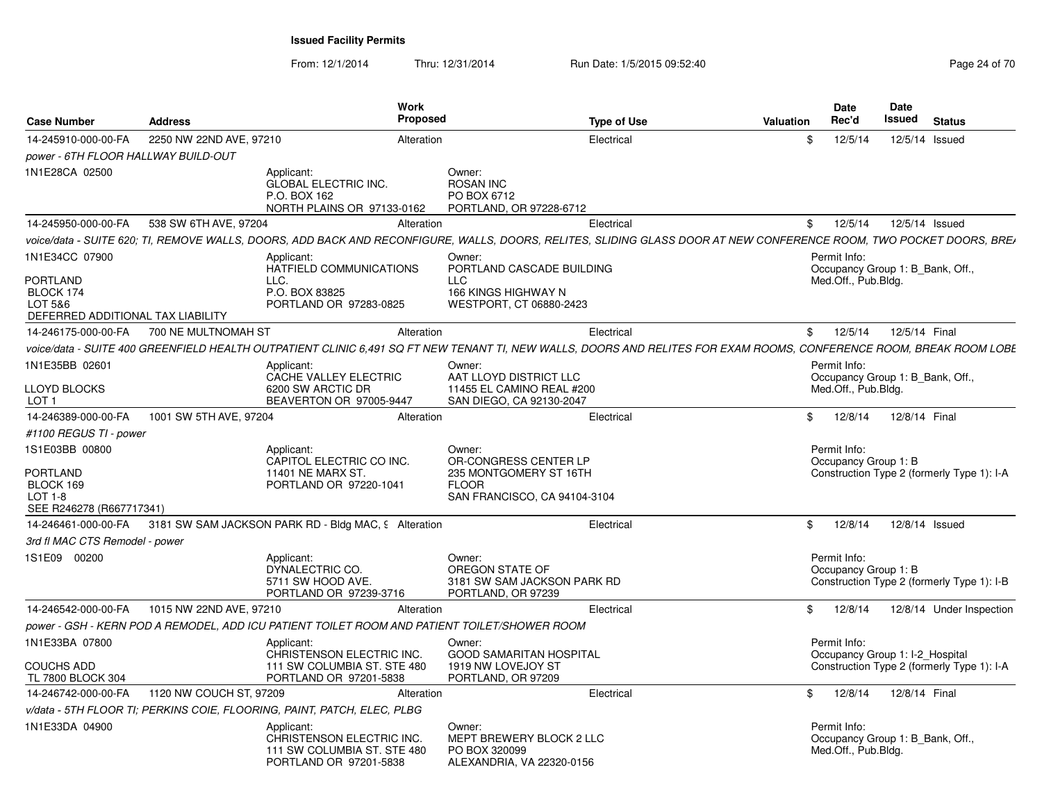| <b>Case Number</b>                    | <b>Address</b>                                                                                                                                                      | <b>Work</b><br><b>Proposed</b>                        | <b>Type of Use</b>             | Valuation      | <b>Date</b><br>Rec'd             | Date<br><b>Issued</b> | <b>Status</b>                              |
|---------------------------------------|---------------------------------------------------------------------------------------------------------------------------------------------------------------------|-------------------------------------------------------|--------------------------------|----------------|----------------------------------|-----------------------|--------------------------------------------|
| 14-245910-000-00-FA                   | 2250 NW 22ND AVE, 97210                                                                                                                                             | Alteration                                            | Electrical                     | \$             | 12/5/14                          | 12/5/14 Issued        |                                            |
| power - 6TH FLOOR HALLWAY BUILD-OUT   |                                                                                                                                                                     |                                                       |                                |                |                                  |                       |                                            |
| 1N1E28CA 02500                        | Applicant:                                                                                                                                                          | Owner:                                                |                                |                |                                  |                       |                                            |
|                                       | <b>GLOBAL ELECTRIC INC.</b>                                                                                                                                         | <b>ROSAN INC</b>                                      |                                |                |                                  |                       |                                            |
|                                       | P.O. BOX 162                                                                                                                                                        | PO BOX 6712                                           |                                |                |                                  |                       |                                            |
|                                       | NORTH PLAINS OR 97133-0162                                                                                                                                          | PORTLAND, OR 97228-6712                               |                                |                |                                  |                       |                                            |
| 14-245950-000-00-FA                   | 538 SW 6TH AVE, 97204                                                                                                                                               | Alteration                                            | Electrical                     | \$             | 12/5/14                          | 12/5/14 Issued        |                                            |
|                                       | voice/data - SUITE 620; TI, REMOVE WALLS, DOORS, ADD BACK AND RECONFIGURE, WALLS, DOORS, RELITES, SLIDING GLASS DOOR AT NEW CONFERENCE ROOM, TWO POCKET DOORS, BRE/ |                                                       |                                |                |                                  |                       |                                            |
| 1N1E34CC 07900                        | Applicant:                                                                                                                                                          | Owner:                                                |                                |                | Permit Info:                     |                       |                                            |
|                                       | HATFIELD COMMUNICATIONS                                                                                                                                             |                                                       | PORTLAND CASCADE BUILDING      |                | Occupancy Group 1: B Bank, Off., |                       |                                            |
| PORTLAND<br>BLOCK 174                 | LLC.<br>P.O. BOX 83825                                                                                                                                              | <b>LLC</b><br>166 KINGS HIGHWAY N                     |                                |                | Med.Off., Pub.Bldg.              |                       |                                            |
| LOT 5&6                               | PORTLAND OR 97283-0825                                                                                                                                              | WESTPORT, CT 06880-2423                               |                                |                |                                  |                       |                                            |
| DEFERRED ADDITIONAL TAX LIABILITY     |                                                                                                                                                                     |                                                       |                                |                |                                  |                       |                                            |
|                                       | 14-246175-000-00-FA 700 NE MULTNOMAH ST                                                                                                                             | Alteration                                            | Electrical                     | $^{\circ}$     | 12/5/14                          | 12/5/14 Final         |                                            |
|                                       | voice/data - SUITE 400 GREENFIELD HEALTH OUTPATIENT CLINIC 6.491 SQ FT NEW TENANT TI. NEW WALLS. DOORS AND RELITES FOR EXAM ROOMS. CONFERENCE ROOM. BREAK ROOM LOBE |                                                       |                                |                |                                  |                       |                                            |
| 1N1E35BB 02601                        | Applicant:                                                                                                                                                          | Owner:                                                |                                |                | Permit Info:                     |                       |                                            |
|                                       | CACHE VALLEY ELECTRIC                                                                                                                                               | AAT LLOYD DISTRICT LLC                                |                                |                | Occupancy Group 1: B_Bank, Off., |                       |                                            |
| <b>LLOYD BLOCKS</b><br>LOT 1          | 6200 SW ARCTIC DR<br>BEAVERTON OR 97005-9447                                                                                                                        | 11455 EL CAMINO REAL #200<br>SAN DIEGO, CA 92130-2047 |                                |                | Med.Off., Pub.Bldg.              |                       |                                            |
| 14-246389-000-00-FA                   | 1001 SW 5TH AVE, 97204                                                                                                                                              | Alteration                                            | Electrical                     | $\mathfrak{S}$ | 12/8/14                          | 12/8/14 Final         |                                            |
| #1100 REGUS TI - power                |                                                                                                                                                                     |                                                       |                                |                |                                  |                       |                                            |
| 1S1E03BB 00800                        | Applicant:                                                                                                                                                          | Owner:                                                |                                |                | Permit Info:                     |                       |                                            |
|                                       | CAPITOL ELECTRIC CO INC.                                                                                                                                            | OR-CONGRESS CENTER LP                                 |                                |                | Occupancy Group 1: B             |                       |                                            |
| PORTLAND                              | 11401 NE MARX ST.                                                                                                                                                   | 235 MONTGOMERY ST 16TH                                |                                |                |                                  |                       | Construction Type 2 (formerly Type 1): I-A |
| BLOCK 169                             | PORTLAND OR 97220-1041                                                                                                                                              | <b>FLOOR</b>                                          |                                |                |                                  |                       |                                            |
| $LOT 1-8$<br>SEE R246278 (R667717341) |                                                                                                                                                                     |                                                       | SAN FRANCISCO, CA 94104-3104   |                |                                  |                       |                                            |
| 14-246461-000-00-FA                   | 3181 SW SAM JACKSON PARK RD - Bldg MAC, 9 Alteration                                                                                                                |                                                       | Electrical                     | \$             | 12/8/14                          | 12/8/14 Issued        |                                            |
| 3rd fl MAC CTS Remodel - power        |                                                                                                                                                                     |                                                       |                                |                |                                  |                       |                                            |
| 1S1E09 00200                          | Applicant:                                                                                                                                                          | Owner:                                                |                                |                | Permit Info:                     |                       |                                            |
|                                       | DYNALECTRIC CO.                                                                                                                                                     | OREGON STATE OF                                       |                                |                | Occupancy Group 1: B             |                       |                                            |
|                                       | 5711 SW HOOD AVE.                                                                                                                                                   |                                                       | 3181 SW SAM JACKSON PARK RD    |                |                                  |                       | Construction Type 2 (formerly Type 1): I-B |
|                                       | PORTLAND OR 97239-3716                                                                                                                                              | PORTLAND, OR 97239                                    |                                |                |                                  |                       |                                            |
| 14-246542-000-00-FA                   | 1015 NW 22ND AVE, 97210                                                                                                                                             | Alteration                                            | Electrical                     | \$             | 12/8/14                          |                       | 12/8/14 Under Inspection                   |
|                                       | power - GSH - KERN POD A REMODEL. ADD ICU PATIENT TOILET ROOM AND PATIENT TOILET/SHOWER ROOM                                                                        |                                                       |                                |                |                                  |                       |                                            |
| 1N1E33BA 07800                        | Applicant:                                                                                                                                                          | Owner:                                                |                                |                | Permit Info:                     |                       |                                            |
| <b>COUCHS ADD</b>                     | CHRISTENSON ELECTRIC INC.<br>111 SW COLUMBIA ST. STE 480                                                                                                            | 1919 NW LOVEJOY ST                                    | <b>GOOD SAMARITAN HOSPITAL</b> |                | Occupancy Group 1: I-2 Hospital  |                       | Construction Type 2 (formerly Type 1): I-A |
| TL 7800 BLOCK 304                     | PORTLAND OR 97201-5838                                                                                                                                              | PORTLAND, OR 97209                                    |                                |                |                                  |                       |                                            |
| 14-246742-000-00-FA                   | 1120 NW COUCH ST, 97209                                                                                                                                             | Alteration                                            | Electrical                     | $\mathbb{S}$   | 12/8/14                          | 12/8/14 Final         |                                            |
|                                       | v/data - 5TH FLOOR TI; PERKINS COIE, FLOORING, PAINT, PATCH, ELEC, PLBG                                                                                             |                                                       |                                |                |                                  |                       |                                            |
| 1N1E33DA 04900                        | Applicant:                                                                                                                                                          | Owner:                                                |                                |                | Permit Info:                     |                       |                                            |
|                                       | CHRISTENSON ELECTRIC INC.                                                                                                                                           |                                                       | MEPT BREWERY BLOCK 2 LLC       |                | Occupancy Group 1: B_Bank, Off., |                       |                                            |
|                                       | 111 SW COLUMBIA ST. STE 480<br>PORTLAND OR 97201-5838                                                                                                               | PO BOX 320099<br>ALEXANDRIA, VA 22320-0156            |                                |                | Med.Off., Pub.Bldg.              |                       |                                            |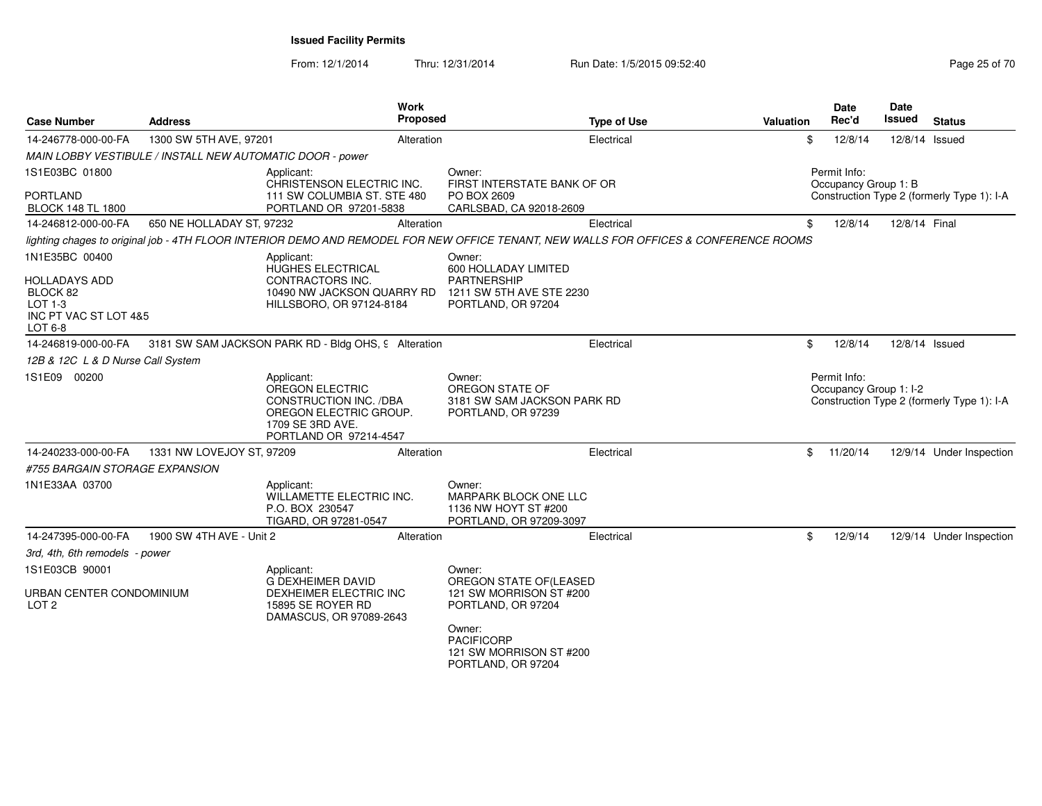| <b>Case Number</b>                                      | <b>Address</b>                                            | <b>Work</b><br>Proposed                                                                                                                |                                                                                    | <b>Type of Use</b> | <b>Valuation</b> |              | <b>Date</b><br>Rec'd | <b>Date</b><br>Issued  | <b>Status</b>                              |
|---------------------------------------------------------|-----------------------------------------------------------|----------------------------------------------------------------------------------------------------------------------------------------|------------------------------------------------------------------------------------|--------------------|------------------|--------------|----------------------|------------------------|--------------------------------------------|
| 14-246778-000-00-FA                                     | 1300 SW 5TH AVE, 97201                                    | Alteration                                                                                                                             |                                                                                    | Electrical         |                  | \$           | 12/8/14              | 12/8/14 Issued         |                                            |
|                                                         | MAIN LOBBY VESTIBULE / INSTALL NEW AUTOMATIC DOOR - power |                                                                                                                                        |                                                                                    |                    |                  |              |                      |                        |                                            |
| 1S1E03BC 01800                                          |                                                           | Applicant:<br>CHRISTENSON ELECTRIC INC.                                                                                                | Owner:<br>FIRST INTERSTATE BANK OF OR                                              |                    |                  | Permit Info: |                      | Occupancy Group 1: B   |                                            |
| <b>PORTLAND</b><br><b>BLOCK 148 TL 1800</b>             |                                                           | 111 SW COLUMBIA ST. STE 480<br>PORTLAND OR 97201-5838                                                                                  | PO BOX 2609<br>CARLSBAD, CA 92018-2609                                             |                    |                  |              |                      |                        | Construction Type 2 (formerly Type 1): I-A |
| 14-246812-000-00-FA                                     | 650 NE HOLLADAY ST, 97232                                 | Alteration                                                                                                                             |                                                                                    | Electrical         |                  | \$           | 12/8/14              | 12/8/14 Final          |                                            |
|                                                         |                                                           | lighting chages to original job - 4TH FLOOR INTERIOR DEMO AND REMODEL FOR NEW OFFICE TENANT, NEW WALLS FOR OFFICES & CONFERENCE ROOMS  |                                                                                    |                    |                  |              |                      |                        |                                            |
| 1N1E35BC 00400<br>HOLLADAYS ADD                         |                                                           | Applicant:<br>HUGHES ELECTRICAL<br>CONTRACTORS INC.                                                                                    | Owner:<br>600 HOLLADAY LIMITED<br>PARTNERSHIP                                      |                    |                  |              |                      |                        |                                            |
| BLOCK 82<br>LOT 1-3<br>INC PT VAC ST LOT 4&5<br>LOT 6-8 |                                                           | 10490 NW JACKSON QUARRY RD<br>HILLSBORO, OR 97124-8184                                                                                 | 1211 SW 5TH AVE STE 2230<br>PORTLAND, OR 97204                                     |                    |                  |              |                      |                        |                                            |
| 14-246819-000-00-FA                                     |                                                           | 3181 SW SAM JACKSON PARK RD - Bldg OHS, 9 Alteration                                                                                   |                                                                                    | Electrical         |                  | \$           | 12/8/14              | 12/8/14 Issued         |                                            |
| 12B & 12C L & D Nurse Call System                       |                                                           |                                                                                                                                        |                                                                                    |                    |                  |              |                      |                        |                                            |
| 1S1E09 00200                                            |                                                           | Applicant:<br><b>OREGON ELECTRIC</b><br>CONSTRUCTION INC. /DBA<br>OREGON ELECTRIC GROUP.<br>1709 SE 3RD AVE.<br>PORTLAND OR 97214-4547 | Owner:<br>OREGON STATE OF<br>3181 SW SAM JACKSON PARK RD<br>PORTLAND, OR 97239     |                    |                  | Permit Info: |                      | Occupancy Group 1: I-2 | Construction Type 2 (formerly Type 1): I-A |
| 14-240233-000-00-FA                                     | 1331 NW LOVEJOY ST, 97209                                 | Alteration                                                                                                                             |                                                                                    | Electrical         |                  | \$           | 11/20/14             |                        | 12/9/14 Under Inspection                   |
| #755 BARGAIN STORAGE EXPANSION                          |                                                           |                                                                                                                                        |                                                                                    |                    |                  |              |                      |                        |                                            |
| 1N1E33AA 03700                                          |                                                           | Applicant:<br>WILLAMETTE ELECTRIC INC.<br>P.O. BOX 230547<br>TIGARD, OR 97281-0547                                                     | Owner:<br>MARPARK BLOCK ONE LLC<br>1136 NW HOYT ST #200<br>PORTLAND, OR 97209-3097 |                    |                  |              |                      |                        |                                            |
| 14-247395-000-00-FA                                     | 1900 SW 4TH AVE - Unit 2                                  | Alteration                                                                                                                             |                                                                                    | Electrical         |                  | \$           | 12/9/14              |                        | 12/9/14 Under Inspection                   |
| 3rd, 4th, 6th remodels - power                          |                                                           |                                                                                                                                        |                                                                                    |                    |                  |              |                      |                        |                                            |
| 1S1E03CB 90001                                          |                                                           | Applicant:                                                                                                                             | Owner:                                                                             |                    |                  |              |                      |                        |                                            |
| URBAN CENTER CONDOMINIUM<br>LOT <sub>2</sub>            |                                                           | <b>G DEXHEIMER DAVID</b><br>DEXHEIMER ELECTRIC INC<br>15895 SE ROYER RD<br>DAMASCUS, OR 97089-2643                                     | OREGON STATE OF(LEASED<br>121 SW MORRISON ST #200<br>PORTLAND, OR 97204            |                    |                  |              |                      |                        |                                            |
|                                                         |                                                           |                                                                                                                                        | Owner:<br><b>PACIFICORP</b><br>121 SW MORRISON ST #200<br>PORTLAND, OR 97204       |                    |                  |              |                      |                        |                                            |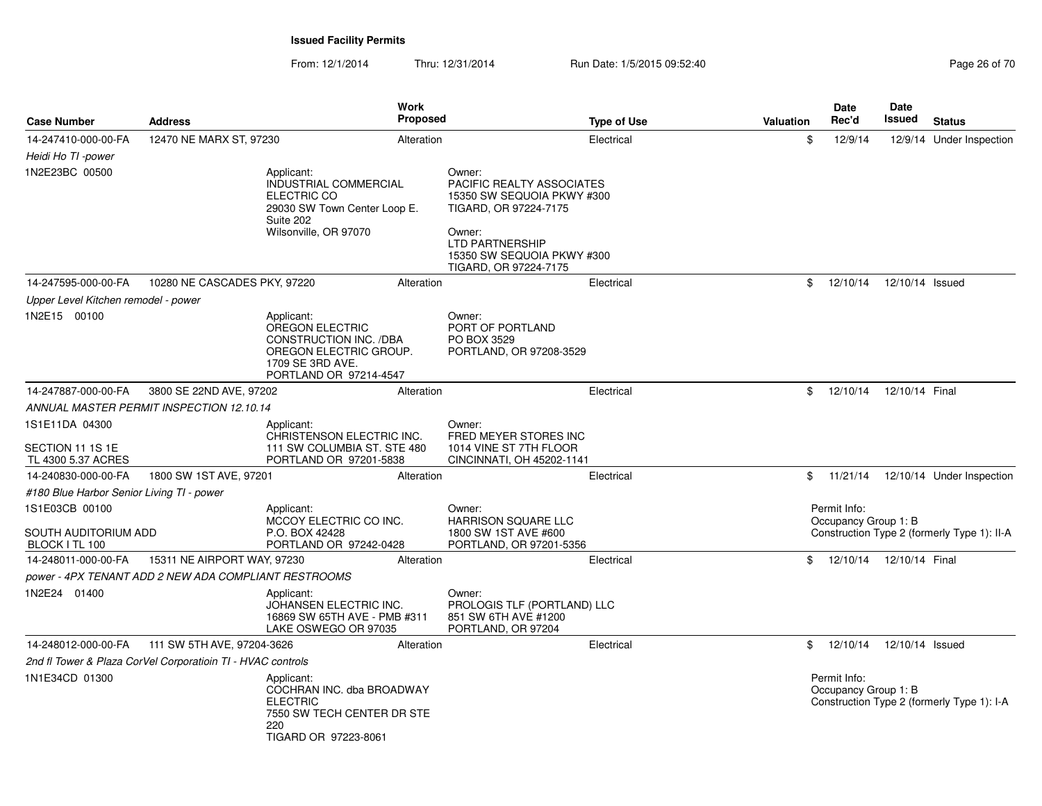| <b>Case Number</b>                                       | <b>Address</b>                                              | Work<br><b>Proposed</b>                                                                                                         |                                                                                                                                                                                       | <b>Type of Use</b> | <b>Valuation</b> | Date<br>Rec'd                        | Date<br>Issued  | <b>Status</b>                               |
|----------------------------------------------------------|-------------------------------------------------------------|---------------------------------------------------------------------------------------------------------------------------------|---------------------------------------------------------------------------------------------------------------------------------------------------------------------------------------|--------------------|------------------|--------------------------------------|-----------------|---------------------------------------------|
| 14-247410-000-00-FA<br>Heidi Ho TI -power                | 12470 NE MARX ST, 97230                                     | Alteration                                                                                                                      |                                                                                                                                                                                       | Electrical         | \$               | 12/9/14                              |                 | 12/9/14 Under Inspection                    |
| 1N2E23BC 00500                                           |                                                             | Applicant:<br>INDUSTRIAL COMMERCIAL<br>ELECTRIC CO<br>29030 SW Town Center Loop E.<br>Suite 202<br>Wilsonville, OR 97070        | Owner:<br>PACIFIC REALTY ASSOCIATES<br>15350 SW SEQUOIA PKWY #300<br>TIGARD, OR 97224-7175<br>Owner:<br><b>LTD PARTNERSHIP</b><br>15350 SW SEQUOIA PKWY #300<br>TIGARD, OR 97224-7175 |                    |                  |                                      |                 |                                             |
| 14-247595-000-00-FA                                      | 10280 NE CASCADES PKY, 97220                                | Alteration                                                                                                                      |                                                                                                                                                                                       | Electrical         | \$               | 12/10/14                             | 12/10/14 Issued |                                             |
| Upper Level Kitchen remodel - power                      |                                                             |                                                                                                                                 |                                                                                                                                                                                       |                    |                  |                                      |                 |                                             |
| 1N2E15 00100                                             |                                                             | Applicant:<br>OREGON ELECTRIC<br>CONSTRUCTION INC. /DBA<br>OREGON ELECTRIC GROUP.<br>1709 SE 3RD AVE.<br>PORTLAND OR 97214-4547 | Owner:<br>PORT OF PORTLAND<br>PO BOX 3529<br>PORTLAND, OR 97208-3529                                                                                                                  |                    |                  |                                      |                 |                                             |
| 14-247887-000-00-FA                                      | 3800 SE 22ND AVE, 97202                                     | Alteration                                                                                                                      |                                                                                                                                                                                       | Electrical         | \$               | 12/10/14                             | 12/10/14 Final  |                                             |
|                                                          | ANNUAL MASTER PERMIT INSPECTION 12.10.14                    |                                                                                                                                 |                                                                                                                                                                                       |                    |                  |                                      |                 |                                             |
| 1S1E11DA 04300<br>SECTION 11 1S 1E<br>TL 4300 5.37 ACRES |                                                             | Applicant:<br>CHRISTENSON ELECTRIC INC.<br>111 SW COLUMBIA ST. STE 480<br>PORTLAND OR 97201-5838                                | Owner:<br>FRED MEYER STORES INC<br>1014 VINE ST 7TH FLOOR<br>CINCINNATI, OH 45202-1141                                                                                                |                    |                  |                                      |                 |                                             |
| 14-240830-000-00-FA                                      | 1800 SW 1ST AVE, 97201                                      | Alteration                                                                                                                      |                                                                                                                                                                                       | Electrical         |                  |                                      |                 | \$ 11/21/14 12/10/14 Under Inspection       |
| #180 Blue Harbor Senior Living TI - power                |                                                             |                                                                                                                                 |                                                                                                                                                                                       |                    |                  |                                      |                 |                                             |
| 1S1E03CB 00100                                           |                                                             | Applicant:<br>MCCOY ELECTRIC CO INC.                                                                                            | Owner:<br><b>HARRISON SQUARE LLC</b>                                                                                                                                                  |                    |                  | Permit Info:<br>Occupancy Group 1: B |                 |                                             |
| SOUTH AUDITORIUM ADD<br>BLOCK I TL 100                   |                                                             | P.O. BOX 42428<br>PORTLAND OR 97242-0428                                                                                        | 1800 SW 1ST AVE #600<br>PORTLAND, OR 97201-5356                                                                                                                                       |                    |                  |                                      |                 | Construction Type 2 (formerly Type 1): II-A |
| 14-248011-000-00-FA                                      | 15311 NE AIRPORT WAY, 97230                                 | Alteration                                                                                                                      |                                                                                                                                                                                       | Electrical         | \$               | 12/10/14                             | 12/10/14 Final  |                                             |
|                                                          | power - 4PX TENANT ADD 2 NEW ADA COMPLIANT RESTROOMS        |                                                                                                                                 |                                                                                                                                                                                       |                    |                  |                                      |                 |                                             |
| 1N2E24 01400                                             |                                                             | Applicant:<br>JOHANSEN ELECTRIC INC.<br>16869 SW 65TH AVE - PMB #311<br>LAKE OSWEGO OR 97035                                    | Owner:<br>PROLOGIS TLF (PORTLAND) LLC<br>851 SW 6TH AVE #1200<br>PORTLAND, OR 97204                                                                                                   |                    |                  |                                      |                 |                                             |
| 14-248012-000-00-FA                                      | 111 SW 5TH AVE, 97204-3626                                  | Alteration                                                                                                                      |                                                                                                                                                                                       | Electrical         | \$               | 12/10/14                             | 12/10/14 Issued |                                             |
|                                                          | 2nd fl Tower & Plaza CorVel Corporatioin TI - HVAC controls |                                                                                                                                 |                                                                                                                                                                                       |                    |                  |                                      |                 |                                             |
| 1N1E34CD 01300                                           |                                                             | Applicant:<br>COCHRAN INC. dba BROADWAY<br><b>ELECTRIC</b><br>7550 SW TECH CENTER DR STE<br>220<br>TIGARD OR 97223-8061         |                                                                                                                                                                                       |                    |                  | Permit Info:<br>Occupancy Group 1: B |                 | Construction Type 2 (formerly Type 1): I-A  |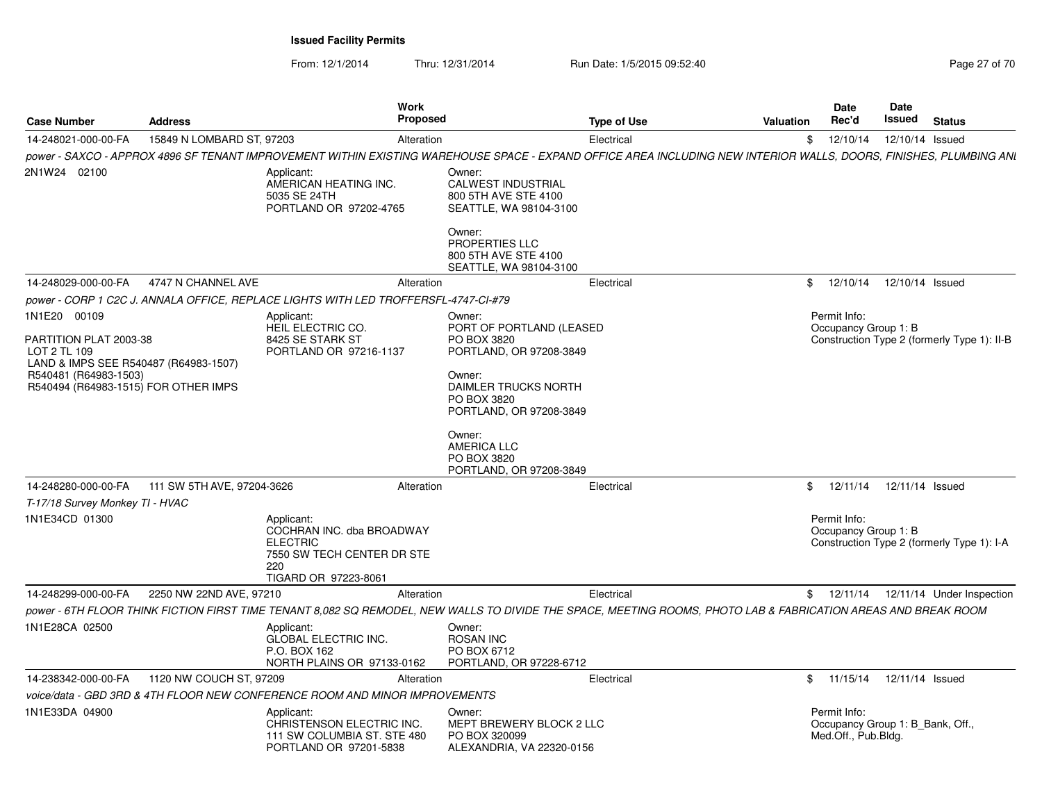| <b>Case Number</b>                                                              | <b>Address</b>             | Work<br><b>Proposed</b>                                                                                                 |                                                                                                                                                                     | <b>Type of Use</b>                                                                                                                                                 | <b>Valuation</b> | <b>Date</b><br>Rec'd                                                    | <b>Date</b><br><b>Issued</b> | <b>Status</b>                               |
|---------------------------------------------------------------------------------|----------------------------|-------------------------------------------------------------------------------------------------------------------------|---------------------------------------------------------------------------------------------------------------------------------------------------------------------|--------------------------------------------------------------------------------------------------------------------------------------------------------------------|------------------|-------------------------------------------------------------------------|------------------------------|---------------------------------------------|
| 14-248021-000-00-FA                                                             | 15849 N LOMBARD ST, 97203  | Alteration                                                                                                              |                                                                                                                                                                     | Electrical                                                                                                                                                         |                  | \$12/10/14                                                              | 12/10/14 Issued              |                                             |
|                                                                                 |                            |                                                                                                                         |                                                                                                                                                                     | power - SAXCO - APPROX 4896 SF TENANT IMPROVEMENT WITHIN EXISTING WAREHOUSE SPACE - EXPAND OFFICE AREA INCLUDING NEW INTERIOR WALLS, DOORS, FINISHES, PLUMBING ANI |                  |                                                                         |                              |                                             |
| 2N1W24 02100                                                                    |                            | Applicant:<br>AMERICAN HEATING INC.<br>5035 SE 24TH<br>PORTLAND OR 97202-4765                                           | Owner:<br><b>CALWEST INDUSTRIAL</b><br>800 5TH AVE STE 4100<br>SEATTLE, WA 98104-3100<br>Owner:<br>PROPERTIES LLC<br>800 5TH AVE STE 4100<br>SEATTLE, WA 98104-3100 |                                                                                                                                                                    |                  |                                                                         |                              |                                             |
| 14-248029-000-00-FA                                                             | 4747 N CHANNEL AVE         | Alteration                                                                                                              |                                                                                                                                                                     | Electrical                                                                                                                                                         | \$               | 12/10/14                                                                | 12/10/14 Issued              |                                             |
|                                                                                 |                            | power - CORP 1 C2C J. ANNALA OFFICE, REPLACE LIGHTS WITH LED TROFFERSFL-4747-CI-#79                                     |                                                                                                                                                                     |                                                                                                                                                                    |                  |                                                                         |                              |                                             |
| 1N1E20 00109                                                                    |                            | Applicant:<br>HEIL ELECTRIC CO.                                                                                         | Owner:<br>PORT OF PORTLAND (LEASED                                                                                                                                  |                                                                                                                                                                    |                  | Permit Info:<br>Occupancy Group 1: B                                    |                              |                                             |
| PARTITION PLAT 2003-38<br>LOT 2 TL 109<br>LAND & IMPS SEE R540487 (R64983-1507) |                            | 8425 SE STARK ST<br>PORTLAND OR 97216-1137                                                                              | PO BOX 3820<br>PORTLAND, OR 97208-3849                                                                                                                              |                                                                                                                                                                    |                  |                                                                         |                              | Construction Type 2 (formerly Type 1): II-B |
| R540481 (R64983-1503)<br>R540494 (R64983-1515) FOR OTHER IMPS                   |                            |                                                                                                                         | Owner:<br><b>DAIMLER TRUCKS NORTH</b><br>PO BOX 3820<br>PORTLAND, OR 97208-3849                                                                                     |                                                                                                                                                                    |                  |                                                                         |                              |                                             |
|                                                                                 |                            |                                                                                                                         | Owner:<br><b>AMERICA LLC</b><br>PO BOX 3820<br>PORTLAND, OR 97208-3849                                                                                              |                                                                                                                                                                    |                  |                                                                         |                              |                                             |
| 14-248280-000-00-FA                                                             | 111 SW 5TH AVE, 97204-3626 | Alteration                                                                                                              |                                                                                                                                                                     | Electrical                                                                                                                                                         | \$               | 12/11/14                                                                | 12/11/14 Issued              |                                             |
| T-17/18 Survey Monkey TI - HVAC                                                 |                            |                                                                                                                         |                                                                                                                                                                     |                                                                                                                                                                    |                  |                                                                         |                              |                                             |
| 1N1E34CD 01300                                                                  |                            | Applicant:<br>COCHRAN INC. dba BROADWAY<br><b>ELECTRIC</b><br>7550 SW TECH CENTER DR STE<br>220<br>TIGARD OR 97223-8061 |                                                                                                                                                                     |                                                                                                                                                                    |                  | Permit Info:<br>Occupancy Group 1: B                                    |                              | Construction Type 2 (formerly Type 1): I-A  |
| 14-248299-000-00-FA                                                             | 2250 NW 22ND AVE, 97210    | Alteration                                                                                                              |                                                                                                                                                                     | Electrical                                                                                                                                                         |                  |                                                                         |                              | \$ 12/11/14 12/11/14 Under Inspection       |
|                                                                                 |                            |                                                                                                                         |                                                                                                                                                                     | power - 6TH FLOOR THINK FICTION FIRST TIME TENANT 8.082 SQ REMODEL, NEW WALLS TO DIVIDE THE SPACE, MEETING ROOMS, PHOTO LAB & FABRICATION AREAS AND BREAK ROOM     |                  |                                                                         |                              |                                             |
| 1N1E28CA 02500                                                                  |                            | Applicant:<br><b>GLOBAL ELECTRIC INC.</b><br>P.O. BOX 162<br>NORTH PLAINS OR 97133-0162                                 | Owner:<br><b>ROSAN INC</b><br>PO BOX 6712<br>PORTLAND, OR 97228-6712                                                                                                |                                                                                                                                                                    |                  |                                                                         |                              |                                             |
| 14-238342-000-00-FA                                                             | 1120 NW COUCH ST, 97209    | Alteration                                                                                                              |                                                                                                                                                                     | Electrical                                                                                                                                                         | \$               | 11/15/14                                                                | 12/11/14 Issued              |                                             |
|                                                                                 |                            | voice/data - GBD 3RD & 4TH FLOOR NEW CONFERENCE ROOM AND MINOR IMPROVEMENTS                                             |                                                                                                                                                                     |                                                                                                                                                                    |                  |                                                                         |                              |                                             |
| 1N1E33DA 04900                                                                  |                            | Applicant:<br>CHRISTENSON ELECTRIC INC.<br>111 SW COLUMBIA ST. STE 480<br>PORTLAND OR 97201-5838                        | Owner:<br>MEPT BREWERY BLOCK 2 LLC<br>PO BOX 320099<br>ALEXANDRIA, VA 22320-0156                                                                                    |                                                                                                                                                                    |                  | Permit Info:<br>Occupancy Group 1: B Bank, Off.,<br>Med.Off., Pub.Bldg. |                              |                                             |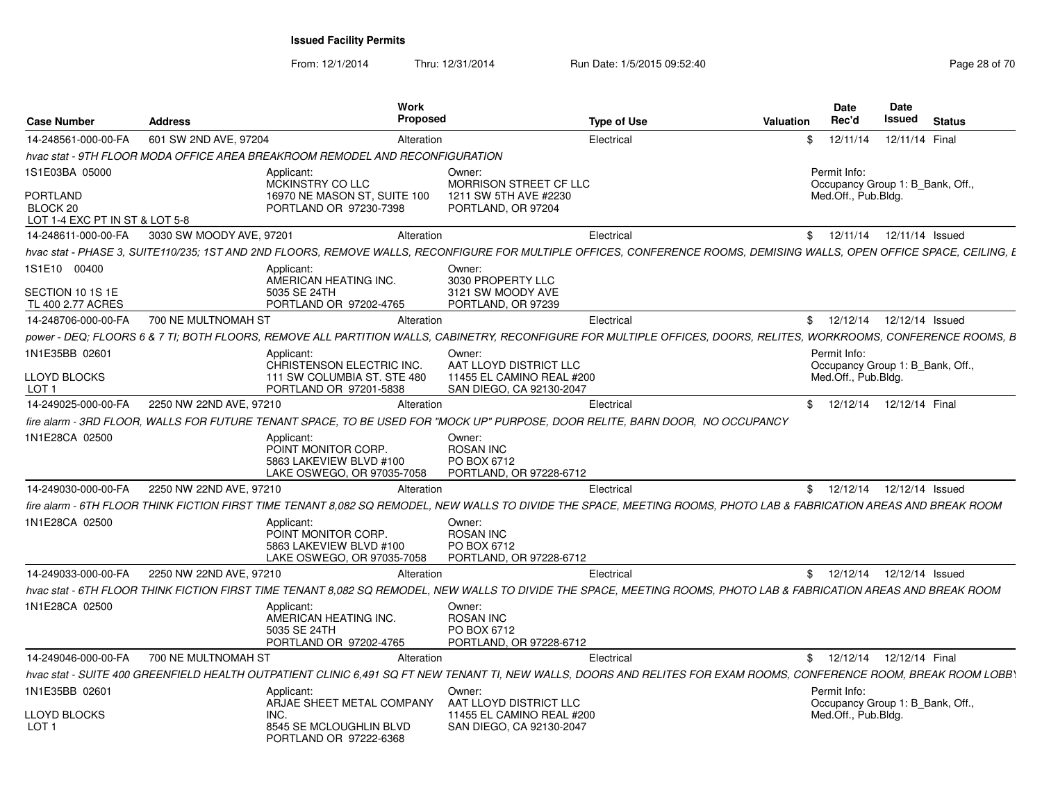| <b>Case Number</b>                                            | <b>Address</b>           | Work<br><b>Proposed</b>                                                                                                                                                |                                                                      | <b>Type of Use</b> | <b>Valuation</b> | <b>Date</b><br>Rec'd | Date<br>Issued<br><b>Status</b>  |  |
|---------------------------------------------------------------|--------------------------|------------------------------------------------------------------------------------------------------------------------------------------------------------------------|----------------------------------------------------------------------|--------------------|------------------|----------------------|----------------------------------|--|
| 14-248561-000-00-FA                                           | 601 SW 2ND AVE, 97204    | Alteration                                                                                                                                                             |                                                                      | Electrical         | \$               | 12/11/14             | 12/11/14 Final                   |  |
|                                                               |                          | hvac stat - 9TH FLOOR MODA OFFICE AREA BREAKROOM REMODEL AND RECONFIGURATION                                                                                           |                                                                      |                    |                  |                      |                                  |  |
| 1S1E03BA 05000                                                |                          | Applicant:<br>MCKINSTRY CO LLC                                                                                                                                         | Owner:<br><b>MORRISON STREET CF LLC</b>                              |                    |                  | Permit Info:         | Occupancy Group 1: B_Bank, Off., |  |
| <b>PORTLAND</b><br>BLOCK 20<br>LOT 1-4 EXC PT IN ST & LOT 5-8 |                          | 16970 NE MASON ST, SUITE 100<br>PORTLAND OR 97230-7398                                                                                                                 | 1211 SW 5TH AVE #2230<br>PORTLAND, OR 97204                          |                    |                  | Med.Off., Pub.Bldg.  |                                  |  |
| 14-248611-000-00-FA                                           | 3030 SW MOODY AVE, 97201 | Alteration                                                                                                                                                             |                                                                      | Electrical         | \$               | 12/11/14             | 12/11/14 Issued                  |  |
|                                                               |                          | hvac stat - PHASE 3. SUITE110/235: 1ST AND 2ND FLOORS. REMOVE WALLS. RECONFIGURE FOR MULTIPLE OFFICES. CONFERENCE ROOMS. DEMISING WALLS. OPEN OFFICE SPACE. CEILING. E |                                                                      |                    |                  |                      |                                  |  |
| 1S1E10 00400                                                  |                          | Applicant:                                                                                                                                                             | Owner:                                                               |                    |                  |                      |                                  |  |
| SECTION 10 1S 1E                                              |                          | AMERICAN HEATING INC.<br>5035 SE 24TH                                                                                                                                  | 3030 PROPERTY LLC<br>3121 SW MOODY AVE                               |                    |                  |                      |                                  |  |
| TL 400 2.77 ACRES                                             |                          | PORTLAND OR 97202-4765                                                                                                                                                 | PORTLAND, OR 97239                                                   |                    |                  |                      |                                  |  |
| 14-248706-000-00-FA                                           | 700 NE MULTNOMAH ST      | Alteration                                                                                                                                                             |                                                                      | Electrical         |                  | \$12/12/14           | 12/12/14 Issued                  |  |
|                                                               |                          | power - DEQ: FLOORS 6 & 7 TI: BOTH FLOORS, REMOVE ALL PARTITION WALLS, CABINETRY, RECONFIGURE FOR MULTIPLE OFFICES, DOORS, RELITES, WORKROOMS, CONFERENCE ROOMS, B     |                                                                      |                    |                  |                      |                                  |  |
| 1N1E35BB 02601                                                |                          | Applicant:<br>CHRISTENSON ELECTRIC INC.                                                                                                                                | Owner:<br>AAT LLOYD DISTRICT LLC                                     |                    |                  | Permit Info:         | Occupancy Group 1: B Bank, Off., |  |
| <b>LLOYD BLOCKS</b><br>LOT <sub>1</sub>                       |                          | 111 SW COLUMBIA ST. STE 480<br>PORTLAND OR 97201-5838                                                                                                                  | 11455 EL CAMINO REAL #200<br>SAN DIEGO, CA 92130-2047                |                    |                  | Med.Off., Pub.Bldg.  |                                  |  |
| 14-249025-000-00-FA                                           | 2250 NW 22ND AVE, 97210  | Alteration                                                                                                                                                             |                                                                      | Electrical         |                  | \$12/12/14           | 12/12/14 Final                   |  |
|                                                               |                          | fire alarm - 3RD FLOOR, WALLS FOR FUTURE TENANT SPACE, TO BE USED FOR "MOCK UP" PURPOSE, DOOR RELITE, BARN DOOR, NO OCCUPANCY                                          |                                                                      |                    |                  |                      |                                  |  |
| 1N1E28CA 02500                                                |                          | Applicant:<br>POINT MONITOR CORP.<br>5863 LAKEVIEW BLVD #100<br>LAKE OSWEGO, OR 97035-7058                                                                             | Owner:<br><b>ROSAN INC</b><br>PO BOX 6712<br>PORTLAND, OR 97228-6712 |                    |                  |                      |                                  |  |
| 14-249030-000-00-FA                                           | 2250 NW 22ND AVE, 97210  | Alteration                                                                                                                                                             |                                                                      | Electrical         |                  | \$12/12/14           | 12/12/14 Issued                  |  |
|                                                               |                          | fire alarm - 6TH FLOOR THINK FICTION FIRST TIME TENANT 8.082 SQ REMODEL. NEW WALLS TO DIVIDE THE SPACE. MEETING ROOMS. PHOTO LAB & FABRICATION AREAS AND BREAK ROOM    |                                                                      |                    |                  |                      |                                  |  |
| 1N1E28CA 02500                                                |                          | Applicant:<br>POINT MONITOR CORP.<br>5863 LAKEVIEW BLVD #100<br>LAKE OSWEGO, OR 97035-7058                                                                             | Owner:<br><b>ROSAN INC</b><br>PO BOX 6712<br>PORTLAND, OR 97228-6712 |                    |                  |                      |                                  |  |
| 14-249033-000-00-FA                                           | 2250 NW 22ND AVE, 97210  | Alteration                                                                                                                                                             |                                                                      | Electrical         |                  |                      | \$ 12/12/14 12/12/14 Issued      |  |
|                                                               |                          | hvac stat - 6TH FLOOR THINK FICTION FIRST TIME TENANT 8,082 SQ REMODEL, NEW WALLS TO DIVIDE THE SPACE, MEETING ROOMS, PHOTO LAB & FABRICATION AREAS AND BREAK ROOM     |                                                                      |                    |                  |                      |                                  |  |
| 1N1E28CA 02500                                                |                          | Applicant:<br>AMERICAN HEATING INC.<br>5035 SE 24TH<br>PORTLAND OR 97202-4765                                                                                          | Owner:<br><b>ROSAN INC</b><br>PO BOX 6712<br>PORTLAND, OR 97228-6712 |                    |                  |                      |                                  |  |
| 14-249046-000-00-FA                                           | 700 NE MULTNOMAH ST      | Alteration                                                                                                                                                             |                                                                      | Electrical         |                  |                      | \$ 12/12/14 12/12/14 Final       |  |
|                                                               |                          | hvac stat - SUITE 400 GREENFIELD HEALTH OUTPATIENT CLINIC 6.491 SQ FT NEW TENANT TI, NEW WALLS, DOORS AND RELITES FOR EXAM ROOMS, CONFERENCE ROOM, BREAK ROOM LOBBY    |                                                                      |                    |                  |                      |                                  |  |
| 1N1E35BB 02601                                                |                          | Applicant:<br>ARJAE SHEET METAL COMPANY                                                                                                                                | Owner:<br>AAT LLOYD DISTRICT LLC                                     |                    |                  | Permit Info:         | Occupancy Group 1: B Bank, Off., |  |
| <b>LLOYD BLOCKS</b><br>LOT <sub>1</sub>                       |                          | INC.<br>8545 SE MCLOUGHLIN BLVD<br>PORTLAND OR 97222-6368                                                                                                              | 11455 EL CAMINO REAL #200<br>SAN DIEGO, CA 92130-2047                |                    |                  | Med.Off., Pub.Bldg.  |                                  |  |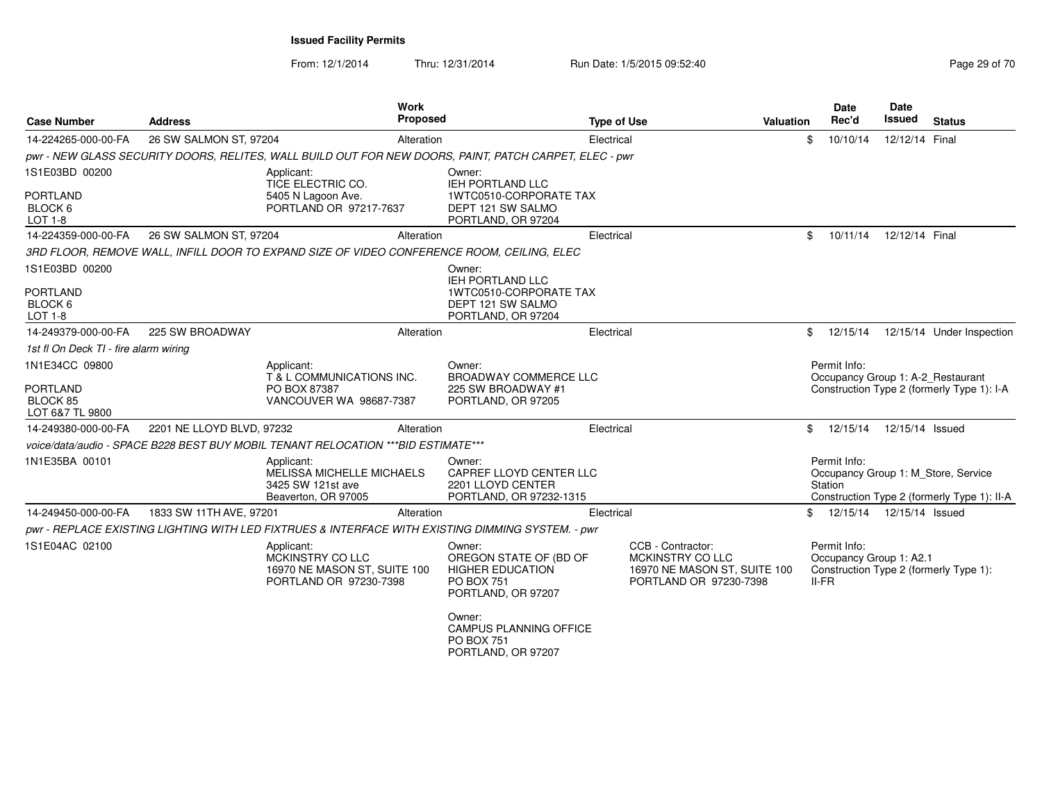| <b>Case Number</b>                                               | <b>Address</b>            |                                                                                                        | <b>Work</b><br>Proposed |                                                                                                        | <b>Type of Use</b> | <b>Valuation</b>                                                                                |     | <b>Date</b><br>Rec'd                               | <b>Date</b><br><b>Issued</b> | <b>Status</b>                                                                      |
|------------------------------------------------------------------|---------------------------|--------------------------------------------------------------------------------------------------------|-------------------------|--------------------------------------------------------------------------------------------------------|--------------------|-------------------------------------------------------------------------------------------------|-----|----------------------------------------------------|------------------------------|------------------------------------------------------------------------------------|
| 14-224265-000-00-FA                                              | 26 SW SALMON ST, 97204    |                                                                                                        | Alteration              |                                                                                                        | Electrical         |                                                                                                 | \$. | 10/10/14                                           | 12/12/14 Final               |                                                                                    |
|                                                                  |                           | pwr - NEW GLASS SECURITY DOORS, RELITES, WALL BUILD OUT FOR NEW DOORS, PAINT, PATCH CARPET, ELEC - pwr |                         |                                                                                                        |                    |                                                                                                 |     |                                                    |                              |                                                                                    |
| 1S1E03BD 00200<br><b>PORTLAND</b><br>BLOCK 6<br><b>LOT 1-8</b>   |                           | Applicant:<br>TICE ELECTRIC CO.<br>5405 N Lagoon Ave.<br>PORTLAND OR 97217-7637                        |                         | Owner:<br>IEH PORTLAND LLC<br>1WTC0510-CORPORATE TAX<br>DEPT 121 SW SALMO<br>PORTLAND, OR 97204        |                    |                                                                                                 |     |                                                    |                              |                                                                                    |
| 14-224359-000-00-FA                                              | 26 SW SALMON ST, 97204    |                                                                                                        | Alteration              |                                                                                                        | Electrical         |                                                                                                 | \$  | 10/11/14                                           | 12/12/14 Final               |                                                                                    |
| 1S1E03BD 00200                                                   |                           | 3RD FLOOR, REMOVE WALL, INFILL DOOR TO EXPAND SIZE OF VIDEO CONFERENCE ROOM, CEILING, ELEC             |                         | Owner:<br><b>IEH PORTLAND LLC</b>                                                                      |                    |                                                                                                 |     |                                                    |                              |                                                                                    |
| <b>PORTLAND</b><br>BLOCK 6<br><b>LOT 1-8</b>                     |                           |                                                                                                        |                         | 1WTC0510-CORPORATE TAX<br>DEPT 121 SW SALMO<br>PORTLAND, OR 97204                                      |                    |                                                                                                 |     |                                                    |                              |                                                                                    |
| 14-249379-000-00-FA                                              | 225 SW BROADWAY           |                                                                                                        | Alteration              |                                                                                                        | Electrical         |                                                                                                 | \$  | 12/15/14                                           |                              | 12/15/14 Under Inspection                                                          |
| 1st fl On Deck TI - fire alarm wiring                            |                           |                                                                                                        |                         |                                                                                                        |                    |                                                                                                 |     |                                                    |                              |                                                                                    |
| 1N1E34CC 09800<br><b>PORTLAND</b><br>BLOCK 85<br>LOT 6&7 TL 9800 |                           | Applicant:<br>T & L COMMUNICATIONS INC.<br>PO BOX 87387<br>VANCOUVER WA 98687-7387                     |                         | Owner:<br><b>BROADWAY COMMERCE LLC</b><br>225 SW BROADWAY #1<br>PORTLAND, OR 97205                     |                    |                                                                                                 |     | Permit Info:<br>Occupancy Group 1: A-2_Restaurant  |                              | Construction Type 2 (formerly Type 1): I-A                                         |
| 14-249380-000-00-FA                                              | 2201 NE LLOYD BLVD, 97232 |                                                                                                        | Alteration              |                                                                                                        | Electrical         |                                                                                                 | \$  | 12/15/14                                           | 12/15/14 Issued              |                                                                                    |
|                                                                  |                           | voice/data/audio - SPACE B228 BEST BUY MOBIL TENANT RELOCATION *** BID ESTIMATE***                     |                         |                                                                                                        |                    |                                                                                                 |     |                                                    |                              |                                                                                    |
| 1N1E35BA 00101                                                   |                           | Applicant:<br><b>MELISSA MICHELLE MICHAELS</b><br>3425 SW 121st ave<br>Beaverton, OR 97005             |                         | Owner:<br>CAPREF LLOYD CENTER LLC<br>2201 LLOYD CENTER<br>PORTLAND, OR 97232-1315                      |                    |                                                                                                 |     | Permit Info:<br>Station                            |                              | Occupancy Group 1: M Store, Service<br>Construction Type 2 (formerly Type 1): II-A |
| 14-249450-000-00-FA                                              | 1833 SW 11TH AVE, 97201   |                                                                                                        | Alteration              |                                                                                                        | Electrical         |                                                                                                 | \$  | 12/15/14                                           | 12/15/14 Issued              |                                                                                    |
|                                                                  |                           | pwr - REPLACE EXISTING LIGHTING WITH LED FIXTRUES & INTERFACE WITH EXISTING DIMMING SYSTEM. - pwr      |                         |                                                                                                        |                    |                                                                                                 |     |                                                    |                              |                                                                                    |
| 1S1E04AC 02100                                                   |                           | Applicant:<br>MCKINSTRY CO LLC<br>16970 NE MASON ST, SUITE 100<br>PORTLAND OR 97230-7398               |                         | Owner:<br>OREGON STATE OF (BD OF<br><b>HIGHER EDUCATION</b><br><b>PO BOX 751</b><br>PORTLAND, OR 97207 |                    | CCB - Contractor:<br>MCKINSTRY CO LLC<br>16970 NE MASON ST, SUITE 100<br>PORTLAND OR 97230-7398 |     | Permit Info:<br>Occupancy Group 1: A2.1<br>$II-FR$ |                              | Construction Type 2 (formerly Type 1):                                             |
|                                                                  |                           |                                                                                                        |                         | Owner:<br><b>CAMPUS PLANNING OFFICE</b><br><b>PO BOX 751</b><br>PORTLAND, OR 97207                     |                    |                                                                                                 |     |                                                    |                              |                                                                                    |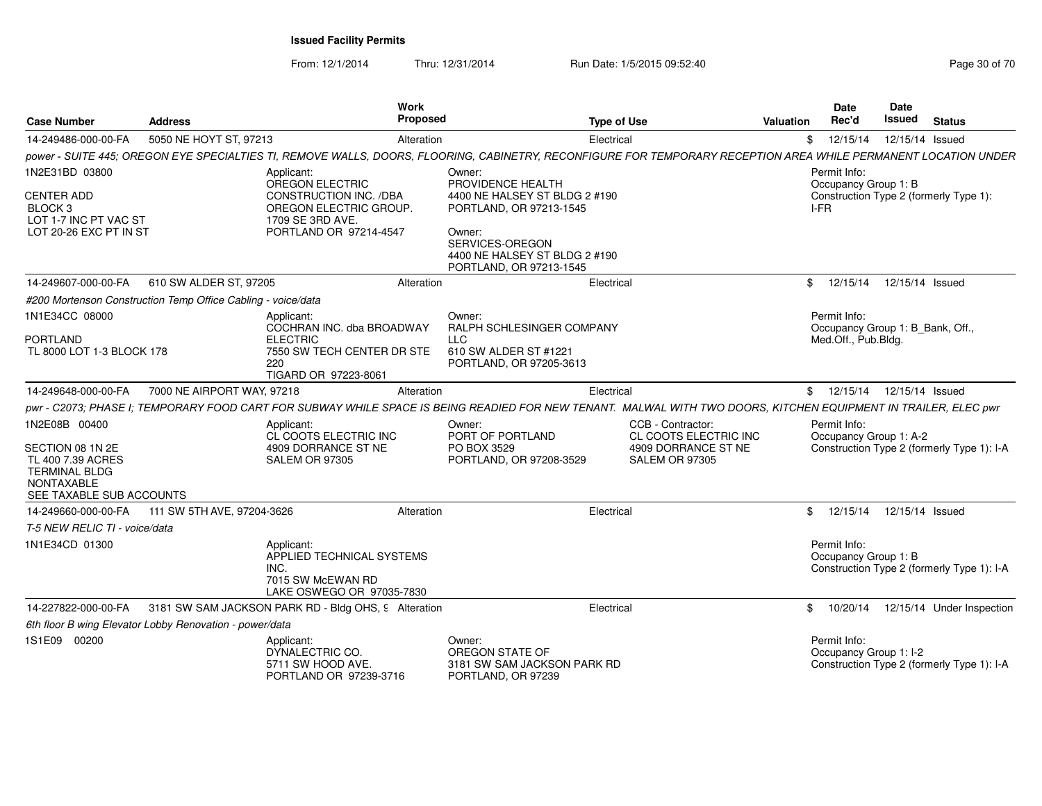| <b>Case Number</b>                                                                                                              | <b>Address</b>                                               | Work<br>Proposed                                                                                                                                                |                                                                                                                                                                                  | <b>Type of Use</b>                                                                         | Valuation | <b>Date</b><br>Rec'd                                                    | <b>Date</b><br>Issued | <b>Status</b>                              |
|---------------------------------------------------------------------------------------------------------------------------------|--------------------------------------------------------------|-----------------------------------------------------------------------------------------------------------------------------------------------------------------|----------------------------------------------------------------------------------------------------------------------------------------------------------------------------------|--------------------------------------------------------------------------------------------|-----------|-------------------------------------------------------------------------|-----------------------|--------------------------------------------|
| 14-249486-000-00-FA                                                                                                             | 5050 NE HOYT ST, 97213                                       | Alteration                                                                                                                                                      |                                                                                                                                                                                  | Electrical                                                                                 |           | \$12/15/14                                                              |                       | 12/15/14 Issued                            |
|                                                                                                                                 |                                                              | power - SUITE 445; OREGON EYE SPECIALTIES TI, REMOVE WALLS, DOORS, FLOORING, CABINETRY, RECONFIGURE FOR TEMPORARY RECEPTION AREA WHILE PERMANENT LOCATION UNDER |                                                                                                                                                                                  |                                                                                            |           |                                                                         |                       |                                            |
| 1N2E31BD 03800<br><b>CENTER ADD</b><br>BLOCK <sub>3</sub><br>LOT 1-7 INC PT VAC ST<br>LOT 20-26 EXC PT IN ST                    |                                                              | Applicant:<br>OREGON ELECTRIC<br><b>CONSTRUCTION INC. /DBA</b><br>OREGON ELECTRIC GROUP.<br>1709 SE 3RD AVE.<br>PORTLAND OR 97214-4547                          | Owner:<br>PROVIDENCE HEALTH<br>4400 NE HALSEY ST BLDG 2 #190<br>PORTLAND, OR 97213-1545<br>Owner:<br>SERVICES-OREGON<br>4400 NE HALSEY ST BLDG 2 #190<br>PORTLAND, OR 97213-1545 |                                                                                            |           | Permit Info:<br>Occupancy Group 1: B<br>I-FR                            |                       | Construction Type 2 (formerly Type 1):     |
| 14-249607-000-00-FA                                                                                                             | 610 SW ALDER ST, 97205                                       | Alteration                                                                                                                                                      |                                                                                                                                                                                  | Electrical                                                                                 |           | \$ 12/15/14 12/15/14 Issued                                             |                       |                                            |
|                                                                                                                                 | #200 Mortenson Construction Temp Office Cabling - voice/data |                                                                                                                                                                 |                                                                                                                                                                                  |                                                                                            |           |                                                                         |                       |                                            |
| 1N1E34CC 08000<br><b>PORTLAND</b><br>TL 8000 LOT 1-3 BLOCK 178                                                                  |                                                              | Applicant:<br>COCHRAN INC. dba BROADWAY<br><b>ELECTRIC</b><br>7550 SW TECH CENTER DR STE<br>220<br>TIGARD OR 97223-8061                                         | Owner:<br>RALPH SCHLESINGER COMPANY<br><b>LLC</b><br>610 SW ALDER ST #1221<br>PORTLAND, OR 97205-3613                                                                            |                                                                                            |           | Permit Info:<br>Occupancy Group 1: B_Bank, Off.,<br>Med.Off., Pub.Bldg. |                       |                                            |
| 14-249648-000-00-FA                                                                                                             | 7000 NE AIRPORT WAY, 97218                                   | Alteration                                                                                                                                                      |                                                                                                                                                                                  | Electrical                                                                                 |           | \$ 12/15/14 12/15/14 Issued                                             |                       |                                            |
|                                                                                                                                 |                                                              | pwr - C2073; PHASE I; TEMPORARY FOOD CART FOR SUBWAY WHILE SPACE IS BEING READIED FOR NEW TENANT. MALWAL WITH TWO DOORS, KITCHEN EQUIPMENT IN TRAILER, ELEC pwr |                                                                                                                                                                                  |                                                                                            |           |                                                                         |                       |                                            |
| 1N2E08B 00400<br>SECTION 08 1N 2E<br>TL 400 7.39 ACRES<br><b>TERMINAL BLDG</b><br><b>NONTAXABLE</b><br>SEE TAXABLE SUB ACCOUNTS |                                                              | Applicant:<br>CL COOTS ELECTRIC INC<br>4909 DORRANCE ST NE<br>SALEM OR 97305                                                                                    | Owner:<br>PORT OF PORTLAND<br>PO BOX 3529<br>PORTLAND, OR 97208-3529                                                                                                             | CCB - Contractor:<br>CL COOTS ELECTRIC INC<br>4909 DORRANCE ST NE<br><b>SALEM OR 97305</b> |           | Permit Info:<br>Occupancy Group 1: A-2                                  |                       | Construction Type 2 (formerly Type 1): I-A |
| 14-249660-000-00-FA                                                                                                             | 111 SW 5TH AVE, 97204-3626                                   | Alteration                                                                                                                                                      |                                                                                                                                                                                  | Electrical                                                                                 |           | \$12/15/14                                                              |                       | 12/15/14 Issued                            |
| T-5 NEW RELIC TI - voice/data                                                                                                   |                                                              |                                                                                                                                                                 |                                                                                                                                                                                  |                                                                                            |           |                                                                         |                       |                                            |
| 1N1E34CD 01300                                                                                                                  |                                                              | Applicant:<br>APPLIED TECHNICAL SYSTEMS<br>INC.<br>7015 SW McEWAN RD<br>LAKE OSWEGO OR 97035-7830                                                               |                                                                                                                                                                                  |                                                                                            |           | Permit Info:<br>Occupancy Group 1: B                                    |                       | Construction Type 2 (formerly Type 1): I-A |
| 14-227822-000-00-FA                                                                                                             |                                                              | 3181 SW SAM JACKSON PARK RD - Bldg OHS, 9 Alteration                                                                                                            |                                                                                                                                                                                  | Electrical                                                                                 |           | \$10/20/14                                                              |                       | 12/15/14 Under Inspection                  |
|                                                                                                                                 | 6th floor B wing Elevator Lobby Renovation - power/data      |                                                                                                                                                                 |                                                                                                                                                                                  |                                                                                            |           |                                                                         |                       |                                            |
| 1S1E09 00200                                                                                                                    |                                                              | Applicant:<br>DYNALECTRIC CO.<br>5711 SW HOOD AVE.<br>PORTLAND OR 97239-3716                                                                                    | Owner:<br>OREGON STATE OF<br>3181 SW SAM JACKSON PARK RD<br>PORTLAND, OR 97239                                                                                                   |                                                                                            |           | Permit Info:<br>Occupancy Group 1: I-2                                  |                       | Construction Type 2 (formerly Type 1): I-A |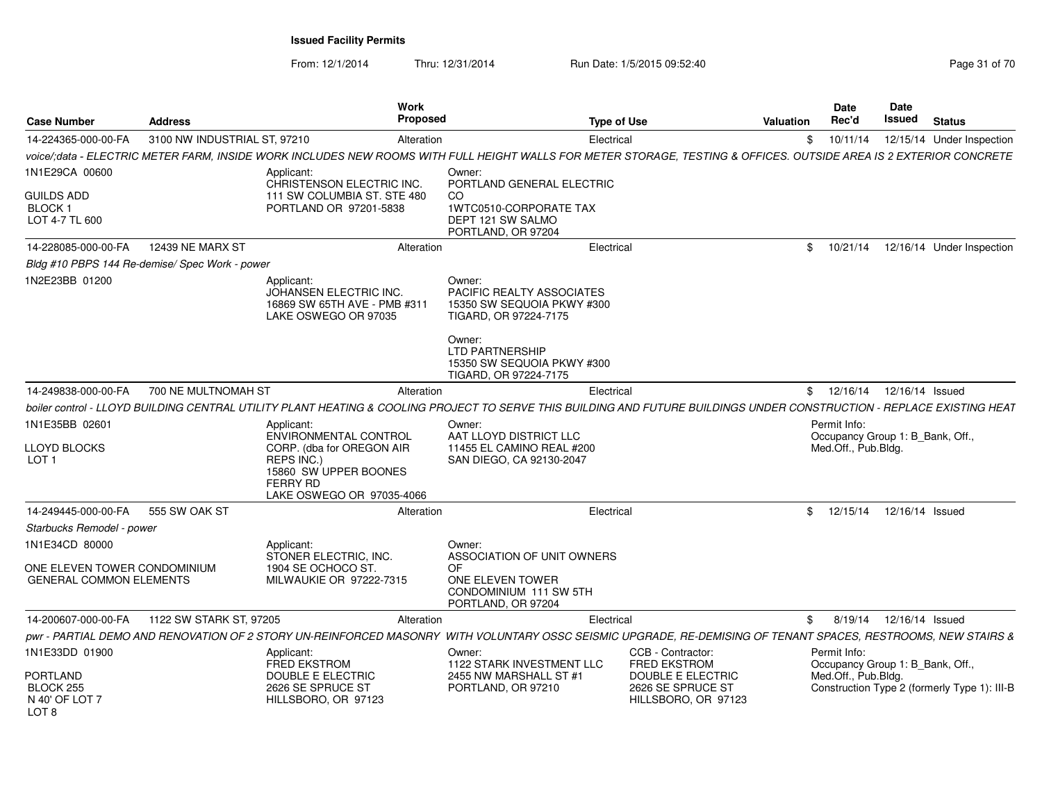| <b>Case Number</b>                                             | <b>Address</b>                                 | Work<br><b>Proposed</b>                                                                                                                                                |                                                                                                                                | <b>Type of Use</b>                                            | <b>Valuation</b> | <b>Date</b><br>Rec'd                                                    | <b>Date</b><br>Issued | <b>Status</b>                                |
|----------------------------------------------------------------|------------------------------------------------|------------------------------------------------------------------------------------------------------------------------------------------------------------------------|--------------------------------------------------------------------------------------------------------------------------------|---------------------------------------------------------------|------------------|-------------------------------------------------------------------------|-----------------------|----------------------------------------------|
| 14-224365-000-00-FA                                            | 3100 NW INDUSTRIAL ST, 97210                   | Alteration                                                                                                                                                             | Electrical                                                                                                                     |                                                               | \$               | 10/11/14                                                                |                       | 12/15/14 Under Inspection                    |
|                                                                |                                                | voice/;data - ELECTRIC METER FARM, INSIDE WORK INCLUDES NEW ROOMS WITH FULL HEIGHT WALLS FOR METER STORAGE, TESTING & OFFICES. OUTSIDE AREA IS 2 EXTERIOR CONCRETE     |                                                                                                                                |                                                               |                  |                                                                         |                       |                                              |
| 1N1E29CA 00600                                                 |                                                | Applicant:<br>CHRISTENSON ELECTRIC INC.                                                                                                                                | Owner:<br>PORTLAND GENERAL ELECTRIC                                                                                            |                                                               |                  |                                                                         |                       |                                              |
| GUILDS ADD<br>BLOCK 1<br>LOT 4-7 TL 600                        |                                                | 111 SW COLUMBIA ST. STE 480<br>PORTLAND OR 97201-5838                                                                                                                  | CO<br>1WTC0510-CORPORATE TAX<br>DEPT 121 SW SALMO<br>PORTLAND, OR 97204                                                        |                                                               |                  |                                                                         |                       |                                              |
| 14-228085-000-00-FA                                            | <b>12439 NE MARX ST</b>                        | Alteration                                                                                                                                                             | Electrical                                                                                                                     |                                                               |                  | \$10/21/14                                                              |                       | 12/16/14 Under Inspection                    |
|                                                                | Bldg #10 PBPS 144 Re-demise/ Spec Work - power |                                                                                                                                                                        |                                                                                                                                |                                                               |                  |                                                                         |                       |                                              |
| IN2E23BB 01200                                                 |                                                | Applicant:<br>JOHANSEN ELECTRIC INC.<br>16869 SW 65TH AVE - PMB #311<br>LAKE OSWEGO OR 97035                                                                           | Owner:<br>PACIFIC REALTY ASSOCIATES<br>15350 SW SEQUOIA PKWY #300<br>TIGARD, OR 97224-7175<br>Owner:<br><b>LTD PARTNERSHIP</b> |                                                               |                  |                                                                         |                       |                                              |
|                                                                |                                                |                                                                                                                                                                        | 15350 SW SEQUOIA PKWY #300<br>TIGARD, OR 97224-7175                                                                            |                                                               |                  |                                                                         |                       |                                              |
| 14-249838-000-00-FA                                            | 700 NE MULTNOMAH ST                            | Alteration                                                                                                                                                             | Electrical                                                                                                                     |                                                               |                  | \$ 12/16/14 12/16/14 Issued                                             |                       |                                              |
|                                                                |                                                | boiler control - LLOYD BUILDING CENTRAL UTILITY PLANT HEATING & COOLING PROJECT TO SERVE THIS BUILDING AND FUTURE BUILDINGS UNDER CONSTRUCTION - REPLACE EXISTING HEAT |                                                                                                                                |                                                               |                  |                                                                         |                       |                                              |
| 1N1E35BB 02601<br>LLOYD BLOCKS                                 |                                                | Applicant:<br><b>ENVIRONMENTAL CONTROL</b><br>CORP. (dba for OREGON AIR                                                                                                | Owner:<br>AAT LLOYD DISTRICT LLC<br>11455 EL CAMINO REAL #200                                                                  |                                                               |                  | Permit Info:<br>Occupancy Group 1: B Bank, Off.,<br>Med.Off., Pub.Bldg. |                       |                                              |
| LOT <sub>1</sub>                                               |                                                | REPS INC.)<br>15860 SW UPPER BOONES<br><b>FERRY RD</b><br>LAKE OSWEGO OR 97035-4066                                                                                    | SAN DIEGO, CA 92130-2047                                                                                                       |                                                               |                  |                                                                         |                       |                                              |
| 14-249445-000-00-FA                                            | 555 SW OAK ST                                  | Alteration                                                                                                                                                             | Electrical                                                                                                                     |                                                               |                  | \$ 12/15/14 12/16/14 Issued                                             |                       |                                              |
| Starbucks Remodel - power                                      |                                                |                                                                                                                                                                        |                                                                                                                                |                                                               |                  |                                                                         |                       |                                              |
| 1N1E34CD 80000                                                 |                                                | Applicant:<br>STONER ELECTRIC, INC.                                                                                                                                    | Owner:<br>ASSOCIATION OF UNIT OWNERS                                                                                           |                                                               |                  |                                                                         |                       |                                              |
| ONE ELEVEN TOWER CONDOMINIUM<br><b>GENERAL COMMON ELEMENTS</b> |                                                | 1904 SE OCHOCO ST.<br>MILWAUKIE OR 97222-7315                                                                                                                          | OF<br>ONE ELEVEN TOWER<br>CONDOMINIUM 111 SW 5TH<br>PORTLAND, OR 97204                                                         |                                                               |                  |                                                                         |                       |                                              |
| 14-200607-000-00-FA                                            | 1122 SW STARK ST, 97205                        | Alteration                                                                                                                                                             | Electrical                                                                                                                     |                                                               | \$               | 8/19/14  12/16/14  Issued                                               |                       |                                              |
|                                                                |                                                | pwr - PARTIAL DEMO AND RENOVATION OF 2 STORY UN-REINFORCED MASONRY WITH VOLUNTARY OSSC SEISMIC UPGRADE, RE-DEMISING OF TENANT SPACES, RESTROOMS, NEW STAIRS &          |                                                                                                                                |                                                               |                  |                                                                         |                       |                                              |
| 1N1E33DD 01900                                                 |                                                | Applicant:<br><b>FRED EKSTROM</b>                                                                                                                                      | Owner:<br>1122 STARK INVESTMENT LLC                                                                                            | CCB - Contractor:<br><b>FRED EKSTROM</b>                      |                  | Permit Info:<br>Occupancy Group 1: B_Bank, Off.,                        |                       |                                              |
| PORTLAND<br>BLOCK 255<br>N 40' OF LOT 7<br>LOT <sub>8</sub>    |                                                | DOUBLE E ELECTRIC<br>2626 SE SPRUCE ST<br>HILLSBORO, OR 97123                                                                                                          | 2455 NW MARSHALL ST #1<br>PORTLAND, OR 97210                                                                                   | DOUBLE E ELECTRIC<br>2626 SE SPRUCE ST<br>HILLSBORO, OR 97123 |                  | Med.Off., Pub.Bldg.                                                     |                       | Construction Type 2 (formerly Type 1): III-B |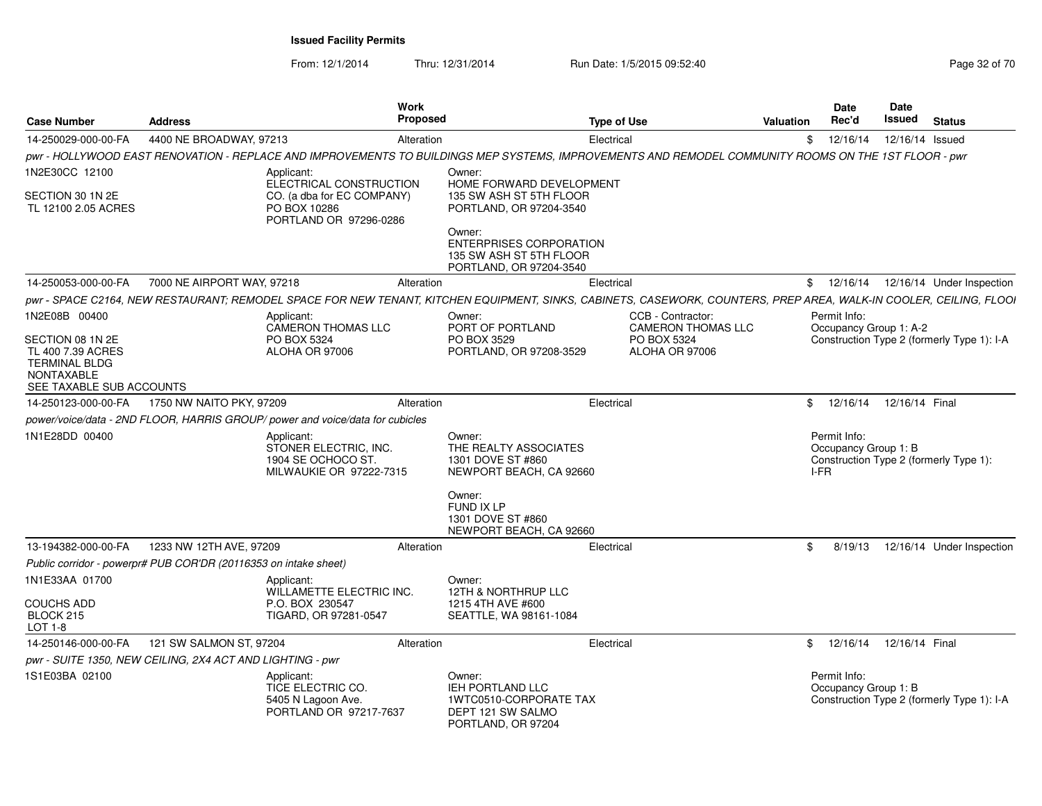| <b>Case Number</b>                                                                                                              | <b>Address</b>                                                   | <b>Work</b><br>Proposed                                                                                                                                            |                                                                                                                                                                | <b>Type of Use</b>                                                              | Valuation    | Date<br>Rec'd                                | <b>Date</b><br>Issued | <b>Status</b>                              |
|---------------------------------------------------------------------------------------------------------------------------------|------------------------------------------------------------------|--------------------------------------------------------------------------------------------------------------------------------------------------------------------|----------------------------------------------------------------------------------------------------------------------------------------------------------------|---------------------------------------------------------------------------------|--------------|----------------------------------------------|-----------------------|--------------------------------------------|
| 14-250029-000-00-FA                                                                                                             | 4400 NE BROADWAY, 97213                                          | Alteration                                                                                                                                                         |                                                                                                                                                                | Electrical                                                                      | \$           | 12/16/14                                     | 12/16/14 Issued       |                                            |
|                                                                                                                                 |                                                                  | pwr - HOLLYWOOD EAST RENOVATION - REPLACE AND IMPROVEMENTS TO BUILDINGS MEP SYSTEMS. IMPROVEMENTS AND REMODEL COMMUNITY ROOMS ON THE 1ST FLOOR - pwr               |                                                                                                                                                                |                                                                                 |              |                                              |                       |                                            |
| 1N2E30CC 12100                                                                                                                  |                                                                  | Applicant:<br>ELECTRICAL CONSTRUCTION                                                                                                                              | Owner:<br>HOME FORWARD DEVELOPMENT                                                                                                                             |                                                                                 |              |                                              |                       |                                            |
| SECTION 30 1N 2E<br>TL 12100 2.05 ACRES                                                                                         |                                                                  | CO. (a dba for EC COMPANY)<br>PO BOX 10286<br>PORTLAND OR 97296-0286                                                                                               | 135 SW ASH ST 5TH FLOOR<br>PORTLAND, OR 97204-3540<br>Owner:<br><b>ENTERPRISES CORPORATION</b>                                                                 |                                                                                 |              |                                              |                       |                                            |
|                                                                                                                                 |                                                                  |                                                                                                                                                                    | 135 SW ASH ST 5TH FLOOR<br>PORTLAND, OR 97204-3540                                                                                                             |                                                                                 |              |                                              |                       |                                            |
| 14-250053-000-00-FA                                                                                                             | 7000 NE AIRPORT WAY, 97218                                       | Alteration                                                                                                                                                         |                                                                                                                                                                | Electrical                                                                      |              |                                              |                       | \$ 12/16/14 12/16/14 Under Inspection      |
|                                                                                                                                 |                                                                  | pwr - SPACE C2164, NEW RESTAURANT; REMODEL SPACE FOR NEW TENANT, KITCHEN EQUIPMENT, SINKS, CABINETS, CASEWORK, COUNTERS, PREP AREA, WALK-IN COOLER, CEILING, FLOOI |                                                                                                                                                                |                                                                                 |              |                                              |                       |                                            |
| 1N2E08B 00400<br>SECTION 08 1N 2E<br>TL 400 7.39 ACRES<br><b>TERMINAL BLDG</b><br><b>NONTAXABLE</b><br>SEE TAXABLE SUB ACCOUNTS |                                                                  | Applicant:<br><b>CAMERON THOMAS LLC</b><br>PO BOX 5324<br>ALOHA OR 97006                                                                                           | Owner:<br>PORT OF PORTLAND<br>PO BOX 3529<br>PORTLAND, OR 97208-3529                                                                                           | CCB - Contractor:<br><b>CAMERON THOMAS LLC</b><br>PO BOX 5324<br>ALOHA OR 97006 |              | Permit Info:<br>Occupancy Group 1: A-2       |                       | Construction Type 2 (formerly Type 1): I-A |
| 14-250123-000-00-FA                                                                                                             | 1750 NW NAITO PKY, 97209                                         | Alteration                                                                                                                                                         |                                                                                                                                                                | Electrical                                                                      | \$           | 12/16/14                                     | 12/16/14 Final        |                                            |
|                                                                                                                                 |                                                                  | power/voice/data - 2ND FLOOR, HARRIS GROUP/ power and voice/data for cubicles                                                                                      |                                                                                                                                                                |                                                                                 |              |                                              |                       |                                            |
| 1N1E28DD 00400                                                                                                                  |                                                                  | Applicant:<br>STONER ELECTRIC, INC.<br>1904 SE OCHOCO ST.<br>MILWAUKIE OR 97222-7315                                                                               | Owner:<br>THE REALTY ASSOCIATES<br>1301 DOVE ST #860<br>NEWPORT BEACH, CA 92660<br>Owner:<br><b>FUND IX LP</b><br>1301 DOVE ST #860<br>NEWPORT BEACH, CA 92660 |                                                                                 |              | Permit Info:<br>Occupancy Group 1: B<br>I-FR |                       | Construction Type 2 (formerly Type 1):     |
| 13-194382-000-00-FA                                                                                                             | 1233 NW 12TH AVE, 97209                                          | Alteration                                                                                                                                                         |                                                                                                                                                                | Electrical                                                                      | \$           | 8/19/13                                      |                       | 12/16/14 Under Inspection                  |
|                                                                                                                                 | Public corridor - powerpr# PUB COR'DR (20116353 on intake sheet) |                                                                                                                                                                    |                                                                                                                                                                |                                                                                 |              |                                              |                       |                                            |
| 1N1E33AA 01700<br><b>COUCHS ADD</b><br>BLOCK 215<br>LOT 1-8                                                                     |                                                                  | Applicant:<br><b>WILLAMETTE ELECTRIC INC.</b><br>P.O. BOX 230547<br>TIGARD, OR 97281-0547                                                                          | Owner:<br><b>12TH &amp; NORTHRUP LLC</b><br>1215 4TH AVE #600<br>SEATTLE, WA 98161-1084                                                                        |                                                                                 |              |                                              |                       |                                            |
| 14-250146-000-00-FA                                                                                                             | 121 SW SALMON ST, 97204                                          | Alteration                                                                                                                                                         |                                                                                                                                                                | Electrical                                                                      | $\mathbb{S}$ | 12/16/14                                     | 12/16/14 Final        |                                            |
|                                                                                                                                 | pwr - SUITE 1350, NEW CEILING, 2X4 ACT AND LIGHTING - pwr        |                                                                                                                                                                    |                                                                                                                                                                |                                                                                 |              |                                              |                       |                                            |
| 1S1E03BA 02100                                                                                                                  |                                                                  | Applicant:<br>TICE ELECTRIC CO.<br>5405 N Lagoon Ave.<br>PORTLAND OR 97217-7637                                                                                    | Owner:<br><b>IEH PORTLAND LLC</b><br>1WTC0510-CORPORATE TAX<br>DEPT 121 SW SALMO<br>PORTLAND, OR 97204                                                         |                                                                                 |              | Permit Info:<br>Occupancy Group 1: B         |                       | Construction Type 2 (formerly Type 1): I-A |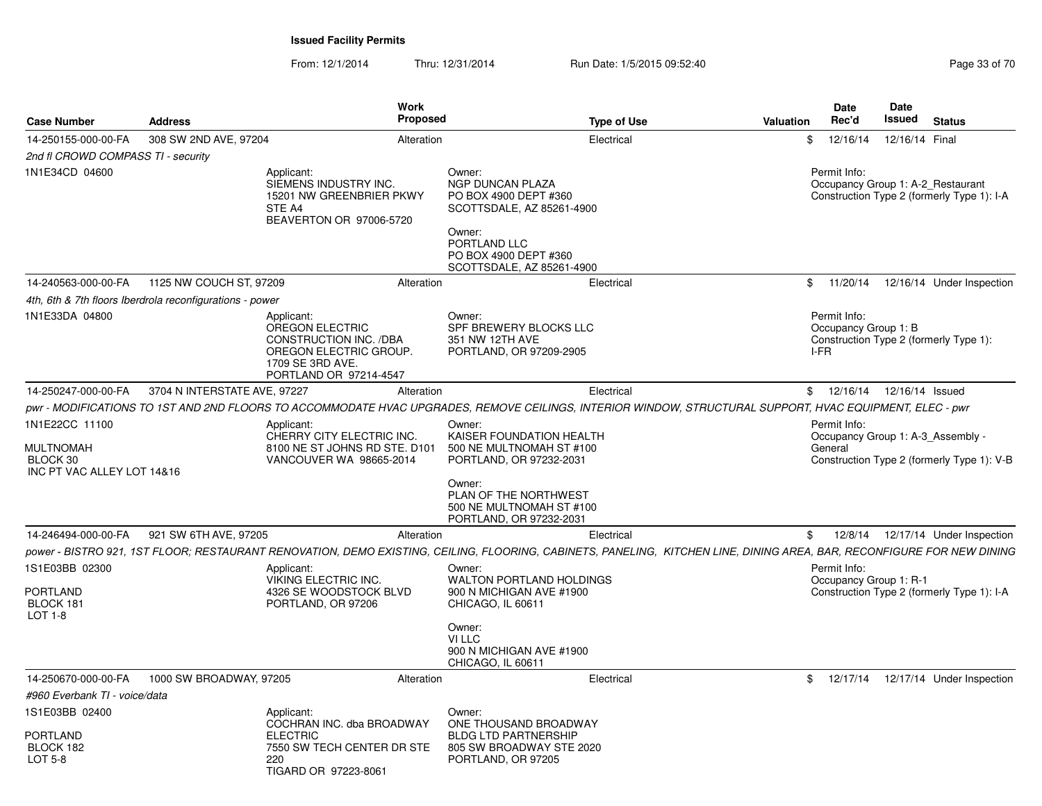| <b>Case Number</b>                                                           | <b>Address</b>                                           | Work<br><b>Proposed</b>                                                                                                                                                |                                                                                                                                                                  | <b>Type of Use</b> | Valuation | Date<br>Rec'd                                | Date<br>Issued             | <b>Status</b>                                                                   |
|------------------------------------------------------------------------------|----------------------------------------------------------|------------------------------------------------------------------------------------------------------------------------------------------------------------------------|------------------------------------------------------------------------------------------------------------------------------------------------------------------|--------------------|-----------|----------------------------------------------|----------------------------|---------------------------------------------------------------------------------|
| 14-250155-000-00-FA                                                          | 308 SW 2ND AVE, 97204                                    | Alteration                                                                                                                                                             |                                                                                                                                                                  | Electrical         | \$        | 12/16/14                                     | 12/16/14 Final             |                                                                                 |
| 2nd fl CROWD COMPASS TI - security                                           |                                                          |                                                                                                                                                                        |                                                                                                                                                                  |                    |           |                                              |                            |                                                                                 |
| 1N1E34CD 04600                                                               |                                                          | Applicant:<br>SIEMENS INDUSTRY INC.<br>15201 NW GREENBRIER PKWY<br>STE A4<br>BEAVERTON OR 97006-5720                                                                   | Owner:<br>NGP DUNCAN PLAZA<br>PO BOX 4900 DEPT #360<br>SCOTTSDALE, AZ 85261-4900<br>Owner:<br>PORTLAND LLC<br>PO BOX 4900 DEPT #360<br>SCOTTSDALE, AZ 85261-4900 |                    |           | Permit Info:                                 |                            | Occupancy Group 1: A-2_Restaurant<br>Construction Type 2 (formerly Type 1): I-A |
| 14-240563-000-00-FA                                                          | 1125 NW COUCH ST, 97209                                  | Alteration                                                                                                                                                             |                                                                                                                                                                  | Electrical         |           | \$11/20/14                                   |                            | 12/16/14 Under Inspection                                                       |
|                                                                              | 4th, 6th & 7th floors Iberdrola reconfigurations - power |                                                                                                                                                                        |                                                                                                                                                                  |                    |           |                                              |                            |                                                                                 |
| 1N1E33DA 04800                                                               |                                                          | Applicant:<br>OREGON ELECTRIC<br>CONSTRUCTION INC. /DBA<br>OREGON ELECTRIC GROUP.<br>1709 SE 3RD AVE.<br>PORTLAND OR 97214-4547                                        | Owner:<br>SPF BREWERY BLOCKS LLC<br>351 NW 12TH AVE<br>PORTLAND, OR 97209-2905                                                                                   |                    |           | Permit Info:<br>Occupancy Group 1: B<br>I-FR |                            | Construction Type 2 (formerly Type 1):                                          |
| 14-250247-000-00-FA                                                          | 3704 N INTERSTATE AVE, 97227                             | Alteration                                                                                                                                                             |                                                                                                                                                                  | Electrical         | \$        |                                              | 12/16/14  12/16/14  Issued |                                                                                 |
|                                                                              |                                                          | pwr - MODIFICATIONS TO 1ST AND 2ND FLOORS TO ACCOMMODATE HVAC UPGRADES. REMOVE CEILINGS. INTERIOR WINDOW. STRUCTURAL SUPPORT. HVAC EQUIPMENT. ELEC - pwr               |                                                                                                                                                                  |                    |           |                                              |                            |                                                                                 |
| 1N1E22CC 11100<br><b>MULTNOMAH</b><br>BLOCK 30<br>INC PT VAC ALLEY LOT 14&16 |                                                          | Applicant:<br>CHERRY CITY ELECTRIC INC.<br>8100 NE ST JOHNS RD STE. D101<br>VANCOUVER WA 98665-2014                                                                    | Owner:<br>KAISER FOUNDATION HEALTH<br>500 NE MULTNOMAH ST #100<br>PORTLAND, OR 97232-2031<br>Owner:<br>PLAN OF THE NORTHWEST<br>500 NE MULTNOMAH ST #100         |                    |           | Permit Info:<br>General                      |                            | Occupancy Group 1: A-3 Assembly -<br>Construction Type 2 (formerly Type 1): V-B |
|                                                                              |                                                          |                                                                                                                                                                        | PORTLAND, OR 97232-2031                                                                                                                                          |                    |           |                                              |                            |                                                                                 |
| 14-246494-000-00-FA                                                          | 921 SW 6TH AVE, 97205                                    | Alteration                                                                                                                                                             |                                                                                                                                                                  | Electrical         | \$        | 12/8/14                                      |                            | 12/17/14 Under Inspection                                                       |
|                                                                              |                                                          | power - BISTRO 921, 1ST FLOOR; RESTAURANT RENOVATION, DEMO EXISTING, CEILING, FLOORING, CABINETS, PANELING, KITCHEN LINE, DINING AREA, BAR, RECONFIGURE FOR NEW DINING |                                                                                                                                                                  |                    |           |                                              |                            |                                                                                 |
| 1S1E03BB 02300<br>PORTLAND<br>BLOCK 181<br>LOT 1-8                           |                                                          | Applicant:<br>VIKING ELECTRIC INC.<br>4326 SE WOODSTOCK BLVD<br>PORTLAND, OR 97206                                                                                     | Owner:<br><b>WALTON PORTLAND HOLDINGS</b><br>900 N MICHIGAN AVE #1900<br>CHICAGO, IL 60611                                                                       |                    |           | Permit Info:<br>Occupancy Group 1: R-1       |                            | Construction Type 2 (formerly Type 1): I-A                                      |
|                                                                              |                                                          |                                                                                                                                                                        | Owner:<br>VI LLC<br>900 N MICHIGAN AVE #1900<br>CHICAGO, IL 60611                                                                                                |                    |           |                                              |                            |                                                                                 |
| 14-250670-000-00-FA                                                          | 1000 SW BROADWAY, 97205                                  | Alteration                                                                                                                                                             |                                                                                                                                                                  | Electrical         | \$        | 12/17/14                                     |                            | 12/17/14 Under Inspection                                                       |
| #960 Everbank TI - voice/data                                                |                                                          |                                                                                                                                                                        |                                                                                                                                                                  |                    |           |                                              |                            |                                                                                 |
| 1S1E03BB 02400<br>PORTLAND<br>BLOCK 182<br>LOT 5-8                           |                                                          | Applicant:<br>COCHRAN INC. dba BROADWAY<br><b>ELECTRIC</b><br>7550 SW TECH CENTER DR STE<br>220<br>TIGARD OR 97223-8061                                                | Owner:<br>ONE THOUSAND BROADWAY<br><b>BLDG LTD PARTNERSHIP</b><br>805 SW BROADWAY STE 2020<br>PORTLAND, OR 97205                                                 |                    |           |                                              |                            |                                                                                 |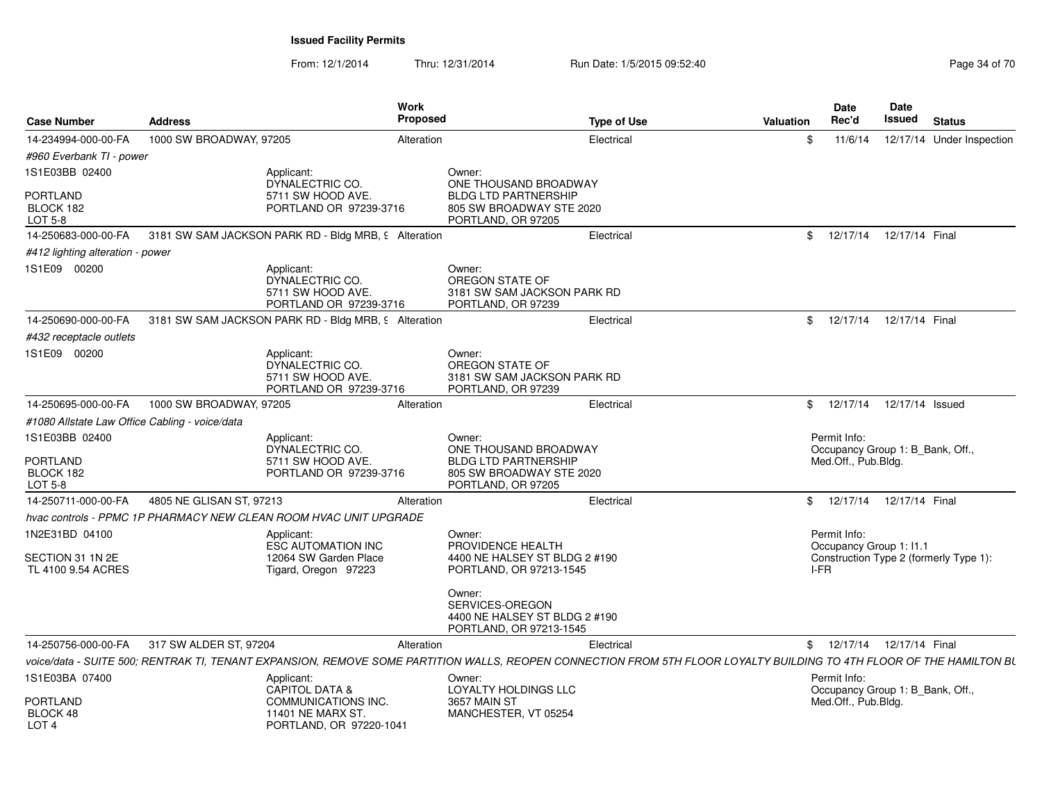| <b>Case Number</b>                              | <b>Address</b>           | Work<br>Proposed                                                                                                                                                     |                                                                                                                  | <b>Type of Use</b> | Valuation    | <b>Date</b><br>Rec'd                                                    | Date<br>Issued  | <b>Status</b>                          |
|-------------------------------------------------|--------------------------|----------------------------------------------------------------------------------------------------------------------------------------------------------------------|------------------------------------------------------------------------------------------------------------------|--------------------|--------------|-------------------------------------------------------------------------|-----------------|----------------------------------------|
| 14-234994-000-00-FA                             | 1000 SW BROADWAY, 97205  | Alteration                                                                                                                                                           |                                                                                                                  | Electrical         | \$           | 11/6/14                                                                 |                 | 12/17/14 Under Inspection              |
| #960 Everbank TI - power                        |                          |                                                                                                                                                                      |                                                                                                                  |                    |              |                                                                         |                 |                                        |
| 1S1E03BB 02400                                  |                          | Applicant:<br>DYNALECTRIC CO.                                                                                                                                        | Owner:<br>ONE THOUSAND BROADWAY                                                                                  |                    |              |                                                                         |                 |                                        |
| <b>PORTLAND</b><br>BLOCK 182<br>LOT 5-8         |                          | 5711 SW HOOD AVE.<br>PORTLAND OR 97239-3716                                                                                                                          | <b>BLDG LTD PARTNERSHIP</b><br>805 SW BROADWAY STE 2020<br>PORTLAND, OR 97205                                    |                    |              |                                                                         |                 |                                        |
| 14-250683-000-00-FA                             |                          | 3181 SW SAM JACKSON PARK RD - Bldg MRB, 9 Alteration                                                                                                                 |                                                                                                                  | Electrical         | $^{\circ}$   | 12/17/14  12/17/14  Final                                               |                 |                                        |
| #412 lighting alteration - power                |                          |                                                                                                                                                                      |                                                                                                                  |                    |              |                                                                         |                 |                                        |
| 1S1E09 00200                                    |                          | Applicant:<br>DYNALECTRIC CO.<br>5711 SW HOOD AVE.<br>PORTLAND OR 97239-3716                                                                                         | Owner:<br>OREGON STATE OF<br>3181 SW SAM JACKSON PARK RD<br>PORTLAND, OR 97239                                   |                    |              |                                                                         |                 |                                        |
| 14-250690-000-00-FA                             |                          | 3181 SW SAM JACKSON PARK RD - Bldg MRB, 9 Alteration                                                                                                                 |                                                                                                                  | Electrical         | $^{\circ}$   | 12/17/14  12/17/14  Final                                               |                 |                                        |
| #432 receptacle outlets                         |                          |                                                                                                                                                                      |                                                                                                                  |                    |              |                                                                         |                 |                                        |
| 1S1E09 00200                                    |                          | Applicant:<br>DYNALECTRIC CO.<br>5711 SW HOOD AVE.<br>PORTLAND OR 97239-3716                                                                                         | Owner:<br>OREGON STATE OF<br>3181 SW SAM JACKSON PARK RD<br>PORTLAND, OR 97239                                   |                    |              |                                                                         |                 |                                        |
| 14-250695-000-00-FA                             | 1000 SW BROADWAY, 97205  | Alteration                                                                                                                                                           |                                                                                                                  | Electrical         | \$           | 12/17/14                                                                | 12/17/14 Issued |                                        |
| #1080 Allstate Law Office Cabling - voice/data  |                          |                                                                                                                                                                      |                                                                                                                  |                    |              |                                                                         |                 |                                        |
| 1S1E03BB 02400<br><b>PORTLAND</b><br>BLOCK 182  |                          | Applicant:<br>DYNALECTRIC CO.<br>5711 SW HOOD AVE.<br>PORTLAND OR 97239-3716                                                                                         | Owner:<br>ONE THOUSAND BROADWAY<br><b>BLDG LTD PARTNERSHIP</b><br>805 SW BROADWAY STE 2020                       |                    |              | Permit Info:<br>Occupancy Group 1: B_Bank, Off.,<br>Med.Off., Pub.Bldg. |                 |                                        |
| LOT 5-8                                         |                          |                                                                                                                                                                      | PORTLAND, OR 97205                                                                                               |                    |              |                                                                         |                 |                                        |
| 14-250711-000-00-FA                             | 4805 NE GLISAN ST, 97213 | Alteration                                                                                                                                                           |                                                                                                                  | Electrical         | $\mathbb{S}$ | 12/17/14  12/17/14  Final                                               |                 |                                        |
|                                                 |                          | hvac controls - PPMC 1P PHARMACY NEW CLEAN ROOM HVAC UNIT UPGRADE                                                                                                    |                                                                                                                  |                    |              |                                                                         |                 |                                        |
| 1N2E31BD 04100<br>SECTION 31 1N 2E              |                          | Applicant:<br><b>ESC AUTOMATION INC</b><br>12064 SW Garden Place                                                                                                     | Owner:<br>PROVIDENCE HEALTH<br>4400 NE HALSEY ST BLDG 2 #190                                                     |                    |              | Permit Info:<br>Occupancy Group 1: I1.1                                 |                 | Construction Type 2 (formerly Type 1): |
| TL 4100 9.54 ACRES                              |                          | Tigard, Oregon 97223                                                                                                                                                 | PORTLAND, OR 97213-1545<br>Owner:<br>SERVICES-OREGON<br>4400 NE HALSEY ST BLDG 2 #190<br>PORTLAND, OR 97213-1545 |                    |              | I-FR                                                                    |                 |                                        |
| 14-250756-000-00-FA                             | 317 SW ALDER ST, 97204   | Alteration                                                                                                                                                           |                                                                                                                  | Electrical         |              | \$ 12/17/14 12/17/14 Final                                              |                 |                                        |
|                                                 |                          | voice/data - SUITE 500; RENTRAK TI, TENANT EXPANSION, REMOVE SOME PARTITION WALLS, REOPEN CONNECTION FROM 5TH FLOOR LOYALTY BUILDING TO 4TH FLOOR OF THE HAMILTON BL |                                                                                                                  |                    |              |                                                                         |                 |                                        |
| 1S1E03BA 07400                                  |                          | Applicant:<br><b>CAPITOL DATA &amp;</b>                                                                                                                              | Owner:<br>LOYALTY HOLDINGS LLC                                                                                   |                    |              | Permit Info:<br>Occupancy Group 1: B_Bank, Off.,                        |                 |                                        |
| <b>PORTLAND</b><br>BLOCK 48<br>LOT <sub>4</sub> |                          | COMMUNICATIONS INC.<br>11401 NE MARX ST.<br>PORTLAND, OR 97220-1041                                                                                                  | 3657 MAIN ST<br>MANCHESTER, VT 05254                                                                             |                    |              | Med.Off., Pub.Bldg.                                                     |                 |                                        |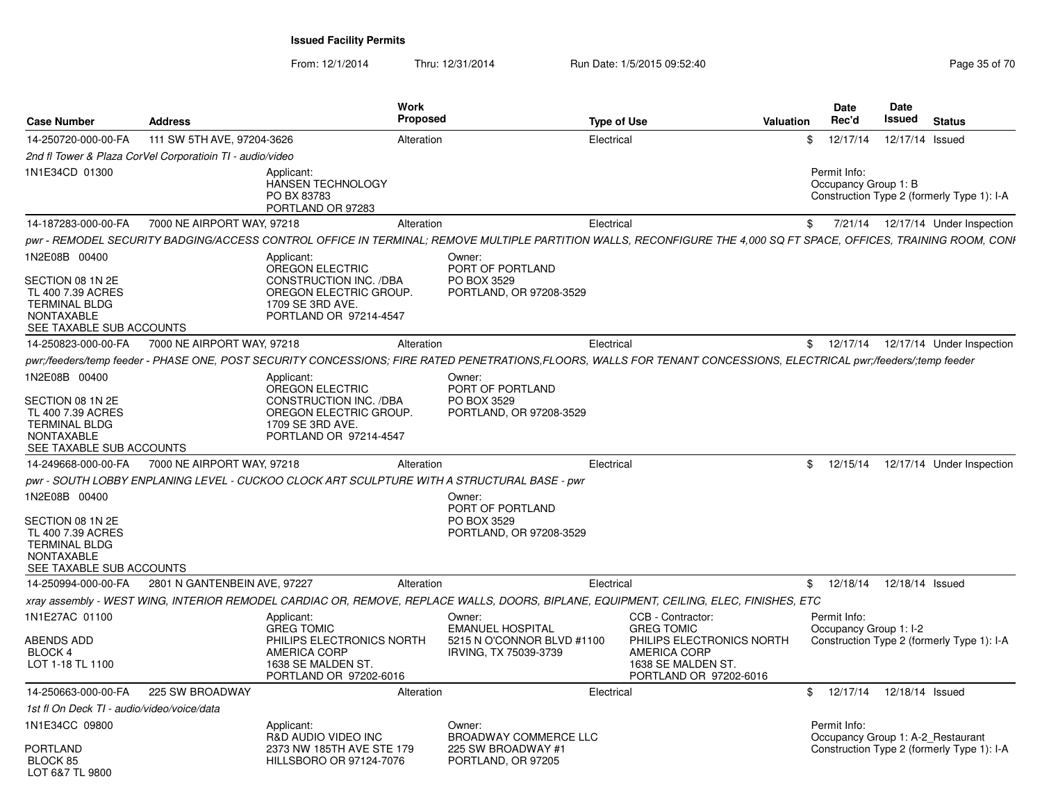From: 12/1/2014

Thru: 12/31/2014 Run Date: 1/5/2015 09:52:40

| <b>Case Number</b>                                                                                                              | Address                                                   |                                                                                                                                        | Work<br><b>Proposed</b> |                                                                                             | <b>Type of Use</b> | Valuation                                                                                                                                                           | Date<br>Rec'd                                     | Date<br>Issued  | <b>Status</b>                              |
|---------------------------------------------------------------------------------------------------------------------------------|-----------------------------------------------------------|----------------------------------------------------------------------------------------------------------------------------------------|-------------------------|---------------------------------------------------------------------------------------------|--------------------|---------------------------------------------------------------------------------------------------------------------------------------------------------------------|---------------------------------------------------|-----------------|--------------------------------------------|
| 14-250720-000-00-FA                                                                                                             | 111 SW 5TH AVE, 97204-3626                                |                                                                                                                                        | Alteration              |                                                                                             | Electrical         |                                                                                                                                                                     | \$<br>12/17/14                                    | 12/17/14 Issued |                                            |
|                                                                                                                                 | 2nd fl Tower & Plaza CorVel Corporatioin TI - audio/video |                                                                                                                                        |                         |                                                                                             |                    |                                                                                                                                                                     |                                                   |                 |                                            |
| 1N1E34CD 01300                                                                                                                  |                                                           | Applicant:<br><b>HANSEN TECHNOLOGY</b><br>PO BX 83783<br>PORTLAND OR 97283                                                             |                         |                                                                                             |                    |                                                                                                                                                                     | Permit Info:<br>Occupancy Group 1: B              |                 | Construction Type 2 (formerly Type 1): I-A |
| 14-187283-000-00-FA                                                                                                             | 7000 NE AIRPORT WAY, 97218                                |                                                                                                                                        | Alteration              |                                                                                             | Electrical         |                                                                                                                                                                     | \$                                                |                 | 7/21/14  12/17/14  Under Inspection        |
|                                                                                                                                 |                                                           |                                                                                                                                        |                         |                                                                                             |                    | pwr - REMODEL SECURITY BADGING/ACCESS CONTROL OFFICE IN TERMINAL; REMOVE MULTIPLE PARTITION WALLS, RECONFIGURE THE 4,000 SQ FT SPACE, OFFICES, TRAINING ROOM, CONI  |                                                   |                 |                                            |
| 1N2E08B 00400<br>SECTION 08 1N 2E<br>TL 400 7.39 ACRES<br><b>TERMINAL BLDG</b><br><b>NONTAXABLE</b><br>SEE TAXABLE SUB ACCOUNTS |                                                           | Applicant:<br>OREGON ELECTRIC<br><b>CONSTRUCTION INC. /DBA</b><br>OREGON ELECTRIC GROUP.<br>1709 SE 3RD AVE.<br>PORTLAND OR 97214-4547 |                         | Owner:<br>PORT OF PORTLAND<br>PO BOX 3529<br>PORTLAND, OR 97208-3529                        |                    |                                                                                                                                                                     |                                                   |                 |                                            |
| 14-250823-000-00-FA                                                                                                             | 7000 NE AIRPORT WAY, 97218                                |                                                                                                                                        | Alteration              |                                                                                             | Electrical         |                                                                                                                                                                     |                                                   |                 | \$ 12/17/14 12/17/14 Under Inspection      |
|                                                                                                                                 |                                                           |                                                                                                                                        |                         |                                                                                             |                    | pwr;/feeders/temp feeder - PHASE ONE, POST SECURITY CONCESSIONS; FIRE RATED PENETRATIONS,FLOORS, WALLS FOR TENANT CONCESSIONS, ELECTRICAL pwr;/feeders/;temp feeder |                                                   |                 |                                            |
| 1N2E08B 00400<br>SECTION 08 1N 2E<br>TL 400 7.39 ACRES<br><b>TERMINAL BLDG</b><br><b>NONTAXABLE</b><br>SEE TAXABLE SUB ACCOUNTS |                                                           | Applicant:<br><b>OREGON ELECTRIC</b><br>CONSTRUCTION INC. /DBA<br>OREGON ELECTRIC GROUP.<br>1709 SE 3RD AVE.<br>PORTLAND OR 97214-4547 |                         | Owner:<br>PORT OF PORTLAND<br>PO BOX 3529<br>PORTLAND, OR 97208-3529                        |                    |                                                                                                                                                                     |                                                   |                 |                                            |
| 14-249668-000-00-FA                                                                                                             | 7000 NE AIRPORT WAY, 97218                                |                                                                                                                                        | Alteration              |                                                                                             | Electrical         |                                                                                                                                                                     | \$<br>12/15/14                                    |                 | 12/17/14 Under Inspection                  |
|                                                                                                                                 |                                                           |                                                                                                                                        |                         | pwr - SOUTH LOBBY ENPLANING LEVEL - CUCKOO CLOCK ART SCULPTURE WITH A STRUCTURAL BASE - pwr |                    |                                                                                                                                                                     |                                                   |                 |                                            |
| 1N2E08B 00400<br>SECTION 08 1N 2E<br>TL 400 7.39 ACRES<br><b>TERMINAL BLDG</b><br><b>NONTAXABLE</b><br>SEE TAXABLE SUB ACCOUNTS |                                                           |                                                                                                                                        |                         | Owner:<br>PORT OF PORTLAND<br>PO BOX 3529<br>PORTLAND, OR 97208-3529                        |                    |                                                                                                                                                                     |                                                   |                 |                                            |
| 14-250994-000-00-FA                                                                                                             | 2801 N GANTENBEIN AVE, 97227                              |                                                                                                                                        | Alteration              |                                                                                             | Electrical         |                                                                                                                                                                     | \$12/18/14                                        | 12/18/14 Issued |                                            |
|                                                                                                                                 |                                                           |                                                                                                                                        |                         |                                                                                             |                    | xray assembly - WEST WING, INTERIOR REMODEL CARDIAC OR, REMOVE, REPLACE WALLS, DOORS, BIPLANE, EQUIPMENT, CEILING, ELEC, FINISHES, ETC                              |                                                   |                 |                                            |
| 1N1E27AC 01100<br><b>ABENDS ADD</b><br>BLOCK 4<br>LOT 1-18 TL 1100                                                              |                                                           | Applicant:<br><b>GREG TOMIC</b><br>PHILIPS ELECTRONICS NORTH<br>AMERICA CORP<br>1638 SE MALDEN ST.<br>PORTLAND OR 97202-6016           |                         | Owner:<br><b>EMANUEL HOSPITAL</b><br>5215 N O'CONNOR BLVD #1100<br>IRVING, TX 75039-3739    |                    | CCB - Contractor:<br><b>GREG TOMIC</b><br>PHILIPS ELECTRONICS NORTH<br><b>AMERICA CORP</b><br>1638 SE MALDEN ST<br>PORTLAND OR 97202-6016                           | Permit Info:<br>Occupancy Group 1: I-2            |                 | Construction Type 2 (formerly Type 1): I-A |
| 14-250663-000-00-FA                                                                                                             | 225 SW BROADWAY                                           |                                                                                                                                        | Alteration              |                                                                                             | Electrical         |                                                                                                                                                                     | \$<br>12/17/14  12/18/14  Issued                  |                 |                                            |
| 1st fl On Deck TI - audio/video/voice/data                                                                                      |                                                           |                                                                                                                                        |                         |                                                                                             |                    |                                                                                                                                                                     |                                                   |                 |                                            |
| 1N1E34CC 09800<br>PORTLAND<br>BLOCK 85<br>LOT 6&7 TL 9800                                                                       |                                                           | Applicant:<br>R&D AUDIO VIDEO INC<br>2373 NW 185TH AVE STE 179<br>HILLSBORO OR 97124-7076                                              |                         | Owner:<br>BROADWAY COMMERCE LLC<br>225 SW BROADWAY #1<br>PORTLAND, OR 97205                 |                    |                                                                                                                                                                     | Permit Info:<br>Occupancy Group 1: A-2_Restaurant |                 | Construction Type 2 (formerly Type 1): I-A |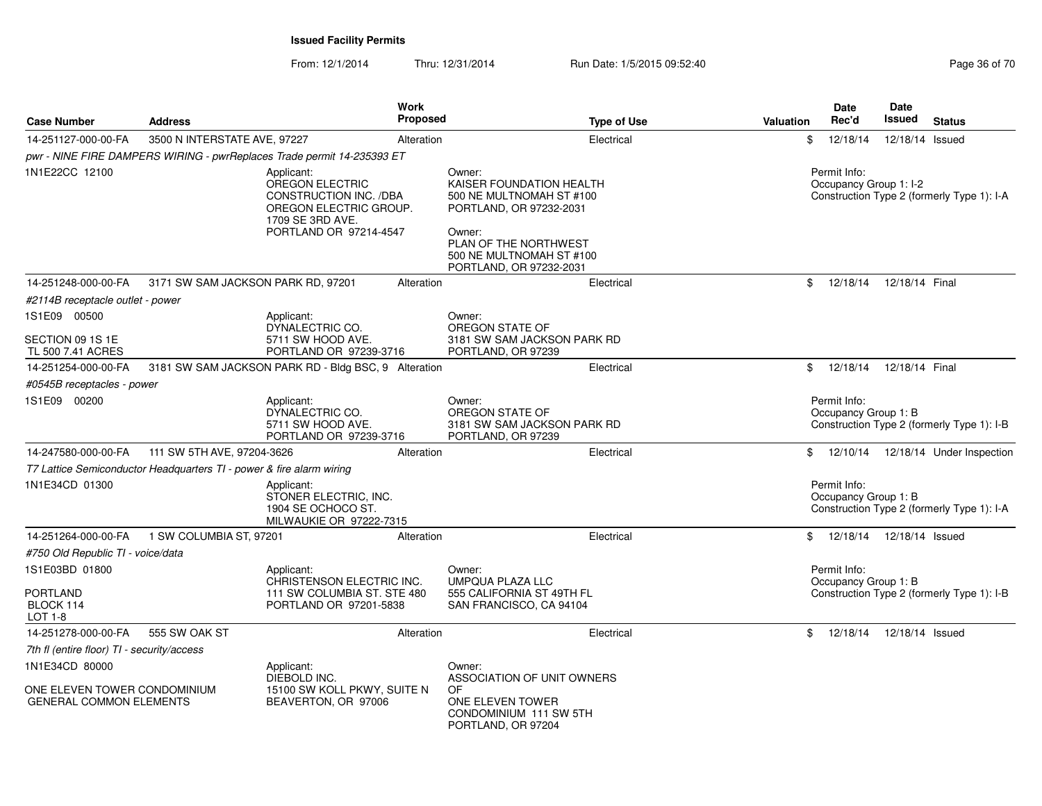| <b>Case Number</b>                                                               | <b>Address</b>                                                       | <b>Work</b><br>Proposed                                                                                                         |                                                                                                                                                                                     | <b>Type of Use</b><br>Valuation | <b>Date</b><br>Rec'd                                               | <b>Date</b><br>Issued | <b>Status</b>                              |
|----------------------------------------------------------------------------------|----------------------------------------------------------------------|---------------------------------------------------------------------------------------------------------------------------------|-------------------------------------------------------------------------------------------------------------------------------------------------------------------------------------|---------------------------------|--------------------------------------------------------------------|-----------------------|--------------------------------------------|
| 14-251127-000-00-FA                                                              | 3500 N INTERSTATE AVE, 97227                                         | Alteration                                                                                                                      | Electrical                                                                                                                                                                          |                                 | 12/18/14<br>\$                                                     | 12/18/14 Issued       |                                            |
|                                                                                  |                                                                      | pwr - NINE FIRE DAMPERS WIRING - pwrReplaces Trade permit 14-235393 ET                                                          |                                                                                                                                                                                     |                                 |                                                                    |                       |                                            |
| 1N1E22CC 12100                                                                   |                                                                      | Applicant:<br>OREGON ELECTRIC<br>CONSTRUCTION INC. /DBA<br>OREGON ELECTRIC GROUP.<br>1709 SE 3RD AVE.<br>PORTLAND OR 97214-4547 | Owner:<br>KAISER FOUNDATION HEALTH<br>500 NE MULTNOMAH ST #100<br>PORTLAND, OR 97232-2031<br>Owner:<br>PLAN OF THE NORTHWEST<br>500 NE MULTNOMAH ST #100<br>PORTLAND, OR 97232-2031 |                                 | Permit Info:<br>Occupancy Group 1: I-2                             |                       | Construction Type 2 (formerly Type 1): I-A |
| 14-251248-000-00-FA                                                              | 3171 SW SAM JACKSON PARK RD, 97201                                   | Alteration                                                                                                                      | Electrical                                                                                                                                                                          |                                 | \$<br>12/18/14                                                     | 12/18/14 Final        |                                            |
| #2114B receptacle outlet - power                                                 |                                                                      |                                                                                                                                 |                                                                                                                                                                                     |                                 |                                                                    |                       |                                            |
| 1S1E09 00500<br>SECTION 09 1S 1E<br>TL 500 7.41 ACRES                            |                                                                      | Applicant:<br>DYNALECTRIC CO.<br>5711 SW HOOD AVE.<br>PORTLAND OR 97239-3716                                                    | Owner:<br>OREGON STATE OF<br>3181 SW SAM JACKSON PARK RD<br>PORTLAND, OR 97239                                                                                                      |                                 |                                                                    |                       |                                            |
| 14-251254-000-00-FA                                                              |                                                                      | 3181 SW SAM JACKSON PARK RD - Bldg BSC, 9 Alteration                                                                            | Electrical                                                                                                                                                                          |                                 | \$<br>12/18/14                                                     | 12/18/14 Final        |                                            |
| #0545B receptacles - power                                                       |                                                                      |                                                                                                                                 |                                                                                                                                                                                     |                                 |                                                                    |                       |                                            |
| 1S1E09 00200                                                                     |                                                                      | Applicant:<br>DYNALECTRIC CO.<br>5711 SW HOOD AVE.<br>PORTLAND OR 97239-3716                                                    | Owner:<br>OREGON STATE OF<br>3181 SW SAM JACKSON PARK RD<br>PORTLAND, OR 97239                                                                                                      |                                 | Permit Info:<br>Occupancy Group 1: B                               |                       | Construction Type 2 (formerly Type 1): I-B |
| 14-247580-000-00-FA                                                              | 111 SW 5TH AVE, 97204-3626                                           | Alteration                                                                                                                      | Electrical                                                                                                                                                                          |                                 | \$                                                                 |                       | 12/10/14  12/18/14  Under Inspection       |
|                                                                                  | T7 Lattice Semiconductor Headquarters TI - power & fire alarm wiring |                                                                                                                                 |                                                                                                                                                                                     |                                 |                                                                    |                       |                                            |
| 1N1E34CD 01300                                                                   |                                                                      | Applicant:<br>STONER ELECTRIC, INC.<br>1904 SE OCHOCO ST.<br>MILWAUKIE OR 97222-7315                                            |                                                                                                                                                                                     |                                 | Permit Info:<br>Occupancy Group 1: B                               |                       | Construction Type 2 (formerly Type 1): I-A |
| 14-251264-000-00-FA                                                              | 1 SW COLUMBIA ST, 97201                                              | Alteration                                                                                                                      | Electrical                                                                                                                                                                          |                                 | 12/18/14<br>\$                                                     | 12/18/14 Issued       |                                            |
| #750 Old Republic TI - voice/data                                                |                                                                      |                                                                                                                                 |                                                                                                                                                                                     |                                 |                                                                    |                       |                                            |
| 1S1E03BD 01800                                                                   |                                                                      | Applicant:                                                                                                                      | Owner:                                                                                                                                                                              |                                 | Permit Info:                                                       |                       |                                            |
| <b>PORTLAND</b><br>BLOCK 114<br>LOT 1-8                                          |                                                                      | CHRISTENSON ELECTRIC INC.<br>111 SW COLUMBIA ST. STE 480<br>PORTLAND OR 97201-5838                                              | UMPQUA PLAZA LLC<br>555 CALIFORNIA ST 49TH FL<br>SAN FRANCISCO, CA 94104                                                                                                            |                                 | Occupancy Group 1: B<br>Construction Type 2 (formerly Type 1): I-B |                       |                                            |
| 14-251278-000-00-FA                                                              | 555 SW OAK ST                                                        | Alteration                                                                                                                      | Electrical                                                                                                                                                                          |                                 | \$<br>12/18/14                                                     | 12/18/14 Issued       |                                            |
| 7th fl (entire floor) TI - security/access                                       |                                                                      |                                                                                                                                 |                                                                                                                                                                                     |                                 |                                                                    |                       |                                            |
| 1N1E34CD 80000<br>ONE ELEVEN TOWER CONDOMINIUM<br><b>GENERAL COMMON ELEMENTS</b> |                                                                      | Applicant:<br>DIEBOLD INC.<br>15100 SW KOLL PKWY, SUITE N<br>BEAVERTON, OR 97006                                                | Owner:<br>ASSOCIATION OF UNIT OWNERS<br>OF<br>ONE ELEVEN TOWER<br>CONDOMINIUM 111 SW 5TH<br>PORTLAND, OR 97204                                                                      |                                 |                                                                    |                       |                                            |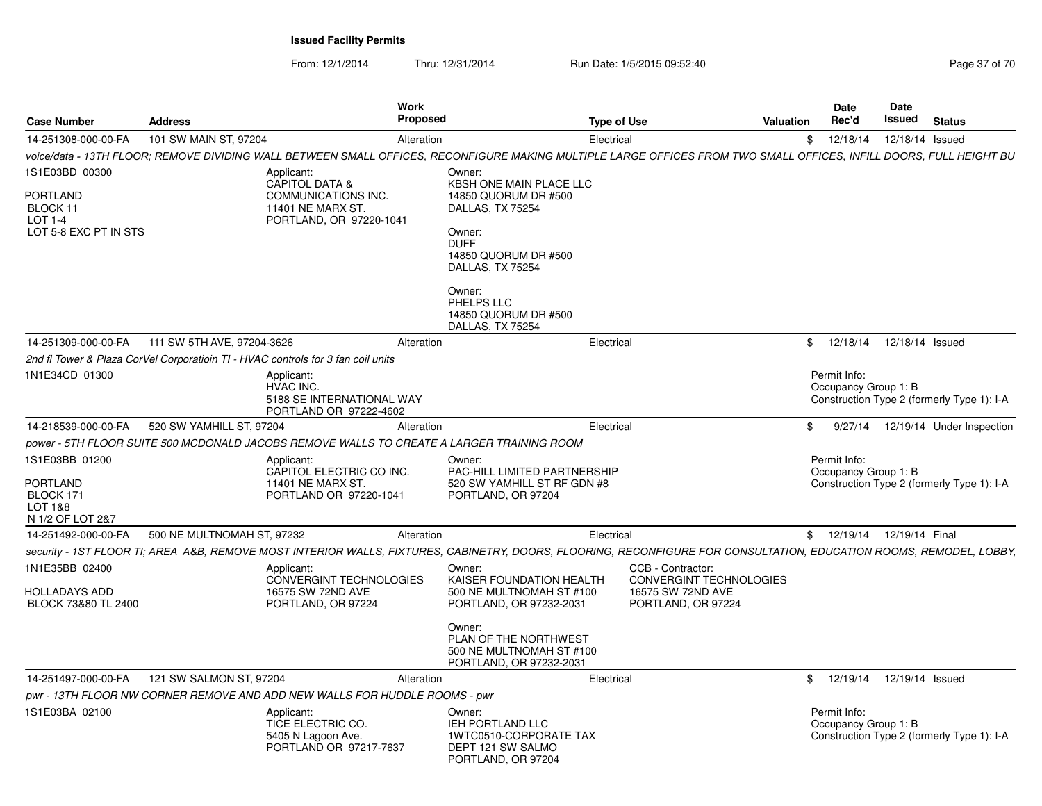| <b>Case Number</b>                                                         | <b>Address</b>             |                                                                                                                       | Work<br>Proposed |                                                                                                                                                                                     | <b>Type of Use</b> | Valuation                                                                                                                                                                                                                                                             | Rec'd        | Date | Date<br>Issued<br>Status                                           |
|----------------------------------------------------------------------------|----------------------------|-----------------------------------------------------------------------------------------------------------------------|------------------|-------------------------------------------------------------------------------------------------------------------------------------------------------------------------------------|--------------------|-----------------------------------------------------------------------------------------------------------------------------------------------------------------------------------------------------------------------------------------------------------------------|--------------|------|--------------------------------------------------------------------|
| 14-251308-000-00-FA                                                        | 101 SW MAIN ST, 97204      |                                                                                                                       | Alteration       |                                                                                                                                                                                     | Electrical         |                                                                                                                                                                                                                                                                       |              |      | \$ 12/18/14 12/18/14 Issued                                        |
|                                                                            |                            |                                                                                                                       |                  |                                                                                                                                                                                     |                    | voice/data - 13TH FLOOR; REMOVE DIVIDING WALL BETWEEN SMALL OFFICES, RECONFIGURE MAKING MULTIPLE LARGE OFFICES FROM TWO SMALL OFFICES, INFILL DOORS, FULL HEIGHT BU                                                                                                   |              |      |                                                                    |
| 1S1E03BD 00300<br>PORTLAND<br>BLOCK 11<br>LOT 1-4<br>LOT 5-8 EXC PT IN STS |                            | Applicant:<br><b>CAPITOL DATA &amp;</b><br><b>COMMUNICATIONS INC.</b><br>11401 NE MARX ST.<br>PORTLAND, OR 97220-1041 |                  | Owner:<br>KBSH ONE MAIN PLACE LLC<br>14850 QUORUM DR #500<br>DALLAS, TX 75254<br>Owner:<br><b>DUFF</b><br>14850 QUORUM DR #500<br>DALLAS, TX 75254                                  |                    |                                                                                                                                                                                                                                                                       |              |      |                                                                    |
|                                                                            |                            |                                                                                                                       |                  | Owner:<br>PHELPS LLC<br>14850 QUORUM DR #500<br>DALLAS, TX 75254                                                                                                                    |                    |                                                                                                                                                                                                                                                                       |              |      |                                                                    |
| 14-251309-000-00-FA 111 SW 5TH AVE, 97204-3626                             |                            |                                                                                                                       | Alteration       |                                                                                                                                                                                     | Electrical         |                                                                                                                                                                                                                                                                       |              |      | \$ 12/18/14 12/18/14 Issued                                        |
|                                                                            |                            | 2nd fl Tower & Plaza CorVel Corporatioin TI - HVAC controls for 3 fan coil units                                      |                  |                                                                                                                                                                                     |                    |                                                                                                                                                                                                                                                                       |              |      |                                                                    |
| 1N1E34CD 01300                                                             |                            | Applicant:<br>HVAC INC.<br>5188 SE INTERNATIONAL WAY<br>PORTLAND OR 97222-4602                                        |                  |                                                                                                                                                                                     |                    |                                                                                                                                                                                                                                                                       | Permit Info: |      | Occupancy Group 1: B<br>Construction Type 2 (formerly Type 1): I-A |
| 14-218539-000-00-FA                                                        | 520 SW YAMHILL ST, 97204   |                                                                                                                       | Alteration       |                                                                                                                                                                                     | Electrical         |                                                                                                                                                                                                                                                                       |              |      | \$ 9/27/14 12/19/14 Under Inspection                               |
|                                                                            |                            |                                                                                                                       |                  | power - 5TH FLOOR SUITE 500 MCDONALD JACOBS REMOVE WALLS TO CREATE A LARGER TRAINING ROOM                                                                                           |                    |                                                                                                                                                                                                                                                                       |              |      |                                                                    |
| 1S1E03BB 01200<br>PORTLAND<br>BLOCK 171<br>LOT 1&8<br>N 1/2 OF LOT 2&7     |                            | Applicant:<br>CAPITOL ELECTRIC CO INC.<br>11401 NE MARX ST.<br>PORTLAND OR 97220-1041                                 |                  | Owner:<br><b>PAC-HILL LIMITED PARTNERSHIP</b><br>520 SW YAMHILL ST RF GDN #8<br>PORTLAND, OR 97204                                                                                  |                    |                                                                                                                                                                                                                                                                       | Permit Info: |      | Occupancy Group 1: B<br>Construction Type 2 (formerly Type 1): I-A |
| 14-251492-000-00-FA                                                        | 500 NE MULTNOMAH ST. 97232 |                                                                                                                       | Alteration       |                                                                                                                                                                                     | Electrical         |                                                                                                                                                                                                                                                                       |              |      | \$ 12/19/14 12/19/14 Final                                         |
| 1N1E35BB 02400<br><b>HOLLADAYS ADD</b><br>BLOCK 73&80 TL 2400              |                            | Applicant:<br>CONVERGINT TECHNOLOGIES<br>16575 SW 72ND AVE<br>PORTLAND, OR 97224                                      |                  | Owner:<br>KAISER FOUNDATION HEALTH<br>500 NE MULTNOMAH ST #100<br>PORTLAND, OR 97232-2031<br>Owner:<br>PLAN OF THE NORTHWEST<br>500 NE MULTNOMAH ST #100<br>PORTLAND, OR 97232-2031 |                    | security - 1ST FLOOR TI; AREA A&B, REMOVE MOST INTERIOR WALLS, FIXTURES, CABINETRY, DOORS, FLOORING, RECONFIGURE FOR CONSULTATION, EDUCATION ROOMS, REMODEL, LOBBY,<br>CCB - Contractor:<br><b>CONVERGINT TECHNOLOGIES</b><br>16575 SW 72ND AVE<br>PORTLAND, OR 97224 |              |      |                                                                    |
| 14-251497-000-00-FA   121 SW SALMON ST, 97204                              |                            |                                                                                                                       | Alteration       |                                                                                                                                                                                     | Electrical         |                                                                                                                                                                                                                                                                       |              |      | \$ 12/19/14 12/19/14 Issued                                        |
|                                                                            |                            | pwr - 13TH FLOOR NW CORNER REMOVE AND ADD NEW WALLS FOR HUDDLE ROOMS - pwr                                            |                  |                                                                                                                                                                                     |                    |                                                                                                                                                                                                                                                                       |              |      |                                                                    |
| 1S1E03BA 02100                                                             |                            | Applicant:<br>TICE ELECTRIC CO.<br>5405 N Lagoon Ave.<br>PORTLAND OR 97217-7637                                       |                  | Owner:<br>IEH PORTLAND LLC<br>1WTC0510-CORPORATE TAX<br>DEPT 121 SW SALMO<br>PORTLAND, OR 97204                                                                                     |                    |                                                                                                                                                                                                                                                                       | Permit Info: |      | Occupancy Group 1: B<br>Construction Type 2 (formerly Type 1): I-A |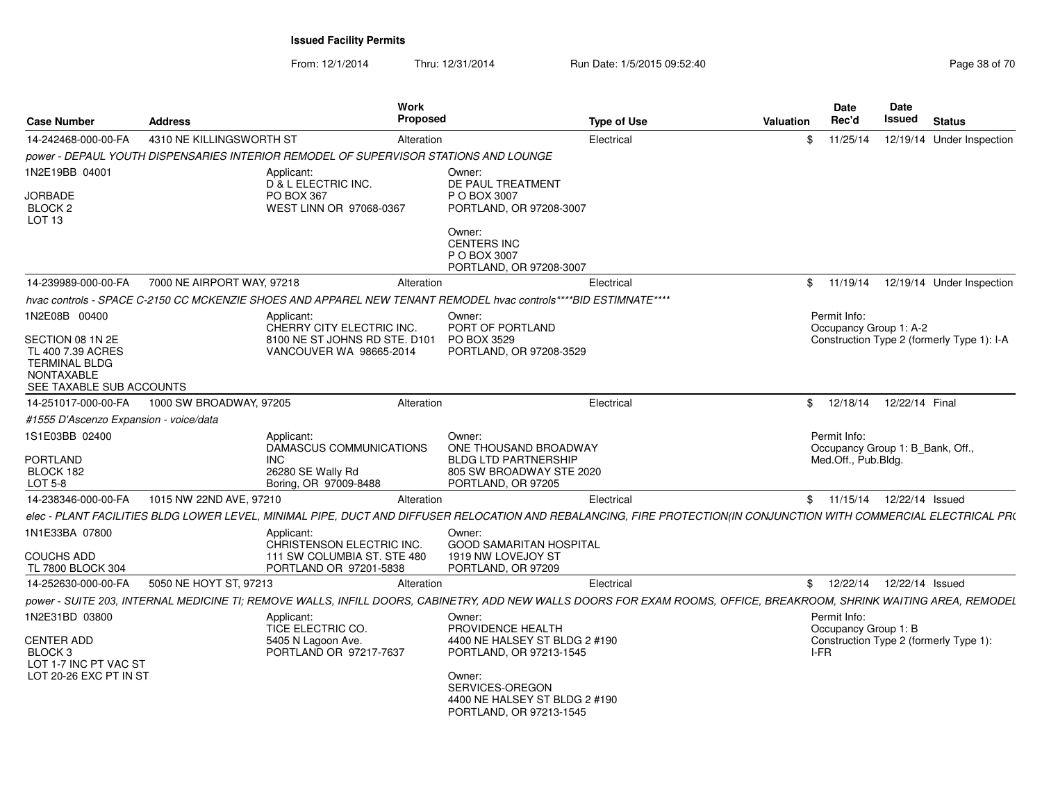| <b>Case Number</b>                                                                                             | <b>Address</b>             |                                                                                                                                                                     | Work<br><b>Proposed</b> |                                                                                       | <b>Type of Use</b> | <b>Valuation</b> |      | <b>Date</b><br>Rec'd                   | Date<br>Issued  | <b>Status</b>                              |
|----------------------------------------------------------------------------------------------------------------|----------------------------|---------------------------------------------------------------------------------------------------------------------------------------------------------------------|-------------------------|---------------------------------------------------------------------------------------|--------------------|------------------|------|----------------------------------------|-----------------|--------------------------------------------|
| 14-242468-000-00-FA                                                                                            | 4310 NE KILLINGSWORTH ST   |                                                                                                                                                                     | Alteration              |                                                                                       | Electrical         |                  | \$   | 11/25/14                               |                 | 12/19/14 Under Inspection                  |
|                                                                                                                |                            | power - DEPAUL YOUTH DISPENSARIES INTERIOR REMODEL OF SUPERVISOR STATIONS AND LOUNGE                                                                                |                         |                                                                                       |                    |                  |      |                                        |                 |                                            |
| 1N2E19BB 04001                                                                                                 |                            | Applicant:<br>D & L ELECTRIC INC.                                                                                                                                   |                         | Owner:<br>DE PAUL TREATMENT                                                           |                    |                  |      |                                        |                 |                                            |
| <b>JORBADE</b>                                                                                                 |                            | <b>PO BOX 367</b>                                                                                                                                                   |                         | P O BOX 3007                                                                          |                    |                  |      |                                        |                 |                                            |
| BLOCK <sub>2</sub><br>LOT <sub>13</sub>                                                                        |                            | WEST LINN OR 97068-0367                                                                                                                                             |                         | PORTLAND, OR 97208-3007                                                               |                    |                  |      |                                        |                 |                                            |
|                                                                                                                |                            |                                                                                                                                                                     |                         | Owner:<br><b>CENTERS INC</b><br>P O BOX 3007<br>PORTLAND, OR 97208-3007               |                    |                  |      |                                        |                 |                                            |
| 14-239989-000-00-FA                                                                                            | 7000 NE AIRPORT WAY, 97218 |                                                                                                                                                                     | Alteration              |                                                                                       | Electrical         |                  | \$   | 11/19/14                               |                 | 12/19/14 Under Inspection                  |
|                                                                                                                |                            | hvac controls - SPACE C-2150 CC MCKENZIE SHOES AND APPAREL NEW TENANT REMODEL hvac controls****BID ESTIMNATE****                                                    |                         |                                                                                       |                    |                  |      |                                        |                 |                                            |
| 1N2E08B 00400                                                                                                  |                            | Applicant:<br>CHERRY CITY ELECTRIC INC.                                                                                                                             |                         | Owner:<br>PORT OF PORTLAND                                                            |                    |                  |      | Permit Info:<br>Occupancy Group 1: A-2 |                 |                                            |
| SECTION 08 1N 2E<br>TL 400 7.39 ACRES<br><b>TERMINAL BLDG</b><br><b>NONTAXABLE</b><br>SEE TAXABLE SUB ACCOUNTS |                            | 8100 NE ST JOHNS RD STE. D101<br>VANCOUVER WA 98665-2014                                                                                                            |                         | PO BOX 3529<br>PORTLAND, OR 97208-3529                                                |                    |                  |      |                                        |                 | Construction Type 2 (formerly Type 1): I-A |
| 14-251017-000-00-FA                                                                                            | 1000 SW BROADWAY, 97205    |                                                                                                                                                                     | Alteration              |                                                                                       | Electrical         |                  | \$   | 12/18/14                               | 12/22/14 Final  |                                            |
| #1555 D'Ascenzo Expansion - voice/data                                                                         |                            |                                                                                                                                                                     |                         |                                                                                       |                    |                  |      |                                        |                 |                                            |
| 1S1E03BB 02400                                                                                                 |                            | Applicant:                                                                                                                                                          |                         | Owner:                                                                                |                    |                  |      | Permit Info:                           |                 |                                            |
|                                                                                                                |                            | DAMASCUS COMMUNICATIONS                                                                                                                                             |                         | ONE THOUSAND BROADWAY                                                                 |                    |                  |      | Occupancy Group 1: B Bank, Off.,       |                 |                                            |
| <b>PORTLAND</b><br>BLOCK 182                                                                                   |                            | <b>INC</b><br>26280 SE Wally Rd                                                                                                                                     |                         | <b>BLDG LTD PARTNERSHIP</b><br>805 SW BROADWAY STE 2020                               |                    |                  |      | Med.Off., Pub.Bldg.                    |                 |                                            |
| LOT 5-8                                                                                                        |                            | Boring, OR 97009-8488                                                                                                                                               |                         | PORTLAND, OR 97205                                                                    |                    |                  |      |                                        |                 |                                            |
| 14-238346-000-00-FA                                                                                            | 1015 NW 22ND AVE, 97210    |                                                                                                                                                                     | Alteration              |                                                                                       | Electrical         |                  |      | \$11/15/14                             | 12/22/14 Issued |                                            |
|                                                                                                                |                            | elec - PLANT FACILITIES BLDG LOWER LEVEL, MINIMAL PIPE, DUCT AND DIFFUSER RELOCATION AND REBALANCING, FIRE PROTECTION(IN CONJUNCTION WITH COMMERCIAL ELECTRICAL PRO |                         |                                                                                       |                    |                  |      |                                        |                 |                                            |
| 1N1E33BA 07800                                                                                                 |                            | Applicant:<br>CHRISTENSON ELECTRIC INC.                                                                                                                             |                         | Owner:<br><b>GOOD SAMARITAN HOSPITAL</b>                                              |                    |                  |      |                                        |                 |                                            |
| <b>COUCHS ADD</b><br>TL 7800 BLOCK 304                                                                         |                            | 111 SW COLUMBIA ST. STE 480<br>PORTLAND OR 97201-5838                                                                                                               |                         | 1919 NW LOVEJOY ST<br>PORTLAND, OR 97209                                              |                    |                  |      |                                        |                 |                                            |
| 14-252630-000-00-FA                                                                                            | 5050 NE HOYT ST, 97213     |                                                                                                                                                                     | Alteration              |                                                                                       | Electrical         |                  |      | \$12/22/14                             | 12/22/14 Issued |                                            |
|                                                                                                                |                            | power - SUITE 203, INTERNAL MEDICINE TI; REMOVE WALLS, INFILL DOORS, CABINETRY, ADD NEW WALLS DOORS FOR EXAM ROOMS, OFFICE, BREAKROOM, SHRINK WAITING AREA, REMODEL |                         |                                                                                       |                    |                  |      |                                        |                 |                                            |
| 1N2E31BD 03800                                                                                                 |                            | Applicant:                                                                                                                                                          |                         | Owner:                                                                                |                    |                  |      | Permit Info:                           |                 |                                            |
| <b>CENTER ADD</b><br>BLOCK <sub>3</sub><br>LOT 1-7 INC PT VAC ST                                               |                            | TICE ELECTRIC CO.<br>5405 N Lagoon Ave.<br>PORTLAND OR 97217-7637                                                                                                   |                         | PROVIDENCE HEALTH<br>4400 NE HALSEY ST BLDG 2 #190<br>PORTLAND, OR 97213-1545         |                    |                  | I-FR | Occupancy Group 1: B                   |                 | Construction Type 2 (formerly Type 1):     |
| LOT 20-26 EXC PT IN ST                                                                                         |                            |                                                                                                                                                                     |                         | Owner:<br>SERVICES-OREGON<br>4400 NE HALSEY ST BLDG 2 #190<br>PORTLAND, OR 97213-1545 |                    |                  |      |                                        |                 |                                            |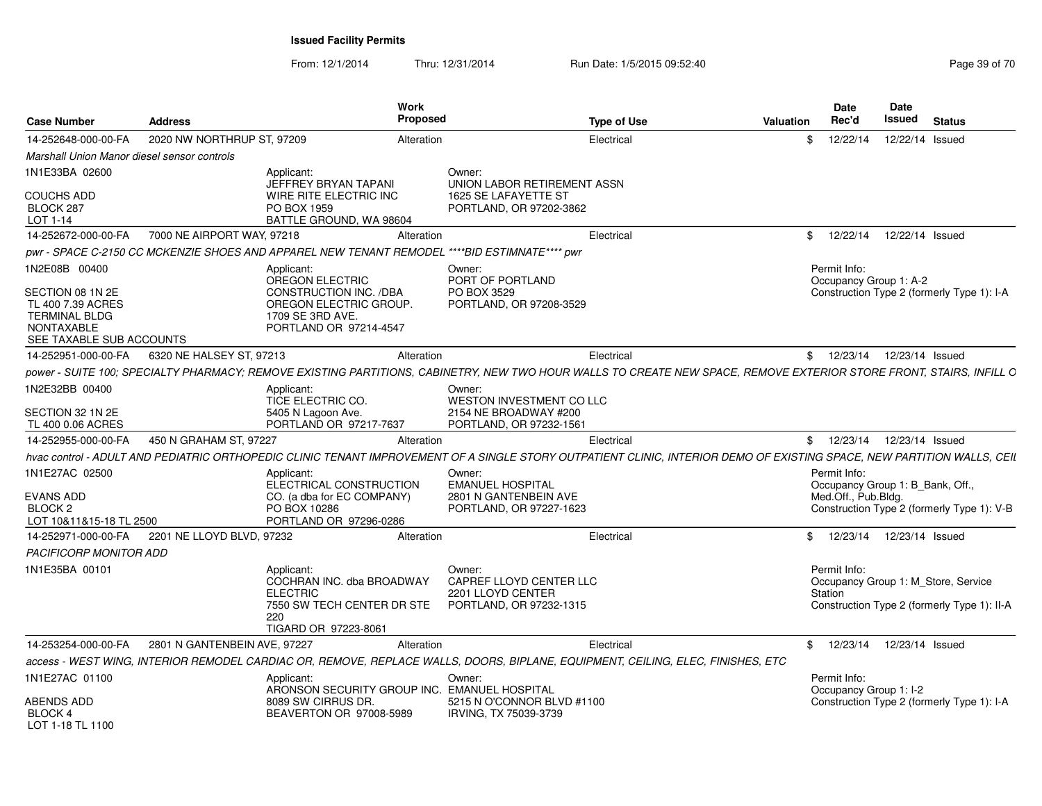From: 12/1/2014

Thru: 12/31/2014 Run Date: 1/5/2015 09:52:40

| <b>Case Number</b>                                                                                                              | <b>Address</b>             | Work<br>Proposed                                                                                                                                | <b>Type of Use</b>                                                                                                                                                      | Valuation | <b>Date</b><br>Rec'd                | Date<br>Issued<br><b>Status</b>                                                    |
|---------------------------------------------------------------------------------------------------------------------------------|----------------------------|-------------------------------------------------------------------------------------------------------------------------------------------------|-------------------------------------------------------------------------------------------------------------------------------------------------------------------------|-----------|-------------------------------------|------------------------------------------------------------------------------------|
| 14-252648-000-00-FA                                                                                                             | 2020 NW NORTHRUP ST, 97209 | Alteration                                                                                                                                      | Electrical                                                                                                                                                              |           | 12/22/14                            | 12/22/14 Issued                                                                    |
| Marshall Union Manor diesel sensor controls                                                                                     |                            |                                                                                                                                                 |                                                                                                                                                                         |           |                                     |                                                                                    |
| 1N1E33BA 02600<br>COUCHS ADD<br>BLOCK 287                                                                                       |                            | Applicant:<br>JEFFREY BRYAN TAPANI<br>WIRE RITE ELECTRIC INC<br>PO BOX 1959                                                                     | Owner:<br>UNION LABOR RETIREMENT ASSN<br>1625 SE LAFAYETTE ST<br>PORTLAND, OR 97202-3862                                                                                |           |                                     |                                                                                    |
| LOT 1-14                                                                                                                        |                            | BATTLE GROUND, WA 98604                                                                                                                         |                                                                                                                                                                         |           |                                     |                                                                                    |
| 14-252672-000-00-FA 7000 NE AIRPORT WAY, 97218                                                                                  |                            | Alteration                                                                                                                                      | Electrical                                                                                                                                                              |           |                                     | \$ 12/22/14 12/22/14 Issued                                                        |
|                                                                                                                                 |                            | pwr - SPACE C-2150 CC MCKENZIE SHOES AND APPAREL NEW TENANT REMODEL ****BID ESTIMNATE**** pwr                                                   |                                                                                                                                                                         |           |                                     |                                                                                    |
| 1N2E08B 00400<br>SECTION 08 1N 2E<br>TL 400 7.39 ACRES<br><b>TERMINAL BLDG</b><br><b>NONTAXABLE</b><br>SEE TAXABLE SUB ACCOUNTS |                            | Applicant:<br>OREGON ELECTRIC<br>CONSTRUCTION INC. /DBA<br>OREGON ELECTRIC GROUP.<br>1709 SE 3RD AVE.<br>PORTLAND OR 97214-4547                 | Owner:<br>PORT OF PORTLAND<br>PO BOX 3529<br>PORTLAND, OR 97208-3529                                                                                                    |           | Permit Info:                        | Occupancy Group 1: A-2<br>Construction Type 2 (formerly Type 1): I-A               |
| 14-252951-000-00-FA                                                                                                             | 6320 NE HALSEY ST, 97213   | Alteration                                                                                                                                      | Electrical                                                                                                                                                              |           |                                     | 12/23/14  12/23/14  Issued                                                         |
|                                                                                                                                 |                            |                                                                                                                                                 | power - SUITE 100; SPECIALTY PHARMACY; REMOVE EXISTING PARTITIONS, CABINETRY, NEW TWO HOUR WALLS TO CREATE NEW SPACE, REMOVE EXTERIOR STORE FRONT, STAIRS, INFILL C     |           |                                     |                                                                                    |
| 1N2E32BB 00400<br>SECTION 32 1N 2E                                                                                              |                            | Applicant:<br>TICE ELECTRIC CO.<br>5405 N Lagoon Ave.                                                                                           | Owner:<br>WESTON INVESTMENT CO LLC<br>2154 NE BROADWAY #200                                                                                                             |           |                                     |                                                                                    |
| TL 400 0.06 ACRES                                                                                                               |                            | PORTLAND OR 97217-7637                                                                                                                          | PORTLAND, OR 97232-1561                                                                                                                                                 |           |                                     |                                                                                    |
| 14-252955-000-00-FA                                                                                                             | 450 N GRAHAM ST. 97227     | Alteration                                                                                                                                      | Electrical                                                                                                                                                              |           |                                     | \$ 12/23/14 12/23/14 Issued                                                        |
|                                                                                                                                 |                            |                                                                                                                                                 | hvac control - ADULT AND PEDIATRIC ORTHOPEDIC CLINIC TENANT IMPROVEMENT OF A SINGLE STORY OUTPATIENT CLINIC, INTERIOR DEMO OF EXISTING SPACE, NEW PARTITION WALLS, CEIL |           |                                     |                                                                                    |
| 1N1E27AC 02500<br>EVANS ADD<br>BLOCK 2<br>LOT 10&11&15-18 TL 2500                                                               |                            | Applicant:<br>ELECTRICAL CONSTRUCTION<br>CO. (a dba for EC COMPANY)<br>PO BOX 10286<br>PORTLAND OR 97296-0286                                   | Owner:<br><b>EMANUEL HOSPITAL</b><br>2801 N GANTENBEIN AVE<br>PORTLAND, OR 97227-1623                                                                                   |           | Permit Info:<br>Med.Off., Pub.Bldg. | Occupancy Group 1: B_Bank, Off.,<br>Construction Type 2 (formerly Type 1): V-B     |
| 14-252971-000-00-FA 2201 NE LLOYD BLVD, 97232                                                                                   |                            | Alteration                                                                                                                                      | Electrical                                                                                                                                                              |           |                                     | \$ 12/23/14 12/23/14 Issued                                                        |
| PACIFICORP MONITOR ADD                                                                                                          |                            |                                                                                                                                                 |                                                                                                                                                                         |           |                                     |                                                                                    |
| 1N1E35BA 00101                                                                                                                  |                            | Applicant:<br>COCHRAN INC. dba BROADWAY<br><b>ELECTRIC</b><br>7550 SW TECH CENTER DR STE PORTLAND, OR 97232-1315<br>220<br>TIGARD OR 97223-8061 | Owner:<br>CAPREF LLOYD CENTER LLC<br>2201 LLOYD CENTER                                                                                                                  |           | Permit Info:<br>Station             | Occupancy Group 1: M_Store, Service<br>Construction Type 2 (formerly Type 1): II-A |
| 14-253254-000-00-FA 2801 N GANTENBEIN AVE, 97227                                                                                |                            | Alteration                                                                                                                                      | Electrical                                                                                                                                                              |           |                                     | \$ 12/23/14 12/23/14 Issued                                                        |
|                                                                                                                                 |                            |                                                                                                                                                 | access - WEST WING, INTERIOR REMODEL CARDIAC OR, REMOVE, REPLACE WALLS, DOORS, BIPLANE, EQUIPMENT, CEILING, ELEC, FINISHES, ETC                                         |           |                                     |                                                                                    |
| 1N1E27AC 01100                                                                                                                  |                            | Applicant:<br>ARONSON SECURITY GROUP INC. EMANUEL HOSPITAL                                                                                      | Owner:                                                                                                                                                                  |           | Permit Info:                        | Occupancy Group 1: I-2                                                             |
| ABENDS ADD<br>BLOCK 4<br>LOT 1-18 TL 1100                                                                                       |                            | 8089 SW CIRRUS DR.<br>BEAVERTON OR 97008-5989                                                                                                   | 5215 N O'CONNOR BLVD #1100<br>IRVING, TX 75039-3739                                                                                                                     |           |                                     | Construction Type 2 (formerly Type 1): I-A                                         |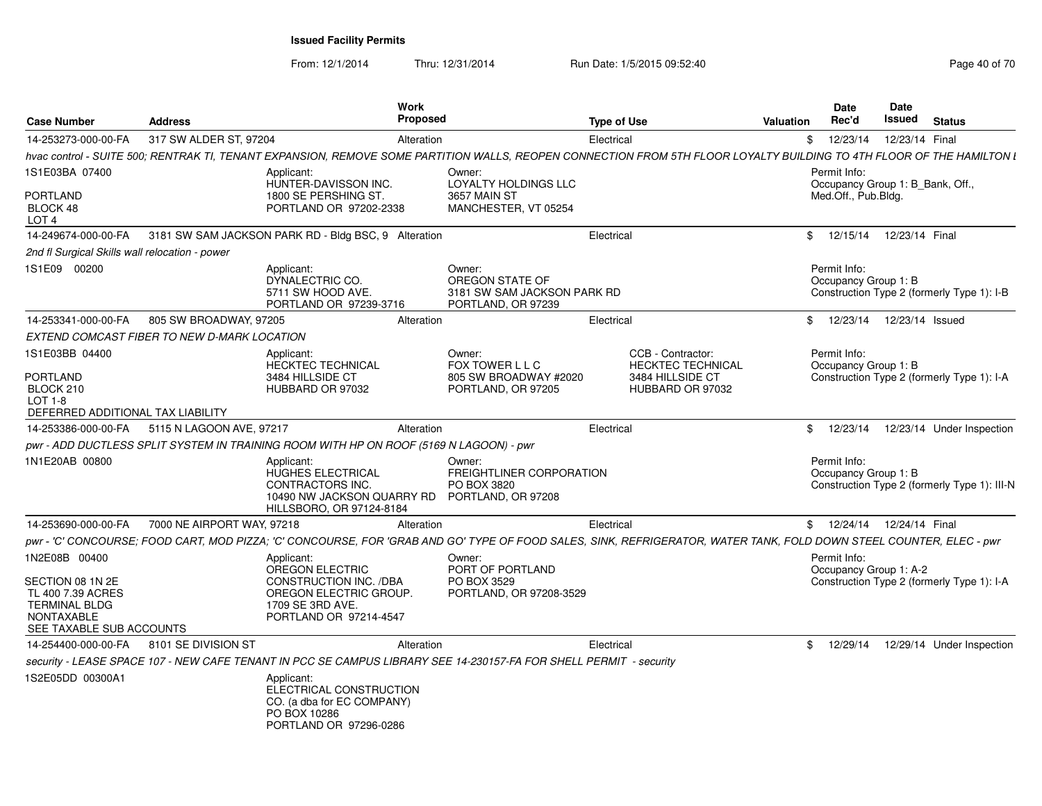| <b>Case Number</b>                                                                                             | <b>Address</b>                              | Work<br>Proposed                                                                                                                                                      |                                                                                | <b>Type of Use</b> |                                               | <b>Valuation</b> | <b>Date</b><br>Rec'd                             | Date<br><b>Issued</b> | <b>Status</b>                                |
|----------------------------------------------------------------------------------------------------------------|---------------------------------------------|-----------------------------------------------------------------------------------------------------------------------------------------------------------------------|--------------------------------------------------------------------------------|--------------------|-----------------------------------------------|------------------|--------------------------------------------------|-----------------------|----------------------------------------------|
| 14-253273-000-00-FA                                                                                            | 317 SW ALDER ST, 97204                      | Alteration                                                                                                                                                            |                                                                                | Electrical         |                                               | \$               | 12/23/14                                         | 12/23/14 Final        |                                              |
|                                                                                                                |                                             | hvac control - SUITE 500; RENTRAK TI, TENANT EXPANSION, REMOVE SOME PARTITION WALLS, REOPEN CONNECTION FROM 5TH FLOOR LOYALTY BUILDING TO 4TH FLOOR OF THE HAMILTON I |                                                                                |                    |                                               |                  |                                                  |                       |                                              |
| 1S1E03BA 07400                                                                                                 |                                             | Applicant:<br>HUNTER-DAVISSON INC.                                                                                                                                    | Owner:<br>LOYALTY HOLDINGS LLC                                                 |                    |                                               |                  | Permit Info:<br>Occupancy Group 1: B_Bank, Off., |                       |                                              |
| <b>PORTLAND</b><br>BLOCK 48<br>LOT <sub>4</sub>                                                                |                                             | 1800 SE PERSHING ST.<br>PORTLAND OR 97202-2338                                                                                                                        | 3657 MAIN ST<br>MANCHESTER, VT 05254                                           |                    |                                               |                  | Med.Off., Pub.Bldg.                              |                       |                                              |
| 14-249674-000-00-FA                                                                                            |                                             | 3181 SW SAM JACKSON PARK RD - Bldg BSC, 9 Alteration                                                                                                                  |                                                                                | Electrical         |                                               |                  | \$ 12/15/14 12/23/14 Final                       |                       |                                              |
| 2nd fl Surgical Skills wall relocation - power                                                                 |                                             |                                                                                                                                                                       |                                                                                |                    |                                               |                  |                                                  |                       |                                              |
| 1S1E09 00200                                                                                                   |                                             | Applicant:<br>DYNALECTRIC CO.<br>5711 SW HOOD AVE.<br>PORTLAND OR 97239-3716                                                                                          | Owner:<br>OREGON STATE OF<br>3181 SW SAM JACKSON PARK RD<br>PORTLAND, OR 97239 |                    |                                               |                  | Permit Info:<br>Occupancy Group 1: B             |                       | Construction Type 2 (formerly Type 1): I-B   |
| 14-253341-000-00-FA                                                                                            | 805 SW BROADWAY, 97205                      | Alteration                                                                                                                                                            |                                                                                | Electrical         |                                               |                  | \$ 12/23/14 12/23/14 Issued                      |                       |                                              |
|                                                                                                                | EXTEND COMCAST FIBER TO NEW D-MARK LOCATION |                                                                                                                                                                       |                                                                                |                    |                                               |                  |                                                  |                       |                                              |
| 1S1E03BB 04400                                                                                                 |                                             | Applicant:<br>HECKTEC TECHNICAL                                                                                                                                       | Owner:<br>FOX TOWER L L C                                                      |                    | CCB - Contractor:<br><b>HECKTEC TECHNICAL</b> |                  | Permit Info:<br>Occupancy Group 1: B             |                       |                                              |
| <b>PORTLAND</b><br>BLOCK 210<br><b>LOT 1-8</b>                                                                 |                                             | 3484 HILLSIDE CT<br>HUBBARD OR 97032                                                                                                                                  | 805 SW BROADWAY #2020<br>PORTLAND, OR 97205                                    |                    | 3484 HILLSIDE CT<br>HUBBARD OR 97032          |                  |                                                  |                       | Construction Type 2 (formerly Type 1): I-A   |
| DEFERRED ADDITIONAL TAX LIABILITY                                                                              |                                             |                                                                                                                                                                       |                                                                                |                    |                                               |                  |                                                  |                       |                                              |
| 14-253386-000-00-FA                                                                                            | 5115 N LAGOON AVE, 97217                    | Alteration                                                                                                                                                            |                                                                                | Electrical         |                                               |                  | \$12/23/14                                       |                       | 12/23/14 Under Inspection                    |
|                                                                                                                |                                             | pwr - ADD DUCTLESS SPLIT SYSTEM IN TRAINING ROOM WITH HP ON ROOF (5169 N LAGOON) - pwr                                                                                |                                                                                |                    |                                               |                  |                                                  |                       |                                              |
| 1N1E20AB 00800                                                                                                 |                                             | Applicant:<br>HUGHES ELECTRICAL<br>CONTRACTORS INC.<br>10490 NW JACKSON QUARRY RD PORTLAND, OR 97208<br>HILLSBORO, OR 97124-8184                                      | Owner:<br>FREIGHTLINER CORPORATION<br>PO BOX 3820                              |                    |                                               |                  | Permit Info:<br>Occupancy Group 1: B             |                       | Construction Type 2 (formerly Type 1): III-N |
| 14-253690-000-00-FA                                                                                            | 7000 NE AIRPORT WAY, 97218                  | Alteration                                                                                                                                                            |                                                                                | Electrical         |                                               |                  | \$ 12/24/14 12/24/14 Final                       |                       |                                              |
|                                                                                                                |                                             | pwr - 'C' CONCOURSE; FOOD CART, MOD PIZZA; 'C' CONCOURSE, FOR 'GRAB AND GO' TYPE OF FOOD SALES, SINK, REFRIGERATOR, WATER TANK, FOLD DOWN STEEL COUNTER, ELEC - pwr   |                                                                                |                    |                                               |                  |                                                  |                       |                                              |
| 1N2E08B 00400                                                                                                  |                                             | Applicant:<br>OREGON ELECTRIC                                                                                                                                         | Owner:<br>PORT OF PORTLAND                                                     |                    |                                               |                  | Permit Info:<br>Occupancy Group 1: A-2           |                       |                                              |
| SECTION 08 1N 2E<br>TL 400 7.39 ACRES<br><b>TERMINAL BLDG</b><br><b>NONTAXABLE</b><br>SEE TAXABLE SUB ACCOUNTS |                                             | CONSTRUCTION INC. /DBA<br>OREGON ELECTRIC GROUP.<br>1709 SE 3RD AVE.<br>PORTLAND OR 97214-4547                                                                        | PO BOX 3529<br>PORTLAND, OR 97208-3529                                         |                    |                                               |                  |                                                  |                       | Construction Type 2 (formerly Type 1): I-A   |
| 14-254400-000-00-FA                                                                                            | 8101 SE DIVISION ST                         | Alteration                                                                                                                                                            |                                                                                | Electrical         |                                               |                  | \$12/29/14                                       |                       | 12/29/14 Under Inspection                    |
|                                                                                                                |                                             | security - LEASE SPACE 107 - NEW CAFE TENANT IN PCC SE CAMPUS LIBRARY SEE 14-230157-FA FOR SHELL PERMIT - security                                                    |                                                                                |                    |                                               |                  |                                                  |                       |                                              |
| 1S2E05DD 00300A1                                                                                               |                                             | Applicant:<br>ELECTRICAL CONSTRUCTION<br>CO. (a dba for EC COMPANY)<br>PO BOX 10286<br>PORTLAND OR 97296-0286                                                         |                                                                                |                    |                                               |                  |                                                  |                       |                                              |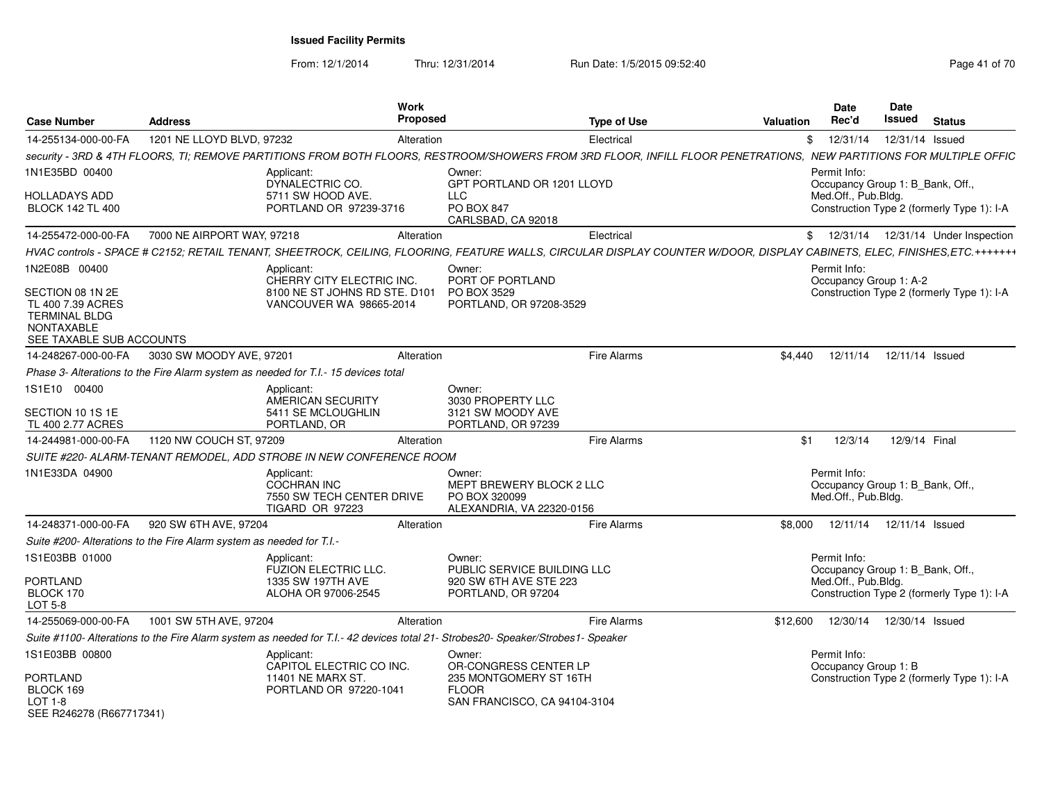| <b>Case Number</b>                                                                                                              | <b>Address</b>                                                       | Work<br>Proposed                                                                                                                                                         |                                                                                  | <b>Type of Use</b> | <b>Valuation</b> | <b>Date</b><br>Rec'd                                                    | <b>Date</b><br>Issued | <b>Status</b>                              |
|---------------------------------------------------------------------------------------------------------------------------------|----------------------------------------------------------------------|--------------------------------------------------------------------------------------------------------------------------------------------------------------------------|----------------------------------------------------------------------------------|--------------------|------------------|-------------------------------------------------------------------------|-----------------------|--------------------------------------------|
| 14-255134-000-00-FA                                                                                                             | 1201 NE LLOYD BLVD, 97232                                            | Alteration                                                                                                                                                               |                                                                                  | Electrical         |                  | \$12/31/14                                                              | 12/31/14 Issued       |                                            |
|                                                                                                                                 |                                                                      | security - 3RD & 4TH FLOORS. TI: REMOVE PARTITIONS FROM BOTH FLOORS. RESTROOM/SHOWERS FROM 3RD FLOOR. INFILL FLOOR PENETRATIONS.  NEW PARTITIONS FOR MULTIPLE OFFIC      |                                                                                  |                    |                  |                                                                         |                       |                                            |
| 1N1E35BD 00400                                                                                                                  |                                                                      | Applicant:<br>DYNALECTRIC CO.                                                                                                                                            | Owner:<br>GPT PORTLAND OR 1201 LLOYD                                             |                    |                  | Permit Info:<br>Occupancy Group 1: B Bank, Off.,                        |                       |                                            |
| <b>HOLLADAYS ADD</b><br><b>BLOCK 142 TL 400</b>                                                                                 |                                                                      | 5711 SW HOOD AVE.<br>PORTLAND OR 97239-3716                                                                                                                              | <b>LLC</b><br>PO BOX 847<br>CARLSBAD, CA 92018                                   |                    |                  | Med.Off., Pub.Bldg.                                                     |                       | Construction Type 2 (formerly Type 1): I-A |
| 14-255472-000-00-FA                                                                                                             | 7000 NE AIRPORT WAY, 97218                                           | Alteration                                                                                                                                                               |                                                                                  | Electrical         |                  |                                                                         |                       | \$ 12/31/14 12/31/14 Under Inspection      |
|                                                                                                                                 |                                                                      | HVAC controls - SPACE # C2152: RETAIL TENANT. SHEETROCK. CEILING. FLOORING. FEATURE WALLS. CIRCULAR DISPLAY COUNTER W/DOOR. DISPLAY CABINETS. ELEC. FINISHES.ETC.+++++++ |                                                                                  |                    |                  |                                                                         |                       |                                            |
| 1N2E08B 00400<br>SECTION 08 1N 2E<br>TL 400 7.39 ACRES<br><b>TERMINAL BLDG</b><br><b>NONTAXABLE</b><br>SEE TAXABLE SUB ACCOUNTS |                                                                      | Applicant:<br>CHERRY CITY ELECTRIC INC.<br>8100 NE ST JOHNS RD STE. D101<br>VANCOUVER WA 98665-2014                                                                      | Owner:<br>PORT OF PORTLAND<br>PO BOX 3529<br>PORTLAND, OR 97208-3529             |                    |                  | Permit Info:<br>Occupancy Group 1: A-2                                  |                       | Construction Type 2 (formerly Type 1): I-A |
| 14-248267-000-00-FA                                                                                                             | 3030 SW MOODY AVE, 97201                                             | Alteration                                                                                                                                                               |                                                                                  | Fire Alarms        | \$4.440          | 12/11/14                                                                | 12/11/14 Issued       |                                            |
|                                                                                                                                 |                                                                      | Phase 3- Alterations to the Fire Alarm system as needed for T.I.- 15 devices total                                                                                       |                                                                                  |                    |                  |                                                                         |                       |                                            |
| 1S1E10 00400<br>SECTION 10 1S 1E                                                                                                |                                                                      | Applicant:<br>AMERICAN SECURITY<br>5411 SE MCLOUGHLIN                                                                                                                    | Owner:<br>3030 PROPERTY LLC<br>3121 SW MOODY AVE                                 |                    |                  |                                                                         |                       |                                            |
| TL 400 2.77 ACRES                                                                                                               |                                                                      | PORTLAND, OR                                                                                                                                                             | PORTLAND, OR 97239                                                               |                    |                  |                                                                         |                       |                                            |
| 14-244981-000-00-FA                                                                                                             | 1120 NW COUCH ST, 97209                                              | Alteration                                                                                                                                                               |                                                                                  | <b>Fire Alarms</b> | \$1              | 12/3/14                                                                 | 12/9/14 Final         |                                            |
|                                                                                                                                 |                                                                      | SUITE #220- ALARM-TENANT REMODEL, ADD STROBE IN NEW CONFERENCE ROOM                                                                                                      |                                                                                  |                    |                  |                                                                         |                       |                                            |
| 1N1E33DA 04900                                                                                                                  |                                                                      | Applicant:<br>COCHRAN INC<br>7550 SW TECH CENTER DRIVE<br>TIGARD OR 97223                                                                                                | Owner:<br>MEPT BREWERY BLOCK 2 LLC<br>PO BOX 320099<br>ALEXANDRIA, VA 22320-0156 |                    |                  | Permit Info:<br>Occupancy Group 1: B Bank, Off.,<br>Med.Off., Pub.Bldg. |                       |                                            |
| 14-248371-000-00-FA                                                                                                             | 920 SW 6TH AVE, 97204                                                | Alteration                                                                                                                                                               |                                                                                  | <b>Fire Alarms</b> | \$8.000          | 12/11/14  12/11/14  Issued                                              |                       |                                            |
|                                                                                                                                 | Suite #200- Alterations to the Fire Alarm system as needed for T.I.- |                                                                                                                                                                          |                                                                                  |                    |                  |                                                                         |                       |                                            |
| 1S1E03BB 01000                                                                                                                  |                                                                      | Applicant:<br><b>FUZION ELECTRIC LLC.</b>                                                                                                                                | Owner:<br>PUBLIC SERVICE BUILDING LLC                                            |                    |                  | Permit Info:<br>Occupancy Group 1: B_Bank, Off.,                        |                       |                                            |
| <b>PORTLAND</b><br>BLOCK 170<br>LOT 5-8                                                                                         |                                                                      | 1335 SW 197TH AVE<br>ALOHA OR 97006-2545                                                                                                                                 | 920 SW 6TH AVE STE 223<br>PORTLAND, OR 97204                                     |                    |                  | Med.Off., Pub.Bldg.                                                     |                       | Construction Type 2 (formerly Type 1): I-A |
| 14-255069-000-00-FA                                                                                                             | 1001 SW 5TH AVE, 97204                                               | Alteration                                                                                                                                                               |                                                                                  | Fire Alarms        | \$12,600         | 12/30/14  12/30/14  Issued                                              |                       |                                            |
|                                                                                                                                 |                                                                      | Suite #1100- Alterations to the Fire Alarm system as needed for T.I.-42 devices total 21- Strobes20- Speaker/Strobes1- Speaker                                           |                                                                                  |                    |                  |                                                                         |                       |                                            |
| 1S1E03BB 00800<br>PORTLAND                                                                                                      |                                                                      | Applicant:<br>CAPITOL ELECTRIC CO INC.<br>11401 NE MARX ST.                                                                                                              | Owner:<br>OR-CONGRESS CENTER LP<br>235 MONTGOMERY ST 16TH                        |                    |                  | Permit Info:<br>Occupancy Group 1: B                                    |                       | Construction Type 2 (formerly Type 1): I-A |
| BLOCK 169<br>$LOT 1-8$<br>SEE R246278 (R667717341)                                                                              |                                                                      | PORTLAND OR 97220-1041                                                                                                                                                   | <b>FLOOR</b><br>SAN FRANCISCO, CA 94104-3104                                     |                    |                  |                                                                         |                       |                                            |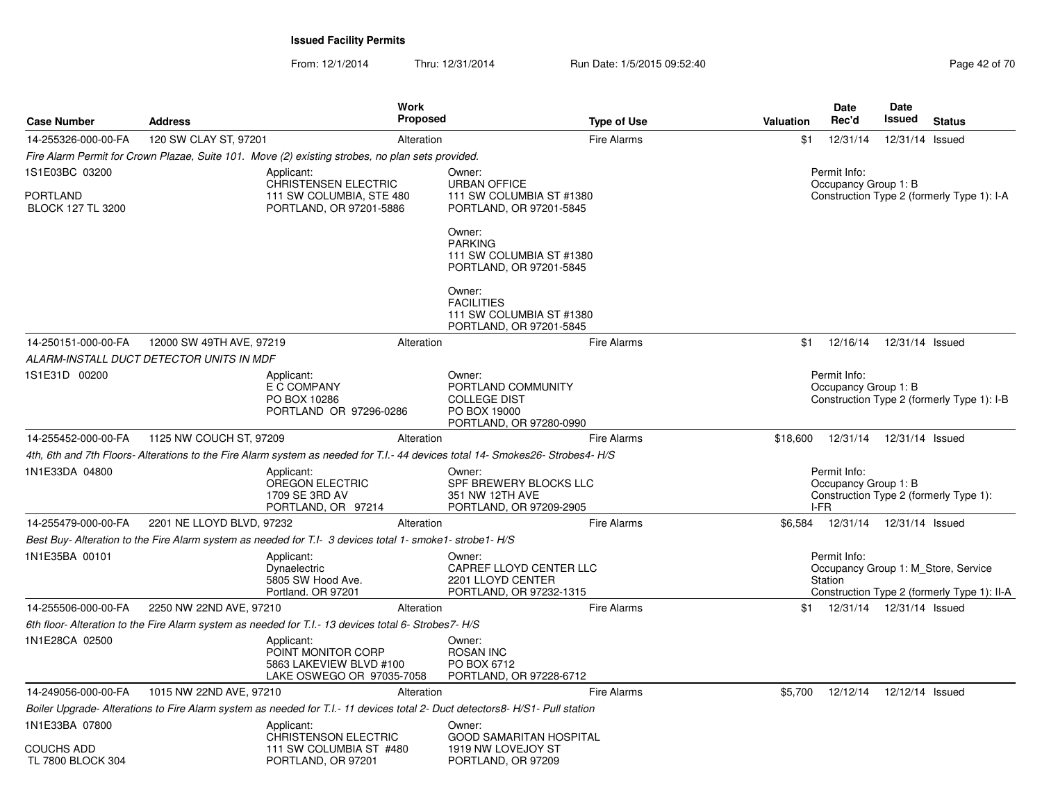| <b>Case Number</b>                   | <b>Address</b>                           |                                                                                                                                | Work<br><b>Proposed</b> |                                                                                                | <b>Type of Use</b> | Valuation | Date<br>Rec'd                                | <b>Date</b><br>Issued      | <b>Status</b>                                                                      |
|--------------------------------------|------------------------------------------|--------------------------------------------------------------------------------------------------------------------------------|-------------------------|------------------------------------------------------------------------------------------------|--------------------|-----------|----------------------------------------------|----------------------------|------------------------------------------------------------------------------------|
| 14-255326-000-00-FA                  | 120 SW CLAY ST, 97201                    |                                                                                                                                | Alteration              |                                                                                                | <b>Fire Alarms</b> | \$1       | 12/31/14                                     |                            | 12/31/14 Issued                                                                    |
|                                      |                                          | Fire Alarm Permit for Crown Plazae, Suite 101. Move (2) existing strobes, no plan sets provided.                               |                         |                                                                                                |                    |           |                                              |                            |                                                                                    |
| 1S1E03BC 03200                       |                                          | Applicant:<br><b>CHRISTENSEN ELECTRIC</b>                                                                                      |                         | Owner:<br><b>URBAN OFFICE</b>                                                                  |                    |           | Permit Info:<br>Occupancy Group 1: B         |                            |                                                                                    |
| PORTLAND<br><b>BLOCK 127 TL 3200</b> |                                          | 111 SW COLUMBIA, STE 480<br>PORTLAND, OR 97201-5886                                                                            |                         | 111 SW COLUMBIA ST #1380<br>PORTLAND, OR 97201-5845                                            |                    |           |                                              |                            | Construction Type 2 (formerly Type 1): I-A                                         |
|                                      |                                          |                                                                                                                                |                         | Owner:<br><b>PARKING</b><br>111 SW COLUMBIA ST #1380<br>PORTLAND, OR 97201-5845                |                    |           |                                              |                            |                                                                                    |
|                                      |                                          |                                                                                                                                |                         | Owner:<br><b>FACILITIES</b><br>111 SW COLUMBIA ST #1380<br>PORTLAND, OR 97201-5845             |                    |           |                                              |                            |                                                                                    |
| 14-250151-000-00-FA                  | 12000 SW 49TH AVE, 97219                 |                                                                                                                                | Alteration              |                                                                                                | <b>Fire Alarms</b> | \$1       | 12/16/14                                     |                            | 12/31/14 Issued                                                                    |
|                                      | ALARM-INSTALL DUCT DETECTOR UNITS IN MDF |                                                                                                                                |                         |                                                                                                |                    |           |                                              |                            |                                                                                    |
| 1S1E31D 00200                        |                                          | Applicant:<br>E C COMPANY<br>PO BOX 10286<br>PORTLAND OR 97296-0286                                                            |                         | Owner:<br>PORTLAND COMMUNITY<br><b>COLLEGE DIST</b><br>PO BOX 19000<br>PORTLAND, OR 97280-0990 |                    |           | Permit Info:<br>Occupancy Group 1: B         |                            | Construction Type 2 (formerly Type 1): I-B                                         |
| 14-255452-000-00-FA                  | 1125 NW COUCH ST, 97209                  |                                                                                                                                | Alteration              |                                                                                                | <b>Fire Alarms</b> | \$18,600  | 12/31/14                                     |                            | 12/31/14 Issued                                                                    |
|                                      |                                          | 4th, 6th and 7th Floors- Alterations to the Fire Alarm system as needed for T.I.- 44 devices total 14- Smokes26- Strobes4- H/S |                         |                                                                                                |                    |           |                                              |                            |                                                                                    |
| 1N1E33DA 04800                       |                                          | Applicant:<br>OREGON ELECTRIC<br>1709 SE 3RD AV<br>PORTLAND, OR 97214                                                          |                         | Owner:<br>SPF BREWERY BLOCKS LLC<br>351 NW 12TH AVE<br>PORTLAND, OR 97209-2905                 |                    |           | Permit Info:<br>Occupancy Group 1: B<br>I-FR |                            | Construction Type 2 (formerly Type 1):                                             |
| 14-255479-000-00-FA                  | 2201 NE LLOYD BLVD, 97232                |                                                                                                                                | Alteration              |                                                                                                | <b>Fire Alarms</b> | \$6,584   |                                              | 12/31/14  12/31/14  Issued |                                                                                    |
|                                      |                                          | Best Buy- Alteration to the Fire Alarm system as needed for T.I- 3 devices total 1- smoke1- strobe1- H/S                       |                         |                                                                                                |                    |           |                                              |                            |                                                                                    |
| 1N1E35BA 00101                       |                                          | Applicant:<br>Dynaelectric<br>5805 SW Hood Ave.<br>Portland. OR 97201                                                          |                         | Owner:<br>CAPREF LLOYD CENTER LLC<br>2201 LLOYD CENTER<br>PORTLAND, OR 97232-1315              |                    |           | Permit Info:<br>Station                      |                            | Occupancy Group 1: M Store, Service<br>Construction Type 2 (formerly Type 1): II-A |
| 14-255506-000-00-FA                  | 2250 NW 22ND AVE, 97210                  |                                                                                                                                | Alteration              |                                                                                                | <b>Fire Alarms</b> |           | \$1                                          | 12/31/14  12/31/14  Issued |                                                                                    |
|                                      |                                          | 6th floor- Alteration to the Fire Alarm system as needed for T.I.- 13 devices total 6- Strobes7- H/S                           |                         |                                                                                                |                    |           |                                              |                            |                                                                                    |
| 1N1E28CA 02500                       |                                          | Applicant:<br>POINT MONITOR CORP<br>5863 LAKEVIEW BLVD #100<br>LAKE OSWEGO OR 97035-7058                                       |                         | Owner:<br><b>ROSAN INC</b><br>PO BOX 6712<br>PORTLAND, OR 97228-6712                           |                    |           |                                              |                            |                                                                                    |
| 14-249056-000-00-FA                  | 1015 NW 22ND AVE, 97210                  |                                                                                                                                | Alteration              |                                                                                                | <b>Fire Alarms</b> | \$5,700   | 12/12/14                                     |                            | 12/12/14 Issued                                                                    |
|                                      |                                          | Boiler Upgrade- Alterations to Fire Alarm system as needed for T.I.- 11 devices total 2- Duct detectors8- H/S1- Pull station   |                         |                                                                                                |                    |           |                                              |                            |                                                                                    |
| 1N1E33BA 07800                       |                                          | Applicant:<br><b>CHRISTENSON ELECTRIC</b>                                                                                      |                         | Owner:<br><b>GOOD SAMARITAN HOSPITAL</b>                                                       |                    |           |                                              |                            |                                                                                    |
| COUCHS ADD<br>TL 7800 BLOCK 304      |                                          | 111 SW COLUMBIA ST #480<br>PORTLAND, OR 97201                                                                                  |                         | 1919 NW LOVEJOY ST<br>PORTLAND, OR 97209                                                       |                    |           |                                              |                            |                                                                                    |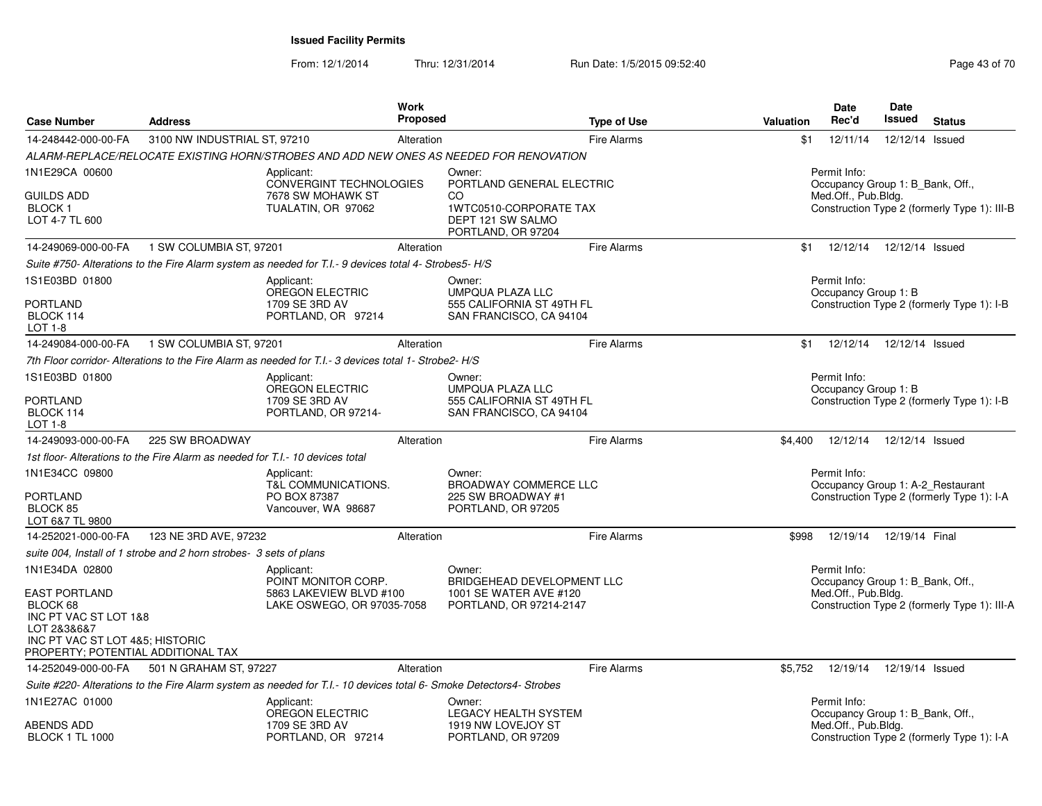| <b>Case Number</b>                                                                                                                                | <b>Address</b>                                                               |                                                                                                                    | <b>Work</b><br><b>Proposed</b> |                                                                         | <b>Type of Use</b> | Valuation | <b>Date</b><br>Rec'd                             | <b>Date</b><br><b>Issued</b> | <b>Status</b>                                |
|---------------------------------------------------------------------------------------------------------------------------------------------------|------------------------------------------------------------------------------|--------------------------------------------------------------------------------------------------------------------|--------------------------------|-------------------------------------------------------------------------|--------------------|-----------|--------------------------------------------------|------------------------------|----------------------------------------------|
| 14-248442-000-00-FA                                                                                                                               | 3100 NW INDUSTRIAL ST, 97210                                                 |                                                                                                                    | Alteration                     |                                                                         | <b>Fire Alarms</b> | \$1       | 12/11/14                                         | 12/12/14 Issued              |                                              |
|                                                                                                                                                   |                                                                              | ALARM-REPLACE/RELOCATE EXISTING HORN/STROBES AND ADD NEW ONES AS NEEDED FOR RENOVATION                             |                                |                                                                         |                    |           |                                                  |                              |                                              |
| 1N1E29CA 00600                                                                                                                                    |                                                                              | Applicant:<br><b>CONVERGINT TECHNOLOGIES</b>                                                                       |                                | Owner:<br>PORTLAND GENERAL ELECTRIC                                     |                    |           | Permit Info:<br>Occupancy Group 1: B_Bank, Off., |                              |                                              |
| <b>GUILDS ADD</b><br><b>BLOCK1</b><br>LOT 4-7 TL 600                                                                                              |                                                                              | 7678 SW MOHAWK ST<br>TUALATIN, OR 97062                                                                            |                                | CO<br>1WTC0510-CORPORATE TAX<br>DEPT 121 SW SALMO<br>PORTLAND, OR 97204 |                    |           | Med.Off., Pub.Bldg.                              |                              | Construction Type 2 (formerly Type 1): III-B |
| 14-249069-000-00-FA                                                                                                                               | 1 SW COLUMBIA ST, 97201                                                      |                                                                                                                    | Alteration                     |                                                                         | <b>Fire Alarms</b> | \$1       | 12/12/14                                         | 12/12/14 Issued              |                                              |
|                                                                                                                                                   |                                                                              | Suite #750- Alterations to the Fire Alarm system as needed for T.I.- 9 devices total 4- Strobes5- H/S              |                                |                                                                         |                    |           |                                                  |                              |                                              |
| 1S1E03BD 01800                                                                                                                                    |                                                                              | Applicant:<br>OREGON ELECTRIC                                                                                      |                                | Owner:<br><b>UMPQUA PLAZA LLC</b>                                       |                    |           | Permit Info:<br>Occupancy Group 1: B             |                              |                                              |
| <b>PORTLAND</b><br>BLOCK 114<br>LOT 1-8                                                                                                           |                                                                              | 1709 SE 3RD AV<br>PORTLAND, OR 97214                                                                               |                                | 555 CALIFORNIA ST 49TH FL<br>SAN FRANCISCO, CA 94104                    |                    |           |                                                  |                              | Construction Type 2 (formerly Type 1): I-B   |
| 14-249084-000-00-FA                                                                                                                               | 1 SW COLUMBIA ST, 97201                                                      |                                                                                                                    | Alteration                     |                                                                         | <b>Fire Alarms</b> | \$1       | 12/12/14                                         | 12/12/14 Issued              |                                              |
|                                                                                                                                                   |                                                                              | 7th Floor corridor-Alterations to the Fire Alarm as needed for T.I.- 3 devices total 1- Strobe2-H/S                |                                |                                                                         |                    |           |                                                  |                              |                                              |
| 1S1E03BD 01800                                                                                                                                    |                                                                              | Applicant:<br><b>OREGON ELECTRIC</b>                                                                               |                                | Owner:<br><b>UMPQUA PLAZA LLC</b>                                       |                    |           | Permit Info:<br>Occupancy Group 1: B             |                              |                                              |
| <b>PORTLAND</b><br>BLOCK 114<br>LOT 1-8                                                                                                           |                                                                              | 1709 SE 3RD AV<br>PORTLAND, OR 97214-                                                                              |                                | 555 CALIFORNIA ST 49TH FL<br>SAN FRANCISCO, CA 94104                    |                    |           |                                                  |                              | Construction Type 2 (formerly Type 1): I-B   |
| 14-249093-000-00-FA                                                                                                                               | 225 SW BROADWAY                                                              |                                                                                                                    | Alteration                     |                                                                         | Fire Alarms        | \$4,400   | 12/12/14                                         | 12/12/14 Issued              |                                              |
|                                                                                                                                                   | 1st floor-Alterations to the Fire Alarm as needed for T.I.- 10 devices total |                                                                                                                    |                                |                                                                         |                    |           |                                                  |                              |                                              |
| 1N1E34CC 09800                                                                                                                                    |                                                                              | Applicant:<br>T&L COMMUNICATIONS.                                                                                  |                                | Owner:<br><b>BROADWAY COMMERCE LLC</b>                                  |                    |           | Permit Info:                                     |                              | Occupancy Group 1: A-2_Restaurant            |
| <b>PORTLAND</b><br>BLOCK 85<br>LOT 6&7 TL 9800                                                                                                    |                                                                              | PO BOX 87387<br>Vancouver, WA 98687                                                                                |                                | 225 SW BROADWAY #1<br>PORTLAND, OR 97205                                |                    |           |                                                  |                              | Construction Type 2 (formerly Type 1): I-A   |
| 14-252021-000-00-FA                                                                                                                               | 123 NE 3RD AVE, 97232                                                        |                                                                                                                    | Alteration                     |                                                                         | <b>Fire Alarms</b> | \$998     | 12/19/14                                         | 12/19/14 Final               |                                              |
|                                                                                                                                                   | suite 004, Install of 1 strobe and 2 horn strobes- 3 sets of plans           |                                                                                                                    |                                |                                                                         |                    |           |                                                  |                              |                                              |
| 1N1E34DA 02800                                                                                                                                    |                                                                              | Applicant:<br>POINT MONITOR CORP.                                                                                  |                                | Owner:<br><b>BRIDGEHEAD DEVELOPMENT LLC</b>                             |                    |           | Permit Info:<br>Occupancy Group 1: B_Bank, Off., |                              |                                              |
| <b>EAST PORTLAND</b><br>BLOCK 68<br>INC PT VAC ST LOT 1&8<br>LOT 2&3&6&7<br>INC PT VAC ST LOT 4&5; HISTORIC<br>PROPERTY; POTENTIAL ADDITIONAL TAX |                                                                              | 5863 LAKEVIEW BLVD #100<br>LAKE OSWEGO, OR 97035-7058                                                              |                                | 1001 SE WATER AVE #120<br>PORTLAND, OR 97214-2147                       |                    |           | Med.Off., Pub.Bldg.                              |                              | Construction Type 2 (formerly Type 1): III-A |
| 14-252049-000-00-FA                                                                                                                               | 501 N GRAHAM ST, 97227                                                       |                                                                                                                    | Alteration                     |                                                                         | <b>Fire Alarms</b> | \$5,752   | 12/19/14                                         | 12/19/14 Issued              |                                              |
|                                                                                                                                                   |                                                                              | Suite #220- Alterations to the Fire Alarm system as needed for T.I.- 10 devices total 6- Smoke Detectors4- Strobes |                                |                                                                         |                    |           |                                                  |                              |                                              |
| 1N1E27AC 01000                                                                                                                                    |                                                                              | Applicant:<br>OREGON ELECTRIC                                                                                      |                                | Owner:<br><b>LEGACY HEALTH SYSTEM</b>                                   |                    |           | Permit Info:<br>Occupancy Group 1: B_Bank, Off., |                              |                                              |
| ABENDS ADD<br><b>BLOCK 1 TL 1000</b>                                                                                                              |                                                                              | 1709 SE 3RD AV<br>PORTLAND, OR 97214                                                                               |                                | 1919 NW LOVEJOY ST<br>PORTLAND, OR 97209                                |                    |           | Med.Off., Pub.Bldg.                              |                              | Construction Type 2 (formerly Type 1): I-A   |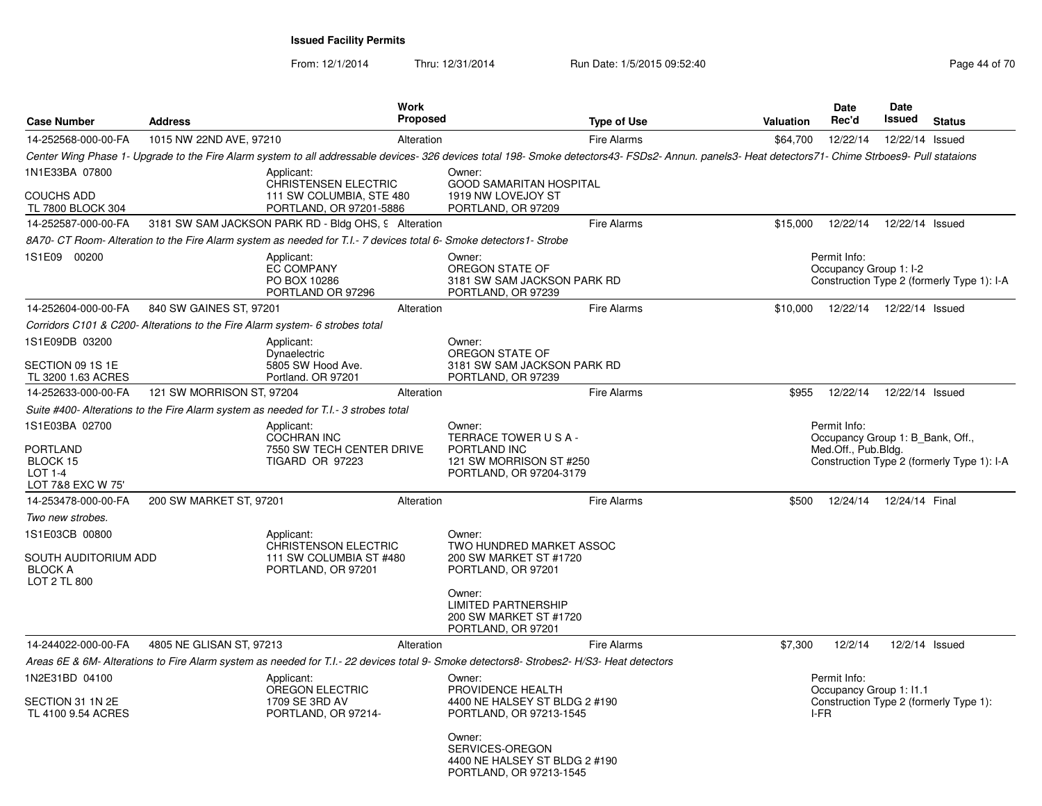| <b>Case Number</b>                                                     | <b>Address</b>                                                               | <b>Work</b><br>Proposed                                                                                                                  |                                                                                                    | <b>Type of Use</b>                                                                                                                                                                                  | <b>Valuation</b> | <b>Date</b><br>Rec'd                                                    | Date<br>Issued   | <b>Status</b>                              |
|------------------------------------------------------------------------|------------------------------------------------------------------------------|------------------------------------------------------------------------------------------------------------------------------------------|----------------------------------------------------------------------------------------------------|-----------------------------------------------------------------------------------------------------------------------------------------------------------------------------------------------------|------------------|-------------------------------------------------------------------------|------------------|--------------------------------------------|
| 14-252568-000-00-FA                                                    | 1015 NW 22ND AVE, 97210                                                      | Alteration                                                                                                                               |                                                                                                    | <b>Fire Alarms</b>                                                                                                                                                                                  | \$64,700         | 12/22/14                                                                | 12/22/14 Issued  |                                            |
|                                                                        |                                                                              |                                                                                                                                          |                                                                                                    | Center Wing Phase 1- Upgrade to the Fire Alarm system to all addressable devices- 326 devices total 198- Smoke detectors43- FSDs2- Annun. panels3- Heat detectors71- Chime Strboes9- Pull stataions |                  |                                                                         |                  |                                            |
| 1N1E33BA 07800<br>COUCHS ADD<br>TL 7800 BLOCK 304                      |                                                                              | Applicant:<br><b>CHRISTENSEN ELECTRIC</b><br>111 SW COLUMBIA, STE 480<br>PORTLAND, OR 97201-5886                                         | Owner:<br>1919 NW LOVEJOY ST<br>PORTLAND, OR 97209                                                 | <b>GOOD SAMARITAN HOSPITAL</b>                                                                                                                                                                      |                  |                                                                         |                  |                                            |
| 14-252587-000-00-FA                                                    |                                                                              | 3181 SW SAM JACKSON PARK RD - Bldg OHS, 9 Alteration                                                                                     |                                                                                                    | <b>Fire Alarms</b>                                                                                                                                                                                  | \$15,000         | 12/22/14                                                                | 12/22/14 Issued  |                                            |
|                                                                        |                                                                              | 8A70- CT Room- Alteration to the Fire Alarm system as needed for T.I.- 7 devices total 6- Smoke detectors1- Strobe                       |                                                                                                    |                                                                                                                                                                                                     |                  |                                                                         |                  |                                            |
| 1S1E09 00200                                                           |                                                                              | Applicant:<br><b>EC COMPANY</b><br>PO BOX 10286<br>PORTLAND OR 97296                                                                     | Owner:<br>OREGON STATE OF<br>PORTLAND, OR 97239                                                    | 3181 SW SAM JACKSON PARK RD                                                                                                                                                                         |                  | Permit Info:<br>Occupancy Group 1: I-2                                  |                  | Construction Type 2 (formerly Type 1): I-A |
| 14-252604-000-00-FA                                                    | 840 SW GAINES ST, 97201                                                      | Alteration                                                                                                                               |                                                                                                    | <b>Fire Alarms</b>                                                                                                                                                                                  | \$10,000         | 12/22/14                                                                | 12/22/14 Issued  |                                            |
|                                                                        | Corridors C101 & C200- Alterations to the Fire Alarm system- 6 strobes total |                                                                                                                                          |                                                                                                    |                                                                                                                                                                                                     |                  |                                                                         |                  |                                            |
| 1S1E09DB 03200                                                         |                                                                              | Applicant:                                                                                                                               | Owner:                                                                                             |                                                                                                                                                                                                     |                  |                                                                         |                  |                                            |
| SECTION 09 1S 1E<br>TL 3200 1.63 ACRES                                 |                                                                              | Dynaelectric<br>5805 SW Hood Ave.<br>Portland. OR 97201                                                                                  | OREGON STATE OF<br>PORTLAND, OR 97239                                                              | 3181 SW SAM JACKSON PARK RD                                                                                                                                                                         |                  |                                                                         |                  |                                            |
| 14-252633-000-00-FA                                                    | 121 SW MORRISON ST, 97204                                                    | Alteration                                                                                                                               |                                                                                                    | <b>Fire Alarms</b>                                                                                                                                                                                  | \$955            | 12/22/14                                                                | 12/22/14 Issued  |                                            |
|                                                                        |                                                                              | Suite #400- Alterations to the Fire Alarm system as needed for T.I.- 3 strobes total                                                     |                                                                                                    |                                                                                                                                                                                                     |                  |                                                                         |                  |                                            |
| 1S1E03BA 02700<br>PORTLAND<br>BLOCK 15<br>LOT 1-4<br>LOT 7&8 EXC W 75' |                                                                              | Applicant:<br><b>COCHRAN INC</b><br>7550 SW TECH CENTER DRIVE<br><b>TIGARD OR 97223</b>                                                  | Owner:<br>TERRACE TOWER USA-<br>PORTLAND INC<br>121 SW MORRISON ST #250<br>PORTLAND, OR 97204-3179 |                                                                                                                                                                                                     |                  | Permit Info:<br>Occupancy Group 1: B_Bank, Off.,<br>Med.Off., Pub.Bldg. |                  | Construction Type 2 (formerly Type 1): I-A |
| 14-253478-000-00-FA                                                    | 200 SW MARKET ST, 97201                                                      | Alteration                                                                                                                               |                                                                                                    | <b>Fire Alarms</b>                                                                                                                                                                                  | \$500            | 12/24/14                                                                | 12/24/14 Final   |                                            |
| Two new strobes.                                                       |                                                                              |                                                                                                                                          |                                                                                                    |                                                                                                                                                                                                     |                  |                                                                         |                  |                                            |
| 1S1E03CB 00800<br>SOUTH AUDITORIUM ADD<br>BLOCK A<br>LOT 2 TL 800      |                                                                              | Applicant:<br><b>CHRISTENSON ELECTRIC</b><br>111 SW COLUMBIA ST #480<br>PORTLAND, OR 97201                                               | Owner:<br>200 SW MARKET ST #1720<br>PORTLAND, OR 97201                                             | TWO HUNDRED MARKET ASSOC                                                                                                                                                                            |                  |                                                                         |                  |                                            |
|                                                                        |                                                                              |                                                                                                                                          | Owner:<br><b>LIMITED PARTNERSHIP</b><br>200 SW MARKET ST #1720<br>PORTLAND, OR 97201               |                                                                                                                                                                                                     |                  |                                                                         |                  |                                            |
| 14-244022-000-00-FA                                                    | 4805 NE GLISAN ST, 97213                                                     | Alteration                                                                                                                               |                                                                                                    | <b>Fire Alarms</b>                                                                                                                                                                                  | \$7,300          | 12/2/14                                                                 | $12/2/14$ Issued |                                            |
|                                                                        |                                                                              | Areas 6E & 6M- Alterations to Fire Alarm system as needed for T.I.- 22 devices total 9- Smoke detectors8- Strobes2- H/S3- Heat detectors |                                                                                                    |                                                                                                                                                                                                     |                  |                                                                         |                  |                                            |
| 1N2E31BD 04100<br>SECTION 31 1N 2E<br>TL 4100 9.54 ACRES               |                                                                              | Applicant:<br>OREGON ELECTRIC<br>1709 SE 3RD AV<br>PORTLAND, OR 97214-                                                                   | Owner:<br>PROVIDENCE HEALTH<br>PORTLAND, OR 97213-1545                                             | 4400 NE HALSEY ST BLDG 2 #190                                                                                                                                                                       |                  | Permit Info:<br>Occupancy Group 1: I1.1<br>I-FR                         |                  | Construction Type 2 (formerly Type 1):     |
|                                                                        |                                                                              |                                                                                                                                          | Owner:<br>SERVICES-OREGON<br>PORTLAND, OR 97213-1545                                               | 4400 NE HALSEY ST BLDG 2 #190                                                                                                                                                                       |                  |                                                                         |                  |                                            |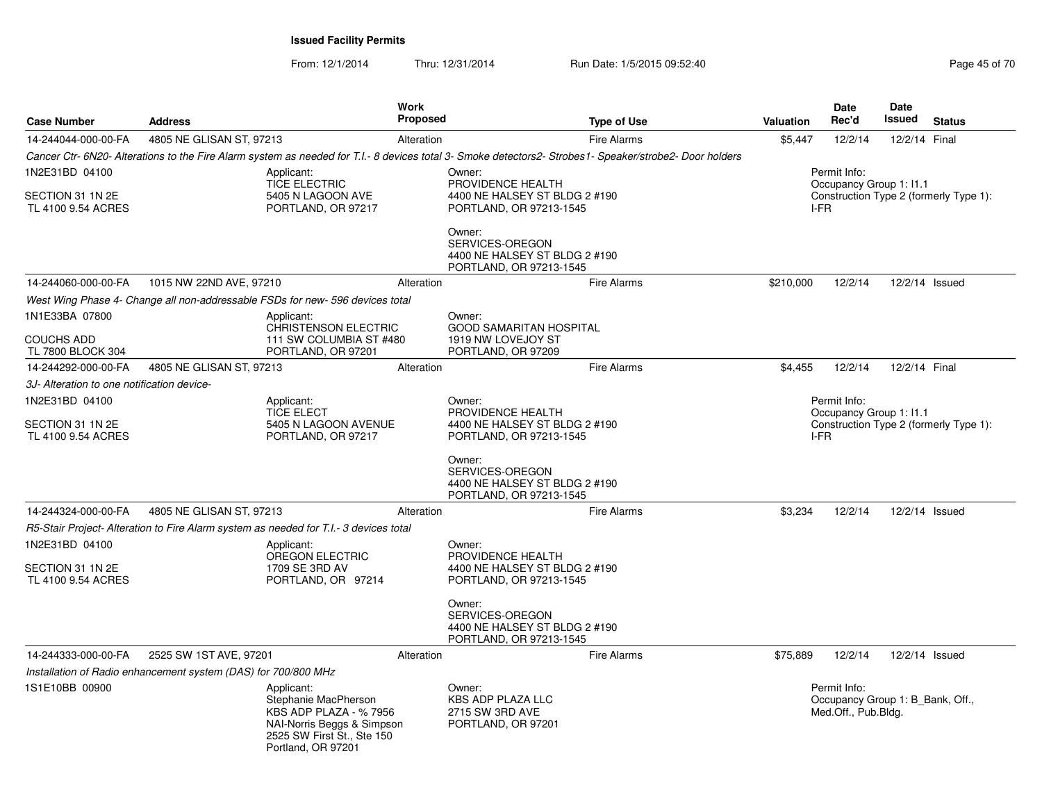| <b>Case Number</b>                                       | <b>Address</b>                                                                                                                                | <b>Work</b><br><b>Proposed</b> | <b>Type of Use</b>                                                                                                                                      | Valuation | <b>Date</b><br>Rec'd                                                    | Date<br>Issued | <b>Status</b>                          |
|----------------------------------------------------------|-----------------------------------------------------------------------------------------------------------------------------------------------|--------------------------------|---------------------------------------------------------------------------------------------------------------------------------------------------------|-----------|-------------------------------------------------------------------------|----------------|----------------------------------------|
| 14-244044-000-00-FA                                      | 4805 NE GLISAN ST. 97213                                                                                                                      | Alteration                     | <b>Fire Alarms</b>                                                                                                                                      | \$5.447   | 12/2/14                                                                 | 12/2/14 Final  |                                        |
|                                                          |                                                                                                                                               |                                | Cancer Ctr- 6N20- Alterations to the Fire Alarm system as needed for T.I.- 8 devices total 3- Smoke detectors2- Strobes1- Speaker/strobe2- Door holders |           |                                                                         |                |                                        |
| 1N2E31BD 04100<br>SECTION 31 1N 2E<br>TL 4100 9.54 ACRES | Applicant:<br><b>TICE ELECTRIC</b><br>5405 N LAGOON AVE<br>PORTLAND, OR 97217                                                                 | Owner:                         | PROVIDENCE HEALTH<br>4400 NE HALSEY ST BLDG 2 #190<br>PORTLAND, OR 97213-1545                                                                           |           | Permit Info:<br>Occupancy Group 1: 11.1<br>I-FR                         |                | Construction Type 2 (formerly Type 1): |
|                                                          |                                                                                                                                               | Owner:                         | SERVICES-OREGON<br>4400 NE HALSEY ST BLDG 2 #190<br>PORTLAND, OR 97213-1545                                                                             |           |                                                                         |                |                                        |
| 14-244060-000-00-FA                                      | 1015 NW 22ND AVE, 97210                                                                                                                       | Alteration                     | <b>Fire Alarms</b>                                                                                                                                      | \$210,000 | 12/2/14                                                                 | 12/2/14 Issued |                                        |
|                                                          | West Wing Phase 4- Change all non-addressable FSDs for new- 596 devices total                                                                 |                                |                                                                                                                                                         |           |                                                                         |                |                                        |
| 1N1E33BA 07800<br><b>COUCHS ADD</b>                      | Applicant:<br><b>CHRISTENSON ELECTRIC</b><br>111 SW COLUMBIA ST #480                                                                          | Owner:                         | <b>GOOD SAMARITAN HOSPITAL</b><br>1919 NW LOVEJOY ST                                                                                                    |           |                                                                         |                |                                        |
| TL 7800 BLOCK 304                                        | PORTLAND, OR 97201                                                                                                                            |                                | PORTLAND, OR 97209                                                                                                                                      |           |                                                                         |                |                                        |
| 14-244292-000-00-FA                                      | 4805 NE GLISAN ST, 97213                                                                                                                      | Alteration                     | <b>Fire Alarms</b>                                                                                                                                      | \$4,455   | 12/2/14                                                                 | 12/2/14 Final  |                                        |
| 3J- Alteration to one notification device-               |                                                                                                                                               |                                |                                                                                                                                                         |           |                                                                         |                |                                        |
| 1N2E31BD 04100<br>SECTION 31 1N 2E<br>TL 4100 9.54 ACRES | Applicant:<br><b>TICE ELECT</b><br>5405 N LAGOON AVENUE<br>PORTLAND, OR 97217                                                                 | Owner:                         | PROVIDENCE HEALTH<br>4400 NE HALSEY ST BLDG 2 #190<br>PORTLAND, OR 97213-1545                                                                           | I-FR      | Permit Info:<br>Occupancy Group 1: I1.1                                 |                | Construction Type 2 (formerly Type 1): |
|                                                          |                                                                                                                                               | Owner:                         | SERVICES-OREGON<br>4400 NE HALSEY ST BLDG 2 #190<br>PORTLAND, OR 97213-1545                                                                             |           |                                                                         |                |                                        |
| 14-244324-000-00-FA                                      | 4805 NE GLISAN ST, 97213                                                                                                                      | Alteration                     | <b>Fire Alarms</b>                                                                                                                                      | \$3,234   | 12/2/14                                                                 | 12/2/14 Issued |                                        |
|                                                          | R5-Stair Project-Alteration to Fire Alarm system as needed for T.I.-3 devices total                                                           |                                |                                                                                                                                                         |           |                                                                         |                |                                        |
| 1N2E31BD 04100<br>SECTION 31 1N 2E                       | Applicant:<br><b>OREGON ELECTRIC</b><br>1709 SE 3RD AV                                                                                        | Owner:                         | PROVIDENCE HEALTH<br>4400 NE HALSEY ST BLDG 2 #190                                                                                                      |           |                                                                         |                |                                        |
| TL 4100 9.54 ACRES                                       | PORTLAND, OR 97214                                                                                                                            | Owner:                         | PORTLAND, OR 97213-1545<br>SERVICES-OREGON<br>4400 NE HALSEY ST BLDG 2 #190<br>PORTLAND, OR 97213-1545                                                  |           |                                                                         |                |                                        |
| 14-244333-000-00-FA                                      | 2525 SW 1ST AVE, 97201                                                                                                                        | Alteration                     | <b>Fire Alarms</b>                                                                                                                                      | \$75,889  | 12/2/14                                                                 | 12/2/14 Issued |                                        |
|                                                          | Installation of Radio enhancement system (DAS) for 700/800 MHz                                                                                |                                |                                                                                                                                                         |           |                                                                         |                |                                        |
| 1S1E10BB 00900                                           | Applicant:<br>Stephanie MacPherson<br>KBS ADP PLAZA - %7956<br>NAI-Norris Beggs & Simpson<br>2525 SW First St., Ste 150<br>Portland, OR 97201 | Owner:                         | <b>KBS ADP PLAZA LLC</b><br>2715 SW 3RD AVE<br>PORTLAND, OR 97201                                                                                       |           | Permit Info:<br>Occupancy Group 1: B Bank, Off.,<br>Med.Off., Pub.Bldg. |                |                                        |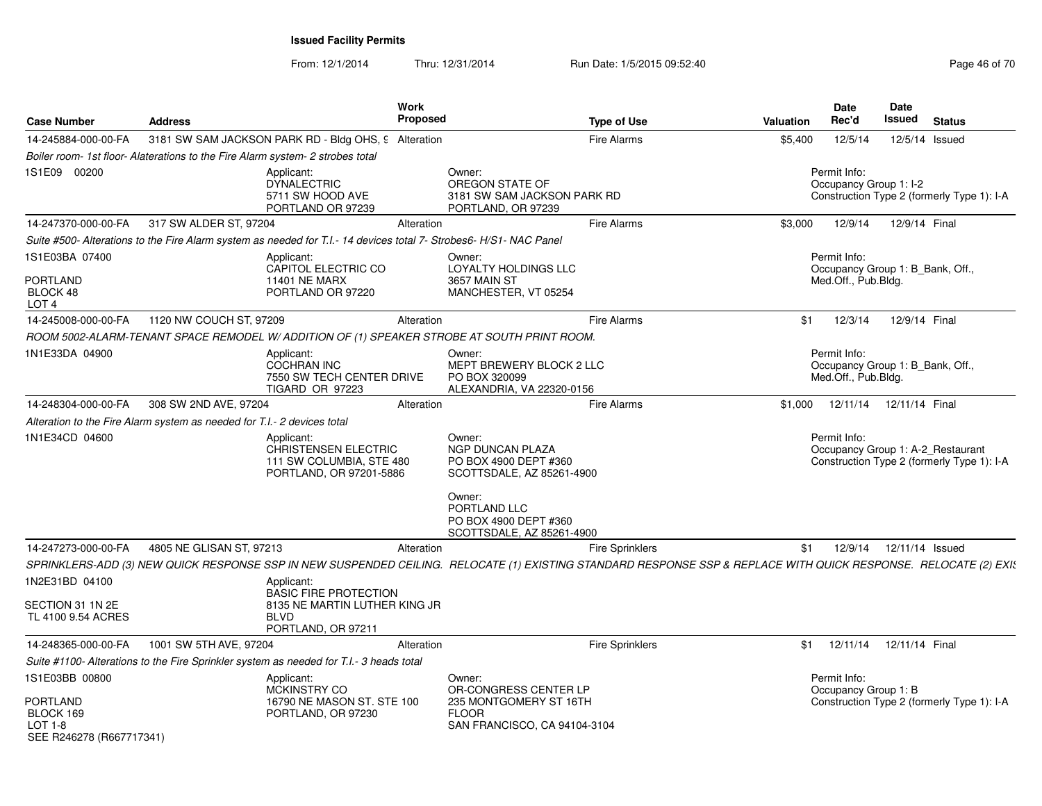| <b>Case Number</b>                                             | <b>Address</b>                                                                 |                                                                                                                   | <b>Work</b><br><b>Proposed</b> |                                                                                                                                     | <b>Type of Use</b>     | Valuation                                                                                                                                                        | <b>Date</b><br>Rec'd                                                    | Date<br>Issued  | <b>Status</b>                              |
|----------------------------------------------------------------|--------------------------------------------------------------------------------|-------------------------------------------------------------------------------------------------------------------|--------------------------------|-------------------------------------------------------------------------------------------------------------------------------------|------------------------|------------------------------------------------------------------------------------------------------------------------------------------------------------------|-------------------------------------------------------------------------|-----------------|--------------------------------------------|
| 14-245884-000-00-FA                                            |                                                                                | 3181 SW SAM JACKSON PARK RD - Bldg OHS, 9 Alteration                                                              |                                |                                                                                                                                     | <b>Fire Alarms</b>     | \$5,400                                                                                                                                                          | 12/5/14                                                                 | 12/5/14 Issued  |                                            |
|                                                                | Boiler room- 1st floor- Alaterations to the Fire Alarm system- 2 strobes total |                                                                                                                   |                                |                                                                                                                                     |                        |                                                                                                                                                                  |                                                                         |                 |                                            |
| 1S1E09 00200                                                   |                                                                                | Applicant:<br><b>DYNALECTRIC</b><br>5711 SW HOOD AVE<br>PORTLAND OR 97239                                         |                                | Owner:<br>OREGON STATE OF<br>3181 SW SAM JACKSON PARK RD<br>PORTLAND, OR 97239                                                      |                        |                                                                                                                                                                  | Permit Info:<br>Occupancy Group 1: I-2                                  |                 | Construction Type 2 (formerly Type 1): I-A |
| 14-247370-000-00-FA                                            | 317 SW ALDER ST, 97204                                                         |                                                                                                                   | Alteration                     |                                                                                                                                     | Fire Alarms            | \$3,000                                                                                                                                                          | 12/9/14                                                                 | 12/9/14 Final   |                                            |
|                                                                |                                                                                | Suite #500- Alterations to the Fire Alarm system as needed for T.I.-14 devices total 7- Strobes6- H/S1- NAC Panel |                                |                                                                                                                                     |                        |                                                                                                                                                                  |                                                                         |                 |                                            |
| 1S1E03BA 07400                                                 |                                                                                | Applicant:<br>CAPITOL ELECTRIC CO                                                                                 |                                | Owner:<br>LOYALTY HOLDINGS LLC                                                                                                      |                        |                                                                                                                                                                  | Permit Info:<br>Occupancy Group 1: B_Bank, Off.,                        |                 |                                            |
| <b>PORTLAND</b><br>BLOCK 48<br>LOT <sub>4</sub>                |                                                                                | <b>11401 NE MARX</b><br>PORTLAND OR 97220                                                                         |                                | 3657 MAIN ST<br>MANCHESTER, VT 05254                                                                                                |                        |                                                                                                                                                                  | Med.Off., Pub.Bldg.                                                     |                 |                                            |
| 14-245008-000-00-FA                                            | 1120 NW COUCH ST, 97209                                                        |                                                                                                                   | Alteration                     |                                                                                                                                     | <b>Fire Alarms</b>     | \$1                                                                                                                                                              | 12/3/14                                                                 | 12/9/14 Final   |                                            |
|                                                                |                                                                                |                                                                                                                   |                                | ROOM 5002-ALARM-TENANT SPACE REMODEL W/ ADDITION OF (1) SPEAKER STROBE AT SOUTH PRINT ROOM.                                         |                        |                                                                                                                                                                  |                                                                         |                 |                                            |
| 1N1E33DA 04900                                                 |                                                                                | Applicant:<br>COCHRAN INC<br>7550 SW TECH CENTER DRIVE<br>TIGARD OR 97223                                         |                                | Owner:<br>MEPT BREWERY BLOCK 2 LLC<br>PO BOX 320099<br>ALEXANDRIA, VA 22320-0156                                                    |                        |                                                                                                                                                                  | Permit Info:<br>Occupancy Group 1: B_Bank, Off.,<br>Med.Off., Pub.Bldg. |                 |                                            |
| 14-248304-000-00-FA                                            | 308 SW 2ND AVE, 97204                                                          |                                                                                                                   | Alteration                     |                                                                                                                                     | <b>Fire Alarms</b>     | \$1,000                                                                                                                                                          | 12/11/14                                                                | 12/11/14 Final  |                                            |
|                                                                | Alteration to the Fire Alarm system as needed for T.I.- 2 devices total        |                                                                                                                   |                                |                                                                                                                                     |                        |                                                                                                                                                                  |                                                                         |                 |                                            |
| 1N1E34CD 04600                                                 |                                                                                | Applicant:<br><b>CHRISTENSEN ELECTRIC</b><br>111 SW COLUMBIA, STE 480<br>PORTLAND, OR 97201-5886                  |                                | Owner:<br>NGP DUNCAN PLAZA<br>PO BOX 4900 DEPT #360<br>SCOTTSDALE, AZ 85261-4900<br>Owner:<br>PORTLAND LLC<br>PO BOX 4900 DEPT #360 |                        |                                                                                                                                                                  | Permit Info:<br>Occupancy Group 1: A-2_Restaurant                       |                 | Construction Type 2 (formerly Type 1): I-A |
|                                                                |                                                                                |                                                                                                                   |                                | SCOTTSDALE, AZ 85261-4900                                                                                                           |                        |                                                                                                                                                                  |                                                                         |                 |                                            |
| 14-247273-000-00-FA                                            | 4805 NE GLISAN ST, 97213                                                       |                                                                                                                   | Alteration                     |                                                                                                                                     | <b>Fire Sprinklers</b> | \$1                                                                                                                                                              | 12/9/14                                                                 | 12/11/14 Issued |                                            |
| 1N2E31BD 04100                                                 |                                                                                | Applicant:                                                                                                        |                                |                                                                                                                                     |                        | SPRINKLERS-ADD (3) NEW QUICK RESPONSE SSP IN NEW SUSPENDED CEILING. RELOCATE (1) EXISTING STANDARD RESPONSE SSP & REPLACE WITH QUICK RESPONSE. RELOCATE (2) EXIS |                                                                         |                 |                                            |
| SECTION 31 1N 2E<br>TL 4100 9.54 ACRES                         |                                                                                | <b>BASIC FIRE PROTECTION</b><br>8135 NE MARTIN LUTHER KING JR<br><b>BLVD</b><br>PORTLAND, OR 97211                |                                |                                                                                                                                     |                        |                                                                                                                                                                  |                                                                         |                 |                                            |
| 14-248365-000-00-FA                                            | 1001 SW 5TH AVE, 97204                                                         |                                                                                                                   | Alteration                     |                                                                                                                                     | Fire Sprinklers        | \$1                                                                                                                                                              | 12/11/14                                                                | 12/11/14 Final  |                                            |
|                                                                |                                                                                | Suite #1100- Alterations to the Fire Sprinkler system as needed for T.I.- 3 heads total                           |                                |                                                                                                                                     |                        |                                                                                                                                                                  |                                                                         |                 |                                            |
| 1S1E03BB 00800                                                 |                                                                                | Applicant:<br>MCKINSTRY CO                                                                                        |                                | Owner:<br>OR-CONGRESS CENTER LP                                                                                                     |                        |                                                                                                                                                                  | Permit Info:<br>Occupancy Group 1: B                                    |                 |                                            |
| PORTLAND<br>BLOCK 169<br>$LOT 1-8$<br>SEE R246278 (R667717341) |                                                                                | 16790 NE MASON ST, STE 100<br>PORTLAND, OR 97230                                                                  |                                | 235 MONTGOMERY ST 16TH<br><b>FLOOR</b><br>SAN FRANCISCO, CA 94104-3104                                                              |                        |                                                                                                                                                                  |                                                                         |                 | Construction Type 2 (formerly Type 1): I-A |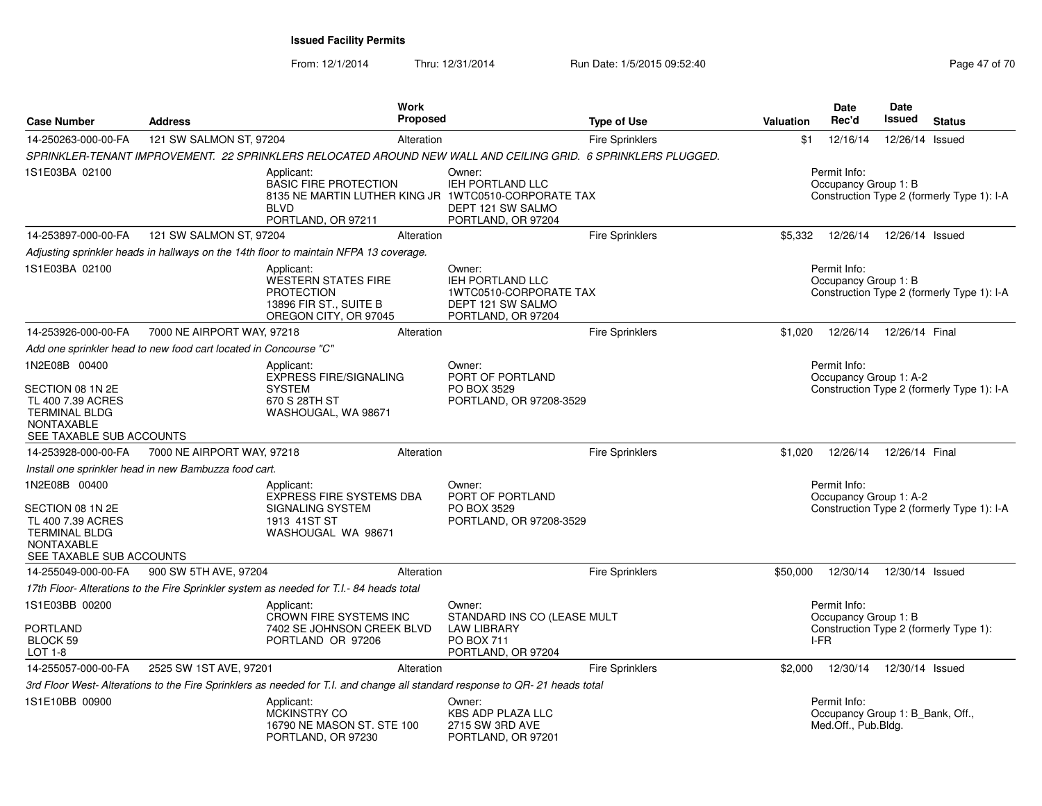| <b>Case Number</b>                                                                                                              | <b>Address</b>                                                   |                                                                                                                                                                                                                  | <b>Work</b><br><b>Proposed</b> |                                                                                                                              | <b>Type of Use</b>     | Valuation | <b>Date</b><br>Rec'd                                                               | Date<br>Issued  | <b>Status</b>                              |  |  |
|---------------------------------------------------------------------------------------------------------------------------------|------------------------------------------------------------------|------------------------------------------------------------------------------------------------------------------------------------------------------------------------------------------------------------------|--------------------------------|------------------------------------------------------------------------------------------------------------------------------|------------------------|-----------|------------------------------------------------------------------------------------|-----------------|--------------------------------------------|--|--|
| 14-250263-000-00-FA                                                                                                             | 121 SW SALMON ST, 97204                                          |                                                                                                                                                                                                                  | Alteration                     |                                                                                                                              | <b>Fire Sprinklers</b> | \$1       | 12/16/14                                                                           | 12/26/14 Issued |                                            |  |  |
|                                                                                                                                 |                                                                  |                                                                                                                                                                                                                  |                                | SPRINKLER-TENANT IMPROVEMENT. 22 SPRINKLERS RELOCATED AROUND NEW WALL AND CEILING GRID. 6 SPRINKLERS PLUGGED.                |                        |           |                                                                                    |                 |                                            |  |  |
| 1S1E03BA 02100                                                                                                                  |                                                                  | Applicant:<br>Owner:<br>IEH PORTLAND LLC<br><b>BASIC FIRE PROTECTION</b><br>8135 NE MARTIN LUTHER KING JR 1WTC0510-CORPORATE TAX<br><b>BLVD</b><br>DEPT 121 SW SALMO<br>PORTLAND, OR 97211<br>PORTLAND, OR 97204 |                                |                                                                                                                              |                        |           | Permit Info:<br>Occupancy Group 1: B<br>Construction Type 2 (formerly Type 1): I-A |                 |                                            |  |  |
| 14-253897-000-00-FA                                                                                                             | 121 SW SALMON ST, 97204                                          |                                                                                                                                                                                                                  | Alteration                     |                                                                                                                              | Fire Sprinklers        | \$5,332   | 12/26/14                                                                           | 12/26/14 Issued |                                            |  |  |
|                                                                                                                                 |                                                                  | Adjusting sprinkler heads in hallways on the 14th floor to maintain NFPA 13 coverage.                                                                                                                            |                                |                                                                                                                              |                        |           |                                                                                    |                 |                                            |  |  |
| 1S1E03BA 02100                                                                                                                  |                                                                  | Applicant:<br>WESTERN STATES FIRE<br><b>PROTECTION</b><br>13896 FIR ST., SUITE B<br>OREGON CITY, OR 97045                                                                                                        |                                | Owner:<br>IEH PORTLAND LLC<br>1WTC0510-CORPORATE TAX<br>DEPT 121 SW SALMO<br>PORTLAND, OR 97204                              |                        |           | Permit Info:<br>Occupancy Group 1: B                                               |                 | Construction Type 2 (formerly Type 1): I-A |  |  |
| 14-253926-000-00-FA                                                                                                             | 7000 NE AIRPORT WAY, 97218                                       |                                                                                                                                                                                                                  | Alteration                     |                                                                                                                              | Fire Sprinklers        | \$1,020   | 12/26/14                                                                           | 12/26/14 Final  |                                            |  |  |
|                                                                                                                                 | Add one sprinkler head to new food cart located in Concourse "C" |                                                                                                                                                                                                                  |                                |                                                                                                                              |                        |           |                                                                                    |                 |                                            |  |  |
| 1N2E08B 00400                                                                                                                   |                                                                  | Applicant:<br>EXPRESS FIRE/SIGNALING                                                                                                                                                                             |                                | Owner:<br>PORT OF PORTLAND                                                                                                   |                        |           | Permit Info:<br>Occupancy Group 1: A-2                                             |                 |                                            |  |  |
| SECTION 08 1N 2E<br>TL 400 7.39 ACRES<br><b>TERMINAL BLDG</b><br><b>NONTAXABLE</b><br>SEE TAXABLE SUB ACCOUNTS                  |                                                                  | <b>SYSTEM</b><br>670 S 28TH ST<br>WASHOUGAL, WA 98671                                                                                                                                                            |                                | PO BOX 3529<br>PORTLAND, OR 97208-3529                                                                                       |                        |           |                                                                                    |                 | Construction Type 2 (formerly Type 1): I-A |  |  |
| 14-253928-000-00-FA                                                                                                             | 7000 NE AIRPORT WAY, 97218                                       |                                                                                                                                                                                                                  | Alteration                     |                                                                                                                              | Fire Sprinklers        | \$1,020   | 12/26/14                                                                           | 12/26/14 Final  |                                            |  |  |
|                                                                                                                                 | Install one sprinkler head in new Bambuzza food cart.            |                                                                                                                                                                                                                  |                                |                                                                                                                              |                        |           |                                                                                    |                 |                                            |  |  |
| 1N2E08B 00400<br>SECTION 08 1N 2E<br>TL 400 7.39 ACRES<br><b>TERMINAL BLDG</b><br><b>NONTAXABLE</b><br>SEE TAXABLE SUB ACCOUNTS |                                                                  | Applicant:<br>EXPRESS FIRE SYSTEMS DBA<br>SIGNALING SYSTEM<br>1913 41ST ST<br>WASHOUGAL WA 98671                                                                                                                 |                                | Owner:<br>PORT OF PORTLAND<br>PO BOX 3529<br>PORTLAND, OR 97208-3529                                                         |                        |           | Permit Info:<br>Occupancy Group 1: A-2                                             |                 | Construction Type 2 (formerly Type 1): I-A |  |  |
| 14-255049-000-00-FA                                                                                                             | 900 SW 5TH AVE, 97204                                            |                                                                                                                                                                                                                  | Alteration                     |                                                                                                                              | <b>Fire Sprinklers</b> | \$50,000  | 12/30/14                                                                           | 12/30/14 Issued |                                            |  |  |
|                                                                                                                                 |                                                                  | 17th Floor- Alterations to the Fire Sprinkler system as needed for T.I.- 84 heads total                                                                                                                          |                                |                                                                                                                              |                        |           |                                                                                    |                 |                                            |  |  |
| 1S1E03BB 00200                                                                                                                  |                                                                  | Applicant:<br>CROWN FIRE SYSTEMS INC                                                                                                                                                                             |                                | Owner:<br>STANDARD INS CO (LEASE MULT                                                                                        |                        |           | Permit Info:<br>Occupancy Group 1: B                                               |                 |                                            |  |  |
| <b>PORTLAND</b><br>BLOCK 59<br>LOT 1-8                                                                                          |                                                                  | 7402 SE JOHNSON CREEK BLVD<br>PORTLAND OR 97206                                                                                                                                                                  |                                | <b>LAW LIBRARY</b><br><b>PO BOX 711</b><br>PORTLAND, OR 97204                                                                |                        |           | I-FR                                                                               |                 | Construction Type 2 (formerly Type 1):     |  |  |
| 14-255057-000-00-FA                                                                                                             | 2525 SW 1ST AVE, 97201                                           |                                                                                                                                                                                                                  | Alteration                     |                                                                                                                              | <b>Fire Sprinklers</b> | \$2,000   | 12/30/14                                                                           | 12/30/14 Issued |                                            |  |  |
|                                                                                                                                 |                                                                  |                                                                                                                                                                                                                  |                                | 3rd Floor West- Alterations to the Fire Sprinklers as needed for T.I. and change all standard response to QR- 21 heads total |                        |           |                                                                                    |                 |                                            |  |  |
| 1S1E10BB 00900                                                                                                                  |                                                                  | Applicant:<br>MCKINSTRY CO<br>16790 NE MASON ST. STE 100<br>PORTLAND, OR 97230                                                                                                                                   |                                | Owner:<br><b>KBS ADP PLAZA LLC</b><br>2715 SW 3RD AVE<br>PORTLAND, OR 97201                                                  |                        |           | Permit Info:<br>Occupancy Group 1: B Bank, Off.,<br>Med.Off., Pub.Bldg.            |                 |                                            |  |  |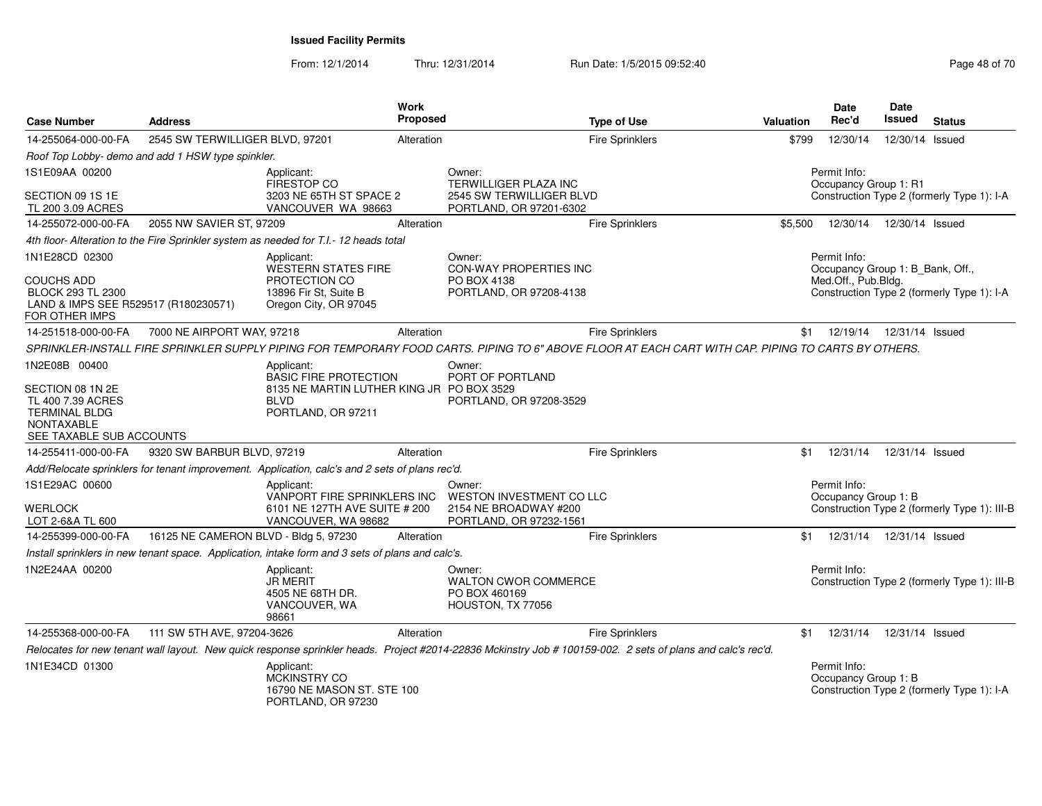| <b>Case Number</b>                                                                                                              | <b>Address</b>                                    |                                                                                                                              | <b>Work</b><br>Proposed |                                                                                                                                                             | <b>Type of Use</b>     | <b>Valuation</b> | <b>Date</b><br>Rec'd                                                    | Date<br><b>Issued</b> | <b>Status</b>                                |
|---------------------------------------------------------------------------------------------------------------------------------|---------------------------------------------------|------------------------------------------------------------------------------------------------------------------------------|-------------------------|-------------------------------------------------------------------------------------------------------------------------------------------------------------|------------------------|------------------|-------------------------------------------------------------------------|-----------------------|----------------------------------------------|
| 14-255064-000-00-FA                                                                                                             | 2545 SW TERWILLIGER BLVD, 97201                   |                                                                                                                              | Alteration              |                                                                                                                                                             | <b>Fire Sprinklers</b> | \$799            | 12/30/14                                                                | 12/30/14 Issued       |                                              |
|                                                                                                                                 | Roof Top Lobby- demo and add 1 HSW type spinkler. |                                                                                                                              |                         |                                                                                                                                                             |                        |                  |                                                                         |                       |                                              |
| 1S1E09AA 00200<br>SECTION 09 1S 1E                                                                                              |                                                   | Applicant:<br>FIRESTOP CO<br>3203 NE 65TH ST SPACE 2                                                                         |                         | Owner:<br>TERWILLIGER PLAZA INC<br>2545 SW TERWILLIGER BLVD                                                                                                 |                        |                  | Permit Info:<br>Occupancy Group 1: R1                                   |                       | Construction Type 2 (formerly Type 1): I-A   |
| TL 200 3.09 ACRES                                                                                                               |                                                   | VANCOUVER WA 98663                                                                                                           |                         | PORTLAND, OR 97201-6302                                                                                                                                     |                        |                  |                                                                         |                       |                                              |
| 14-255072-000-00-FA                                                                                                             | 2055 NW SAVIER ST, 97209                          |                                                                                                                              | Alteration              |                                                                                                                                                             | Fire Sprinklers        | \$5,500          | 12/30/14                                                                | 12/30/14 Issued       |                                              |
|                                                                                                                                 |                                                   | 4th floor- Alteration to the Fire Sprinkler system as needed for T.I.- 12 heads total                                        |                         |                                                                                                                                                             |                        |                  |                                                                         |                       |                                              |
| 1N1E28CD 02300<br><b>COUCHS ADD</b><br>BLOCK 293 TL 2300<br>LAND & IMPS SEE R529517 (R180230571)<br>FOR OTHER IMPS              |                                                   | Applicant:<br><b>WESTERN STATES FIRE</b><br>PROTECTION CO<br>13896 Fir St, Suite B<br>Oregon City, OR 97045                  |                         | Owner:<br>CON-WAY PROPERTIES INC<br>PO BOX 4138<br>PORTLAND, OR 97208-4138                                                                                  |                        |                  | Permit Info:<br>Occupancy Group 1: B_Bank, Off.,<br>Med.Off., Pub.Bldg. |                       | Construction Type 2 (formerly Type 1): I-A   |
| 14-251518-000-00-FA                                                                                                             | 7000 NE AIRPORT WAY, 97218                        |                                                                                                                              | Alteration              |                                                                                                                                                             | <b>Fire Sprinklers</b> | \$1              | 12/19/14                                                                | 12/31/14 Issued       |                                              |
|                                                                                                                                 |                                                   |                                                                                                                              |                         | SPRINKLER-INSTALL FIRE SPRINKLER SUPPLY PIPING FOR TEMPORARY FOOD CARTS. PIPING TO 6" ABOVE FLOOR AT EACH CART WITH CAP. PIPING TO CARTS BY OTHERS.         |                        |                  |                                                                         |                       |                                              |
| 1N2E08B 00400<br>SECTION 08 1N 2E<br>TL 400 7.39 ACRES<br><b>TERMINAL BLDG</b><br><b>NONTAXABLE</b><br>SEE TAXABLE SUB ACCOUNTS |                                                   | Applicant:<br><b>BASIC FIRE PROTECTION</b><br>8135 NE MARTIN LUTHER KING JR PO BOX 3529<br><b>BLVD</b><br>PORTLAND, OR 97211 |                         | Owner:<br>PORT OF PORTLAND<br>PORTLAND, OR 97208-3529                                                                                                       |                        |                  |                                                                         |                       |                                              |
| 14-255411-000-00-FA                                                                                                             | 9320 SW BARBUR BLVD, 97219                        |                                                                                                                              | Alteration              |                                                                                                                                                             | Fire Sprinklers        | \$1              | 12/31/14                                                                | 12/31/14 Issued       |                                              |
|                                                                                                                                 |                                                   | Add/Relocate sprinklers for tenant improvement. Application, calc's and 2 sets of plans rec'd.                               |                         |                                                                                                                                                             |                        |                  |                                                                         |                       |                                              |
| 1S1E29AC 00600<br>WERLOCK<br>LOT 2-6&A TL 600                                                                                   |                                                   | Applicant:<br>VANPORT FIRE SPRINKLERS INC<br>6101 NE 127TH AVE SUITE # 200<br>VANCOUVER, WA 98682                            |                         | Owner:<br>WESTON INVESTMENT CO LLC<br>2154 NE BROADWAY #200<br>PORTLAND, OR 97232-1561                                                                      |                        |                  | Permit Info:<br>Occupancy Group 1: B                                    |                       | Construction Type 2 (formerly Type 1): III-B |
| 14-255399-000-00-FA                                                                                                             | 16125 NE CAMERON BLVD - Bldg 5, 97230             |                                                                                                                              | Alteration              |                                                                                                                                                             | Fire Sprinklers        | \$1              | 12/31/14                                                                | 12/31/14 Issued       |                                              |
|                                                                                                                                 |                                                   | Install sprinklers in new tenant space. Application, intake form and 3 sets of plans and calc's.                             |                         |                                                                                                                                                             |                        |                  |                                                                         |                       |                                              |
| 1N2E24AA 00200                                                                                                                  |                                                   | Applicant:<br><b>JR MERIT</b><br>4505 NE 68TH DR.<br>VANCOUVER, WA<br>98661                                                  |                         | Owner:<br><b>WALTON CWOR COMMERCE</b><br>PO BOX 460169<br>HOUSTON, TX 77056                                                                                 |                        |                  | Permit Info:                                                            |                       | Construction Type 2 (formerly Type 1): III-B |
| 14-255368-000-00-FA                                                                                                             | 111 SW 5TH AVE, 97204-3626                        |                                                                                                                              | Alteration              |                                                                                                                                                             | <b>Fire Sprinklers</b> | \$1              | 12/31/14                                                                | 12/31/14 Issued       |                                              |
|                                                                                                                                 |                                                   |                                                                                                                              |                         | Relocates for new tenant wall layout. New quick response sprinkler heads. Project #2014-22836 Mckinstry Job # 100159-002. 2 sets of plans and calc's rec'd. |                        |                  |                                                                         |                       |                                              |
| 1N1E34CD 01300                                                                                                                  |                                                   | Applicant:<br>MCKINSTRY CO<br>16790 NE MASON ST. STE 100<br>PORTLAND, OR 97230                                               |                         |                                                                                                                                                             |                        |                  | Permit Info:<br>Occupancy Group 1: B                                    |                       | Construction Type 2 (formerly Type 1): I-A   |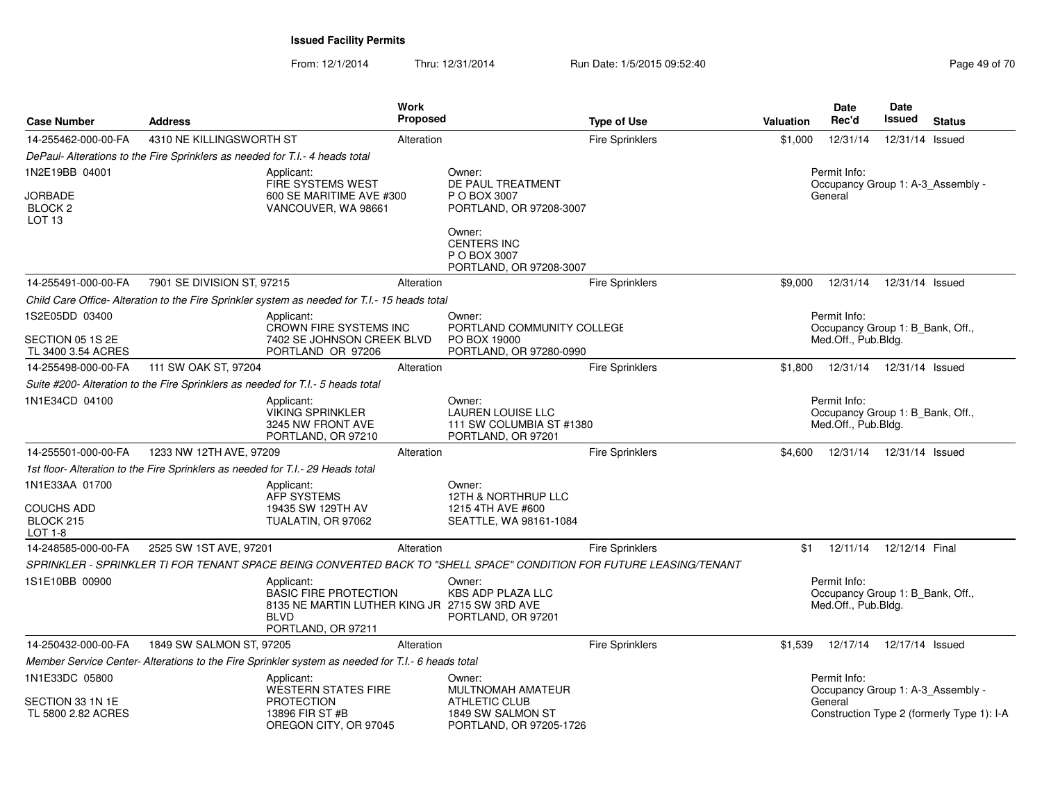| <b>Case Number</b>                                       | <b>Address</b>                                                                  |                                                                                                                                  | Work<br>Proposed |                                                                                      | <b>Type of Use</b>                                                                                                  | Valuation | <b>Date</b><br>Rec'd                                                    | <b>Date</b><br>Issued | <b>Status</b>                              |
|----------------------------------------------------------|---------------------------------------------------------------------------------|----------------------------------------------------------------------------------------------------------------------------------|------------------|--------------------------------------------------------------------------------------|---------------------------------------------------------------------------------------------------------------------|-----------|-------------------------------------------------------------------------|-----------------------|--------------------------------------------|
| 14-255462-000-00-FA                                      | 4310 NE KILLINGSWORTH ST                                                        |                                                                                                                                  | Alteration       |                                                                                      | <b>Fire Sprinklers</b>                                                                                              | \$1,000   | 12/31/14                                                                | 12/31/14 Issued       |                                            |
|                                                          | DePaul- Alterations to the Fire Sprinklers as needed for T.I.- 4 heads total    |                                                                                                                                  |                  |                                                                                      |                                                                                                                     |           |                                                                         |                       |                                            |
| 1N2E19BB 04001                                           |                                                                                 | Applicant:                                                                                                                       |                  | Owner:                                                                               |                                                                                                                     |           | Permit Info:                                                            |                       |                                            |
| JORBADE<br>BLOCK <sub>2</sub><br>LOT <sub>13</sub>       |                                                                                 | FIRE SYSTEMS WEST<br>600 SE MARITIME AVE #300<br>VANCOUVER, WA 98661                                                             |                  | DE PAUL TREATMENT<br>P O BOX 3007<br>PORTLAND, OR 97208-3007                         |                                                                                                                     |           | General                                                                 |                       | Occupancy Group 1: A-3_Assembly -          |
|                                                          |                                                                                 |                                                                                                                                  |                  | Owner:<br><b>CENTERS INC</b><br>P O BOX 3007<br>PORTLAND, OR 97208-3007              |                                                                                                                     |           |                                                                         |                       |                                            |
| 14-255491-000-00-FA                                      | 7901 SE DIVISION ST, 97215                                                      |                                                                                                                                  | Alteration       |                                                                                      | Fire Sprinklers                                                                                                     | \$9,000   | 12/31/14                                                                | 12/31/14 Issued       |                                            |
|                                                          |                                                                                 | Child Care Office-Alteration to the Fire Sprinkler system as needed for T.I.-15 heads total                                      |                  |                                                                                      |                                                                                                                     |           |                                                                         |                       |                                            |
| 1S2E05DD 03400<br>SECTION 05 1S 2E<br>TL 3400 3.54 ACRES |                                                                                 | Applicant:<br>CROWN FIRE SYSTEMS INC<br>7402 SE JOHNSON CREEK BLVD<br>PORTLAND OR 97206                                          |                  | Owner:<br>PORTLAND COMMUNITY COLLEGE<br>PO BOX 19000<br>PORTLAND, OR 97280-0990      |                                                                                                                     |           | Permit Info:<br>Occupancy Group 1: B_Bank, Off.,<br>Med.Off., Pub.Bldg. |                       |                                            |
| 14-255498-000-00-FA                                      | 111 SW OAK ST, 97204                                                            |                                                                                                                                  | Alteration       |                                                                                      | Fire Sprinklers                                                                                                     | \$1.800   | 12/31/14                                                                | 12/31/14 Issued       |                                            |
|                                                          |                                                                                 | Suite #200- Alteration to the Fire Sprinklers as needed for T.I.- 5 heads total                                                  |                  |                                                                                      |                                                                                                                     |           |                                                                         |                       |                                            |
| 1N1E34CD 04100                                           |                                                                                 | Applicant:<br><b>VIKING SPRINKLER</b><br>3245 NW FRONT AVE<br>PORTLAND, OR 97210                                                 |                  | Owner:<br><b>LAUREN LOUISE LLC</b><br>111 SW COLUMBIA ST #1380<br>PORTLAND, OR 97201 |                                                                                                                     |           | Permit Info:<br>Occupancy Group 1: B_Bank, Off.,<br>Med.Off., Pub.Bldg. |                       |                                            |
| 14-255501-000-00-FA                                      | 1233 NW 12TH AVE, 97209                                                         |                                                                                                                                  | Alteration       |                                                                                      | <b>Fire Sprinklers</b>                                                                                              |           | \$4,600  12/31/14  12/31/14  Issued                                     |                       |                                            |
|                                                          | 1st floor- Alteration to the Fire Sprinklers as needed for T.I.- 29 Heads total |                                                                                                                                  |                  |                                                                                      |                                                                                                                     |           |                                                                         |                       |                                            |
| 1N1E33AA 01700<br><b>COUCHS ADD</b><br>BLOCK 215         |                                                                                 | Applicant:<br><b>AFP SYSTEMS</b><br>19435 SW 129TH AV<br>TUALATIN, OR 97062                                                      |                  | Owner:<br>12TH & NORTHRUP LLC<br>1215 4TH AVE #600<br>SEATTLE, WA 98161-1084         |                                                                                                                     |           |                                                                         |                       |                                            |
| LOT 1-8                                                  |                                                                                 |                                                                                                                                  |                  |                                                                                      |                                                                                                                     |           |                                                                         |                       |                                            |
| 14-248585-000-00-FA                                      | 2525 SW 1ST AVE, 97201                                                          |                                                                                                                                  | Alteration       |                                                                                      | <b>Fire Sprinklers</b>                                                                                              | \$1       | 12/11/14                                                                | 12/12/14 Final        |                                            |
| 1S1E10BB 00900                                           |                                                                                 | Applicant:<br><b>BASIC FIRE PROTECTION</b><br>8135 NE MARTIN LUTHER KING JR 2715 SW 3RD AVE<br><b>BLVD</b><br>PORTLAND, OR 97211 |                  | Owner:<br><b>KBS ADP PLAZA LLC</b><br>PORTLAND, OR 97201                             | SPRINKLER - SPRINKLER TI FOR TENANT SPACE BEING CONVERTED BACK TO "SHELL SPACE" CONDITION FOR FUTURE LEASING/TENANT |           | Permit Info:<br>Occupancy Group 1: B_Bank, Off.,<br>Med.Off., Pub.Bldg. |                       |                                            |
| 14-250432-000-00-FA                                      | 1849 SW SALMON ST, 97205                                                        |                                                                                                                                  | Alteration       |                                                                                      | <b>Fire Sprinklers</b>                                                                                              | \$1,539   | 12/17/14                                                                | 12/17/14 Issued       |                                            |
|                                                          |                                                                                 | Member Service Center- Alterations to the Fire Sprinkler system as needed for T.I.- 6 heads total                                |                  |                                                                                      |                                                                                                                     |           |                                                                         |                       |                                            |
| 1N1E33DC 05800                                           |                                                                                 | Applicant:<br><b>WESTERN STATES FIRE</b>                                                                                         |                  | Owner:<br>MULTNOMAH AMATEUR                                                          |                                                                                                                     |           | Permit Info:                                                            |                       | Occupancy Group 1: A-3_Assembly -          |
| SECTION 33 1N 1E<br>TL 5800 2.82 ACRES                   |                                                                                 | <b>PROTECTION</b><br>13896 FIR ST #B<br>OREGON CITY, OR 97045                                                                    |                  | <b>ATHLETIC CLUB</b><br>1849 SW SALMON ST<br>PORTLAND, OR 97205-1726                 |                                                                                                                     |           | General                                                                 |                       | Construction Type 2 (formerly Type 1): I-A |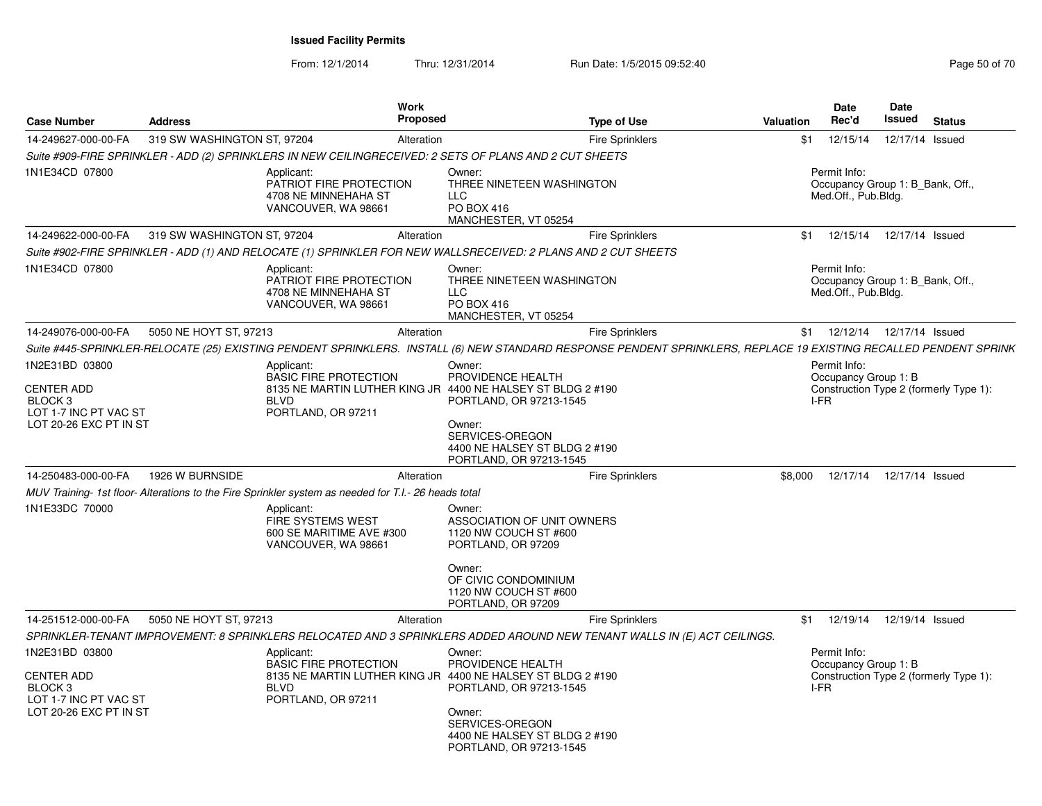| <b>Case Number</b>                                                                                                                         | <b>Address</b>              | Work<br>Proposed                                                                                                                                                                                                                                                                                                                                                  |                                                                                                                                                                                                                                                                                                   | <b>Type of Use</b>     | Valuation       | <b>Date</b><br>Rec'd                                                    | Date<br>Issued  | <b>Status</b>                          |
|--------------------------------------------------------------------------------------------------------------------------------------------|-----------------------------|-------------------------------------------------------------------------------------------------------------------------------------------------------------------------------------------------------------------------------------------------------------------------------------------------------------------------------------------------------------------|---------------------------------------------------------------------------------------------------------------------------------------------------------------------------------------------------------------------------------------------------------------------------------------------------|------------------------|-----------------|-------------------------------------------------------------------------|-----------------|----------------------------------------|
| 14-249627-000-00-FA                                                                                                                        | 319 SW WASHINGTON ST, 97204 | Alteration                                                                                                                                                                                                                                                                                                                                                        |                                                                                                                                                                                                                                                                                                   | <b>Fire Sprinklers</b> | \$1             | 12/15/14                                                                | 12/17/14        | Issued                                 |
|                                                                                                                                            |                             | Suite #909-FIRE SPRINKLER - ADD (2) SPRINKLERS IN NEW CEILINGRECEIVED: 2 SETS OF PLANS AND 2 CUT SHEETS                                                                                                                                                                                                                                                           |                                                                                                                                                                                                                                                                                                   |                        |                 |                                                                         |                 |                                        |
| 1N1E34CD 07800                                                                                                                             |                             | Applicant:<br>PATRIOT FIRE PROTECTION<br>4708 NE MINNEHAHA ST<br>VANCOUVER, WA 98661                                                                                                                                                                                                                                                                              | Owner:<br>THREE NINETEEN WASHINGTON<br><b>LLC</b><br>PO BOX 416<br>MANCHESTER, VT 05254                                                                                                                                                                                                           |                        |                 | Permit Info:<br>Occupancy Group 1: B_Bank, Off.,<br>Med.Off., Pub.Bldg. |                 |                                        |
| 14-249622-000-00-FA                                                                                                                        | 319 SW WASHINGTON ST, 97204 | Alteration                                                                                                                                                                                                                                                                                                                                                        |                                                                                                                                                                                                                                                                                                   | <b>Fire Sprinklers</b> | \$1             | 12/15/14                                                                | 12/17/14 Issued |                                        |
|                                                                                                                                            |                             | Suite #902-FIRE SPRINKLER - ADD (1) AND RELOCATE (1) SPRINKLER FOR NEW WALLSRECEIVED: 2 PLANS AND 2 CUT SHEETS                                                                                                                                                                                                                                                    |                                                                                                                                                                                                                                                                                                   |                        |                 |                                                                         |                 |                                        |
| 1N1E34CD 07800                                                                                                                             |                             | Applicant:<br>PATRIOT FIRE PROTECTION<br>4708 NE MINNEHAHA ST<br>VANCOUVER, WA 98661                                                                                                                                                                                                                                                                              | Owner:<br>THREE NINETEEN WASHINGTON<br><b>LLC</b><br>PO BOX 416<br>MANCHESTER, VT 05254                                                                                                                                                                                                           |                        |                 | Permit Info:<br>Occupancy Group 1: B Bank, Off.,<br>Med.Off., Pub.Bldg. |                 |                                        |
| 14-249076-000-00-FA                                                                                                                        | 5050 NE HOYT ST, 97213      | Alteration                                                                                                                                                                                                                                                                                                                                                        |                                                                                                                                                                                                                                                                                                   | <b>Fire Sprinklers</b> | \$1             | 12/12/14                                                                | 12/17/14 Issued |                                        |
|                                                                                                                                            |                             | Suite #445-SPRINKLER-RELOCATE (25) EXISTING PENDENT SPRINKLERS. INSTALL (6) NEW STANDARD RESPONSE PENDENT SPRINKLERS, REPLACE 19 EXISTING RECALLED PENDENT SPRINK                                                                                                                                                                                                 |                                                                                                                                                                                                                                                                                                   |                        |                 |                                                                         |                 |                                        |
| 1N2E31BD 03800<br><b>CENTER ADD</b><br>BLOCK 3<br>LOT 1-7 INC PT VAC ST<br>LOT 20-26 EXC PT IN ST<br>14-250483-000-00-FA<br>1N1E33DC 70000 | 1926 W BURNSIDE             | Applicant:<br><b>BASIC FIRE PROTECTION</b><br>8135 NE MARTIN LUTHER KING JR 4400 NE HALSEY ST BLDG 2 #190<br><b>BLVD</b><br>PORTLAND, OR 97211<br>Alteration<br>MUV Training- 1st floor- Alterations to the Fire Sprinkler system as needed for T.I.- 26 heads total<br>Applicant:<br><b>FIRE SYSTEMS WEST</b><br>600 SE MARITIME AVE #300<br>VANCOUVER, WA 98661 | Owner:<br>PROVIDENCE HEALTH<br>PORTLAND, OR 97213-1545<br>Owner:<br>SERVICES-OREGON<br>4400 NE HALSEY ST BLDG 2 #190<br>PORTLAND, OR 97213-1545<br>Owner:<br>ASSOCIATION OF UNIT OWNERS<br>1120 NW COUCH ST #600<br>PORTLAND, OR 97209<br>Owner:<br>OF CIVIC CONDOMINIUM<br>1120 NW COUCH ST #600 | <b>Fire Sprinklers</b> | I-FR<br>\$8,000 | Permit Info:<br>Occupancy Group 1: B<br>12/17/14                        | 12/17/14 Issued | Construction Type 2 (formerly Type 1): |
|                                                                                                                                            |                             |                                                                                                                                                                                                                                                                                                                                                                   | PORTLAND, OR 97209                                                                                                                                                                                                                                                                                |                        |                 |                                                                         |                 |                                        |
| 14-251512-000-00-FA                                                                                                                        | 5050 NE HOYT ST, 97213      | Alteration                                                                                                                                                                                                                                                                                                                                                        |                                                                                                                                                                                                                                                                                                   | <b>Fire Sprinklers</b> | \$1             | 12/19/14                                                                | 12/19/14 Issued |                                        |
|                                                                                                                                            |                             | SPRINKLER-TENANT IMPROVEMENT: 8 SPRINKLERS RELOCATED AND 3 SPRINKLERS ADDED AROUND NEW TENANT WALLS IN (E) ACT CEILINGS.                                                                                                                                                                                                                                          |                                                                                                                                                                                                                                                                                                   |                        |                 |                                                                         |                 |                                        |
| 1N2E31BD 03800<br><b>CENTER ADD</b><br>BLOCK 3<br>LOT 1-7 INC PT VAC ST<br>LOT 20-26 EXC PT IN ST                                          |                             | Applicant:<br><b>BASIC FIRE PROTECTION</b><br>8135 NE MARTIN LUTHER KING JR 4400 NE HALSEY ST BLDG 2 #190<br><b>BLVD</b><br>PORTLAND, OR 97211                                                                                                                                                                                                                    | Owner:<br>PROVIDENCE HEALTH<br>PORTLAND, OR 97213-1545<br>Owner:<br>SERVICES-OREGON<br>4400 NE HALSEY ST BLDG 2 #190<br>PORTLAND, OR 97213-1545                                                                                                                                                   |                        | I-FR            | Permit Info:<br>Occupancy Group 1: B                                    |                 | Construction Type 2 (formerly Type 1): |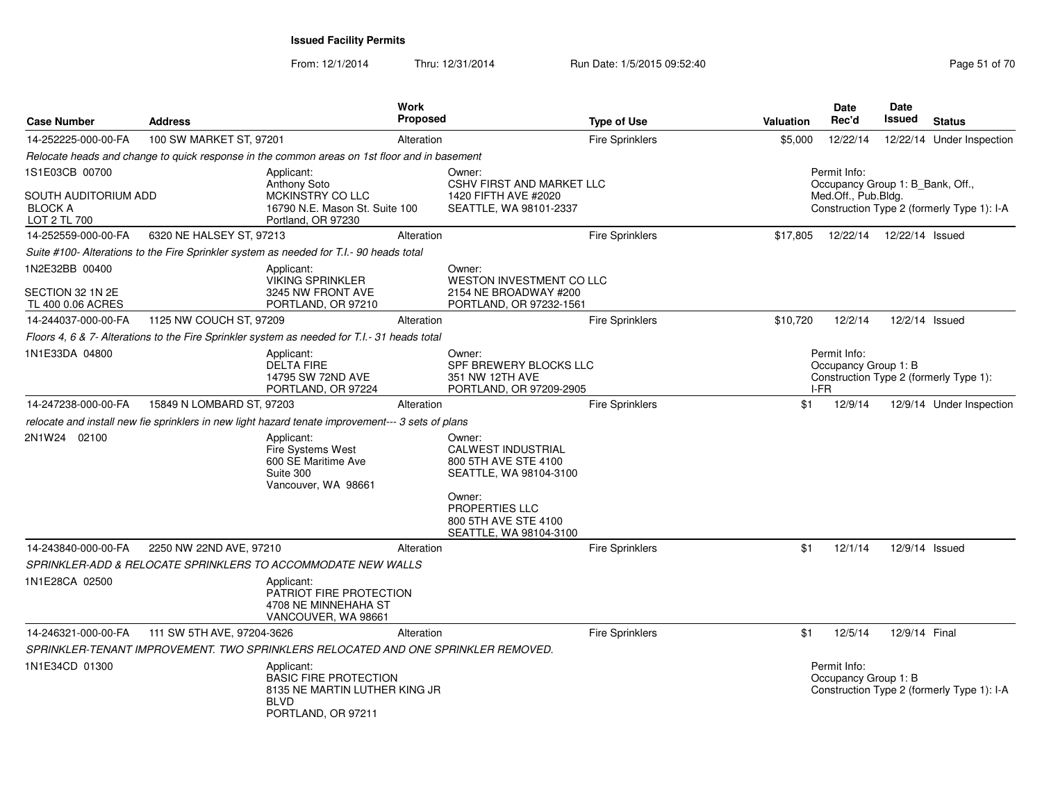| <b>Case Number</b>                                     | <b>Address</b>             |                                                                                                                  | Work<br><b>Proposed</b> |                                                                                       | <b>Type of Use</b>     | Valuation | <b>Date</b><br>Rec'd                             | Date<br>Issued  | <b>Status</b>                              |
|--------------------------------------------------------|----------------------------|------------------------------------------------------------------------------------------------------------------|-------------------------|---------------------------------------------------------------------------------------|------------------------|-----------|--------------------------------------------------|-----------------|--------------------------------------------|
| 14-252225-000-00-FA                                    | 100 SW MARKET ST, 97201    |                                                                                                                  | Alteration              |                                                                                       | Fire Sprinklers        | \$5,000   | 12/22/14                                         |                 | 12/22/14 Under Inspection                  |
|                                                        |                            | Relocate heads and change to quick response in the common areas on 1st floor and in basement                     |                         |                                                                                       |                        |           |                                                  |                 |                                            |
| 1S1E03CB 00700                                         |                            | Applicant:<br>Anthony Soto                                                                                       |                         | Owner:<br><b>CSHV FIRST AND MARKET LLC</b>                                            |                        |           | Permit Info:<br>Occupancy Group 1: B_Bank, Off., |                 |                                            |
| SOUTH AUDITORIUM ADD<br><b>BLOCK A</b><br>LOT 2 TL 700 |                            | <b>MCKINSTRY CO LLC</b><br>16790 N.E. Mason St. Suite 100<br>Portland, OR 97230                                  |                         | 1420 FIFTH AVE #2020<br>SEATTLE, WA 98101-2337                                        |                        |           | Med.Off., Pub.Bldg.                              |                 | Construction Type 2 (formerly Type 1): I-A |
| 14-252559-000-00-FA                                    | 6320 NE HALSEY ST, 97213   |                                                                                                                  | Alteration              |                                                                                       | <b>Fire Sprinklers</b> | \$17,805  | 12/22/14                                         | 12/22/14 Issued |                                            |
|                                                        |                            | Suite #100- Alterations to the Fire Sprinkler system as needed for T.I.- 90 heads total                          |                         |                                                                                       |                        |           |                                                  |                 |                                            |
| 1N2E32BB 00400<br>SECTION 32 1N 2E                     |                            | Applicant:<br><b>VIKING SPRINKLER</b><br>3245 NW FRONT AVE                                                       |                         | Owner:<br><b>WESTON INVESTMENT CO LLC</b><br>2154 NE BROADWAY #200                    |                        |           |                                                  |                 |                                            |
| TL 400 0.06 ACRES                                      |                            | PORTLAND, OR 97210                                                                                               |                         | PORTLAND, OR 97232-1561                                                               |                        |           |                                                  |                 |                                            |
| 14-244037-000-00-FA                                    | 1125 NW COUCH ST, 97209    |                                                                                                                  | Alteration              |                                                                                       | <b>Fire Sprinklers</b> | \$10,720  | 12/2/14                                          | 12/2/14 Issued  |                                            |
|                                                        |                            | Floors 4, 6 & 7- Alterations to the Fire Sprinkler system as needed for T.I.- 31 heads total                     |                         |                                                                                       |                        |           |                                                  |                 |                                            |
| 1N1E33DA 04800                                         |                            | Applicant:<br><b>DELTA FIRE</b><br>14795 SW 72ND AVE<br>PORTLAND, OR 97224                                       |                         | Owner:<br>SPF BREWERY BLOCKS LLC<br>351 NW 12TH AVE<br>PORTLAND, OR 97209-2905        |                        |           | Permit Info:<br>Occupancy Group 1: B<br>I-FR     |                 | Construction Type 2 (formerly Type 1):     |
| 14-247238-000-00-FA                                    | 15849 N LOMBARD ST, 97203  |                                                                                                                  | Alteration              |                                                                                       | <b>Fire Sprinklers</b> | \$1       | 12/9/14                                          |                 | 12/9/14 Under Inspection                   |
|                                                        |                            | relocate and install new fie sprinklers in new light hazard tenate improvement--- 3 sets of plans                |                         |                                                                                       |                        |           |                                                  |                 |                                            |
| 2N1W24 02100                                           |                            | Applicant:<br>Fire Systems West<br>600 SE Maritime Ave<br>Suite 300<br>Vancouver, WA 98661                       |                         | Owner:<br><b>CALWEST INDUSTRIAL</b><br>800 5TH AVE STE 4100<br>SEATTLE, WA 98104-3100 |                        |           |                                                  |                 |                                            |
|                                                        |                            |                                                                                                                  |                         | Owner:<br><b>PROPERTIES LLC</b><br>800 5TH AVE STE 4100<br>SEATTLE, WA 98104-3100     |                        |           |                                                  |                 |                                            |
| 14-243840-000-00-FA                                    | 2250 NW 22ND AVE, 97210    |                                                                                                                  | Alteration              |                                                                                       | <b>Fire Sprinklers</b> | \$1       | 12/1/14                                          | 12/9/14 Issued  |                                            |
|                                                        |                            | <i>SPRINKLER-ADD &amp; RELOCATE SPRINKLERS TO ACCOMMODATE NEW WALLS</i>                                          |                         |                                                                                       |                        |           |                                                  |                 |                                            |
| 1N1E28CA 02500                                         |                            | Applicant:<br>PATRIOT FIRE PROTECTION<br>4708 NE MINNEHAHA ST<br>VANCOUVER, WA 98661                             |                         |                                                                                       |                        |           |                                                  |                 |                                            |
| 14-246321-000-00-FA                                    | 111 SW 5TH AVE, 97204-3626 |                                                                                                                  | Alteration              |                                                                                       | <b>Fire Sprinklers</b> | \$1       | 12/5/14                                          | 12/9/14 Final   |                                            |
|                                                        |                            | SPRINKLER-TENANT IMPROVEMENT. TWO SPRINKLERS RELOCATED AND ONE SPRINKLER REMOVED.                                |                         |                                                                                       |                        |           |                                                  |                 |                                            |
| 1N1E34CD 01300                                         |                            | Applicant:<br><b>BASIC FIRE PROTECTION</b><br>8135 NE MARTIN LUTHER KING JR<br><b>BLVD</b><br>PORTLAND, OR 97211 |                         |                                                                                       |                        |           | Permit Info:<br>Occupancy Group 1: B             |                 | Construction Type 2 (formerly Type 1): I-A |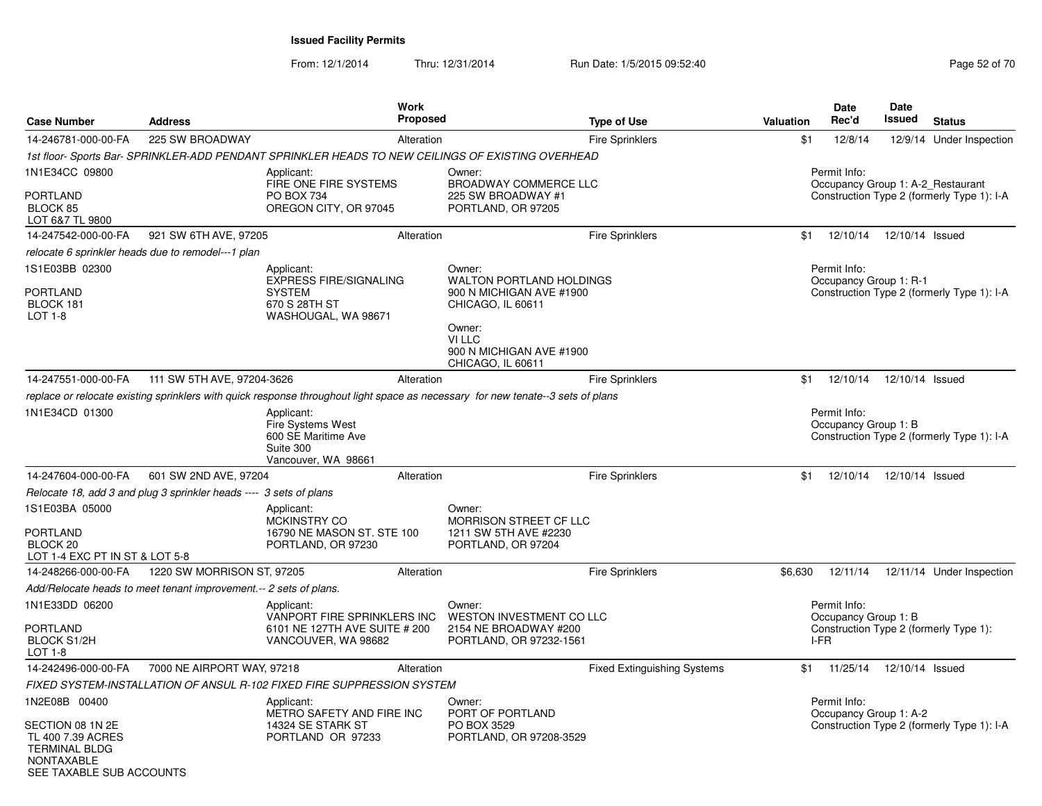From: 12/1/2014

Thru: 12/31/2014 Run Date: 1/5/2015 09:52:40

| <b>Case Number</b>                                                                         | <b>Address</b>                                                     |                                                                                                      | <b>Work</b><br>Proposed |                                                                                                                                                                 | <b>Type of Use</b>                 | Valuation | Date<br>Rec'd                                | Date<br>Issued  | <b>Status</b>                                                                   |
|--------------------------------------------------------------------------------------------|--------------------------------------------------------------------|------------------------------------------------------------------------------------------------------|-------------------------|-----------------------------------------------------------------------------------------------------------------------------------------------------------------|------------------------------------|-----------|----------------------------------------------|-----------------|---------------------------------------------------------------------------------|
| 14-246781-000-00-FA                                                                        | 225 SW BROADWAY                                                    |                                                                                                      | Alteration              |                                                                                                                                                                 | <b>Fire Sprinklers</b>             | \$1       | 12/8/14                                      |                 | 12/9/14 Under Inspection                                                        |
|                                                                                            |                                                                    |                                                                                                      |                         | 1st floor-Sports Bar-SPRINKLER-ADD PENDANT SPRINKLER HEADS TO NEW CEILINGS OF EXISTING OVERHEAD                                                                 |                                    |           |                                              |                 |                                                                                 |
| 1N1E34CC 09800<br>PORTLAND<br>BLOCK 85<br>LOT 6&7 TL 9800                                  |                                                                    | Applicant:<br>FIRE ONE FIRE SYSTEMS<br>PO BOX 734<br>OREGON CITY, OR 97045                           |                         | Owner:<br>BROADWAY COMMERCE LLC<br>225 SW BROADWAY #1<br>PORTLAND, OR 97205                                                                                     |                                    |           | Permit Info:                                 |                 | Occupancy Group 1: A-2_Restaurant<br>Construction Type 2 (formerly Type 1): I-A |
| 14-247542-000-00-FA                                                                        | 921 SW 6TH AVE, 97205                                              |                                                                                                      | Alteration              |                                                                                                                                                                 | <b>Fire Sprinklers</b>             |           | \$1  12/10/14  12/10/14  Issued              |                 |                                                                                 |
|                                                                                            | relocate 6 sprinkler heads due to remodel---1 plan                 |                                                                                                      |                         |                                                                                                                                                                 |                                    |           |                                              |                 |                                                                                 |
| 1S1E03BB 02300<br>PORTLAND<br>BLOCK 181<br>LOT 1-8                                         |                                                                    | Applicant:<br><b>EXPRESS FIRE/SIGNALING</b><br><b>SYSTEM</b><br>670 S 28TH ST<br>WASHOUGAL, WA 98671 |                         | Owner:<br><b>WALTON PORTLAND HOLDINGS</b><br>900 N MICHIGAN AVE #1900<br>CHICAGO, IL 60611<br>Owner:<br>VI LLC<br>900 N MICHIGAN AVE #1900<br>CHICAGO, IL 60611 |                                    |           | Permit Info:<br>Occupancy Group 1: R-1       |                 | Construction Type 2 (formerly Type 1): I-A                                      |
| 14-247551-000-00-FA                                                                        | 111 SW 5TH AVE, 97204-3626                                         |                                                                                                      | Alteration              |                                                                                                                                                                 | <b>Fire Sprinklers</b>             | \$1       | 12/10/14                                     | 12/10/14 Issued |                                                                                 |
|                                                                                            |                                                                    |                                                                                                      |                         | replace or relocate existing sprinklers with quick response throughout light space as necessary for new tenate--3 sets of plans                                 |                                    |           |                                              |                 |                                                                                 |
| 1N1E34CD 01300                                                                             |                                                                    | Applicant:<br><b>Fire Systems West</b><br>600 SE Maritime Ave<br>Suite 300<br>Vancouver, WA 98661    |                         |                                                                                                                                                                 |                                    |           | Permit Info:<br>Occupancy Group 1: B         |                 | Construction Type 2 (formerly Type 1): I-A                                      |
| 14-247604-000-00-FA                                                                        | 601 SW 2ND AVE, 97204                                              |                                                                                                      | Alteration              |                                                                                                                                                                 | <b>Fire Sprinklers</b>             | \$1       | 12/10/14                                     | 12/10/14 Issued |                                                                                 |
|                                                                                            | Relocate 18, add 3 and plug 3 sprinkler heads ---- 3 sets of plans |                                                                                                      |                         |                                                                                                                                                                 |                                    |           |                                              |                 |                                                                                 |
| 1S1E03BA 05000<br><b>PORTLAND</b><br>BLOCK <sub>20</sub><br>LOT 1-4 EXC PT IN ST & LOT 5-8 |                                                                    | Applicant:<br><b>MCKINSTRY CO</b><br>16790 NE MASON ST. STE 100<br>PORTLAND, OR 97230                |                         | Owner:<br>MORRISON STREET CF LLC<br>1211 SW 5TH AVE #2230<br>PORTLAND, OR 97204                                                                                 |                                    |           |                                              |                 |                                                                                 |
| 14-248266-000-00-FA                                                                        | 1220 SW MORRISON ST, 97205                                         |                                                                                                      | Alteration              |                                                                                                                                                                 | Fire Sprinklers                    | \$6,630   | 12/11/14                                     |                 | 12/11/14 Under Inspection                                                       |
|                                                                                            | Add/Relocate heads to meet tenant improvement.-- 2 sets of plans.  |                                                                                                      |                         |                                                                                                                                                                 |                                    |           |                                              |                 |                                                                                 |
| 1N1E33DD 06200<br>PORTLAND<br><b>BLOCK S1/2H</b><br>$LOT 1-8$                              |                                                                    | Applicant:<br>VANPORT FIRE SPRINKLERS INC<br>6101 NE 127TH AVE SUITE # 200<br>VANCOUVER, WA 98682    |                         | Owner:<br><b>WESTON INVESTMENT CO LLC</b><br>2154 NE BROADWAY #200<br>PORTLAND, OR 97232-1561                                                                   |                                    |           | Permit Info:<br>Occupancy Group 1: B<br>I-FR |                 | Construction Type 2 (formerly Type 1):                                          |
| 14-242496-000-00-FA                                                                        | 7000 NE AIRPORT WAY, 97218                                         |                                                                                                      | Alteration              |                                                                                                                                                                 | <b>Fixed Extinguishing Systems</b> | \$1       | 11/25/14                                     | 12/10/14 Issued |                                                                                 |
|                                                                                            |                                                                    | FIXED SYSTEM-INSTALLATION OF ANSUL R-102 FIXED FIRE SUPPRESSION SYSTEM                               |                         |                                                                                                                                                                 |                                    |           |                                              |                 |                                                                                 |
| 1N2E08B 00400<br>SECTION 08 1N 2E<br>TL 400 7.39 ACRES<br><b>TERMINAL BLDG</b>             |                                                                    | Applicant:<br>METRO SAFETY AND FIRE INC<br>14324 SE STARK ST<br>PORTLAND OR 97233                    |                         | Owner:<br>PORT OF PORTLAND<br>PO BOX 3529<br>PORTLAND, OR 97208-3529                                                                                            |                                    |           | Permit Info:<br>Occupancy Group 1: A-2       |                 | Construction Type 2 (formerly Type 1): I-A                                      |

NONTAXABLE SEE TAXABLE SUB ACCOUNTS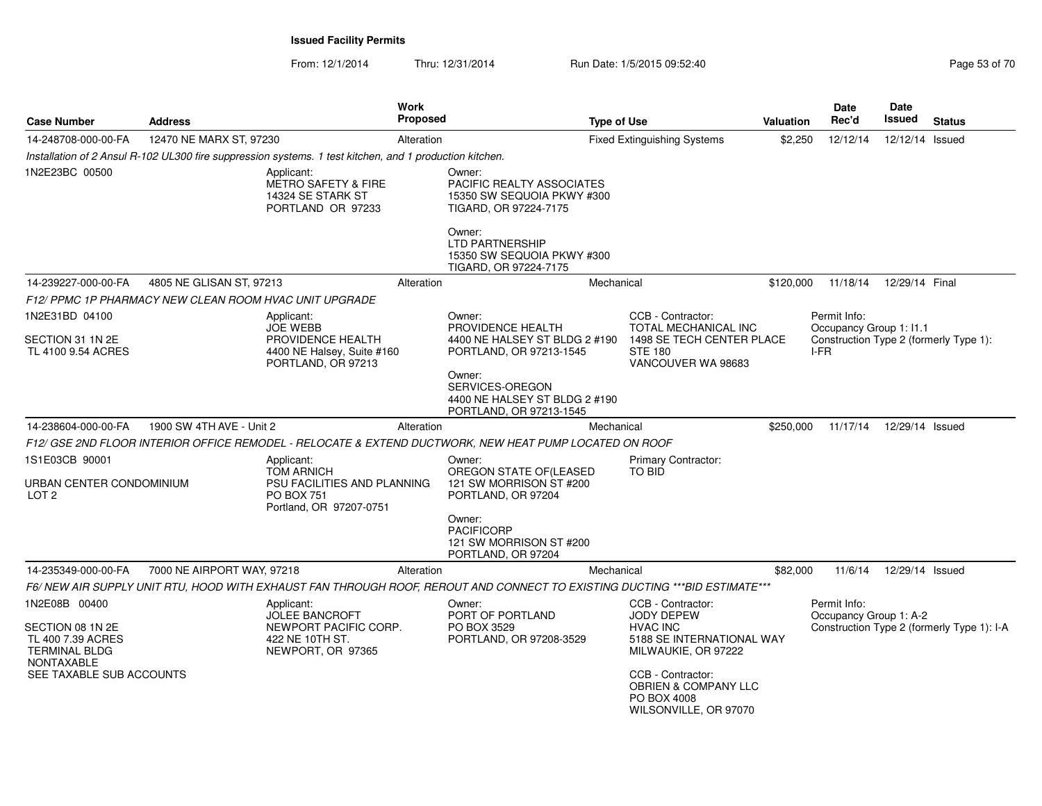| <b>Case Number</b>                                                                                  | Address                                                |                                                                                                                | <b>Work</b><br><b>Proposed</b> |                                                                                                                                                                                       | <b>Type of Use</b> |                                                                                                               | <b>Valuation</b> | <b>Date</b><br>Rec'd                                                                      | Date<br>Issued  | <b>Status</b>                              |
|-----------------------------------------------------------------------------------------------------|--------------------------------------------------------|----------------------------------------------------------------------------------------------------------------|--------------------------------|---------------------------------------------------------------------------------------------------------------------------------------------------------------------------------------|--------------------|---------------------------------------------------------------------------------------------------------------|------------------|-------------------------------------------------------------------------------------------|-----------------|--------------------------------------------|
| 14-248708-000-00-FA                                                                                 | 12470 NE MARX ST, 97230                                |                                                                                                                | Alteration                     |                                                                                                                                                                                       |                    | <b>Fixed Extinguishing Systems</b>                                                                            | \$2,250          | 12/12/14                                                                                  | 12/12/14 Issued |                                            |
|                                                                                                     |                                                        | Installation of 2 Ansul R-102 UL300 fire suppression systems. 1 test kitchen, and 1 production kitchen.        |                                |                                                                                                                                                                                       |                    |                                                                                                               |                  |                                                                                           |                 |                                            |
| 1N2E23BC 00500                                                                                      |                                                        | Applicant:<br>METRO SAFETY & FIRE<br>14324 SE STARK ST<br>PORTLAND OR 97233                                    |                                | Owner:<br>PACIFIC REALTY ASSOCIATES<br>15350 SW SEQUOIA PKWY #300<br>TIGARD, OR 97224-7175<br>Owner:<br><b>LTD PARTNERSHIP</b><br>15350 SW SEQUOIA PKWY #300<br>TIGARD, OR 97224-7175 |                    |                                                                                                               |                  |                                                                                           |                 |                                            |
| 14-239227-000-00-FA                                                                                 | 4805 NE GLISAN ST, 97213                               |                                                                                                                | Alteration                     |                                                                                                                                                                                       | Mechanical         |                                                                                                               | \$120,000        | 11/18/14                                                                                  | 12/29/14 Final  |                                            |
|                                                                                                     | F12/ PPMC 1P PHARMACY NEW CLEAN ROOM HVAC UNIT UPGRADE |                                                                                                                |                                |                                                                                                                                                                                       |                    |                                                                                                               |                  |                                                                                           |                 |                                            |
| 1N2E31BD 04100<br>SECTION 31 1N 2E<br>TL 4100 9.54 ACRES                                            |                                                        | Applicant:<br><b>JOE WEBB</b><br>PROVIDENCE HEALTH<br>4400 NE Halsey, Suite #160                               |                                | Owner:<br>PROVIDENCE HEALTH<br>4400 NE HALSEY ST BLDG 2 #190<br>PORTLAND, OR 97213-1545                                                                                               |                    | CCB - Contractor:<br><b>TOTAL MECHANICAL INC</b><br>1498 SE TECH CENTER PLACE<br><b>STE 180</b>               |                  | Permit Info:<br>Occupancy Group 1: I1.1<br>Construction Type 2 (formerly Type 1):<br>I-FR |                 |                                            |
|                                                                                                     |                                                        | PORTLAND, OR 97213                                                                                             |                                | Owner:<br>SERVICES-OREGON<br>4400 NE HALSEY ST BLDG 2 #190<br>PORTLAND, OR 97213-1545                                                                                                 |                    | VANCOUVER WA 98683                                                                                            |                  |                                                                                           |                 |                                            |
| 14-238604-000-00-FA                                                                                 | 1900 SW 4TH AVE - Unit 2                               |                                                                                                                | Alteration                     |                                                                                                                                                                                       | Mechanical         |                                                                                                               | \$250,000        | 11/17/14                                                                                  | 12/29/14 Issued |                                            |
|                                                                                                     |                                                        |                                                                                                                |                                | F12/ GSE 2ND FLOOR INTERIOR OFFICE REMODEL - RELOCATE & EXTEND DUCTWORK. NEW HEAT PUMP LOCATED ON ROOF                                                                                |                    |                                                                                                               |                  |                                                                                           |                 |                                            |
| 1S1E03CB 90001<br>URBAN CENTER CONDOMINIUM<br>LOT <sub>2</sub>                                      |                                                        | Applicant:<br><b>TOM ARNICH</b><br>PSU FACILITIES AND PLANNING<br><b>PO BOX 751</b><br>Portland, OR 97207-0751 |                                | Owner:<br>OREGON STATE OF(LEASED<br>121 SW MORRISON ST #200<br>PORTLAND, OR 97204                                                                                                     |                    | <b>Primary Contractor:</b><br><b>TO BID</b>                                                                   |                  |                                                                                           |                 |                                            |
|                                                                                                     |                                                        |                                                                                                                |                                | Owner:<br><b>PACIFICORP</b><br>121 SW MORRISON ST #200<br>PORTLAND, OR 97204                                                                                                          |                    |                                                                                                               |                  |                                                                                           |                 |                                            |
| 14-235349-000-00-FA                                                                                 | 7000 NE AIRPORT WAY, 97218                             |                                                                                                                | Alteration                     |                                                                                                                                                                                       | Mechanical         |                                                                                                               | \$82,000         | 11/6/14                                                                                   | 12/29/14 Issued |                                            |
|                                                                                                     |                                                        |                                                                                                                |                                | F6/ NEW AIR SUPPLY UNIT RTU. HOOD WITH EXHAUST FAN THROUGH ROOF. REROUT AND CONNECT TO EXISTING DUCTING ***BID ESTIMATE***                                                            |                    |                                                                                                               |                  |                                                                                           |                 |                                            |
| 1N2E08B 00400<br>SECTION 08 1N 2E<br>TL 400 7.39 ACRES<br><b>TERMINAL BLDG</b><br><b>NONTAXABLE</b> |                                                        | Applicant:<br><b>JOLEE BANCROFT</b><br>NEWPORT PACIFIC CORP.<br>422 NE 10TH ST.<br>NEWPORT, OR 97365           |                                | Owner:<br>PORT OF PORTLAND<br>PO BOX 3529<br>PORTLAND, OR 97208-3529                                                                                                                  |                    | CCB - Contractor:<br><b>JODY DEPEW</b><br><b>HVAC INC</b><br>5188 SE INTERNATIONAL WAY<br>MILWAUKIE, OR 97222 |                  | Permit Info:<br>Occupancy Group 1: A-2                                                    |                 | Construction Type 2 (formerly Type 1): I-A |
| SEE TAXABLE SUB ACCOUNTS                                                                            |                                                        |                                                                                                                |                                |                                                                                                                                                                                       |                    | CCB - Contractor:<br><b>OBRIEN &amp; COMPANY LLC</b><br>PO BOX 4008<br>WILSONVILLE, OR 97070                  |                  |                                                                                           |                 |                                            |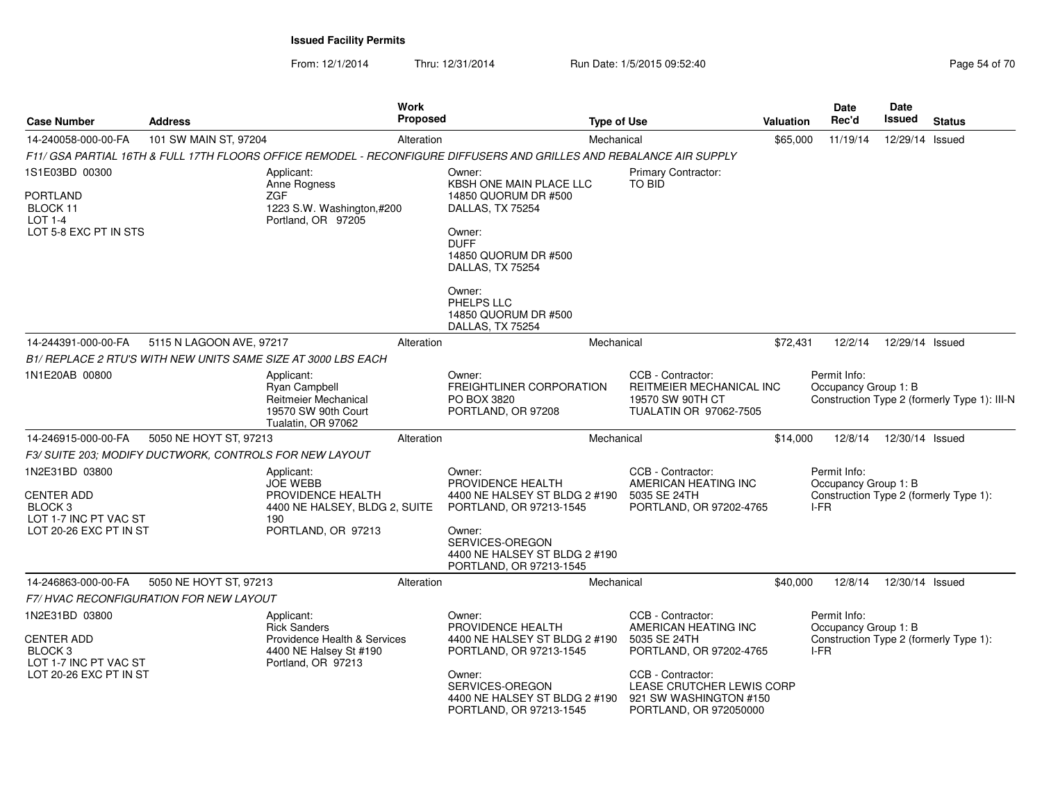| <b>Case Number</b>                                                                 | <b>Address</b>           | <b>Work</b>                                                                                                          | <b>Proposed</b> |                                                                                         | <b>Type of Use</b> |                                                                                                    | <b>Valuation</b> | Date<br>Rec'd                                                                          | Date<br><b>Issued</b> | <b>Status</b>                                |
|------------------------------------------------------------------------------------|--------------------------|----------------------------------------------------------------------------------------------------------------------|-----------------|-----------------------------------------------------------------------------------------|--------------------|----------------------------------------------------------------------------------------------------|------------------|----------------------------------------------------------------------------------------|-----------------------|----------------------------------------------|
| 14-240058-000-00-FA                                                                | 101 SW MAIN ST, 97204    |                                                                                                                      | Alteration      |                                                                                         | Mechanical         |                                                                                                    | \$65,000         | 11/19/14                                                                               | 12/29/14 Issued       |                                              |
|                                                                                    |                          | F11/ GSA PARTIAL 16TH & FULL 17TH FLOORS OFFICE REMODEL - RECONFIGURE DIFFUSERS AND GRILLES AND REBALANCE AIR SUPPLY |                 |                                                                                         |                    |                                                                                                    |                  |                                                                                        |                       |                                              |
| 1S1E03BD 00300                                                                     |                          | Applicant:<br>Anne Rogness                                                                                           |                 | Owner:<br>KBSH ONE MAIN PLACE LLC                                                       |                    | Primary Contractor:<br>TO BID                                                                      |                  |                                                                                        |                       |                                              |
| <b>PORTLAND</b><br>BLOCK 11<br>LOT 1-4<br>LOT 5-8 EXC PT IN STS                    |                          | <b>ZGF</b><br>1223 S.W. Washington,#200<br>Portland, OR 97205                                                        |                 | 14850 QUORUM DR #500<br>DALLAS, TX 75254<br>Owner:                                      |                    |                                                                                                    |                  |                                                                                        |                       |                                              |
|                                                                                    |                          |                                                                                                                      |                 | <b>DUFF</b><br>14850 QUORUM DR #500<br>DALLAS, TX 75254                                 |                    |                                                                                                    |                  |                                                                                        |                       |                                              |
|                                                                                    |                          |                                                                                                                      |                 | Owner:<br>PHELPS LLC<br>14850 QUORUM DR #500<br>DALLAS, TX 75254                        |                    |                                                                                                    |                  |                                                                                        |                       |                                              |
| 14-244391-000-00-FA                                                                | 5115 N LAGOON AVE, 97217 |                                                                                                                      | Alteration      |                                                                                         | Mechanical         |                                                                                                    | \$72,431         | 12/2/14                                                                                | 12/29/14 Issued       |                                              |
|                                                                                    |                          | B1/ REPLACE 2 RTU'S WITH NEW UNITS SAME SIZE AT 3000 LBS EACH                                                        |                 |                                                                                         |                    |                                                                                                    |                  |                                                                                        |                       |                                              |
| 1N1E20AB 00800                                                                     |                          | Applicant:<br>Ryan Campbell<br>Reitmeier Mechanical<br>19570 SW 90th Court<br>Tualatin, OR 97062                     |                 | Owner:<br>FREIGHTLINER CORPORATION<br>PO BOX 3820<br>PORTLAND, OR 97208                 |                    | CCB - Contractor:<br>REITMEIER MECHANICAL INC<br>19570 SW 90TH CT<br>TUALATIN OR 97062-7505        |                  | Permit Info:<br>Occupancy Group 1: B                                                   |                       | Construction Type 2 (formerly Type 1): III-N |
| 14-246915-000-00-FA                                                                | 5050 NE HOYT ST, 97213   |                                                                                                                      | Alteration      |                                                                                         | Mechanical         |                                                                                                    | \$14,000         | 12/8/14                                                                                | 12/30/14 Issued       |                                              |
| F3/ SUITE 203; MODIFY DUCTWORK, CONTROLS FOR NEW LAYOUT                            |                          |                                                                                                                      |                 |                                                                                         |                    |                                                                                                    |                  |                                                                                        |                       |                                              |
| 1N2E31BD 03800<br><b>CENTER ADD</b><br>BLOCK <sub>3</sub><br>LOT 1-7 INC PT VAC ST |                          | Applicant:<br><b>JOE WEBB</b><br>PROVIDENCE HEALTH<br>4400 NE HALSEY, BLDG 2, SUITE<br>190                           |                 | Owner:<br>PROVIDENCE HEALTH<br>4400 NE HALSEY ST BLDG 2 #190<br>PORTLAND, OR 97213-1545 |                    | CCB - Contractor:<br>AMERICAN HEATING INC<br>5035 SE 24TH<br>PORTLAND, OR 97202-4765               |                  | Permit Info:<br>Occupancy Group 1: B<br>Construction Type 2 (formerly Type 1):<br>I-FR |                       |                                              |
| LOT 20-26 EXC PT IN ST                                                             |                          | PORTLAND, OR 97213                                                                                                   |                 | Owner:<br>SERVICES-OREGON<br>4400 NE HALSEY ST BLDG 2 #190<br>PORTLAND, OR 97213-1545   |                    |                                                                                                    |                  |                                                                                        |                       |                                              |
| 14-246863-000-00-FA                                                                | 5050 NE HOYT ST, 97213   |                                                                                                                      | Alteration      |                                                                                         | Mechanical         |                                                                                                    | \$40,000         | 12/8/14                                                                                | 12/30/14 Issued       |                                              |
| F7/HVAC RECONFIGURATION FOR NEW LAYOUT                                             |                          |                                                                                                                      |                 |                                                                                         |                    |                                                                                                    |                  |                                                                                        |                       |                                              |
| 1N2E31BD 03800<br><b>CENTER ADD</b><br>BLOCK <sub>3</sub><br>LOT 1-7 INC PT VAC ST |                          | Applicant:<br><b>Rick Sanders</b><br>Providence Health & Services<br>4400 NE Halsey St #190<br>Portland, OR 97213    |                 | Owner:<br>PROVIDENCE HEALTH<br>4400 NE HALSEY ST BLDG 2 #190<br>PORTLAND, OR 97213-1545 |                    | CCB - Contractor:<br>AMERICAN HEATING INC<br>5035 SE 24TH<br>PORTLAND, OR 97202-4765               |                  | Permit Info:<br>Occupancy Group 1: B<br>Construction Type 2 (formerly Type 1):<br>I-FR |                       |                                              |
| LOT 20-26 EXC PT IN ST                                                             |                          |                                                                                                                      |                 | Owner:<br>SERVICES-OREGON<br>4400 NE HALSEY ST BLDG 2 #190<br>PORTLAND, OR 97213-1545   |                    | CCB - Contractor:<br>LEASE CRUTCHER LEWIS CORP<br>921 SW WASHINGTON #150<br>PORTLAND, OR 972050000 |                  |                                                                                        |                       |                                              |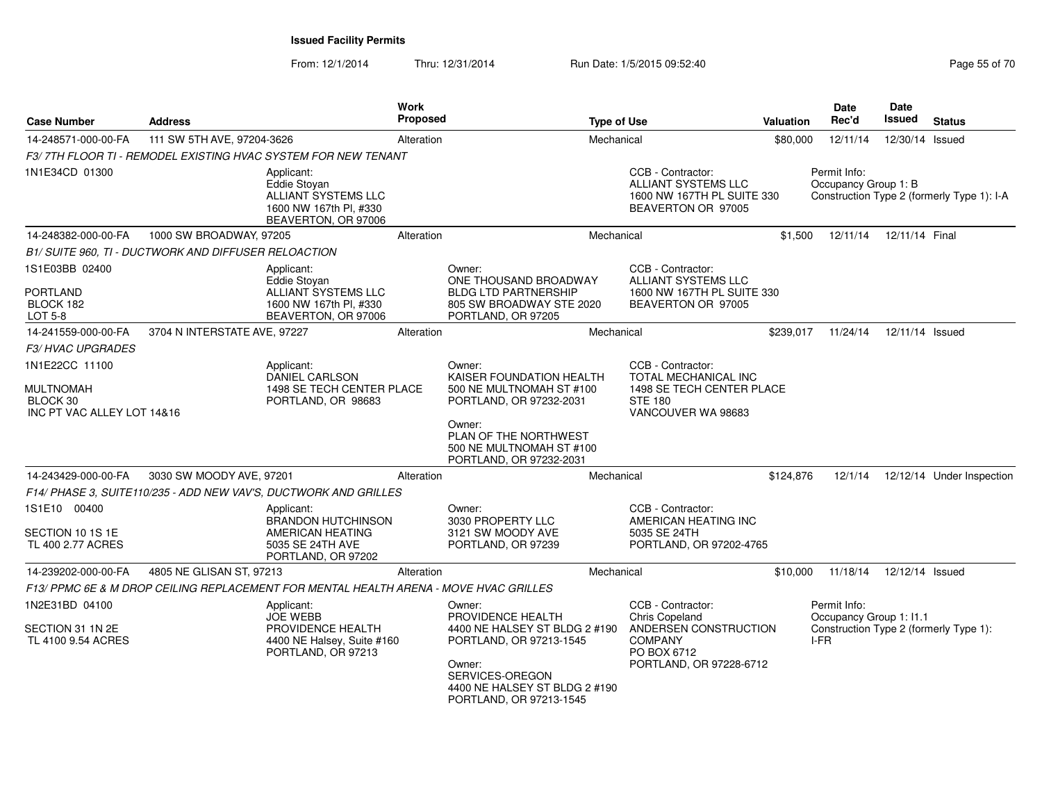| <b>Case Number</b>                                         | <b>Address</b>                                       |                                                                                                        | Work<br><b>Proposed</b> |                                                                                                                                                                                  | <b>Type of Use</b> |                                                                                                                                 | <b>Valuation</b> | Date<br>Rec'd                                     | <b>Date</b><br>Issued | <b>Status</b>                              |
|------------------------------------------------------------|------------------------------------------------------|--------------------------------------------------------------------------------------------------------|-------------------------|----------------------------------------------------------------------------------------------------------------------------------------------------------------------------------|--------------------|---------------------------------------------------------------------------------------------------------------------------------|------------------|---------------------------------------------------|-----------------------|--------------------------------------------|
| 14-248571-000-00-FA                                        | 111 SW 5TH AVE, 97204-3626                           |                                                                                                        | Alteration              |                                                                                                                                                                                  | Mechanical         |                                                                                                                                 | \$80,000         | 12/11/14                                          | 12/30/14 Issued       |                                            |
|                                                            |                                                      | F3/7TH FLOOR TI - REMODEL EXISTING HVAC SYSTEM FOR NEW TENANT                                          |                         |                                                                                                                                                                                  |                    |                                                                                                                                 |                  |                                                   |                       |                                            |
| 1N1E34CD 01300                                             |                                                      | Applicant:<br>Eddie Stovan<br>ALLIANT SYSTEMS LLC<br>1600 NW 167th Pl, #330<br>BEAVERTON, OR 97006     |                         |                                                                                                                                                                                  |                    | CCB - Contractor:<br><b>ALLIANT SYSTEMS LLC</b><br>1600 NW 167TH PL SUITE 330<br>BEAVERTON OR 97005                             |                  | Permit Info:<br>Occupancy Group 1: B              |                       | Construction Type 2 (formerly Type 1): I-A |
| 14-248382-000-00-FA                                        | 1000 SW BROADWAY, 97205                              |                                                                                                        | Alteration              |                                                                                                                                                                                  | Mechanical         |                                                                                                                                 | \$1,500          | 12/11/14                                          | 12/11/14 Final        |                                            |
|                                                            | B1/ SUITE 960, TI - DUCTWORK AND DIFFUSER RELOACTION |                                                                                                        |                         |                                                                                                                                                                                  |                    |                                                                                                                                 |                  |                                                   |                       |                                            |
| 1S1E03BB 02400<br>PORTLAND<br>BLOCK 182<br><b>LOT 5-8</b>  |                                                      | Applicant:<br>Eddie Stoyan<br>ALLIANT SYSTEMS LLC<br>1600 NW 167th Pl, #330<br>BEAVERTON, OR 97006     |                         | Owner:<br>ONE THOUSAND BROADWAY<br><b>BLDG LTD PARTNERSHIP</b><br>805 SW BROADWAY STE 2020<br>PORTLAND, OR 97205                                                                 |                    | CCB - Contractor:<br>ALLIANT SYSTEMS LLC<br>1600 NW 167TH PL SUITE 330<br>BEAVERTON OR 97005                                    |                  |                                                   |                       |                                            |
| 14-241559-000-00-FA                                        | 3704 N INTERSTATE AVE, 97227                         |                                                                                                        | Alteration              |                                                                                                                                                                                  | Mechanical         |                                                                                                                                 | \$239,017        | 11/24/14                                          | 12/11/14 Issued       |                                            |
| <b>F3/ HVAC UPGRADES</b>                                   |                                                      |                                                                                                        |                         |                                                                                                                                                                                  |                    |                                                                                                                                 |                  |                                                   |                       |                                            |
| 1N1E22CC 11100                                             |                                                      | Applicant:<br><b>DANIEL CARLSON</b>                                                                    |                         | Owner:<br>KAISER FOUNDATION HEALTH                                                                                                                                               |                    | CCB - Contractor:<br>TOTAL MECHANICAL INC                                                                                       |                  |                                                   |                       |                                            |
| <b>MULTNOMAH</b><br>BLOCK 30<br>INC PT VAC ALLEY LOT 14&16 |                                                      | 1498 SE TECH CENTER PLACE<br>PORTLAND, OR 98683                                                        |                         | 500 NE MULTNOMAH ST #100<br>PORTLAND, OR 97232-2031<br>Owner:<br>PLAN OF THE NORTHWEST<br>500 NE MULTNOMAH ST #100<br>PORTLAND, OR 97232-2031                                    |                    | 1498 SE TECH CENTER PLACE<br><b>STE 180</b><br>VANCOUVER WA 98683                                                               |                  |                                                   |                       |                                            |
| 14-243429-000-00-FA                                        | 3030 SW MOODY AVE, 97201                             |                                                                                                        | Alteration              |                                                                                                                                                                                  | Mechanical         |                                                                                                                                 | \$124,876        | 12/1/14                                           |                       | 12/12/14 Under Inspection                  |
|                                                            |                                                      | F14/ PHASE 3, SUITE110/235 - ADD NEW VAV'S, DUCTWORK AND GRILLES                                       |                         |                                                                                                                                                                                  |                    |                                                                                                                                 |                  |                                                   |                       |                                            |
| 1S1E10 00400<br>SECTION 10 1S 1E<br>TL 400 2.77 ACRES      |                                                      | Applicant:<br><b>BRANDON HUTCHINSON</b><br>AMERICAN HEATING<br>5035 SE 24TH AVE<br>PORTLAND, OR 97202  |                         | Owner:<br>3030 PROPERTY LLC<br>3121 SW MOODY AVE<br>PORTLAND, OR 97239                                                                                                           |                    | CCB - Contractor:<br>AMERICAN HEATING INC<br>5035 SE 24TH<br>PORTLAND, OR 97202-4765                                            |                  |                                                   |                       |                                            |
| 14-239202-000-00-FA                                        | 4805 NE GLISAN ST, 97213                             |                                                                                                        | Alteration              |                                                                                                                                                                                  | Mechanical         |                                                                                                                                 | \$10,000         | 11/18/14                                          | 12/12/14 Issued       |                                            |
|                                                            |                                                      | F13/ PPMC 6E & M DROP CEILING REPLACEMENT FOR MENTAL HEALTH ARENA - MOVE HVAC GRILLES                  |                         |                                                                                                                                                                                  |                    |                                                                                                                                 |                  |                                                   |                       |                                            |
| 1N2E31BD 04100<br>SECTION 31 1N 2E<br>TL 4100 9.54 ACRES   |                                                      | Applicant:<br><b>JOE WEBB</b><br>PROVIDENCE HEALTH<br>4400 NE Halsey, Suite #160<br>PORTLAND, OR 97213 |                         | Owner:<br>PROVIDENCE HEALTH<br>4400 NE HALSEY ST BLDG 2 #190<br>PORTLAND, OR 97213-1545<br>Owner:<br>SERVICES-OREGON<br>4400 NE HALSEY ST BLDG 2 #190<br>PORTLAND, OR 97213-1545 |                    | CCB - Contractor:<br><b>Chris Copeland</b><br>ANDERSEN CONSTRUCTION<br><b>COMPANY</b><br>PO BOX 6712<br>PORTLAND, OR 97228-6712 |                  | Permit Info:<br>Occupancy Group 1: I1.1<br>$I-FR$ |                       | Construction Type 2 (formerly Type 1):     |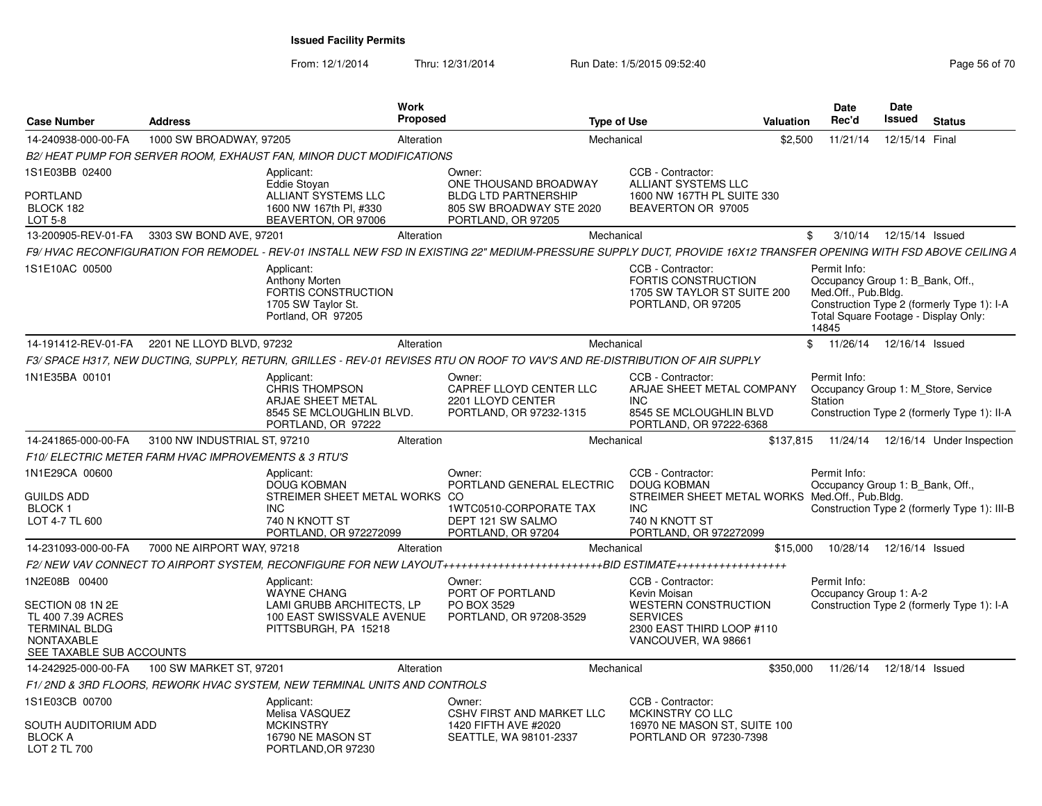| 1000 SW BROADWAY, 97205<br>11/21/14<br>12/15/14 Final<br>14-240938-000-00-FA<br>Mechanical<br>\$2,500<br>Alteration<br>B2/HEAT PUMP FOR SERVER ROOM, EXHAUST FAN, MINOR DUCT MODIFICATIONS<br>1S1E03BB 02400<br>CCB - Contractor:<br>Applicant:<br>Owner:<br>Eddie Stovan<br>ONE THOUSAND BROADWAY<br><b>ALLIANT SYSTEMS LLC</b><br><b>PORTLAND</b><br>ALLIANT SYSTEMS LLC<br><b>BLDG LTD PARTNERSHIP</b><br>1600 NW 167TH PL SUITE 330<br>BLOCK 182<br>1600 NW 167th PI, #330<br>805 SW BROADWAY STE 2020<br>BEAVERTON OR 97005<br>BEAVERTON, OR 97006<br>LOT 5-8<br>PORTLAND, OR 97205<br>13-200905-REV-01-FA<br>3303 SW BOND AVE, 97201<br>12/15/14 Issued<br>Alteration<br>Mechanical<br>3/10/14<br>\$<br>CCB - Contractor:<br>Permit Info:<br>1S1E10AC 00500<br>Applicant:<br><b>Anthony Morten</b><br><b>FORTIS CONSTRUCTION</b><br>Occupancy Group 1: B Bank, Off.,<br>FORTIS CONSTRUCTION<br>1705 SW TAYLOR ST SUITE 200<br>Med.Off., Pub.Bldg.<br>1705 SW Taylor St.<br>PORTLAND, OR 97205<br>Construction Type 2 (formerly Type 1): I-A<br>Portland, OR 97205<br>Total Square Footage - Display Only:<br>14845<br>14-191412-REV-01-FA<br>2201 NE LLOYD BLVD, 97232<br>Alteration<br>Mechanical<br>\$.<br>11/26/14  12/16/14  Issued<br>1N1E35BA 00101<br>CCB - Contractor:<br>Permit Info:<br>Applicant:<br>Owner:<br>CAPREF LLOYD CENTER LLC<br><b>CHRIS THOMPSON</b><br>ARJAE SHEET METAL COMPANY<br>Occupancy Group 1: M Store, Service<br><b>ARJAE SHEET METAL</b><br>2201 LLOYD CENTER<br><b>INC</b><br>Station<br>8545 SE MCLOUGHLIN BLVD.<br>PORTLAND, OR 97232-1315<br>8545 SE MCLOUGHLIN BLVD<br>Construction Type 2 (formerly Type 1): II-A<br>PORTLAND, OR 97222<br>PORTLAND, OR 97222-6368<br>14-241865-000-00-FA<br>3100 NW INDUSTRIAL ST, 97210<br>Mechanical<br>\$137,815<br>11/24/14  12/16/14  Under Inspection<br>Alteration<br>F10/ELECTRIC METER FARM HVAC IMPROVEMENTS & 3 RTU'S<br>1N1E29CA 00600<br>CCB - Contractor:<br>Permit Info:<br>Applicant:<br>Owner:<br>PORTLAND GENERAL ELECTRIC<br><b>DOUG KOBMAN</b><br><b>DOUG KOBMAN</b><br>Occupancy Group 1: B Bank, Off.,<br>STREIMER SHEET METAL WORKS CO<br>STREIMER SHEET METAL WORKS Med.Off., Pub.Bldg.<br><b>INC</b><br>BLOCK 1<br><b>INC</b><br>1WTC0510-CORPORATE TAX<br>LOT 4-7 TL 600<br>DEPT 121 SW SALMO<br>740 N KNOTT ST<br>740 N KNOTT ST<br>PORTLAND, OR 972272099<br>PORTLAND, OR 97204<br>PORTLAND, OR 972272099<br>7000 NE AIRPORT WAY, 97218<br>Alteration<br>Mechanical<br>\$15,000<br>10/28/14  12/16/14  Issued<br>14-231093-000-00-FA<br>1N2E08B 00400<br>CCB - Contractor:<br>Permit Info:<br>Owner:<br>Applicant:<br><b>WAYNE CHANG</b><br>PORT OF PORTLAND<br>Kevin Moisan<br>Occupancy Group 1: A-2<br>SECTION 08 1N 2E<br>LAMI GRUBB ARCHITECTS. LP<br>PO BOX 3529<br><b>WESTERN CONSTRUCTION</b><br>Construction Type 2 (formerly Type 1): I-A<br>100 EAST SWISSVALE AVENUE<br><b>SERVICES</b><br>TL 400 7.39 ACRES<br>PORTLAND, OR 97208-3529<br><b>TERMINAL BLDG</b><br>2300 EAST THIRD LOOP #110<br>PITTSBURGH, PA 15218<br><b>NONTAXABLE</b><br>VANCOUVER, WA 98661<br>SEE TAXABLE SUB ACCOUNTS<br>100 SW MARKET ST, 97201<br>14-242925-000-00-FA<br>Alteration<br>Mechanical<br>\$350,000<br>11/26/14  12/18/14  Issued<br>F1/2ND & 3RD FLOORS, REWORK HVAC SYSTEM, NEW TERMINAL UNITS AND CONTROLS<br>1S1E03CB 00700<br>CCB - Contractor:<br>Applicant:<br>Owner:<br>Melisa VASQUEZ<br><b>CSHV FIRST AND MARKET LLC</b><br>MCKINSTRY CO LLC | <b>Case Number</b>   | Address | <b>Work</b>      | Proposed             | <b>Type of Use</b> | <b>Valuation</b> | Date<br>Rec'd | Date<br>Issued | <b>Status</b> |
|-------------------------------------------------------------------------------------------------------------------------------------------------------------------------------------------------------------------------------------------------------------------------------------------------------------------------------------------------------------------------------------------------------------------------------------------------------------------------------------------------------------------------------------------------------------------------------------------------------------------------------------------------------------------------------------------------------------------------------------------------------------------------------------------------------------------------------------------------------------------------------------------------------------------------------------------------------------------------------------------------------------------------------------------------------------------------------------------------------------------------------------------------------------------------------------------------------------------------------------------------------------------------------------------------------------------------------------------------------------------------------------------------------------------------------------------------------------------------------------------------------------------------------------------------------------------------------------------------------------------------------------------------------------------------------------------------------------------------------------------------------------------------------------------------------------------------------------------------------------------------------------------------------------------------------------------------------------------------------------------------------------------------------------------------------------------------------------------------------------------------------------------------------------------------------------------------------------------------------------------------------------------------------------------------------------------------------------------------------------------------------------------------------------------------------------------------------------------------------------------------------------------------------------------------------------------------------------------------------------------------------------------------------------------------------------------------------------------------------------------------------------------------------------------------------------------------------------------------------------------------------------------------------------------------------------------------------------------------------------------------------------------------------------------------------------------------------------------------------------------------------------------------------------------------------------------------------------------------------------------------------------------------------------------------------------------------------------------------------------------------------------------------------------------------------------------------------------------|----------------------|---------|------------------|----------------------|--------------------|------------------|---------------|----------------|---------------|
| F3/ SPACE H317, NEW DUCTING, SUPPLY, RETURN, GRILLES - REV-01 REVISES RTU ON ROOF TO VAV'S AND RE-DISTRIBUTION OF AIR SUPPLY<br><b>GUILDS ADD</b>                                                                                                                                                                                                                                                                                                                                                                                                                                                                                                                                                                                                                                                                                                                                                                                                                                                                                                                                                                                                                                                                                                                                                                                                                                                                                                                                                                                                                                                                                                                                                                                                                                                                                                                                                                                                                                                                                                                                                                                                                                                                                                                                                                                                                                                                                                                                                                                                                                                                                                                                                                                                                                                                                                                                                                                                                                                                                                                                                                                                                                                                                                                                                                                                                                                                                                                 |                      |         |                  |                      |                    |                  |               |                |               |
| Construction Type 2 (formerly Type 1): III-B                                                                                                                                                                                                                                                                                                                                                                                                                                                                                                                                                                                                                                                                                                                                                                                                                                                                                                                                                                                                                                                                                                                                                                                                                                                                                                                                                                                                                                                                                                                                                                                                                                                                                                                                                                                                                                                                                                                                                                                                                                                                                                                                                                                                                                                                                                                                                                                                                                                                                                                                                                                                                                                                                                                                                                                                                                                                                                                                                                                                                                                                                                                                                                                                                                                                                                                                                                                                                      |                      |         |                  |                      |                    |                  |               |                |               |
| F9/ HVAC RECONFIGURATION FOR REMODEL - REV-01 INSTALL NEW FSD IN EXISTING 22" MEDIUM-PRESSURE SUPPLY DUCT. PROVIDE 16X12 TRANSFER OPENING WITH FSD ABOVE CEILING A                                                                                                                                                                                                                                                                                                                                                                                                                                                                                                                                                                                                                                                                                                                                                                                                                                                                                                                                                                                                                                                                                                                                                                                                                                                                                                                                                                                                                                                                                                                                                                                                                                                                                                                                                                                                                                                                                                                                                                                                                                                                                                                                                                                                                                                                                                                                                                                                                                                                                                                                                                                                                                                                                                                                                                                                                                                                                                                                                                                                                                                                                                                                                                                                                                                                                                |                      |         |                  |                      |                    |                  |               |                |               |
|                                                                                                                                                                                                                                                                                                                                                                                                                                                                                                                                                                                                                                                                                                                                                                                                                                                                                                                                                                                                                                                                                                                                                                                                                                                                                                                                                                                                                                                                                                                                                                                                                                                                                                                                                                                                                                                                                                                                                                                                                                                                                                                                                                                                                                                                                                                                                                                                                                                                                                                                                                                                                                                                                                                                                                                                                                                                                                                                                                                                                                                                                                                                                                                                                                                                                                                                                                                                                                                                   |                      |         |                  |                      |                    |                  |               |                |               |
|                                                                                                                                                                                                                                                                                                                                                                                                                                                                                                                                                                                                                                                                                                                                                                                                                                                                                                                                                                                                                                                                                                                                                                                                                                                                                                                                                                                                                                                                                                                                                                                                                                                                                                                                                                                                                                                                                                                                                                                                                                                                                                                                                                                                                                                                                                                                                                                                                                                                                                                                                                                                                                                                                                                                                                                                                                                                                                                                                                                                                                                                                                                                                                                                                                                                                                                                                                                                                                                                   |                      |         |                  |                      |                    |                  |               |                |               |
|                                                                                                                                                                                                                                                                                                                                                                                                                                                                                                                                                                                                                                                                                                                                                                                                                                                                                                                                                                                                                                                                                                                                                                                                                                                                                                                                                                                                                                                                                                                                                                                                                                                                                                                                                                                                                                                                                                                                                                                                                                                                                                                                                                                                                                                                                                                                                                                                                                                                                                                                                                                                                                                                                                                                                                                                                                                                                                                                                                                                                                                                                                                                                                                                                                                                                                                                                                                                                                                                   |                      |         |                  |                      |                    |                  |               |                |               |
|                                                                                                                                                                                                                                                                                                                                                                                                                                                                                                                                                                                                                                                                                                                                                                                                                                                                                                                                                                                                                                                                                                                                                                                                                                                                                                                                                                                                                                                                                                                                                                                                                                                                                                                                                                                                                                                                                                                                                                                                                                                                                                                                                                                                                                                                                                                                                                                                                                                                                                                                                                                                                                                                                                                                                                                                                                                                                                                                                                                                                                                                                                                                                                                                                                                                                                                                                                                                                                                                   |                      |         |                  |                      |                    |                  |               |                |               |
|                                                                                                                                                                                                                                                                                                                                                                                                                                                                                                                                                                                                                                                                                                                                                                                                                                                                                                                                                                                                                                                                                                                                                                                                                                                                                                                                                                                                                                                                                                                                                                                                                                                                                                                                                                                                                                                                                                                                                                                                                                                                                                                                                                                                                                                                                                                                                                                                                                                                                                                                                                                                                                                                                                                                                                                                                                                                                                                                                                                                                                                                                                                                                                                                                                                                                                                                                                                                                                                                   |                      |         |                  |                      |                    |                  |               |                |               |
|                                                                                                                                                                                                                                                                                                                                                                                                                                                                                                                                                                                                                                                                                                                                                                                                                                                                                                                                                                                                                                                                                                                                                                                                                                                                                                                                                                                                                                                                                                                                                                                                                                                                                                                                                                                                                                                                                                                                                                                                                                                                                                                                                                                                                                                                                                                                                                                                                                                                                                                                                                                                                                                                                                                                                                                                                                                                                                                                                                                                                                                                                                                                                                                                                                                                                                                                                                                                                                                                   |                      |         |                  |                      |                    |                  |               |                |               |
|                                                                                                                                                                                                                                                                                                                                                                                                                                                                                                                                                                                                                                                                                                                                                                                                                                                                                                                                                                                                                                                                                                                                                                                                                                                                                                                                                                                                                                                                                                                                                                                                                                                                                                                                                                                                                                                                                                                                                                                                                                                                                                                                                                                                                                                                                                                                                                                                                                                                                                                                                                                                                                                                                                                                                                                                                                                                                                                                                                                                                                                                                                                                                                                                                                                                                                                                                                                                                                                                   |                      |         |                  |                      |                    |                  |               |                |               |
|                                                                                                                                                                                                                                                                                                                                                                                                                                                                                                                                                                                                                                                                                                                                                                                                                                                                                                                                                                                                                                                                                                                                                                                                                                                                                                                                                                                                                                                                                                                                                                                                                                                                                                                                                                                                                                                                                                                                                                                                                                                                                                                                                                                                                                                                                                                                                                                                                                                                                                                                                                                                                                                                                                                                                                                                                                                                                                                                                                                                                                                                                                                                                                                                                                                                                                                                                                                                                                                                   |                      |         |                  |                      |                    |                  |               |                |               |
|                                                                                                                                                                                                                                                                                                                                                                                                                                                                                                                                                                                                                                                                                                                                                                                                                                                                                                                                                                                                                                                                                                                                                                                                                                                                                                                                                                                                                                                                                                                                                                                                                                                                                                                                                                                                                                                                                                                                                                                                                                                                                                                                                                                                                                                                                                                                                                                                                                                                                                                                                                                                                                                                                                                                                                                                                                                                                                                                                                                                                                                                                                                                                                                                                                                                                                                                                                                                                                                                   |                      |         |                  |                      |                    |                  |               |                |               |
|                                                                                                                                                                                                                                                                                                                                                                                                                                                                                                                                                                                                                                                                                                                                                                                                                                                                                                                                                                                                                                                                                                                                                                                                                                                                                                                                                                                                                                                                                                                                                                                                                                                                                                                                                                                                                                                                                                                                                                                                                                                                                                                                                                                                                                                                                                                                                                                                                                                                                                                                                                                                                                                                                                                                                                                                                                                                                                                                                                                                                                                                                                                                                                                                                                                                                                                                                                                                                                                                   |                      |         |                  |                      |                    |                  |               |                |               |
|                                                                                                                                                                                                                                                                                                                                                                                                                                                                                                                                                                                                                                                                                                                                                                                                                                                                                                                                                                                                                                                                                                                                                                                                                                                                                                                                                                                                                                                                                                                                                                                                                                                                                                                                                                                                                                                                                                                                                                                                                                                                                                                                                                                                                                                                                                                                                                                                                                                                                                                                                                                                                                                                                                                                                                                                                                                                                                                                                                                                                                                                                                                                                                                                                                                                                                                                                                                                                                                                   |                      |         |                  |                      |                    |                  |               |                |               |
|                                                                                                                                                                                                                                                                                                                                                                                                                                                                                                                                                                                                                                                                                                                                                                                                                                                                                                                                                                                                                                                                                                                                                                                                                                                                                                                                                                                                                                                                                                                                                                                                                                                                                                                                                                                                                                                                                                                                                                                                                                                                                                                                                                                                                                                                                                                                                                                                                                                                                                                                                                                                                                                                                                                                                                                                                                                                                                                                                                                                                                                                                                                                                                                                                                                                                                                                                                                                                                                                   |                      |         |                  |                      |                    |                  |               |                |               |
|                                                                                                                                                                                                                                                                                                                                                                                                                                                                                                                                                                                                                                                                                                                                                                                                                                                                                                                                                                                                                                                                                                                                                                                                                                                                                                                                                                                                                                                                                                                                                                                                                                                                                                                                                                                                                                                                                                                                                                                                                                                                                                                                                                                                                                                                                                                                                                                                                                                                                                                                                                                                                                                                                                                                                                                                                                                                                                                                                                                                                                                                                                                                                                                                                                                                                                                                                                                                                                                                   |                      |         |                  |                      |                    |                  |               |                |               |
|                                                                                                                                                                                                                                                                                                                                                                                                                                                                                                                                                                                                                                                                                                                                                                                                                                                                                                                                                                                                                                                                                                                                                                                                                                                                                                                                                                                                                                                                                                                                                                                                                                                                                                                                                                                                                                                                                                                                                                                                                                                                                                                                                                                                                                                                                                                                                                                                                                                                                                                                                                                                                                                                                                                                                                                                                                                                                                                                                                                                                                                                                                                                                                                                                                                                                                                                                                                                                                                                   |                      |         |                  |                      |                    |                  |               |                |               |
|                                                                                                                                                                                                                                                                                                                                                                                                                                                                                                                                                                                                                                                                                                                                                                                                                                                                                                                                                                                                                                                                                                                                                                                                                                                                                                                                                                                                                                                                                                                                                                                                                                                                                                                                                                                                                                                                                                                                                                                                                                                                                                                                                                                                                                                                                                                                                                                                                                                                                                                                                                                                                                                                                                                                                                                                                                                                                                                                                                                                                                                                                                                                                                                                                                                                                                                                                                                                                                                                   |                      |         |                  |                      |                    |                  |               |                |               |
|                                                                                                                                                                                                                                                                                                                                                                                                                                                                                                                                                                                                                                                                                                                                                                                                                                                                                                                                                                                                                                                                                                                                                                                                                                                                                                                                                                                                                                                                                                                                                                                                                                                                                                                                                                                                                                                                                                                                                                                                                                                                                                                                                                                                                                                                                                                                                                                                                                                                                                                                                                                                                                                                                                                                                                                                                                                                                                                                                                                                                                                                                                                                                                                                                                                                                                                                                                                                                                                                   |                      |         |                  |                      |                    |                  |               |                |               |
| 16970 NE MASON ST, SUITE 100<br><b>BLOCK A</b><br>16790 NE MASON ST<br>SEATTLE, WA 98101-2337<br>PORTLAND OR 97230-7398<br>LOT 2 TL 700<br>PORTLAND, OR 97230                                                                                                                                                                                                                                                                                                                                                                                                                                                                                                                                                                                                                                                                                                                                                                                                                                                                                                                                                                                                                                                                                                                                                                                                                                                                                                                                                                                                                                                                                                                                                                                                                                                                                                                                                                                                                                                                                                                                                                                                                                                                                                                                                                                                                                                                                                                                                                                                                                                                                                                                                                                                                                                                                                                                                                                                                                                                                                                                                                                                                                                                                                                                                                                                                                                                                                     | SOUTH AUDITORIUM ADD |         | <b>MCKINSTRY</b> | 1420 FIFTH AVE #2020 |                    |                  |               |                |               |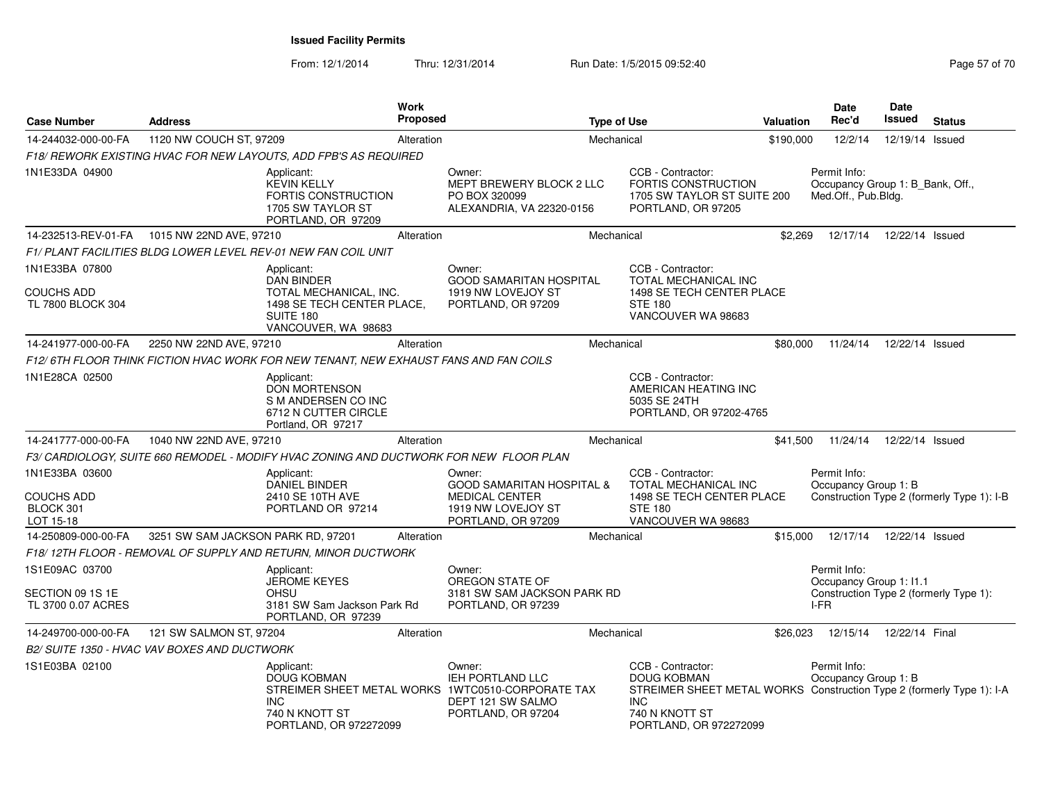| <b>Case Number</b>                        | <b>Address</b>                               |                                                                                                           | <b>Work</b><br><b>Proposed</b> |                                                                                                                            | <b>Type of Use</b> |                                                                                                                                                                     | Valuation | Date<br>Rec'd                                                           | Date<br>Issued  | <b>Status</b>                              |
|-------------------------------------------|----------------------------------------------|-----------------------------------------------------------------------------------------------------------|--------------------------------|----------------------------------------------------------------------------------------------------------------------------|--------------------|---------------------------------------------------------------------------------------------------------------------------------------------------------------------|-----------|-------------------------------------------------------------------------|-----------------|--------------------------------------------|
| 14-244032-000-00-FA                       | 1120 NW COUCH ST, 97209                      |                                                                                                           | Alteration                     |                                                                                                                            | Mechanical         |                                                                                                                                                                     | \$190,000 | 12/2/14                                                                 | 12/19/14        | Issued                                     |
|                                           |                                              | F18/ REWORK EXISTING HVAC FOR NEW LAYOUTS, ADD FPB'S AS REQUIRED                                          |                                |                                                                                                                            |                    |                                                                                                                                                                     |           |                                                                         |                 |                                            |
| 1N1E33DA 04900                            |                                              | Applicant:<br><b>KEVIN KELLY</b><br><b>FORTIS CONSTRUCTION</b><br>1705 SW TAYLOR ST<br>PORTLAND, OR 97209 |                                | Owner:<br>MEPT BREWERY BLOCK 2 LLC<br>PO BOX 320099<br>ALEXANDRIA, VA 22320-0156                                           |                    | CCB - Contractor:<br><b>FORTIS CONSTRUCTION</b><br>1705 SW TAYLOR ST SUITE 200<br>PORTLAND, OR 97205                                                                |           | Permit Info:<br>Occupancy Group 1: B_Bank, Off.,<br>Med.Off., Pub.Bldg. |                 |                                            |
| 14-232513-REV-01-FA                       | 1015 NW 22ND AVE, 97210                      |                                                                                                           | Alteration                     |                                                                                                                            | Mechanical         |                                                                                                                                                                     | \$2,269   | 12/17/14                                                                | 12/22/14 Issued |                                            |
|                                           |                                              | F1/PLANT FACILITIES BLDG LOWER LEVEL REV-01 NEW FAN COIL UNIT                                             |                                |                                                                                                                            |                    |                                                                                                                                                                     |           |                                                                         |                 |                                            |
| 1N1E33BA 07800                            |                                              | Applicant:<br><b>DAN BINDER</b>                                                                           |                                | Owner:<br><b>GOOD SAMARITAN HOSPITAL</b>                                                                                   |                    | CCB - Contractor:<br>TOTAL MECHANICAL INC                                                                                                                           |           |                                                                         |                 |                                            |
| <b>COUCHS ADD</b><br>TL 7800 BLOCK 304    |                                              | TOTAL MECHANICAL, INC.<br>1498 SE TECH CENTER PLACE,<br>SUITE 180<br>VANCOUVER, WA 98683                  |                                | 1919 NW LOVEJOY ST<br>PORTLAND, OR 97209                                                                                   |                    | 1498 SE TECH CENTER PLACE<br><b>STE 180</b><br>VANCOUVER WA 98683                                                                                                   |           |                                                                         |                 |                                            |
| 14-241977-000-00-FA                       | 2250 NW 22ND AVE, 97210                      |                                                                                                           | Alteration                     |                                                                                                                            | Mechanical         |                                                                                                                                                                     | \$80,000  | 11/24/14                                                                | 12/22/14 Issued |                                            |
|                                           |                                              | F12/6TH FLOOR THINK FICTION HVAC WORK FOR NEW TENANT, NEW EXHAUST FANS AND FAN COILS                      |                                |                                                                                                                            |                    |                                                                                                                                                                     |           |                                                                         |                 |                                            |
| 1N1E28CA 02500                            |                                              | Applicant:<br><b>DON MORTENSON</b><br>S M ANDERSEN CO INC<br>6712 N CUTTER CIRCLE<br>Portland, OR 97217   |                                |                                                                                                                            |                    | CCB - Contractor:<br>AMERICAN HEATING INC<br>5035 SE 24TH<br>PORTLAND, OR 97202-4765                                                                                |           |                                                                         |                 |                                            |
| 14-241777-000-00-FA                       | 1040 NW 22ND AVE, 97210                      |                                                                                                           | Alteration                     |                                                                                                                            | Mechanical         |                                                                                                                                                                     | \$41,500  | 11/24/14                                                                | 12/22/14 Issued |                                            |
|                                           |                                              | F3/ CARDIOLOGY, SUITE 660 REMODEL - MODIFY HVAC ZONING AND DUCTWORK FOR NEW FLOOR PLAN                    |                                |                                                                                                                            |                    |                                                                                                                                                                     |           |                                                                         |                 |                                            |
| 1N1E33BA 03600<br>COUCHS ADD<br>BLOCK 301 |                                              | Applicant:<br><b>DANIEL BINDER</b><br>2410 SE 10TH AVE<br>PORTLAND OR 97214                               |                                | Owner:<br><b>GOOD SAMARITAN HOSPITAL &amp;</b><br><b>MEDICAL CENTER</b><br>1919 NW LOVEJOY ST                              |                    | CCB - Contractor:<br>TOTAL MECHANICAL INC<br>1498 SE TECH CENTER PLACE<br><b>STE 180</b>                                                                            |           | Permit Info:<br>Occupancy Group 1: B                                    |                 | Construction Type 2 (formerly Type 1): I-B |
| LOT 15-18<br>14-250809-000-00-FA          | 3251 SW SAM JACKSON PARK RD, 97201           |                                                                                                           | Alteration                     | PORTLAND, OR 97209                                                                                                         | Mechanical         | VANCOUVER WA 98683                                                                                                                                                  | \$15,000  | 12/17/14                                                                | 12/22/14 Issued |                                            |
|                                           |                                              | F18/12TH FLOOR - REMOVAL OF SUPPLY AND RETURN, MINOR DUCTWORK                                             |                                |                                                                                                                            |                    |                                                                                                                                                                     |           |                                                                         |                 |                                            |
| 1S1E09AC 03700                            |                                              | Applicant:<br><b>JEROME KEYES</b>                                                                         |                                | Owner:<br>OREGON STATE OF                                                                                                  |                    |                                                                                                                                                                     |           | Permit Info:<br>Occupancy Group 1: I1.1                                 |                 |                                            |
| SECTION 09 1S 1E<br>TL 3700 0.07 ACRES    |                                              | <b>OHSU</b><br>3181 SW Sam Jackson Park Rd<br>PORTLAND, OR 97239                                          |                                | 3181 SW SAM JACKSON PARK RD<br>PORTLAND, OR 97239                                                                          |                    |                                                                                                                                                                     |           | $I-FR$                                                                  |                 | Construction Type 2 (formerly Type 1):     |
| 14-249700-000-00-FA                       | 121 SW SALMON ST, 97204                      |                                                                                                           | Alteration                     |                                                                                                                            | Mechanical         |                                                                                                                                                                     | \$26,023  | 12/15/14                                                                | 12/22/14 Final  |                                            |
|                                           | B2/ SUITE 1350 - HVAC VAV BOXES AND DUCTWORK |                                                                                                           |                                |                                                                                                                            |                    |                                                                                                                                                                     |           |                                                                         |                 |                                            |
| 1S1E03BA 02100                            |                                              | Applicant:<br><b>DOUG KOBMAN</b><br><b>INC</b><br>740 N KNOTT ST<br>PORTLAND, OR 972272099                |                                | Owner:<br>IEH PORTLAND LLC<br>STREIMER SHEET METAL WORKS 1WTC0510-CORPORATE TAX<br>DEPT 121 SW SALMO<br>PORTLAND, OR 97204 |                    | CCB - Contractor:<br>DOUG KOBMAN<br>STREIMER SHEET METAL WORKS Construction Type 2 (formerly Type 1): I-A<br><b>INC</b><br>740 N KNOTT ST<br>PORTLAND, OR 972272099 |           | Permit Info:<br>Occupancy Group 1: B                                    |                 |                                            |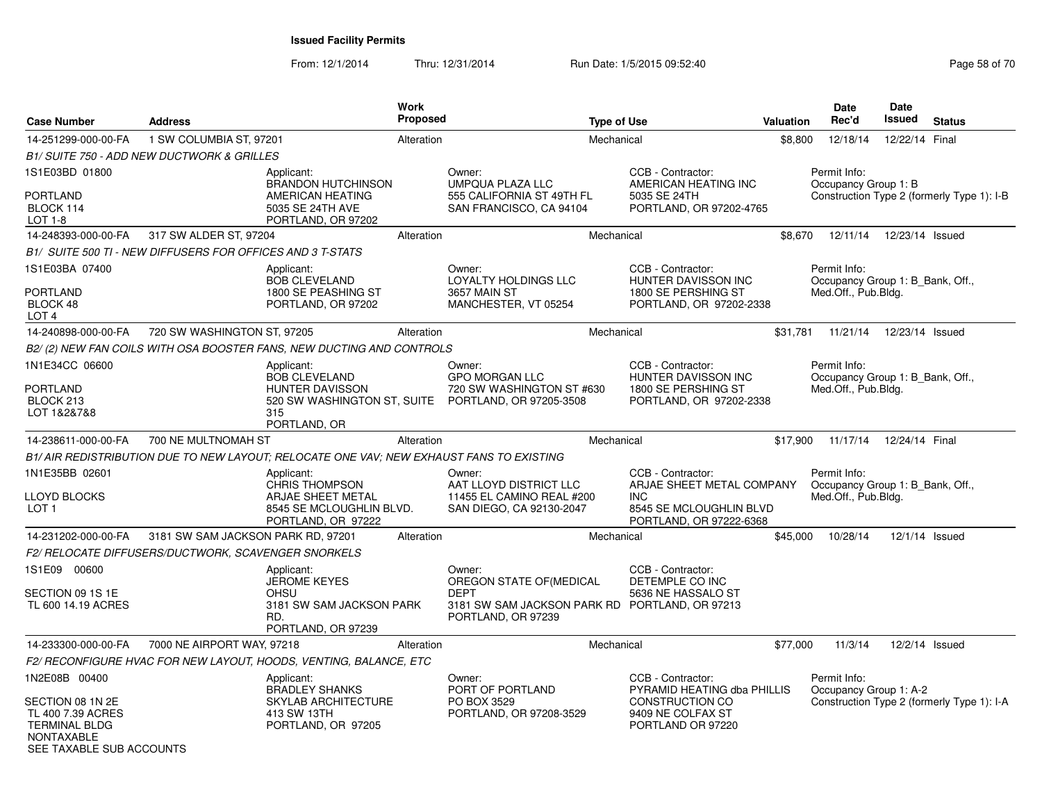| <b>Case Number</b>                                                                                                              | <b>Address</b>                                                                           | <b>Work</b><br><b>Proposed</b>                                      |                                                                                                                           | <b>Type of Use</b>                                                                                                   | <b>Valuation</b> | <b>Date</b><br>Rec'd                   | <b>Date</b><br>Issued                      | <b>Status</b> |
|---------------------------------------------------------------------------------------------------------------------------------|------------------------------------------------------------------------------------------|---------------------------------------------------------------------|---------------------------------------------------------------------------------------------------------------------------|----------------------------------------------------------------------------------------------------------------------|------------------|----------------------------------------|--------------------------------------------|---------------|
| 14-251299-000-00-FA                                                                                                             | 1 SW COLUMBIA ST, 97201                                                                  | Alteration                                                          |                                                                                                                           | Mechanical                                                                                                           | \$8,800          | 12/18/14                               | 12/22/14 Final                             |               |
|                                                                                                                                 | B1/ SUITE 750 - ADD NEW DUCTWORK & GRILLES                                               |                                                                     |                                                                                                                           |                                                                                                                      |                  |                                        |                                            |               |
| 1S1E03BD 01800<br><b>PORTLAND</b><br>BLOCK 114<br>LOT 1-8                                                                       | Applicant:<br>5035 SE 24TH AVE                                                           | <b>BRANDON HUTCHINSON</b><br>AMERICAN HEATING<br>PORTLAND, OR 97202 | Owner:<br><b>UMPQUA PLAZA LLC</b><br>555 CALIFORNIA ST 49TH FL<br>SAN FRANCISCO, CA 94104                                 | CCB - Contractor:<br>AMERICAN HEATING INC<br>5035 SE 24TH<br>PORTLAND, OR 97202-4765                                 |                  | Permit Info:<br>Occupancy Group 1: B   | Construction Type 2 (formerly Type 1): I-B |               |
| 14-248393-000-00-FA                                                                                                             | 317 SW ALDER ST, 97204                                                                   | Alteration                                                          |                                                                                                                           | Mechanical                                                                                                           | \$8.670          |                                        | 12/11/14  12/23/14  Issued                 |               |
|                                                                                                                                 | B1/ SUITE 500 TI - NEW DIFFUSERS FOR OFFICES AND 3 T-STATS                               |                                                                     |                                                                                                                           |                                                                                                                      |                  |                                        |                                            |               |
| 1S1E03BA 07400<br><b>PORTLAND</b><br>BLOCK 48<br>LOT <sub>4</sub>                                                               | Applicant:<br><b>BOB CLEVELAND</b>                                                       | 1800 SE PEASHING ST<br>PORTLAND, OR 97202                           | Owner:<br><b>LOYALTY HOLDINGS LLC</b><br>3657 MAIN ST<br>MANCHESTER, VT 05254                                             | CCB - Contractor:<br>HUNTER DAVISSON INC<br>1800 SE PERSHING ST<br>PORTLAND, OR 97202-2338                           |                  | Permit Info:<br>Med.Off., Pub.Bldg.    | Occupancy Group 1: B_Bank, Off.,           |               |
| 14-240898-000-00-FA                                                                                                             | 720 SW WASHINGTON ST, 97205                                                              | Alteration                                                          |                                                                                                                           | Mechanical                                                                                                           | \$31,781         | 11/21/14                               | 12/23/14 Issued                            |               |
|                                                                                                                                 | B2/(2) NEW FAN COILS WITH OSA BOOSTER FANS, NEW DUCTING AND CONTROLS                     |                                                                     |                                                                                                                           |                                                                                                                      |                  |                                        |                                            |               |
| 1N1E34CC 06600<br><b>PORTLAND</b><br>BLOCK 213<br>LOT 1&2&7&8                                                                   | Applicant:<br><b>BOB CLEVELAND</b><br><b>HUNTER DAVISSON</b><br>315<br>PORTLAND, OR      |                                                                     | Owner:<br><b>GPO MORGAN LLC</b><br>720 SW WASHINGTON ST #630<br>520 SW WASHINGTON ST, SUITE PORTLAND, OR 97205-3508       | CCB - Contractor:<br><b>HUNTER DAVISSON INC</b><br>1800 SE PERSHING ST<br>PORTLAND, OR 97202-2338                    |                  | Permit Info:<br>Med.Off., Pub.Bldg.    | Occupancy Group 1: B_Bank, Off.,           |               |
| 14-238611-000-00-FA                                                                                                             | 700 NE MULTNOMAH ST                                                                      | Alteration                                                          |                                                                                                                           | Mechanical                                                                                                           | \$17,900         | 11/17/14                               | 12/24/14 Final                             |               |
|                                                                                                                                 | B1/ AIR REDISTRIBUTION DUE TO NEW LAYOUT: RELOCATE ONE VAV: NEW EXHAUST FANS TO EXISTING |                                                                     |                                                                                                                           |                                                                                                                      |                  |                                        |                                            |               |
| 1N1E35BB 02601<br>LLOYD BLOCKS<br>LOT <sub>1</sub>                                                                              | Applicant:<br>CHRIS THOMPSON                                                             | ARJAE SHEET METAL<br>8545 SE MCLOUGHLIN BLVD.<br>PORTLAND, OR 97222 | Owner:<br>AAT LLOYD DISTRICT LLC<br>11455 EL CAMINO REAL #200<br>SAN DIEGO, CA 92130-2047                                 | CCB - Contractor:<br>ARJAE SHEET METAL COMPANY<br><b>INC</b><br>8545 SE MCLOUGHLIN BLVD<br>PORTLAND, OR 97222-6368   |                  | Permit Info:<br>Med.Off., Pub.Bldg.    | Occupancy Group 1: B Bank, Off.,           |               |
| 14-231202-000-00-FA                                                                                                             | 3181 SW SAM JACKSON PARK RD, 97201                                                       | Alteration                                                          |                                                                                                                           | Mechanical                                                                                                           | \$45,000         | 10/28/14                               | 12/1/14 Issued                             |               |
|                                                                                                                                 | F2/ RELOCATE DIFFUSERS/DUCTWORK, SCAVENGER SNORKELS                                      |                                                                     |                                                                                                                           |                                                                                                                      |                  |                                        |                                            |               |
| 1S1E09 00600<br>SECTION 09 1S 1E<br>TL 600 14.19 ACRES                                                                          | Applicant:<br><b>JEROME KEYES</b><br>OHSU<br>RD.                                         | 3181 SW SAM JACKSON PARK<br>PORTLAND, OR 97239                      | Owner:<br>OREGON STATE OF (MEDICAL<br><b>DEPT</b><br>3181 SW SAM JACKSON PARK RD PORTLAND, OR 97213<br>PORTLAND, OR 97239 | CCB - Contractor:<br>DETEMPLE CO INC<br>5636 NE HASSALO ST                                                           |                  |                                        |                                            |               |
| 14-233300-000-00-FA                                                                                                             | 7000 NE AIRPORT WAY, 97218                                                               | Alteration                                                          |                                                                                                                           | Mechanical                                                                                                           | \$77,000         | 11/3/14                                | 12/2/14 Issued                             |               |
|                                                                                                                                 | F2/ RECONFIGURE HVAC FOR NEW LAYOUT, HOODS, VENTING, BALANCE, ETC                        |                                                                     |                                                                                                                           |                                                                                                                      |                  |                                        |                                            |               |
| 1N2E08B 00400<br>SECTION 08 1N 2E<br>TL 400 7.39 ACRES<br><b>TERMINAL BLDG</b><br><b>NONTAXABLE</b><br>SEE TAXABLE SUB ACCOUNTS | Applicant:<br><b>BRADLEY SHANKS</b><br>413 SW 13TH                                       | <b>SKYLAB ARCHITECTURE</b><br>PORTLAND, OR 97205                    | Owner:<br>PORT OF PORTLAND<br>PO BOX 3529<br>PORTLAND, OR 97208-3529                                                      | CCB - Contractor:<br>PYRAMID HEATING dba PHILLIS<br><b>CONSTRUCTION CO</b><br>9409 NE COLFAX ST<br>PORTLAND OR 97220 |                  | Permit Info:<br>Occupancy Group 1: A-2 | Construction Type 2 (formerly Type 1): I-A |               |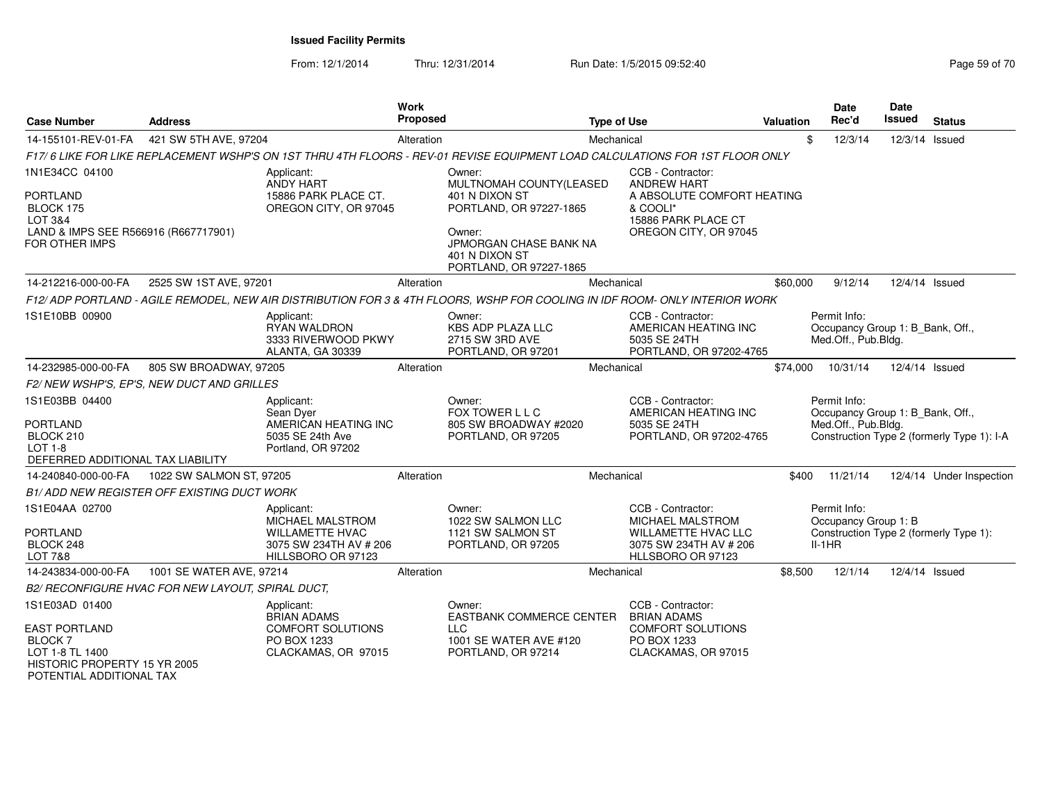From: 12/1/2014Thru: 12/31/2014 Run Date: 1/5/2015 09:52:40

| <b>Case Number</b>                                                                                                         | <b>Address</b>                                    |                                                                                                                              | Work<br><b>Proposed</b> |                                                                                                                                                                        | <b>Type of Use</b> |                                                                                                                                   | <b>Valuation</b> | <b>Date</b><br>Rec'd                                                    | <b>Date</b><br><b>Issued</b> | <b>Status</b>                              |
|----------------------------------------------------------------------------------------------------------------------------|---------------------------------------------------|------------------------------------------------------------------------------------------------------------------------------|-------------------------|------------------------------------------------------------------------------------------------------------------------------------------------------------------------|--------------------|-----------------------------------------------------------------------------------------------------------------------------------|------------------|-------------------------------------------------------------------------|------------------------------|--------------------------------------------|
| 14-155101-REV-01-FA                                                                                                        | 421 SW 5TH AVE, 97204                             |                                                                                                                              | Alteration              |                                                                                                                                                                        | Mechanical         |                                                                                                                                   | \$               | 12/3/14                                                                 | 12/3/14 Issued               |                                            |
|                                                                                                                            |                                                   | F17/6 LIKE FOR LIKE REPLACEMENT WSHP'S ON 1ST THRU 4TH FLOORS - REV-01 REVISE EQUIPMENT LOAD CALCULATIONS FOR 1ST FLOOR ONLY |                         |                                                                                                                                                                        |                    |                                                                                                                                   |                  |                                                                         |                              |                                            |
| 1N1E34CC 04100<br><b>PORTLAND</b><br>BLOCK 175<br>LOT 3&4<br>LAND & IMPS SEE R566916 (R667717901)<br><b>FOR OTHER IMPS</b> |                                                   | Applicant:<br><b>ANDY HART</b><br>15886 PARK PLACE CT.<br>OREGON CITY, OR 97045                                              |                         | Owner:<br>MULTNOMAH COUNTY(LEASED<br>401 N DIXON ST<br>PORTLAND, OR 97227-1865<br>Owner:<br><b>JPMORGAN CHASE BANK NA</b><br>401 N DIXON ST<br>PORTLAND, OR 97227-1865 |                    | CCB - Contractor:<br><b>ANDREW HART</b><br>A ABSOLUTE COMFORT HEATING<br>& COOLI*<br>15886 PARK PLACE CT<br>OREGON CITY, OR 97045 |                  |                                                                         |                              |                                            |
| 14-212216-000-00-FA                                                                                                        | 2525 SW 1ST AVE, 97201                            |                                                                                                                              | Alteration              |                                                                                                                                                                        | Mechanical         |                                                                                                                                   | \$60,000         | 9/12/14                                                                 | 12/4/14 Issued               |                                            |
|                                                                                                                            |                                                   | F12/ADP PORTLAND - AGILE REMODEL. NEW AIR DISTRIBUTION FOR 3 & 4TH FLOORS, WSHP FOR COOLING IN IDF ROOM- ONLY INTERIOR WORK  |                         |                                                                                                                                                                        |                    |                                                                                                                                   |                  |                                                                         |                              |                                            |
| 1S1E10BB 00900                                                                                                             |                                                   | Applicant:<br><b>RYAN WALDRON</b><br>3333 RIVERWOOD PKWY<br><b>ALANTA, GA 30339</b>                                          |                         | Owner:<br>KBS ADP PLAZA LLC<br>2715 SW 3RD AVE<br>PORTLAND, OR 97201                                                                                                   |                    | CCB - Contractor:<br>AMERICAN HEATING INC<br>5035 SE 24TH<br>PORTLAND, OR 97202-4765                                              |                  | Permit Info:<br>Occupancy Group 1: B_Bank, Off.,<br>Med.Off., Pub.Bldg. |                              |                                            |
| 14-232985-000-00-FA                                                                                                        | 805 SW BROADWAY, 97205                            |                                                                                                                              | Alteration              |                                                                                                                                                                        | Mechanical         |                                                                                                                                   | \$74,000         | 10/31/14                                                                | 12/4/14 Issued               |                                            |
|                                                                                                                            | F2/NEW WSHP'S, EP'S, NEW DUCT AND GRILLES         |                                                                                                                              |                         |                                                                                                                                                                        |                    |                                                                                                                                   |                  |                                                                         |                              |                                            |
| 1S1E03BB 04400<br><b>PORTLAND</b><br>BLOCK 210<br>LOT 1-8<br>DEFERRED ADDITIONAL TAX LIABILITY                             |                                                   | Applicant:<br>Sean Dyer<br>AMERICAN HEATING INC<br>5035 SE 24th Ave<br>Portland, OR 97202                                    |                         | Owner:<br>FOX TOWER L L C<br>805 SW BROADWAY #2020<br>PORTLAND, OR 97205                                                                                               |                    | CCB - Contractor:<br>AMERICAN HEATING INC<br>5035 SE 24TH<br>PORTLAND, OR 97202-4765                                              |                  | Permit Info:<br>Occupancy Group 1: B_Bank, Off.,<br>Med.Off., Pub.Bldg. |                              | Construction Type 2 (formerly Type 1): I-A |
| 14-240840-000-00-FA                                                                                                        | 1022 SW SALMON ST, 97205                          |                                                                                                                              | Alteration              |                                                                                                                                                                        | Mechanical         |                                                                                                                                   | \$400            | 11/21/14                                                                |                              | 12/4/14 Under Inspection                   |
|                                                                                                                            | <b>B1/ADD NEW REGISTER OFF EXISTING DUCT WORK</b> |                                                                                                                              |                         |                                                                                                                                                                        |                    |                                                                                                                                   |                  |                                                                         |                              |                                            |
| 1S1E04AA 02700<br><b>PORTLAND</b><br>BLOCK 248<br><b>LOT 7&amp;8</b>                                                       |                                                   | Applicant:<br>MICHAEL MALSTROM<br><b>WILLAMETTE HVAC</b><br>3075 SW 234TH AV # 206<br>HILLSBORO OR 97123                     |                         | Owner:<br>1022 SW SALMON LLC<br>1121 SW SALMON ST<br>PORTLAND, OR 97205                                                                                                |                    | CCB - Contractor:<br>MICHAEL MALSTROM<br><b>WILLAMETTE HVAC LLC</b><br>3075 SW 234TH AV # 206<br>HLLSBORO OR 97123                |                  | Permit Info:<br>Occupancy Group 1: B<br>$II-1HR$                        |                              | Construction Type 2 (formerly Type 1):     |
| 14-243834-000-00-FA                                                                                                        | 1001 SE WATER AVE, 97214                          |                                                                                                                              | Alteration              |                                                                                                                                                                        | Mechanical         |                                                                                                                                   | \$8,500          | 12/1/14                                                                 | 12/4/14 Issued               |                                            |
|                                                                                                                            | B2/ RECONFIGURE HVAC FOR NEW LAYOUT, SPIRAL DUCT, |                                                                                                                              |                         |                                                                                                                                                                        |                    |                                                                                                                                   |                  |                                                                         |                              |                                            |
| 1S1E03AD 01400<br><b>EAST PORTLAND</b>                                                                                     |                                                   | Applicant:<br><b>BRIAN ADAMS</b><br><b>COMFORT SOLUTIONS</b>                                                                 |                         | Owner:<br><b>EASTBANK COMMERCE CENTER</b><br><b>LLC</b>                                                                                                                |                    | CCB - Contractor:<br><b>BRIAN ADAMS</b><br><b>COMFORT SOLUTIONS</b>                                                               |                  |                                                                         |                              |                                            |
| BLOCK <sub>7</sub><br>LOT 1-8 TL 1400<br>HISTORIC PROPERTY 15 YR 2005                                                      |                                                   | PO BOX 1233<br>CLACKAMAS, OR 97015                                                                                           |                         | 1001 SE WATER AVE #120<br>PORTLAND, OR 97214                                                                                                                           |                    | PO BOX 1233<br>CLACKAMAS, OR 97015                                                                                                |                  |                                                                         |                              |                                            |

POTENTIAL ADDITIONAL TAX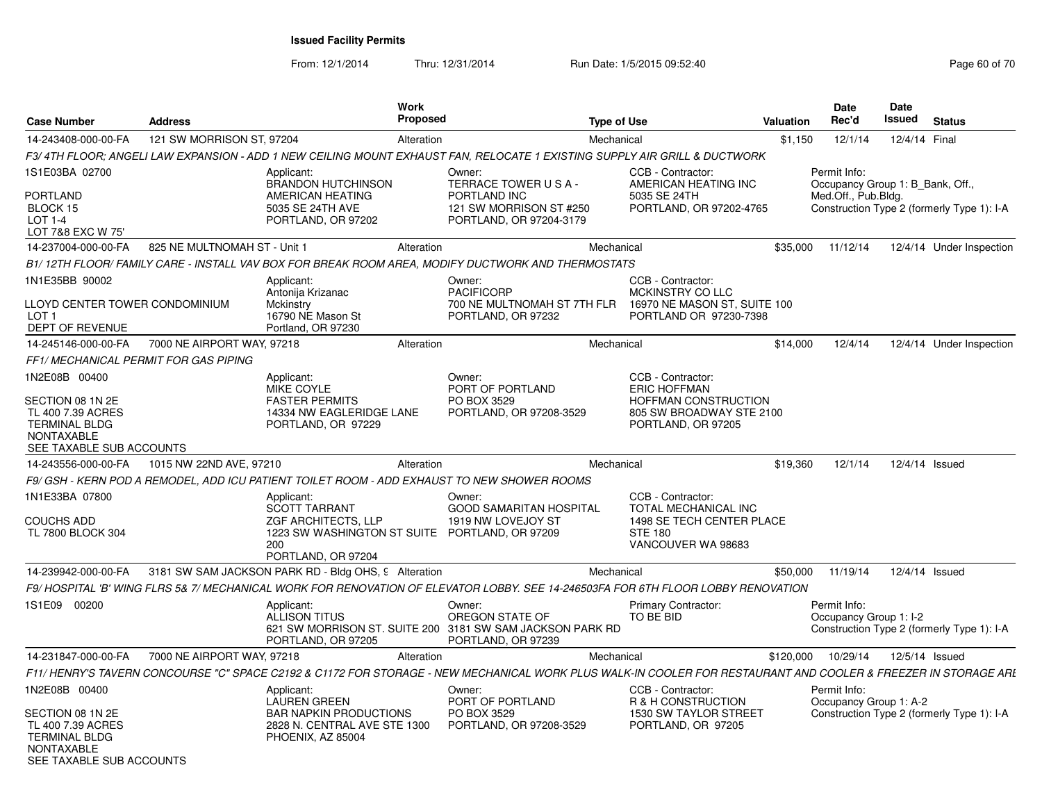| <b>Case Number</b>                                                                                                              | <b>Address</b>                        |                                                                                                                                                                | Work<br><b>Proposed</b> |                                                                                                              | <b>Type of Use</b> |                                                                                                                    | <b>Valuation</b> | <b>Date</b><br>Rec'd                                                    | Date<br>Issued | <b>Status</b>                              |
|---------------------------------------------------------------------------------------------------------------------------------|---------------------------------------|----------------------------------------------------------------------------------------------------------------------------------------------------------------|-------------------------|--------------------------------------------------------------------------------------------------------------|--------------------|--------------------------------------------------------------------------------------------------------------------|------------------|-------------------------------------------------------------------------|----------------|--------------------------------------------|
| 14-243408-000-00-FA                                                                                                             | 121 SW MORRISON ST, 97204             |                                                                                                                                                                | Alteration              |                                                                                                              | Mechanical         |                                                                                                                    | \$1,150          | 12/1/14                                                                 | 12/4/14 Final  |                                            |
|                                                                                                                                 |                                       | F3/4TH FLOOR; ANGELI LAW EXPANSION - ADD 1 NEW CEILING MOUNT EXHAUST FAN, RELOCATE 1 EXISTING SUPPLY AIR GRILL & DUCTWORK                                      |                         |                                                                                                              |                    |                                                                                                                    |                  |                                                                         |                |                                            |
| 1S1E03BA 02700<br>PORTLAND<br>BLOCK 15<br>LOT 1-4<br>LOT 7&8 EXC W 75'                                                          |                                       | Applicant:<br><b>BRANDON HUTCHINSON</b><br>AMERICAN HEATING<br>5035 SE 24TH AVE<br>PORTLAND, OR 97202                                                          |                         | Owner:<br>TERRACE TOWER USA-<br>PORTLAND INC<br>121 SW MORRISON ST #250<br>PORTLAND, OR 97204-3179           |                    | CCB - Contractor:<br>AMERICAN HEATING INC<br>5035 SE 24TH<br>PORTLAND, OR 97202-4765                               |                  | Permit Info:<br>Occupancy Group 1: B Bank, Off.,<br>Med.Off., Pub.Bldg. |                | Construction Type 2 (formerly Type 1): I-A |
| 14-237004-000-00-FA                                                                                                             | 825 NE MULTNOMAH ST - Unit 1          |                                                                                                                                                                | Alteration              |                                                                                                              | Mechanical         |                                                                                                                    | \$35,000         | 11/12/14                                                                |                | 12/4/14 Under Inspection                   |
|                                                                                                                                 |                                       | B1/12TH FLOOR/ FAMILY CARE - INSTALL VAV BOX FOR BREAK ROOM AREA, MODIFY DUCTWORK AND THERMOSTATS                                                              |                         |                                                                                                              |                    |                                                                                                                    |                  |                                                                         |                |                                            |
| 1N1E35BB 90002<br>LLOYD CENTER TOWER CONDOMINIUM<br>LOT <sub>1</sub><br>DEPT OF REVENUE                                         |                                       | Applicant:<br>Antonija Krizanac<br>Mckinstry<br>16790 NE Mason St<br>Portland, OR 97230                                                                        |                         | Owner:<br><b>PACIFICORP</b><br>700 NE MULTNOMAH ST 7TH FLR<br>PORTLAND, OR 97232                             |                    | CCB - Contractor:<br>MCKINSTRY CO LLC<br>16970 NE MASON ST, SUITE 100<br>PORTLAND OR 97230-7398                    |                  |                                                                         |                |                                            |
| 14-245146-000-00-FA                                                                                                             | 7000 NE AIRPORT WAY, 97218            |                                                                                                                                                                | Alteration              |                                                                                                              | Mechanical         |                                                                                                                    | \$14,000         | 12/4/14                                                                 |                | 12/4/14 Under Inspection                   |
|                                                                                                                                 | FF1/ MECHANICAL PERMIT FOR GAS PIPING |                                                                                                                                                                |                         |                                                                                                              |                    |                                                                                                                    |                  |                                                                         |                |                                            |
| 1N2E08B 00400<br>SECTION 08 1N 2E<br>TL 400 7.39 ACRES<br><b>TERMINAL BLDG</b><br><b>NONTAXABLE</b><br>SEE TAXABLE SUB ACCOUNTS |                                       | Applicant:<br>MIKE COYLE<br><b>FASTER PERMITS</b><br>14334 NW EAGLERIDGE LANE<br>PORTLAND, OR 97229                                                            |                         | Owner:<br>PORT OF PORTLAND<br>PO BOX 3529<br>PORTLAND, OR 97208-3529                                         |                    | CCB - Contractor:<br><b>ERIC HOFFMAN</b><br>HOFFMAN CONSTRUCTION<br>805 SW BROADWAY STE 2100<br>PORTLAND, OR 97205 |                  |                                                                         |                |                                            |
| 14-243556-000-00-FA                                                                                                             | 1015 NW 22ND AVE, 97210               |                                                                                                                                                                | Alteration              |                                                                                                              | Mechanical         |                                                                                                                    | \$19,360         | 12/1/14                                                                 |                | 12/4/14 Issued                             |
|                                                                                                                                 |                                       | F9/ GSH - KERN POD A REMODEL. ADD ICU PATIENT TOILET ROOM - ADD EXHAUST TO NEW SHOWER ROOMS                                                                    |                         |                                                                                                              |                    |                                                                                                                    |                  |                                                                         |                |                                            |
| 1N1E33BA 07800<br><b>COUCHS ADD</b><br>TL 7800 BLOCK 304                                                                        |                                       | Applicant:<br><b>SCOTT TARRANT</b><br>ZGF ARCHITECTS, LLP<br>1223 SW WASHINGTON ST SUITE PORTLAND, OR 97209<br>200<br>PORTLAND, OR 97204                       |                         | Owner:<br>GOOD SAMARITAN HOSPITAL<br>1919 NW LOVEJOY ST                                                      |                    | CCB - Contractor:<br>TOTAL MECHANICAL INC<br>1498 SE TECH CENTER PLACE<br><b>STE 180</b><br>VANCOUVER WA 98683     |                  |                                                                         |                |                                            |
| 14-239942-000-00-FA                                                                                                             |                                       | 3181 SW SAM JACKSON PARK RD - Bldg OHS, 9 Alteration                                                                                                           |                         |                                                                                                              | Mechanical         |                                                                                                                    | \$50,000         | 11/19/14                                                                |                | 12/4/14 Issued                             |
|                                                                                                                                 |                                       | F9/ HOSPITAL 'B' WING FLRS 5& 7/ MECHANICAL WORK FOR RENOVATION OF ELEVATOR LOBBY. SEE 14-246503FA FOR 6TH FLOOR LOBBY RENOVATION                              |                         |                                                                                                              |                    |                                                                                                                    |                  |                                                                         |                |                                            |
| 1S1E09 00200                                                                                                                    |                                       | Applicant:<br><b>ALLISON TITUS</b><br>PORTLAND, OR 97205                                                                                                       |                         | Owner:<br>OREGON STATE OF<br>621 SW MORRISON ST. SUITE 200 3181 SW SAM JACKSON PARK RD<br>PORTLAND, OR 97239 |                    | Primary Contractor:<br>TO BE BID                                                                                   |                  | Permit Info:<br>Occupancy Group 1: I-2                                  |                | Construction Type 2 (formerly Type 1): I-A |
| 14-231847-000-00-FA                                                                                                             | 7000 NE AIRPORT WAY, 97218            |                                                                                                                                                                | Alteration              |                                                                                                              | Mechanical         |                                                                                                                    | \$120,000        | 10/29/14                                                                | 12/5/14 Issued |                                            |
|                                                                                                                                 |                                       | F11/ HENRY'S TAVERN CONCOURSE "C" SPACE C2192 & C1172 FOR STORAGE - NEW MECHANICAL WORK PLUS WALK-IN COOLER FOR RESTAURANT AND COOLER & FREEZER IN STORAGE ARL |                         |                                                                                                              |                    |                                                                                                                    |                  |                                                                         |                |                                            |
| 1N2E08B 00400<br>SECTION 08 1N 2E<br>TL 400 7.39 ACRES<br><b>TERMINAL BLDG</b><br><b>NONTAXABLE</b><br>SEE TAXABLE SUB ACCOUNTS |                                       | Applicant:<br><b>LAUREN GREEN</b><br><b>BAR NAPKIN PRODUCTIONS</b><br>2828 N. CENTRAL AVE STE 1300<br>PHOENIX, AZ 85004                                        |                         | Owner:<br>PORT OF PORTLAND<br>PO BOX 3529<br>PORTLAND, OR 97208-3529                                         |                    | CCB - Contractor:<br>R & H CONSTRUCTION<br>1530 SW TAYLOR STREET<br>PORTLAND, OR 97205                             |                  | Permit Info:<br>Occupancy Group 1: A-2                                  |                | Construction Type 2 (formerly Type 1): I-A |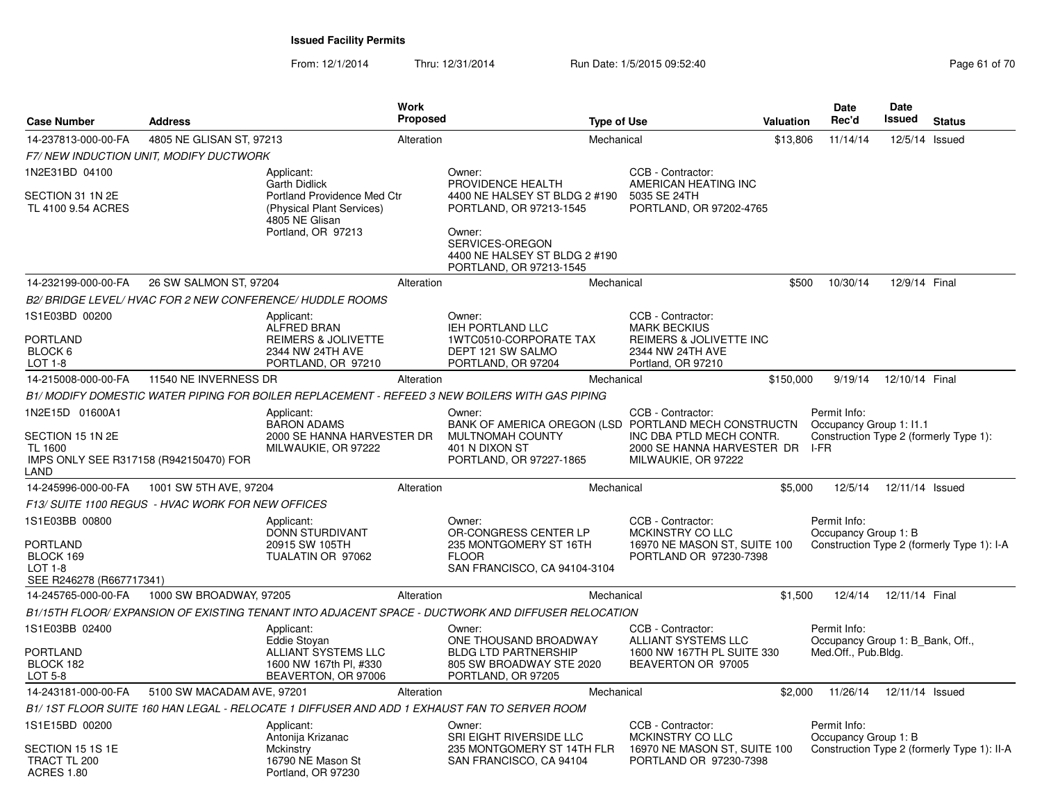| <b>Case Number</b>                                                                   | <b>Work</b><br>Proposed                           |                                                                            | <b>Type of Use</b> |                                                                                                    | Valuation                                                                     | Date<br>Rec'd | Date<br>Issued                                   | <b>Status</b>   |                                             |
|--------------------------------------------------------------------------------------|---------------------------------------------------|----------------------------------------------------------------------------|--------------------|----------------------------------------------------------------------------------------------------|-------------------------------------------------------------------------------|---------------|--------------------------------------------------|-----------------|---------------------------------------------|
| 14-237813-000-00-FA                                                                  | 4805 NE GLISAN ST, 97213                          |                                                                            | Alteration         |                                                                                                    | Mechanical                                                                    | \$13,806      | 11/14/14                                         | 12/5/14 Issued  |                                             |
|                                                                                      | F7/NEW INDUCTION UNIT, MODIFY DUCTWORK            |                                                                            |                    |                                                                                                    |                                                                               |               |                                                  |                 |                                             |
| 1N2E31BD 04100                                                                       |                                                   | Applicant:<br><b>Garth Didlick</b>                                         |                    | Owner:<br>PROVIDENCE HEALTH                                                                        | CCB - Contractor:<br>AMERICAN HEATING INC                                     |               |                                                  |                 |                                             |
| SECTION 31 1N 2E<br>TL 4100 9.54 ACRES                                               |                                                   | Portland Providence Med Ctr<br>(Physical Plant Services)<br>4805 NE Glisan |                    | 4400 NE HALSEY ST BLDG 2 #190<br>PORTLAND, OR 97213-1545                                           | 5035 SE 24TH<br>PORTLAND, OR 97202-4765                                       |               |                                                  |                 |                                             |
|                                                                                      |                                                   | Portland, OR 97213                                                         |                    | Owner:<br>SERVICES-OREGON<br>4400 NE HALSEY ST BLDG 2 #190<br>PORTLAND, OR 97213-1545              |                                                                               |               |                                                  |                 |                                             |
| 14-232199-000-00-FA                                                                  | 26 SW SALMON ST, 97204                            |                                                                            | Alteration         |                                                                                                    | Mechanical                                                                    | \$500         | 10/30/14                                         | 12/9/14 Final   |                                             |
|                                                                                      |                                                   | B2/BRIDGE LEVEL/HVAC FOR 2 NEW CONFERENCE/HUDDLE ROOMS                     |                    |                                                                                                    |                                                                               |               |                                                  |                 |                                             |
| 1S1E03BD 00200                                                                       |                                                   | Applicant:<br>ALFRED BRAN                                                  |                    | Owner:<br>IEH PORTLAND LLC                                                                         | CCB - Contractor:<br><b>MARK BECKIUS</b>                                      |               |                                                  |                 |                                             |
| PORTLAND                                                                             |                                                   | <b>REIMERS &amp; JOLIVETTE</b>                                             |                    | 1WTC0510-CORPORATE TAX                                                                             | REIMERS & JOLIVETTE INC                                                       |               |                                                  |                 |                                             |
| BLOCK 6<br>LOT 1-8                                                                   |                                                   | 2344 NW 24TH AVE<br>PORTLAND, OR 97210                                     |                    | DEPT 121 SW SALMO<br>PORTLAND, OR 97204                                                            | 2344 NW 24TH AVE<br>Portland, OR 97210                                        |               |                                                  |                 |                                             |
| 14-215008-000-00-FA                                                                  | 11540 NE INVERNESS DR                             |                                                                            | Alteration         |                                                                                                    | Mechanical                                                                    | \$150,000     | 9/19/14                                          | 12/10/14 Final  |                                             |
|                                                                                      |                                                   |                                                                            |                    | B1/ MODIFY DOMESTIC WATER PIPING FOR BOILER REPLACEMENT - REFEED 3 NEW BOILERS WITH GAS PIPING     |                                                                               |               |                                                  |                 |                                             |
| 1N2E15D 01600A1                                                                      |                                                   | Applicant:<br><b>BARON ADAMS</b>                                           |                    | Owner:<br>BANK OF AMERICA OREGON (LSD PORTLAND MECH CONSTRUCTN                                     | CCB - Contractor:                                                             |               | Permit Info:<br>Occupancy Group 1: 11.1          |                 |                                             |
| SECTION 15 1N 2E<br><b>TL 1600</b><br>IMPS ONLY SEE R317158 (R942150470) FOR<br>LAND |                                                   | 2000 SE HANNA HARVESTER DR<br>MILWAUKIE, OR 97222                          |                    | MULTNOMAH COUNTY<br>401 N DIXON ST<br>PORTLAND, OR 97227-1865                                      | INC DBA PTLD MECH CONTR.<br>2000 SE HANNA HARVESTER DR<br>MILWAUKIE, OR 97222 |               | Construction Type 2 (formerly Type 1):<br>I-FR   |                 |                                             |
| 14-245996-000-00-FA                                                                  | 1001 SW 5TH AVE, 97204                            |                                                                            | Alteration         |                                                                                                    | Mechanical                                                                    | \$5,000       | 12/5/14                                          | 12/11/14 Issued |                                             |
|                                                                                      | F13/ SUITE 1100 REGUS - HVAC WORK FOR NEW OFFICES |                                                                            |                    |                                                                                                    |                                                                               |               |                                                  |                 |                                             |
| 1S1E03BB 00800                                                                       |                                                   | Applicant:<br>DONN STURDIVANT                                              |                    | Owner:<br>OR-CONGRESS CENTER LP                                                                    | CCB - Contractor:<br>MCKINSTRY CO LLC                                         |               | Permit Info:<br>Occupancy Group 1: B             |                 |                                             |
| PORTLAND<br>BLOCK 169<br><b>LOT 1-8</b><br>SEE R246278 (R667717341)                  |                                                   | 20915 SW 105TH<br>TUALATIN OR 97062                                        |                    | 235 MONTGOMERY ST 16TH<br><b>FLOOR</b><br>SAN FRANCISCO, CA 94104-3104                             | 16970 NE MASON ST, SUITE 100<br>PORTLAND OR 97230-7398                        |               |                                                  |                 | Construction Type 2 (formerly Type 1): I-A  |
| 14-245765-000-00-FA                                                                  | 1000 SW BROADWAY, 97205                           |                                                                            | Alteration         |                                                                                                    | Mechanical                                                                    | \$1,500       | 12/4/14                                          | 12/11/14 Final  |                                             |
|                                                                                      |                                                   |                                                                            |                    | B1/15TH FLOOR/ EXPANSION OF EXISTING TENANT INTO ADJACENT SPACE - DUCTWORK AND DIFFUSER RELOCATION |                                                                               |               |                                                  |                 |                                             |
| 1S1E03BB 02400                                                                       |                                                   | Applicant:<br>Eddie Stoyan                                                 |                    | Owner:<br>ONE THOUSAND BROADWAY                                                                    | CCB - Contractor:<br>ALLIANT SYSTEMS LLC                                      |               | Permit Info:<br>Occupancy Group 1: B Bank, Off., |                 |                                             |
| PORTLAND<br>BLOCK 182<br>LOT 5-8                                                     |                                                   | ALLIANT SYSTEMS LLC<br>1600 NW 167th Pl. #330<br>BEAVERTON, OR 97006       |                    | <b>BLDG LTD PARTNERSHIP</b><br>805 SW BROADWAY STE 2020<br>PORTLAND, OR 97205                      | 1600 NW 167TH PL SUITE 330<br>BEAVERTON OR 97005                              |               | Med.Off., Pub.Bldg.                              |                 |                                             |
| 14-243181-000-00-FA                                                                  | 5100 SW MACADAM AVE, 97201                        |                                                                            | Alteration         |                                                                                                    | Mechanical                                                                    |               | \$2,000 11/26/14                                 | 12/11/14 Issued |                                             |
|                                                                                      |                                                   |                                                                            |                    | B1/1ST FLOOR SUITE 160 HAN LEGAL - RELOCATE 1 DIFFUSER AND ADD 1 EXHAUST FAN TO SERVER ROOM        |                                                                               |               |                                                  |                 |                                             |
| 1S1E15BD 00200                                                                       |                                                   | Applicant:                                                                 |                    | Owner:                                                                                             | CCB - Contractor:                                                             |               | Permit Info:                                     |                 |                                             |
| SECTION 15 1S 1E<br>TRACT TL 200<br><b>ACRES 1.80</b>                                |                                                   | Antonija Krizanac<br>Mckinstry<br>16790 NE Mason St<br>Portland, OR 97230  |                    | SRI EIGHT RIVERSIDE LLC<br>235 MONTGOMERY ST 14TH FLR<br>SAN FRANCISCO, CA 94104                   | MCKINSTRY CO LLC<br>16970 NE MASON ST, SUITE 100<br>PORTLAND OR 97230-7398    |               | Occupancy Group 1: B                             |                 | Construction Type 2 (formerly Type 1): II-A |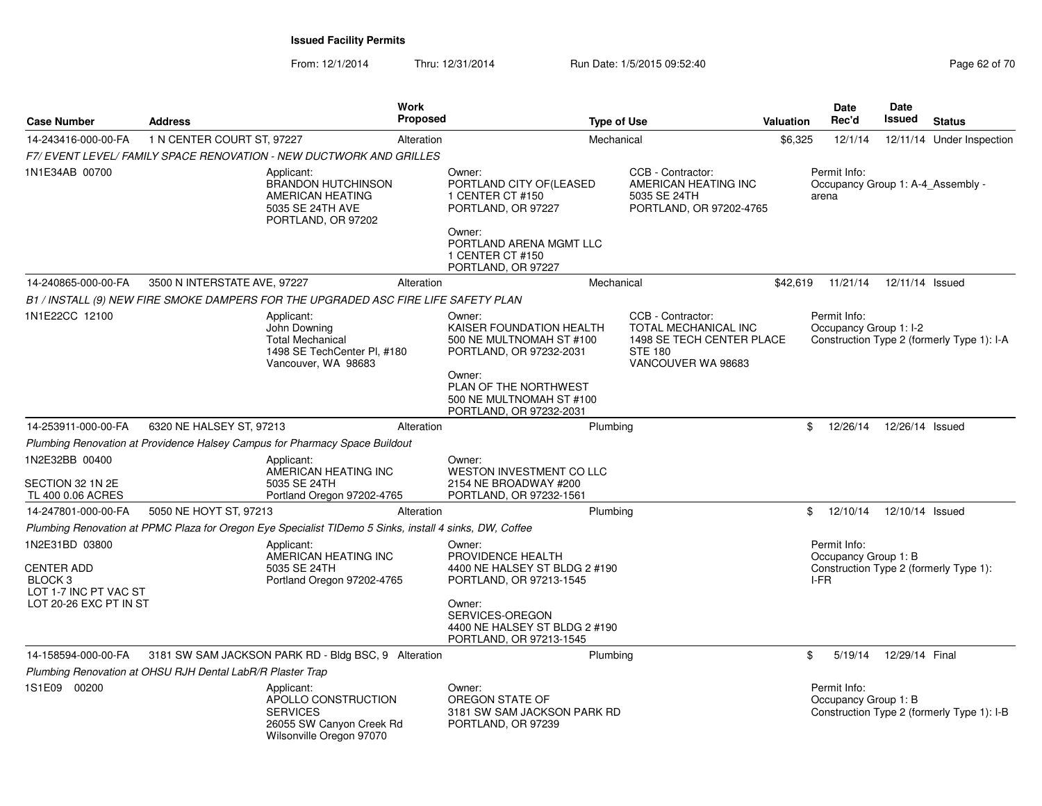| <b>Case Number</b>                                                                                | <b>Address</b>               | <b>Work</b><br><b>Proposed</b>                                                                               |            |                                                                                                                                                                                  | <b>Type of Use</b>                                                                                             |         |                                                                                        | <b>Date</b><br>Issued | <b>Status</b>                              |
|---------------------------------------------------------------------------------------------------|------------------------------|--------------------------------------------------------------------------------------------------------------|------------|----------------------------------------------------------------------------------------------------------------------------------------------------------------------------------|----------------------------------------------------------------------------------------------------------------|---------|----------------------------------------------------------------------------------------|-----------------------|--------------------------------------------|
| 14-243416-000-00-FA                                                                               | 1 N CENTER COURT ST, 97227   |                                                                                                              | Alteration | Mechanical                                                                                                                                                                       |                                                                                                                | \$6,325 | 12/1/14                                                                                |                       | 12/11/14 Under Inspection                  |
|                                                                                                   |                              | F7/ EVENT LEVEL/ FAMILY SPACE RENOVATION - NEW DUCTWORK AND GRILLES                                          |            |                                                                                                                                                                                  |                                                                                                                |         |                                                                                        |                       |                                            |
| 1N1E34AB 00700                                                                                    |                              | Applicant:<br><b>BRANDON HUTCHINSON</b><br>AMERICAN HEATING<br>5035 SE 24TH AVE<br>PORTLAND, OR 97202        |            | Owner:<br>PORTLAND CITY OF(LEASED<br>1 CENTER CT #150<br>PORTLAND, OR 97227<br>Owner:<br>PORTLAND ARENA MGMT LLC<br>1 CENTER CT #150<br>PORTLAND, OR 97227                       | CCB - Contractor:<br>AMERICAN HEATING INC<br>5035 SE 24TH<br>PORTLAND, OR 97202-4765                           |         | Permit Info:<br>Occupancy Group 1: A-4 Assembly -<br>arena                             |                       |                                            |
| 14-240865-000-00-FA                                                                               | 3500 N INTERSTATE AVE, 97227 |                                                                                                              | Alteration | Mechanical                                                                                                                                                                       |                                                                                                                |         | \$42,619 11/21/14 12/11/14 Issued                                                      |                       |                                            |
|                                                                                                   |                              | B1 / INSTALL (9) NEW FIRE SMOKE DAMPERS FOR THE UPGRADED ASC FIRE LIFE SAFETY PLAN                           |            |                                                                                                                                                                                  |                                                                                                                |         |                                                                                        |                       |                                            |
| 1N1E22CC 12100                                                                                    |                              | Applicant:<br>John Downing<br><b>Total Mechanical</b><br>1498 SE TechCenter PI, #180<br>Vancouver, WA 98683  |            | Owner:<br>KAISER FOUNDATION HEALTH<br>500 NE MULTNOMAH ST #100<br>PORTLAND, OR 97232-2031<br>Owner:<br>PLAN OF THE NORTHWEST<br>500 NE MULTNOMAH ST #100                         | CCB - Contractor:<br>TOTAL MECHANICAL INC<br>1498 SE TECH CENTER PLACE<br><b>STE 180</b><br>VANCOUVER WA 98683 |         | Permit Info:<br>Occupancy Group 1: I-2                                                 |                       | Construction Type 2 (formerly Type 1): I-A |
| 14-253911-000-00-FA                                                                               | 6320 NE HALSEY ST, 97213     |                                                                                                              | Alteration | PORTLAND, OR 97232-2031<br>Plumbing                                                                                                                                              |                                                                                                                |         | 12/26/14<br>\$                                                                         | 12/26/14 Issued       |                                            |
|                                                                                                   |                              | Plumbing Renovation at Providence Halsey Campus for Pharmacy Space Buildout                                  |            |                                                                                                                                                                                  |                                                                                                                |         |                                                                                        |                       |                                            |
| 1N2E32BB 00400<br>SECTION 32 1N 2E<br>TL 400 0.06 ACRES                                           |                              | Applicant:<br>AMERICAN HEATING INC<br>5035 SE 24TH<br>Portland Oregon 97202-4765                             |            | Owner:<br>WESTON INVESTMENT CO LLC<br>2154 NE BROADWAY #200<br>PORTLAND, OR 97232-1561                                                                                           |                                                                                                                |         |                                                                                        |                       |                                            |
| 14-247801-000-00-FA                                                                               | 5050 NE HOYT ST, 97213       |                                                                                                              | Alteration | Plumbing                                                                                                                                                                         |                                                                                                                |         | \$<br>12/10/14                                                                         | 12/10/14 Issued       |                                            |
|                                                                                                   |                              | Plumbing Renovation at PPMC Plaza for Oregon Eye Specialist TIDemo 5 Sinks, install 4 sinks, DW, Coffee      |            |                                                                                                                                                                                  |                                                                                                                |         |                                                                                        |                       |                                            |
| 1N2E31BD 03800<br><b>CENTER ADD</b><br>BLOCK 3<br>LOT 1-7 INC PT VAC ST<br>LOT 20-26 EXC PT IN ST |                              | Applicant:<br>AMERICAN HEATING INC<br>5035 SE 24TH<br>Portland Oregon 97202-4765                             |            | Owner:<br>PROVIDENCE HEALTH<br>4400 NE HALSEY ST BLDG 2 #190<br>PORTLAND, OR 97213-1545<br>Owner:<br>SERVICES-OREGON<br>4400 NE HALSEY ST BLDG 2 #190<br>PORTLAND, OR 97213-1545 |                                                                                                                |         | Permit Info:<br>Occupancy Group 1: B<br>Construction Type 2 (formerly Type 1):<br>I-FR |                       |                                            |
| 14-158594-000-00-FA                                                                               |                              | 3181 SW SAM JACKSON PARK RD - Bldg BSC, 9 Alteration                                                         |            | Plumbing                                                                                                                                                                         |                                                                                                                |         | \$<br>5/19/14                                                                          | 12/29/14 Final        |                                            |
| Plumbing Renovation at OHSU RJH Dental LabR/R Plaster Trap                                        |                              |                                                                                                              |            |                                                                                                                                                                                  |                                                                                                                |         |                                                                                        |                       |                                            |
| 1S1E09 00200                                                                                      |                              | Applicant:<br>APOLLO CONSTRUCTION<br><b>SERVICES</b><br>26055 SW Canyon Creek Rd<br>Wilsonville Oregon 97070 |            | Owner:<br>OREGON STATE OF<br>3181 SW SAM JACKSON PARK RD<br>PORTLAND, OR 97239                                                                                                   |                                                                                                                |         | Permit Info:<br>Occupancy Group 1: B                                                   |                       | Construction Type 2 (formerly Type 1): I-B |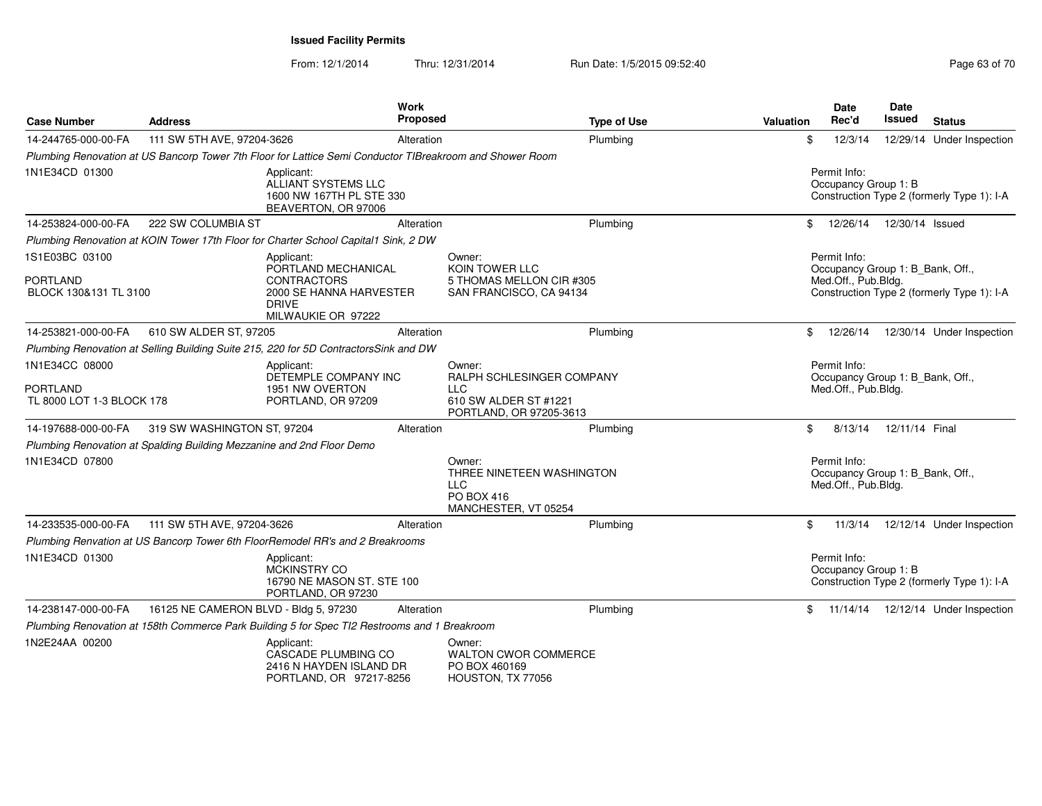| <b>Case Number</b>                                             | <b>Address</b>                                                        | Work<br>Proposed                                                                                           |                                                                                         | <b>Type of Use</b> | <b>Valuation</b> | <b>Date</b><br>Rec'd                                                    | <b>Date</b><br>Issued | <b>Status</b>                              |
|----------------------------------------------------------------|-----------------------------------------------------------------------|------------------------------------------------------------------------------------------------------------|-----------------------------------------------------------------------------------------|--------------------|------------------|-------------------------------------------------------------------------|-----------------------|--------------------------------------------|
| 14-244765-000-00-FA                                            | 111 SW 5TH AVE, 97204-3626                                            | Alteration                                                                                                 |                                                                                         | Plumbing           | \$               | 12/3/14                                                                 |                       | 12/29/14 Under Inspection                  |
|                                                                |                                                                       | Plumbing Renovation at US Bancorp Tower 7th Floor for Lattice Semi Conductor TIBreakroom and Shower Room   |                                                                                         |                    |                  |                                                                         |                       |                                            |
| 1N1E34CD 01300                                                 |                                                                       | Applicant:<br>ALLIANT SYSTEMS LLC<br>1600 NW 167TH PL STE 330<br>BEAVERTON, OR 97006                       |                                                                                         |                    |                  | Permit Info:<br>Occupancy Group 1: B                                    |                       | Construction Type 2 (formerly Type 1): I-A |
| 14-253824-000-00-FA                                            | 222 SW COLUMBIA ST                                                    | Alteration                                                                                                 |                                                                                         | Plumbing           | \$               | 12/26/14                                                                | 12/30/14 Issued       |                                            |
|                                                                |                                                                       | Plumbing Renovation at KOIN Tower 17th Floor for Charter School Capital1 Sink, 2 DW                        |                                                                                         |                    |                  |                                                                         |                       |                                            |
| 1S1E03BC 03100                                                 |                                                                       | Applicant:                                                                                                 | Owner:                                                                                  |                    |                  | Permit Info:                                                            |                       |                                            |
| <b>PORTLAND</b><br>BLOCK 130&131 TL 3100                       |                                                                       | PORTLAND MECHANICAL<br><b>CONTRACTORS</b><br>2000 SE HANNA HARVESTER<br><b>DRIVE</b><br>MILWAUKIE OR 97222 | KOIN TOWER LLC<br>5 THOMAS MELLON CIR #305<br>SAN FRANCISCO, CA 94134                   |                    |                  | Occupancy Group 1: B_Bank, Off.,<br>Med.Off., Pub.Bldg.                 |                       | Construction Type 2 (formerly Type 1): I-A |
| 14-253821-000-00-FA                                            | 610 SW ALDER ST, 97205                                                | Alteration                                                                                                 |                                                                                         | Plumbing           | \$               | 12/26/14                                                                |                       | 12/30/14 Under Inspection                  |
|                                                                |                                                                       | Plumbing Renovation at Selling Building Suite 215, 220 for 5D Contractors Sink and DW                      |                                                                                         |                    |                  |                                                                         |                       |                                            |
| 1N1E34CC 08000<br><b>PORTLAND</b><br>TL 8000 LOT 1-3 BLOCK 178 |                                                                       | Applicant:<br>DETEMPLE COMPANY INC<br>1951 NW OVERTON<br>PORTLAND, OR 97209                                | Owner:<br>RALPH SCHLESINGER COMPANY<br><b>LLC</b><br>610 SW ALDER ST #1221              |                    |                  | Permit Info:<br>Occupancy Group 1: B_Bank, Off.,<br>Med.Off., Pub.Bldg. |                       |                                            |
|                                                                |                                                                       |                                                                                                            | PORTLAND, OR 97205-3613                                                                 |                    |                  |                                                                         |                       |                                            |
| 14-197688-000-00-FA                                            | 319 SW WASHINGTON ST, 97204                                           | Alteration                                                                                                 |                                                                                         | Plumbing           | \$               | 8/13/14                                                                 | 12/11/14 Final        |                                            |
|                                                                | Plumbing Renovation at Spalding Building Mezzanine and 2nd Floor Demo |                                                                                                            |                                                                                         |                    |                  |                                                                         |                       |                                            |
| 1N1E34CD 07800                                                 |                                                                       |                                                                                                            | Owner:<br>THREE NINETEEN WASHINGTON<br><b>LLC</b><br>PO BOX 416<br>MANCHESTER, VT 05254 |                    |                  | Permit Info:<br>Occupancy Group 1: B_Bank, Off.,<br>Med.Off., Pub.Bldg. |                       |                                            |
| 14-233535-000-00-FA                                            | 111 SW 5TH AVE, 97204-3626                                            | Alteration                                                                                                 |                                                                                         | Plumbing           | \$               | 11/3/14                                                                 |                       | 12/12/14 Under Inspection                  |
|                                                                |                                                                       | Plumbing Renvation at US Bancorp Tower 6th FloorRemodel RR's and 2 Breakrooms                              |                                                                                         |                    |                  |                                                                         |                       |                                            |
| 1N1E34CD 01300                                                 |                                                                       | Applicant:<br><b>MCKINSTRY CO</b><br>16790 NE MASON ST. STE 100<br>PORTLAND, OR 97230                      |                                                                                         |                    |                  | Permit Info:<br>Occupancy Group 1: B                                    |                       | Construction Type 2 (formerly Type 1): I-A |
| 14-238147-000-00-FA                                            | 16125 NE CAMERON BLVD - Bldg 5, 97230                                 | Alteration                                                                                                 |                                                                                         | Plumbing           | \$               | 11/14/14                                                                |                       | 12/12/14 Under Inspection                  |
|                                                                |                                                                       | Plumbing Renovation at 158th Commerce Park Building 5 for Spec TI2 Restrooms and 1 Breakroom               |                                                                                         |                    |                  |                                                                         |                       |                                            |
| 1N2E24AA 00200                                                 |                                                                       | Applicant:<br>CASCADE PLUMBING CO<br>2416 N HAYDEN ISLAND DR<br>PORTLAND, OR 97217-8256                    | Owner:<br><b>WALTON CWOR COMMERCE</b><br>PO BOX 460169<br>HOUSTON, TX 77056             |                    |                  |                                                                         |                       |                                            |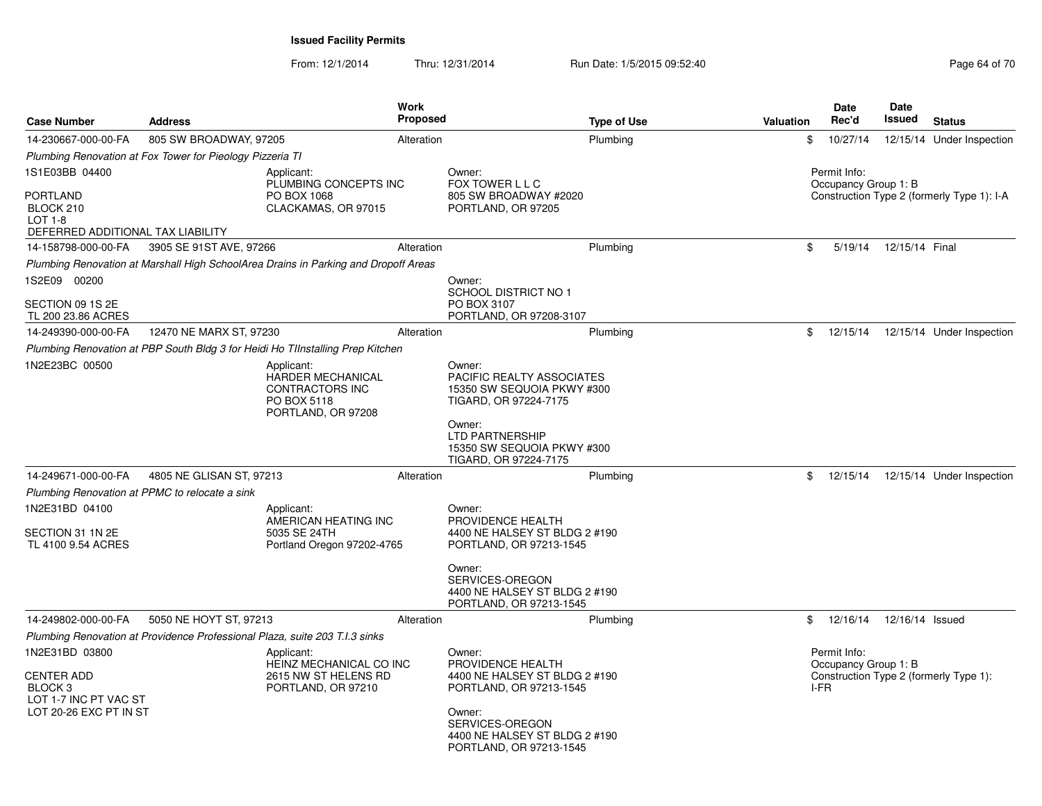| <b>Case Number</b>                                                                                | <b>Address</b>                                                                                        | <b>Work</b><br><b>Proposed</b> |                                                                                                                      | <b>Type of Use</b> | Valuation | <b>Date</b><br>Rec'd                         | <b>Date</b><br>Issued | <b>Status</b>                              |
|---------------------------------------------------------------------------------------------------|-------------------------------------------------------------------------------------------------------|--------------------------------|----------------------------------------------------------------------------------------------------------------------|--------------------|-----------|----------------------------------------------|-----------------------|--------------------------------------------|
| 14-230667-000-00-FA                                                                               | 805 SW BROADWAY, 97205                                                                                | Alteration                     |                                                                                                                      | Plumbing           | \$        | 10/27/14                                     |                       | 12/15/14 Under Inspection                  |
|                                                                                                   | Plumbing Renovation at Fox Tower for Pieology Pizzeria TI                                             |                                |                                                                                                                      |                    |           |                                              |                       |                                            |
| 1S1E03BB 04400                                                                                    | Applicant:<br>PLUMBING CONCEPTS INC                                                                   |                                | Owner:<br>FOX TOWER L L C                                                                                            |                    |           | Permit Info:<br>Occupancy Group 1: B         |                       |                                            |
| <b>PORTLAND</b><br>BLOCK 210<br>$LOT 1-8$<br>DEFERRED ADDITIONAL TAX LIABILITY                    | PO BOX 1068<br>CLACKAMAS, OR 97015                                                                    |                                | 805 SW BROADWAY #2020<br>PORTLAND, OR 97205                                                                          |                    |           |                                              |                       | Construction Type 2 (formerly Type 1): I-A |
| 14-158798-000-00-FA                                                                               | 3905 SE 91ST AVE, 97266                                                                               | Alteration                     |                                                                                                                      | Plumbing           | \$        | 5/19/14                                      | 12/15/14 Final        |                                            |
|                                                                                                   | Plumbing Renovation at Marshall High SchoolArea Drains in Parking and Dropoff Areas                   |                                |                                                                                                                      |                    |           |                                              |                       |                                            |
| 1S2E09 00200                                                                                      |                                                                                                       |                                | Owner:<br>SCHOOL DISTRICT NO 1                                                                                       |                    |           |                                              |                       |                                            |
| SECTION 09 1S 2E<br>TL 200 23.86 ACRES                                                            |                                                                                                       |                                | PO BOX 3107<br>PORTLAND, OR 97208-3107                                                                               |                    |           |                                              |                       |                                            |
| 14-249390-000-00-FA                                                                               | 12470 NE MARX ST, 97230                                                                               | Alteration                     |                                                                                                                      | Plumbing           | \$        | 12/15/14                                     |                       | 12/15/14 Under Inspection                  |
|                                                                                                   | Plumbing Renovation at PBP South Bldg 3 for Heidi Ho TIInstalling Prep Kitchen                        |                                |                                                                                                                      |                    |           |                                              |                       |                                            |
| 1N2E23BC 00500                                                                                    | Applicant:<br><b>HARDER MECHANICAL</b><br><b>CONTRACTORS INC</b><br>PO BOX 5118<br>PORTLAND, OR 97208 |                                | Owner:<br>PACIFIC REALTY ASSOCIATES<br>15350 SW SEQUOIA PKWY #300<br>TIGARD, OR 97224-7175                           |                    |           |                                              |                       |                                            |
|                                                                                                   |                                                                                                       |                                | Owner:<br><b>LTD PARTNERSHIP</b><br>15350 SW SEQUOIA PKWY #300<br>TIGARD, OR 97224-7175                              |                    |           |                                              |                       |                                            |
| 14-249671-000-00-FA                                                                               | 4805 NE GLISAN ST, 97213                                                                              | Alteration                     |                                                                                                                      | Plumbing           | \$        | 12/15/14                                     |                       | 12/15/14 Under Inspection                  |
|                                                                                                   | Plumbing Renovation at PPMC to relocate a sink                                                        |                                |                                                                                                                      |                    |           |                                              |                       |                                            |
| 1N2E31BD 04100                                                                                    | Applicant:<br>AMERICAN HEATING INC                                                                    |                                | Owner:<br>PROVIDENCE HEALTH                                                                                          |                    |           |                                              |                       |                                            |
| SECTION 31 1N 2E<br>TL 4100 9.54 ACRES                                                            | 5035 SE 24TH<br>Portland Oregon 97202-4765                                                            |                                | 4400 NE HALSEY ST BLDG 2 #190<br>PORTLAND, OR 97213-1545                                                             |                    |           |                                              |                       |                                            |
|                                                                                                   |                                                                                                       |                                | Owner:<br>SERVICES-OREGON<br>4400 NE HALSEY ST BLDG 2 #190<br>PORTLAND, OR 97213-1545                                |                    |           |                                              |                       |                                            |
| 14-249802-000-00-FA                                                                               | 5050 NE HOYT ST, 97213                                                                                | Alteration                     |                                                                                                                      | Plumbing           | \$        | 12/16/14                                     | 12/16/14 Issued       |                                            |
|                                                                                                   | Plumbing Renovation at Providence Professional Plaza, suite 203 T.I.3 sinks                           |                                |                                                                                                                      |                    |           |                                              |                       |                                            |
| 1N2E31BD 03800<br><b>CENTER ADD</b><br>BLOCK 3<br>LOT 1-7 INC PT VAC ST<br>LOT 20-26 EXC PT IN ST | Applicant:<br>HEINZ MECHANICAL CO INC<br>2615 NW ST HELENS RD<br>PORTLAND, OR 97210                   |                                | Owner:<br>PROVIDENCE HEALTH<br>4400 NE HALSEY ST BLDG 2 #190<br>PORTLAND, OR 97213-1545<br>Owner:<br>SERVICES-OREGON |                    |           | Permit Info:<br>Occupancy Group 1: B<br>I-FR |                       | Construction Type 2 (formerly Type 1):     |
|                                                                                                   |                                                                                                       |                                | 4400 NE HALSEY ST BLDG 2 #190<br>PORTLAND, OR 97213-1545                                                             |                    |           |                                              |                       |                                            |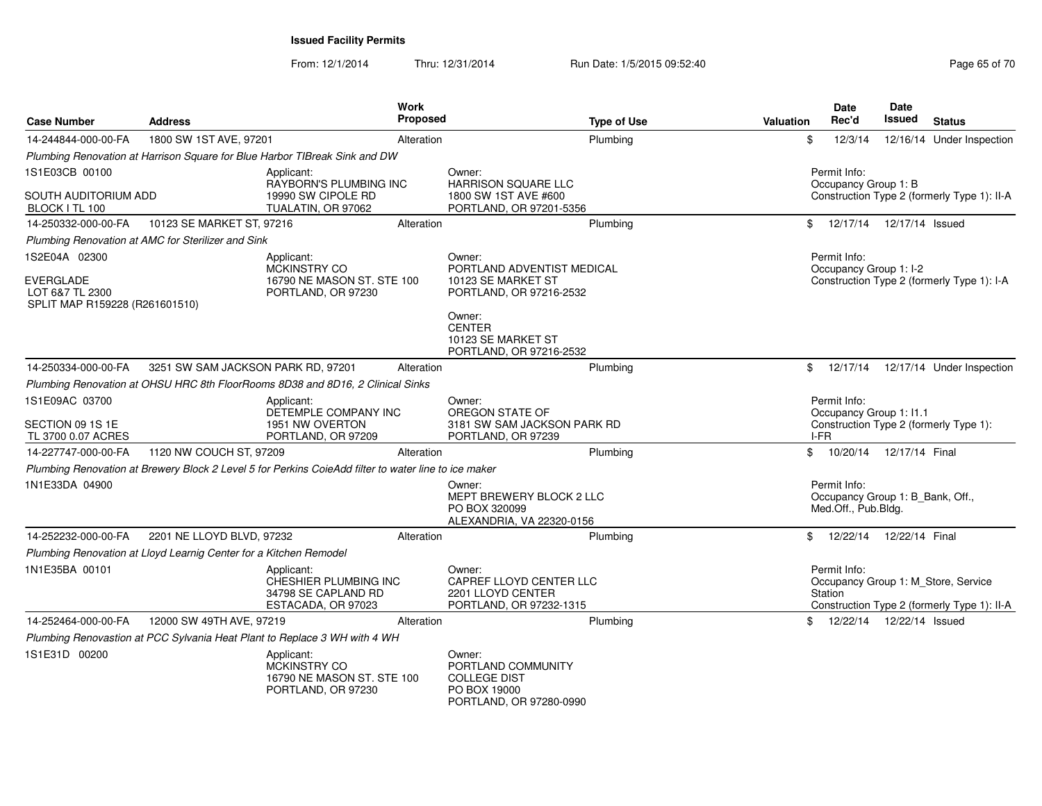| <b>Case Number</b>                                                              | <b>Address</b>                                                    |                                                                                                      | Work<br>Proposed | <b>Type of Use</b>                                                                             | Valuation     | <b>Date</b><br>Rec'd                                                    | <b>Date</b><br>Issued      | <b>Status</b>                                                                      |
|---------------------------------------------------------------------------------|-------------------------------------------------------------------|------------------------------------------------------------------------------------------------------|------------------|------------------------------------------------------------------------------------------------|---------------|-------------------------------------------------------------------------|----------------------------|------------------------------------------------------------------------------------|
| 14-244844-000-00-FA                                                             | 1800 SW 1ST AVE, 97201                                            |                                                                                                      | Alteration       | Plumbing                                                                                       | \$            | 12/3/14                                                                 |                            | 12/16/14 Under Inspection                                                          |
|                                                                                 |                                                                   | Plumbing Renovation at Harrison Square for Blue Harbor TIBreak Sink and DW                           |                  |                                                                                                |               |                                                                         |                            |                                                                                    |
| 1S1E03CB 00100                                                                  |                                                                   | Applicant:<br>RAYBORN'S PLUMBING INC                                                                 |                  | Owner:<br><b>HARRISON SQUARE LLC</b>                                                           |               | Permit Info:<br>Occupancy Group 1: B                                    |                            |                                                                                    |
| SOUTH AUDITORIUM ADD<br>BLOCK I TL 100                                          |                                                                   | 19990 SW CIPOLE RD<br>TUALATIN, OR 97062                                                             |                  | 1800 SW 1ST AVE #600<br>PORTLAND, OR 97201-5356                                                |               |                                                                         |                            | Construction Type 2 (formerly Type 1): II-A                                        |
| 14-250332-000-00-FA                                                             | 10123 SE MARKET ST, 97216                                         |                                                                                                      | Alteration       | Plumbing                                                                                       | \$            | 12/17/14  12/17/14  Issued                                              |                            |                                                                                    |
|                                                                                 | Plumbing Renovation at AMC for Sterilizer and Sink                |                                                                                                      |                  |                                                                                                |               |                                                                         |                            |                                                                                    |
| 1S2E04A 02300<br>EVERGLADE<br>LOT 6&7 TL 2300<br>SPLIT MAP R159228 (R261601510) |                                                                   | Applicant:<br>MCKINSTRY CO<br>16790 NE MASON ST. STE 100<br>PORTLAND, OR 97230                       |                  | Owner:<br>PORTLAND ADVENTIST MEDICAL<br>10123 SE MARKET ST<br>PORTLAND, OR 97216-2532          |               | Permit Info:<br>Occupancy Group 1: I-2                                  |                            | Construction Type 2 (formerly Type 1): I-A                                         |
|                                                                                 |                                                                   |                                                                                                      |                  | Owner:<br><b>CENTER</b><br>10123 SE MARKET ST<br>PORTLAND, OR 97216-2532                       |               |                                                                         |                            |                                                                                    |
| 14-250334-000-00-FA                                                             | 3251 SW SAM JACKSON PARK RD, 97201                                |                                                                                                      | Alteration       | Plumbing                                                                                       | \$            |                                                                         |                            | 12/17/14  12/17/14  Under Inspection                                               |
|                                                                                 |                                                                   | Plumbing Renovation at OHSU HRC 8th FloorRooms 8D38 and 8D16, 2 Clinical Sinks                       |                  |                                                                                                |               |                                                                         |                            |                                                                                    |
| 1S1E09AC 03700<br>SECTION 09 1S 1E<br>TL 3700 0.07 ACRES                        |                                                                   | Applicant:<br>DETEMPLE COMPANY INC<br>1951 NW OVERTON<br>PORTLAND, OR 97209                          |                  | Owner:<br>OREGON STATE OF<br>3181 SW SAM JACKSON PARK RD<br>PORTLAND, OR 97239                 |               | Permit Info:<br>Occupancy Group 1: I1.1<br>I-FR                         |                            | Construction Type 2 (formerly Type 1):                                             |
| 14-227747-000-00-FA                                                             | 1120 NW COUCH ST, 97209                                           |                                                                                                      | Alteration       | Plumbing                                                                                       | $^{\circ}$    | 10/20/14  12/17/14  Final                                               |                            |                                                                                    |
| 1N1E33DA 04900                                                                  |                                                                   | Plumbing Renovation at Brewery Block 2 Level 5 for Perkins CoieAdd filter to water line to ice maker |                  | Owner:<br>MEPT BREWERY BLOCK 2 LLC<br>PO BOX 320099<br>ALEXANDRIA, VA 22320-0156               |               | Permit Info:<br>Occupancy Group 1: B_Bank, Off.,<br>Med.Off., Pub.Bldg. |                            |                                                                                    |
| 14-252232-000-00-FA                                                             | 2201 NE LLOYD BLVD, 97232                                         |                                                                                                      | Alteration       | Plumbing                                                                                       | $\mathbf{\$}$ | 12/22/14                                                                | 12/22/14 Final             |                                                                                    |
|                                                                                 | Plumbing Renovation at Lloyd Learnig Center for a Kitchen Remodel |                                                                                                      |                  |                                                                                                |               |                                                                         |                            |                                                                                    |
| 1N1E35BA 00101                                                                  |                                                                   | Applicant:<br>CHESHIER PLUMBING INC<br>34798 SE CAPLAND RD<br>ESTACADA, OR 97023                     |                  | Owner:<br>CAPREF LLOYD CENTER LLC<br>2201 LLOYD CENTER<br>PORTLAND, OR 97232-1315              |               | Permit Info:<br>Station                                                 |                            | Occupancy Group 1: M_Store, Service<br>Construction Type 2 (formerly Type 1): II-A |
| 14-252464-000-00-FA                                                             | 12000 SW 49TH AVE, 97219                                          |                                                                                                      | Alteration       | Plumbing                                                                                       |               |                                                                         | 12/22/14  12/22/14  Issued |                                                                                    |
|                                                                                 |                                                                   | Plumbing Renovastion at PCC Sylvania Heat Plant to Replace 3 WH with 4 WH                            |                  |                                                                                                |               |                                                                         |                            |                                                                                    |
| 1S1E31D 00200                                                                   |                                                                   | Applicant:<br><b>MCKINSTRY CO</b><br>16790 NE MASON ST. STE 100<br>PORTLAND, OR 97230                |                  | Owner:<br>PORTLAND COMMUNITY<br><b>COLLEGE DIST</b><br>PO BOX 19000<br>PORTLAND, OR 97280-0990 |               |                                                                         |                            |                                                                                    |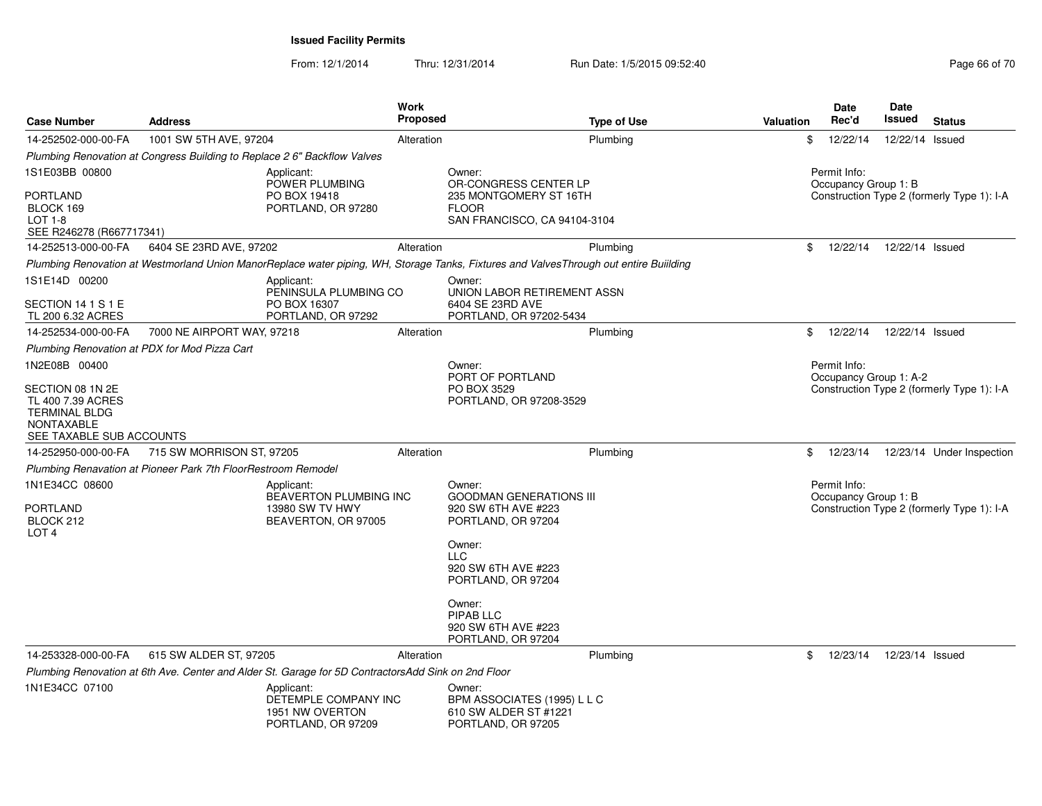| <b>Case Number</b>                                                                                             | <b>Address</b>                                                |                                                                                                     | Work<br><b>Proposed</b> | <b>Type of Use</b>                                                                                                                     | <b>Valuation</b> | Date<br>Rec'd                          | <b>Date</b><br>Issued | <b>Status</b>                              |
|----------------------------------------------------------------------------------------------------------------|---------------------------------------------------------------|-----------------------------------------------------------------------------------------------------|-------------------------|----------------------------------------------------------------------------------------------------------------------------------------|------------------|----------------------------------------|-----------------------|--------------------------------------------|
| 14-252502-000-00-FA                                                                                            | 1001 SW 5TH AVE, 97204                                        |                                                                                                     | Alteration              | Plumbing                                                                                                                               | \$               | 12/22/14                               | 12/22/14 Issued       |                                            |
|                                                                                                                |                                                               | Plumbing Renovation at Congress Building to Replace 2 6" Backflow Valves                            |                         |                                                                                                                                        |                  |                                        |                       |                                            |
| 1S1E03BB 00800                                                                                                 |                                                               | Applicant:<br>POWER PLUMBING                                                                        |                         | Owner:<br>OR-CONGRESS CENTER LP                                                                                                        |                  | Permit Info:<br>Occupancy Group 1: B   |                       |                                            |
| PORTLAND<br>BLOCK 169<br><b>LOT 1-8</b><br>SEE R246278 (R667717341)                                            |                                                               | PO BOX 19418<br>PORTLAND, OR 97280                                                                  |                         | 235 MONTGOMERY ST 16TH<br><b>FLOOR</b><br>SAN FRANCISCO, CA 94104-3104                                                                 |                  |                                        |                       | Construction Type 2 (formerly Type 1): I-A |
| 14-252513-000-00-FA                                                                                            | 6404 SE 23RD AVE, 97202                                       |                                                                                                     | Alteration              | Plumbing                                                                                                                               | \$               | 12/22/14                               | 12/22/14 Issued       |                                            |
|                                                                                                                |                                                               |                                                                                                     |                         | Plumbing Renovation at Westmorland Union ManorReplace water piping, WH, Storage Tanks, Fixtures and ValvesThrough out entire Buiilding |                  |                                        |                       |                                            |
| 1S1E14D 00200                                                                                                  |                                                               | Applicant:<br>PENINSULA PLUMBING CO                                                                 |                         | Owner:<br>UNION LABOR RETIREMENT ASSN                                                                                                  |                  |                                        |                       |                                            |
| SECTION 14 1 S 1 E<br>TL 200 6.32 ACRES                                                                        |                                                               | PO BOX 16307<br>PORTLAND, OR 97292                                                                  |                         | 6404 SE 23RD AVE<br>PORTLAND, OR 97202-5434                                                                                            |                  |                                        |                       |                                            |
| 14-252534-000-00-FA                                                                                            | 7000 NE AIRPORT WAY, 97218                                    |                                                                                                     | Alteration              | Plumbing                                                                                                                               | \$               | 12/22/14                               | 12/22/14 Issued       |                                            |
|                                                                                                                | Plumbing Renovation at PDX for Mod Pizza Cart                 |                                                                                                     |                         |                                                                                                                                        |                  |                                        |                       |                                            |
| 1N2E08B 00400                                                                                                  |                                                               |                                                                                                     |                         | Owner:<br>PORT OF PORTLAND                                                                                                             |                  | Permit Info:<br>Occupancy Group 1: A-2 |                       |                                            |
| SECTION 08 1N 2E<br>TL 400 7.39 ACRES<br><b>TERMINAL BLDG</b><br><b>NONTAXABLE</b><br>SEE TAXABLE SUB ACCOUNTS |                                                               |                                                                                                     |                         | PO BOX 3529<br>PORTLAND, OR 97208-3529                                                                                                 |                  |                                        |                       | Construction Type 2 (formerly Type 1): I-A |
| 14-252950-000-00-FA                                                                                            | 715 SW MORRISON ST, 97205                                     |                                                                                                     | Alteration              | Plumbing                                                                                                                               | \$               | 12/23/14                               |                       | 12/23/14 Under Inspection                  |
|                                                                                                                | Plumbing Renavation at Pioneer Park 7th FloorRestroom Remodel |                                                                                                     |                         |                                                                                                                                        |                  |                                        |                       |                                            |
| 1N1E34CC 08600<br>PORTLAND<br>BLOCK 212<br>LOT <sub>4</sub>                                                    |                                                               | Applicant:<br>BEAVERTON PLUMBING INC<br>13980 SW TV HWY<br>BEAVERTON, OR 97005                      |                         | Owner:<br><b>GOODMAN GENERATIONS III</b><br>920 SW 6TH AVE #223<br>PORTLAND, OR 97204                                                  |                  | Permit Info:<br>Occupancy Group 1: B   |                       | Construction Type 2 (formerly Type 1): I-A |
|                                                                                                                |                                                               |                                                                                                     |                         | Owner:<br>LLC<br>920 SW 6TH AVE #223<br>PORTLAND, OR 97204                                                                             |                  |                                        |                       |                                            |
|                                                                                                                |                                                               |                                                                                                     |                         | Owner:<br>PIPAB LLC<br>920 SW 6TH AVE #223<br>PORTLAND, OR 97204                                                                       |                  |                                        |                       |                                            |
| 14-253328-000-00-FA                                                                                            | 615 SW ALDER ST, 97205                                        |                                                                                                     | Alteration              | Plumbing                                                                                                                               | \$               | 12/23/14                               | 12/23/14 Issued       |                                            |
|                                                                                                                |                                                               | Plumbing Renovation at 6th Ave. Center and Alder St. Garage for 5D ContractorsAdd Sink on 2nd Floor |                         |                                                                                                                                        |                  |                                        |                       |                                            |
| 1N1E34CC 07100                                                                                                 |                                                               | Applicant:<br>DETEMPLE COMPANY INC<br>1951 NW OVERTON<br>PORTLAND, OR 97209                         |                         | Owner:<br>BPM ASSOCIATES (1995) L L C<br>610 SW ALDER ST #1221<br>PORTLAND, OR 97205                                                   |                  |                                        |                       |                                            |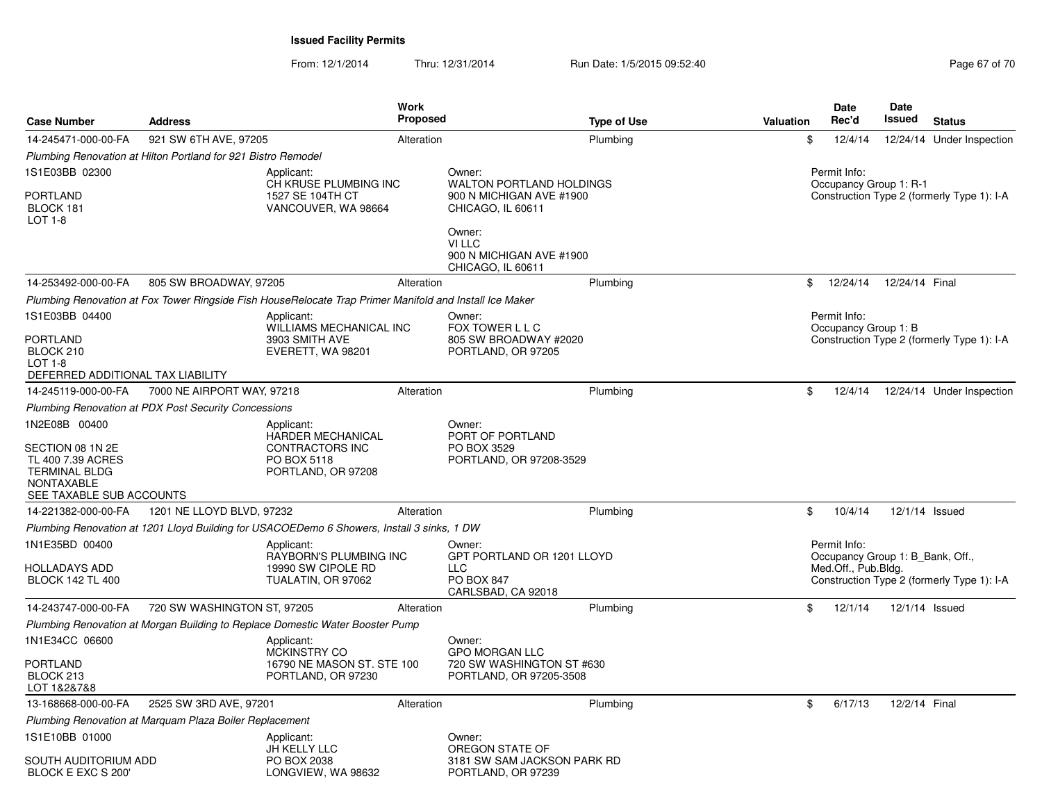| <b>Case Number</b>                                                                                             | <b>Address</b>                                                | Work                                                                                                    | <b>Proposed</b> | <b>Type of Use</b>                                                | Valuation | Date<br>Rec'd                                    | <b>Date</b><br>Issued | <b>Status</b>                              |
|----------------------------------------------------------------------------------------------------------------|---------------------------------------------------------------|---------------------------------------------------------------------------------------------------------|-----------------|-------------------------------------------------------------------|-----------|--------------------------------------------------|-----------------------|--------------------------------------------|
| 14-245471-000-00-FA                                                                                            | 921 SW 6TH AVE, 97205                                         |                                                                                                         | Alteration      | Plumbing                                                          |           | \$<br>12/4/14                                    |                       | 12/24/14 Under Inspection                  |
|                                                                                                                | Plumbing Renovation at Hilton Portland for 921 Bistro Remodel |                                                                                                         |                 |                                                                   |           |                                                  |                       |                                            |
| 1S1E03BB 02300                                                                                                 |                                                               | Applicant:<br>CH KRUSE PLUMBING INC                                                                     |                 | Owner:<br><b>WALTON PORTLAND HOLDINGS</b>                         |           | Permit Info:<br>Occupancy Group 1: R-1           |                       |                                            |
| PORTLAND<br>BLOCK 181<br><b>LOT 1-8</b>                                                                        |                                                               | 1527 SE 104TH CT<br>VANCOUVER, WA 98664                                                                 |                 | 900 N MICHIGAN AVE #1900<br>CHICAGO, IL 60611                     |           |                                                  |                       | Construction Type 2 (formerly Type 1): I-A |
|                                                                                                                |                                                               |                                                                                                         |                 | Owner:<br>VI LLC<br>900 N MICHIGAN AVE #1900<br>CHICAGO, IL 60611 |           |                                                  |                       |                                            |
| 14-253492-000-00-FA                                                                                            | 805 SW BROADWAY, 97205                                        |                                                                                                         | Alteration      | Plumbing                                                          |           | \$<br>12/24/14                                   | 12/24/14 Final        |                                            |
|                                                                                                                |                                                               | Plumbing Renovation at Fox Tower Ringside Fish HouseRelocate Trap Primer Manifold and Install Ice Maker |                 |                                                                   |           |                                                  |                       |                                            |
| 1S1E03BB 04400                                                                                                 |                                                               | Applicant:<br>WILLIAMS MECHANICAL INC                                                                   |                 | Owner:<br>FOX TOWER L L C                                         |           | Permit Info:<br>Occupancy Group 1: B             |                       |                                            |
| PORTLAND<br>BLOCK 210<br>$LOT 1-8$<br>DEFERRED ADDITIONAL TAX LIABILITY                                        |                                                               | 3903 SMITH AVE<br>EVERETT, WA 98201                                                                     |                 | 805 SW BROADWAY #2020<br>PORTLAND, OR 97205                       |           |                                                  |                       | Construction Type 2 (formerly Type 1): I-A |
| 14-245119-000-00-FA                                                                                            | 7000 NE AIRPORT WAY, 97218                                    |                                                                                                         | Alteration      | Plumbing                                                          |           | \$<br>12/4/14                                    |                       | 12/24/14 Under Inspection                  |
|                                                                                                                | <b>Plumbing Renovation at PDX Post Security Concessions</b>   |                                                                                                         |                 |                                                                   |           |                                                  |                       |                                            |
| 1N2E08B 00400                                                                                                  |                                                               | Applicant:<br><b>HARDER MECHANICAL</b>                                                                  |                 | Owner:<br>PORT OF PORTLAND                                        |           |                                                  |                       |                                            |
| SECTION 08 1N 2E<br>TL 400 7.39 ACRES<br><b>TERMINAL BLDG</b><br><b>NONTAXABLE</b><br>SEE TAXABLE SUB ACCOUNTS |                                                               | <b>CONTRACTORS INC</b><br>PO BOX 5118<br>PORTLAND, OR 97208                                             |                 | PO BOX 3529<br>PORTLAND, OR 97208-3529                            |           |                                                  |                       |                                            |
| 14-221382-000-00-FA                                                                                            | 1201 NE LLOYD BLVD, 97232                                     |                                                                                                         | Alteration      | Plumbing                                                          |           | \$<br>10/4/14                                    | 12/1/14 Issued        |                                            |
|                                                                                                                |                                                               | Plumbing Renovation at 1201 Lloyd Building for USACOEDemo 6 Showers, Install 3 sinks, 1 DW              |                 |                                                                   |           |                                                  |                       |                                            |
| 1N1E35BD 00400                                                                                                 |                                                               | Applicant:<br><b>RAYBORN'S PLUMBING INC</b>                                                             |                 | Owner:<br>GPT PORTLAND OR 1201 LLOYD                              |           | Permit Info:<br>Occupancy Group 1: B_Bank, Off., |                       |                                            |
| HOLLADAYS ADD<br><b>BLOCK 142 TL 400</b>                                                                       |                                                               | 19990 SW CIPOLE RD<br>TUALATIN, OR 97062                                                                |                 | <b>LLC</b><br>PO BOX 847<br>CARLSBAD, CA 92018                    |           | Med.Off., Pub.Bldg.                              |                       | Construction Type 2 (formerly Type 1): I-A |
| 14-243747-000-00-FA                                                                                            | 720 SW WASHINGTON ST, 97205                                   |                                                                                                         | Alteration      | Plumbing                                                          |           | \$<br>12/1/14                                    | 12/1/14 Issued        |                                            |
|                                                                                                                |                                                               | Plumbing Renovation at Morgan Building to Replace Domestic Water Booster Pump                           |                 |                                                                   |           |                                                  |                       |                                            |
| 1N1E34CC 06600                                                                                                 |                                                               | Applicant:<br>MCKINSTRY CO                                                                              |                 | Owner:<br><b>GPO MORGAN LLC</b>                                   |           |                                                  |                       |                                            |
| PORTLAND<br>BLOCK 213<br>LOT 1&2&7&8                                                                           |                                                               | 16790 NE MASON ST. STE 100<br>PORTLAND, OR 97230                                                        |                 | 720 SW WASHINGTON ST #630<br>PORTLAND, OR 97205-3508              |           |                                                  |                       |                                            |
| 13-168668-000-00-FA                                                                                            | 2525 SW 3RD AVE, 97201                                        |                                                                                                         | Alteration      | Plumbing                                                          |           | \$<br>6/17/13                                    | 12/2/14 Final         |                                            |
|                                                                                                                | Plumbing Renovation at Marquam Plaza Boiler Replacement       |                                                                                                         |                 |                                                                   |           |                                                  |                       |                                            |
| 1S1E10BB 01000                                                                                                 |                                                               | Applicant:<br>JH KELLY LLC                                                                              |                 | Owner:<br>OREGON STATE OF                                         |           |                                                  |                       |                                            |
| SOUTH AUDITORIUM ADD<br>BLOCK E EXC S 200'                                                                     |                                                               | PO BOX 2038<br>LONGVIEW, WA 98632                                                                       |                 | 3181 SW SAM JACKSON PARK RD<br>PORTLAND, OR 97239                 |           |                                                  |                       |                                            |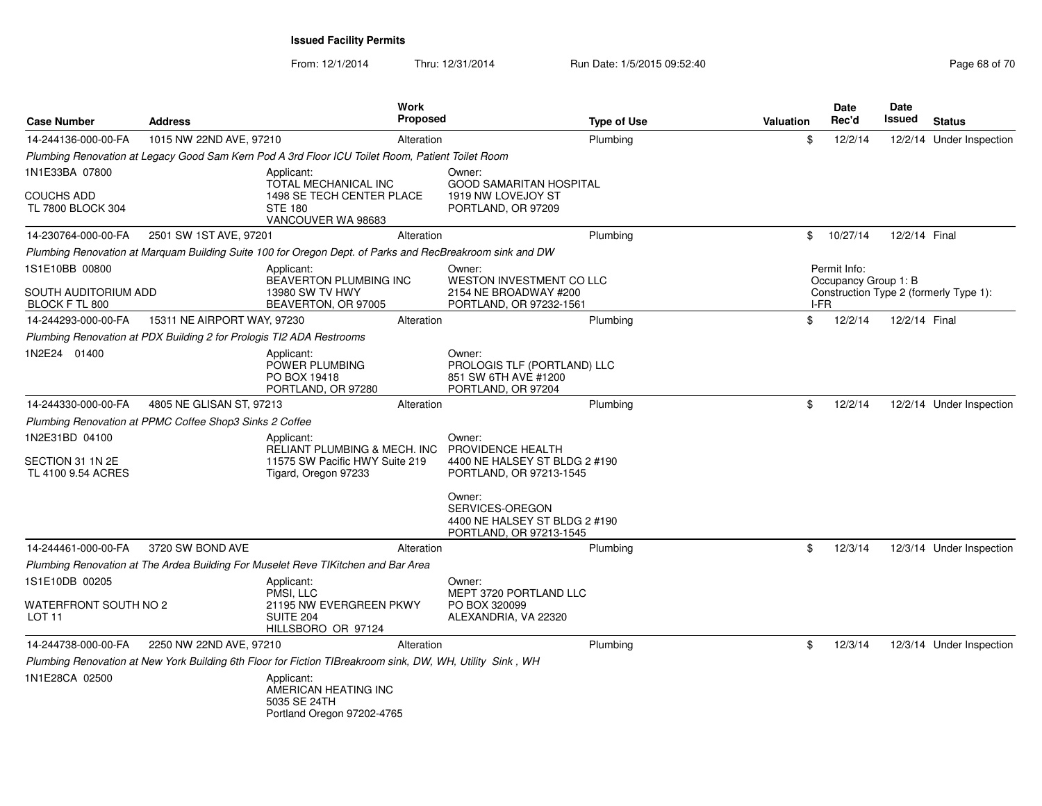| <b>Case Number</b>                     | <b>Address</b>                                                       |                                                                                                           | Work<br><b>Proposed</b> |                                                                                       | <b>Type of Use</b> | <b>Valuation</b> |      | <b>Date</b><br>Rec'd | Date<br>Issued | <b>Status</b>                          |
|----------------------------------------|----------------------------------------------------------------------|-----------------------------------------------------------------------------------------------------------|-------------------------|---------------------------------------------------------------------------------------|--------------------|------------------|------|----------------------|----------------|----------------------------------------|
| 14-244136-000-00-FA                    | 1015 NW 22ND AVE, 97210                                              |                                                                                                           | Alteration              |                                                                                       | Plumbina           |                  | \$   | 12/2/14              |                | 12/2/14 Under Inspection               |
|                                        |                                                                      | Plumbing Renovation at Legacy Good Sam Kern Pod A 3rd Floor ICU Toilet Room, Patient Toilet Room          |                         |                                                                                       |                    |                  |      |                      |                |                                        |
| 1N1E33BA 07800                         |                                                                      | Applicant:                                                                                                |                         | Owner:                                                                                |                    |                  |      |                      |                |                                        |
| <b>COUCHS ADD</b><br>TL 7800 BLOCK 304 |                                                                      | TOTAL MECHANICAL INC<br>1498 SE TECH CENTER PLACE<br><b>STE 180</b><br>VANCOUVER WA 98683                 |                         | <b>GOOD SAMARITAN HOSPITAL</b><br>1919 NW LOVEJOY ST<br>PORTLAND, OR 97209            |                    |                  |      |                      |                |                                        |
| 14-230764-000-00-FA                    | 2501 SW 1ST AVE, 97201                                               |                                                                                                           | Alteration              |                                                                                       | Plumbing           |                  | \$   | 10/27/14             | 12/2/14 Final  |                                        |
|                                        |                                                                      | Plumbing Renovation at Marquam Building Suite 100 for Oregon Dept. of Parks and RecBreakroom sink and DW  |                         |                                                                                       |                    |                  |      |                      |                |                                        |
| 1S1E10BB 00800                         |                                                                      | Applicant:                                                                                                |                         | Owner:                                                                                |                    |                  |      | Permit Info:         |                |                                        |
| SOUTH AUDITORIUM ADD<br>BLOCK F TL 800 |                                                                      | BEAVERTON PLUMBING INC<br>13980 SW TV HWY<br>BEAVERTON, OR 97005                                          |                         | <b>WESTON INVESTMENT CO LLC</b><br>2154 NE BROADWAY #200<br>PORTLAND, OR 97232-1561   |                    |                  | I-FR | Occupancy Group 1: B |                | Construction Type 2 (formerly Type 1): |
| 14-244293-000-00-FA                    | 15311 NE AIRPORT WAY, 97230                                          |                                                                                                           | Alteration              |                                                                                       | Plumbing           |                  | \$   | 12/2/14              | 12/2/14 Final  |                                        |
|                                        | Plumbing Renovation at PDX Building 2 for Prologis TI2 ADA Restrooms |                                                                                                           |                         |                                                                                       |                    |                  |      |                      |                |                                        |
| 1N2E24 01400                           |                                                                      | Applicant:<br>POWER PLUMBING<br>PO BOX 19418<br>PORTLAND, OR 97280                                        |                         | Owner:<br>PROLOGIS TLF (PORTLAND) LLC<br>851 SW 6TH AVE #1200<br>PORTLAND, OR 97204   |                    |                  |      |                      |                |                                        |
| 14-244330-000-00-FA                    | 4805 NE GLISAN ST, 97213                                             |                                                                                                           | Alteration              |                                                                                       | Plumbing           |                  | \$   | 12/2/14              |                | 12/2/14 Under Inspection               |
|                                        | Plumbing Renovation at PPMC Coffee Shop3 Sinks 2 Coffee              |                                                                                                           |                         |                                                                                       |                    |                  |      |                      |                |                                        |
| 1N2E31BD 04100<br>SECTION 31 1N 2E     |                                                                      | Applicant:<br>RELIANT PLUMBING & MECH. INC<br>11575 SW Pacific HWY Suite 219                              |                         | Owner:<br>PROVIDENCE HEALTH<br>4400 NE HALSEY ST BLDG 2 #190                          |                    |                  |      |                      |                |                                        |
| TL 4100 9.54 ACRES                     |                                                                      | Tigard, Oregon 97233                                                                                      |                         | PORTLAND, OR 97213-1545                                                               |                    |                  |      |                      |                |                                        |
|                                        |                                                                      |                                                                                                           |                         | Owner:<br>SERVICES-OREGON<br>4400 NE HALSEY ST BLDG 2 #190<br>PORTLAND, OR 97213-1545 |                    |                  |      |                      |                |                                        |
| 14-244461-000-00-FA                    | 3720 SW BOND AVE                                                     |                                                                                                           | Alteration              |                                                                                       | Plumbing           |                  | \$   | 12/3/14              |                | 12/3/14 Under Inspection               |
|                                        |                                                                      | Plumbing Renovation at The Ardea Building For Muselet Reve TIKitchen and Bar Area                         |                         |                                                                                       |                    |                  |      |                      |                |                                        |
| 1S1E10DB 00205                         |                                                                      | Applicant:                                                                                                |                         | Owner:                                                                                |                    |                  |      |                      |                |                                        |
| WATERFRONT SOUTH NO 2<br>LOT 11        |                                                                      | PMSI. LLC<br>21195 NW EVERGREEN PKWY<br>SUITE <sub>204</sub><br>HILLSBORO OR 97124                        |                         | MEPT 3720 PORTLAND LLC<br>PO BOX 320099<br>ALEXANDRIA, VA 22320                       |                    |                  |      |                      |                |                                        |
| 14-244738-000-00-FA                    | 2250 NW 22ND AVE, 97210                                              |                                                                                                           | Alteration              |                                                                                       | Plumbing           |                  | \$   | 12/3/14              |                | 12/3/14 Under Inspection               |
|                                        |                                                                      | Plumbing Renovation at New York Building 6th Floor for Fiction TIBreakroom sink, DW, WH, Utility Sink, WH |                         |                                                                                       |                    |                  |      |                      |                |                                        |
| 1N1E28CA 02500                         |                                                                      | Applicant:<br>AMERICAN HEATING INC<br>5035 SE 24TH<br>Portland Oregon 97202-4765                          |                         |                                                                                       |                    |                  |      |                      |                |                                        |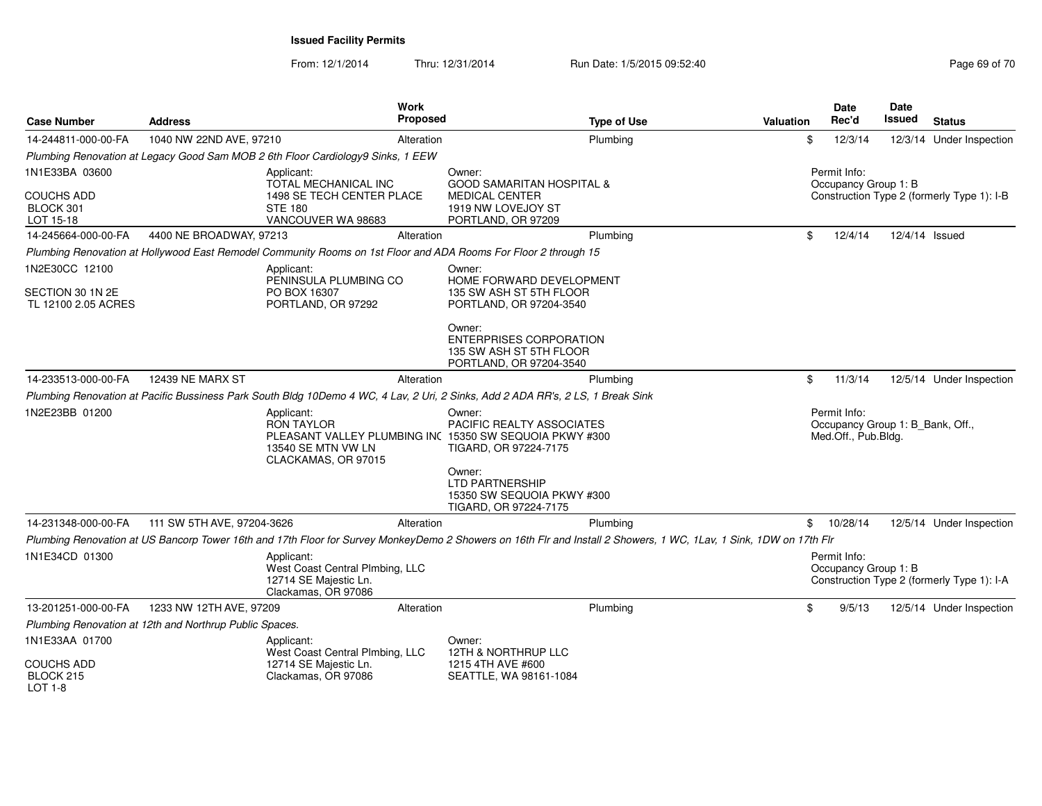| <b>Case Number</b>                          | <b>Address</b>                                          | <b>Work</b><br><b>Proposed</b>                                                                                                          | <b>Type of Use</b>                                                                                                                                                 | <b>Valuation</b> | <b>Date</b><br>Rec'd                 | Date<br>Issued                   | <b>Status</b>                              |
|---------------------------------------------|---------------------------------------------------------|-----------------------------------------------------------------------------------------------------------------------------------------|--------------------------------------------------------------------------------------------------------------------------------------------------------------------|------------------|--------------------------------------|----------------------------------|--------------------------------------------|
| 14-244811-000-00-FA                         | 1040 NW 22ND AVE, 97210                                 | Alteration                                                                                                                              | Plumbing                                                                                                                                                           |                  | \$<br>12/3/14                        |                                  | 12/3/14 Under Inspection                   |
|                                             |                                                         | Plumbing Renovation at Legacy Good Sam MOB 2 6th Floor Cardiology9 Sinks, 1 EEW                                                         |                                                                                                                                                                    |                  |                                      |                                  |                                            |
| 1N1E33BA 03600                              |                                                         | Applicant:<br>TOTAL MECHANICAL INC                                                                                                      | Owner:<br><b>GOOD SAMARITAN HOSPITAL &amp;</b>                                                                                                                     |                  | Permit Info:<br>Occupancy Group 1: B |                                  |                                            |
| <b>COUCHS ADD</b><br>BLOCK 301<br>LOT 15-18 |                                                         | 1498 SE TECH CENTER PLACE<br><b>STE 180</b><br>VANCOUVER WA 98683                                                                       | <b>MEDICAL CENTER</b><br>1919 NW LOVEJOY ST<br>PORTLAND, OR 97209                                                                                                  |                  |                                      |                                  | Construction Type 2 (formerly Type 1): I-B |
| 14-245664-000-00-FA                         | 4400 NE BROADWAY, 97213                                 | Alteration                                                                                                                              | Plumbing                                                                                                                                                           |                  | \$<br>12/4/14                        | 12/4/14 Issued                   |                                            |
|                                             |                                                         | Plumbing Renovation at Hollywood East Remodel Community Rooms on 1st Floor and ADA Rooms For Floor 2 through 15                         |                                                                                                                                                                    |                  |                                      |                                  |                                            |
| 1N2E30CC 12100                              |                                                         | Applicant:<br>PENINSULA PLUMBING CO                                                                                                     | Owner:<br>HOME FORWARD DEVELOPMENT                                                                                                                                 |                  |                                      |                                  |                                            |
| SECTION 30 1N 2E                            |                                                         | PO BOX 16307                                                                                                                            | 135 SW ASH ST 5TH FLOOR                                                                                                                                            |                  |                                      |                                  |                                            |
| TL 12100 2.05 ACRES                         |                                                         | PORTLAND, OR 97292                                                                                                                      | PORTLAND, OR 97204-3540                                                                                                                                            |                  |                                      |                                  |                                            |
|                                             |                                                         |                                                                                                                                         | Owner:<br><b>ENTERPRISES CORPORATION</b><br>135 SW ASH ST 5TH FLOOR<br>PORTLAND, OR 97204-3540                                                                     |                  |                                      |                                  |                                            |
| 14-233513-000-00-FA                         | <b>12439 NE MARX ST</b>                                 | Alteration                                                                                                                              | Plumbing                                                                                                                                                           |                  | \$<br>11/3/14                        |                                  | 12/5/14 Under Inspection                   |
|                                             |                                                         |                                                                                                                                         | Plumbing Renovation at Pacific Bussiness Park South Bldg 10Demo 4 WC, 4 Lav, 2 Uri, 2 Sinks, Add 2 ADA RR's, 2 LS, 1 Break Sink                                    |                  |                                      |                                  |                                            |
| 1N2E23BB 01200                              |                                                         | Applicant:<br><b>RON TAYLOR</b><br>PLEASANT VALLEY PLUMBING INC 15350 SW SEQUOIA PKWY #300<br>13540 SE MTN VW LN<br>CLACKAMAS, OR 97015 | Owner:<br>PACIFIC REALTY ASSOCIATES<br>TIGARD, OR 97224-7175                                                                                                       |                  | Permit Info:<br>Med.Off., Pub.Bldg.  | Occupancy Group 1: B_Bank, Off., |                                            |
|                                             |                                                         |                                                                                                                                         | Owner:<br><b>LTD PARTNERSHIP</b><br>15350 SW SEQUOIA PKWY #300<br>TIGARD, OR 97224-7175                                                                            |                  |                                      |                                  |                                            |
| 14-231348-000-00-FA                         | 111 SW 5TH AVE, 97204-3626                              | Alteration                                                                                                                              | Plumbing                                                                                                                                                           |                  | \$10/28/14                           |                                  | 12/5/14 Under Inspection                   |
|                                             |                                                         |                                                                                                                                         | Plumbing Renovation at US Bancorp Tower 16th and 17th Floor for Survey MonkeyDemo 2 Showers on 16th Flr and Install 2 Showers, 1 WC, 1Lav, 1 Sink, 1DW on 17th Flr |                  |                                      |                                  |                                            |
| 1N1E34CD 01300                              |                                                         | Applicant:<br>West Coast Central Plmbing, LLC<br>12714 SE Majestic Ln.<br>Clackamas, OR 97086                                           |                                                                                                                                                                    |                  | Permit Info:<br>Occupancy Group 1: B |                                  | Construction Type 2 (formerly Type 1): I-A |
| 13-201251-000-00-FA                         | 1233 NW 12TH AVE, 97209                                 | Alteration                                                                                                                              | Plumbing                                                                                                                                                           |                  | \$<br>9/5/13                         |                                  | 12/5/14 Under Inspection                   |
|                                             | Plumbing Renovation at 12th and Northrup Public Spaces. |                                                                                                                                         |                                                                                                                                                                    |                  |                                      |                                  |                                            |
| 1N1E33AA 01700                              |                                                         | Applicant:<br>West Coast Central Plmbing, LLC                                                                                           | Owner:<br><b>12TH &amp; NORTHRUP LLC</b>                                                                                                                           |                  |                                      |                                  |                                            |
| <b>COUCHS ADD</b><br>BLOCK 215<br>$LOT 1-8$ |                                                         | 12714 SE Majestic Ln.<br>Clackamas, OR 97086                                                                                            | 1215 4TH AVE #600<br>SEATTLE, WA 98161-1084                                                                                                                        |                  |                                      |                                  |                                            |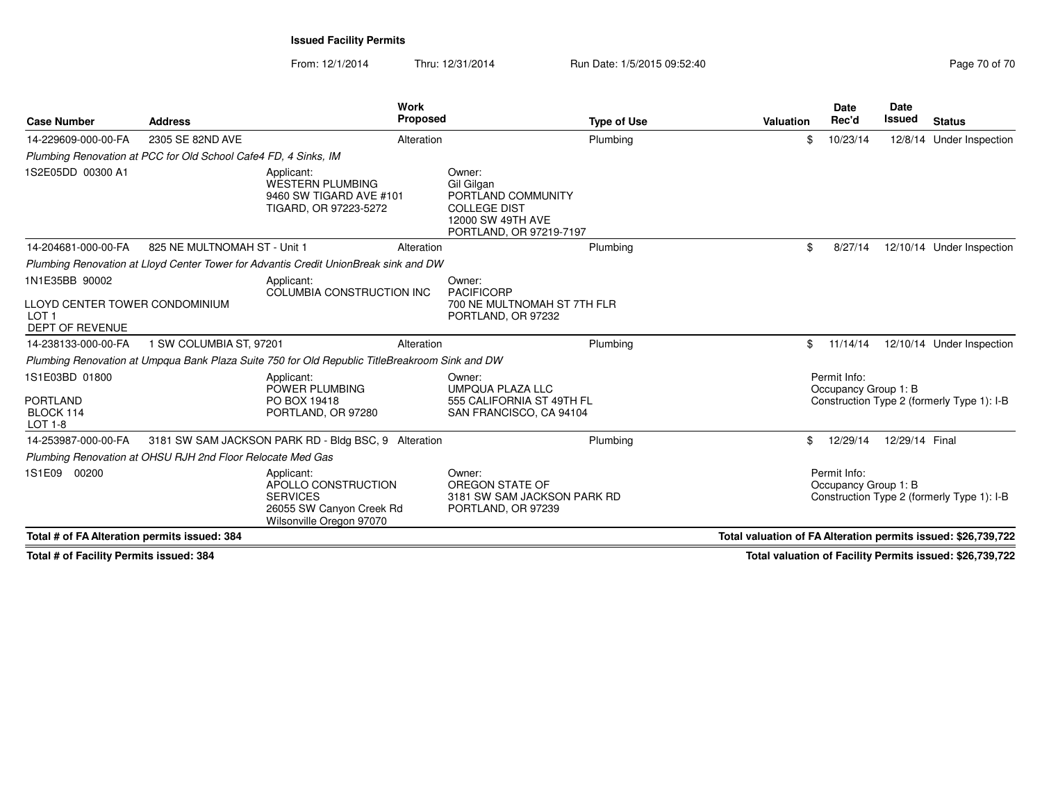From: 12/1/2014Thru: 12/31/2014 Run Date: 1/5/2015 09:52:40

| <b>Case Number</b>                                                           | <b>Address</b>                                                  | Work<br><b>Proposed</b>                                                                                      |                                                                                                                   | <b>Type of Use</b> | <b>Valuation</b>                                              | Date<br>Rec'd                        |          | <b>Date</b><br><b>Issued</b> | <b>Status</b>                              |
|------------------------------------------------------------------------------|-----------------------------------------------------------------|--------------------------------------------------------------------------------------------------------------|-------------------------------------------------------------------------------------------------------------------|--------------------|---------------------------------------------------------------|--------------------------------------|----------|------------------------------|--------------------------------------------|
| 14-229609-000-00-FA                                                          | 2305 SE 82ND AVE                                                | Alteration                                                                                                   |                                                                                                                   | Plumbing           |                                                               | \$                                   | 10/23/14 | 12/8/14                      | Under Inspection                           |
|                                                                              | Plumbing Renovation at PCC for Old School Cafe4 FD, 4 Sinks, IM |                                                                                                              |                                                                                                                   |                    |                                                               |                                      |          |                              |                                            |
| 1S2E05DD 00300 A1                                                            |                                                                 | Applicant:<br><b>WESTERN PLUMBING</b><br>9460 SW TIGARD AVE #101<br>TIGARD, OR 97223-5272                    | Owner:<br>Gil Gilgan<br>PORTLAND COMMUNITY<br><b>COLLEGE DIST</b><br>12000 SW 49TH AVE<br>PORTLAND, OR 97219-7197 |                    |                                                               |                                      |          |                              |                                            |
| 14-204681-000-00-FA                                                          | 825 NE MULTNOMAH ST - Unit 1                                    | Alteration                                                                                                   |                                                                                                                   | Plumbing           |                                                               | \$                                   | 8/27/14  |                              | 12/10/14 Under Inspection                  |
|                                                                              |                                                                 | Plumbing Renovation at Lloyd Center Tower for Advantis Credit UnionBreak sink and DW                         |                                                                                                                   |                    |                                                               |                                      |          |                              |                                            |
| 1N1E35BB 90002                                                               |                                                                 | Applicant:                                                                                                   | Owner:                                                                                                            |                    |                                                               |                                      |          |                              |                                            |
| LLOYD CENTER TOWER CONDOMINIUM<br>LOT <sub>1</sub><br><b>DEPT OF REVENUE</b> |                                                                 | COLUMBIA CONSTRUCTION INC                                                                                    | <b>PACIFICORP</b><br>700 NE MULTNOMAH ST 7TH FLR<br>PORTLAND, OR 97232                                            |                    |                                                               |                                      |          |                              |                                            |
| 14-238133-000-00-FA                                                          | 1 SW COLUMBIA ST, 97201                                         | Alteration                                                                                                   |                                                                                                                   | Plumbing           |                                                               | \$                                   | 11/14/14 |                              | 12/10/14 Under Inspection                  |
|                                                                              |                                                                 | Plumbing Renovation at Umpqua Bank Plaza Suite 750 for Old Republic TitleBreakroom Sink and DW               |                                                                                                                   |                    |                                                               |                                      |          |                              |                                            |
| 1S1E03BD 01800                                                               |                                                                 | Applicant:<br>POWER PLUMBING                                                                                 | Owner:<br><b>UMPQUA PLAZA LLC</b>                                                                                 |                    |                                                               | Permit Info:<br>Occupancy Group 1: B |          |                              |                                            |
| <b>PORTLAND</b><br>BLOCK 114<br>LOT 1-8                                      |                                                                 | PO BOX 19418<br>PORTLAND, OR 97280                                                                           | 555 CALIFORNIA ST 49TH FL<br>SAN FRANCISCO, CA 94104                                                              |                    |                                                               |                                      |          |                              | Construction Type 2 (formerly Type 1): I-B |
| 14-253987-000-00-FA                                                          |                                                                 | 3181 SW SAM JACKSON PARK RD - Bldg BSC, 9 Alteration                                                         |                                                                                                                   | Plumbing           |                                                               | \$                                   | 12/29/14 | 12/29/14 Final               |                                            |
|                                                                              | Plumbing Renovation at OHSU RJH 2nd Floor Relocate Med Gas      |                                                                                                              |                                                                                                                   |                    |                                                               |                                      |          |                              |                                            |
| 1S1E09 00200                                                                 |                                                                 | Applicant:<br>APOLLO CONSTRUCTION<br><b>SERVICES</b><br>26055 SW Canyon Creek Rd<br>Wilsonville Oregon 97070 | Owner:<br>OREGON STATE OF<br>3181 SW SAM JACKSON PARK RD<br>PORTLAND, OR 97239                                    |                    |                                                               | Permit Info:<br>Occupancy Group 1: B |          |                              | Construction Type 2 (formerly Type 1): I-B |
| Total # of FA Alteration permits issued: 384                                 |                                                                 |                                                                                                              |                                                                                                                   |                    | Total valuation of FA Alteration permits issued: \$26,739,722 |                                      |          |                              |                                            |

**Total # of Facility Permits issued: 384**

**Total valuation of Facility Permits issued: \$26,739,722**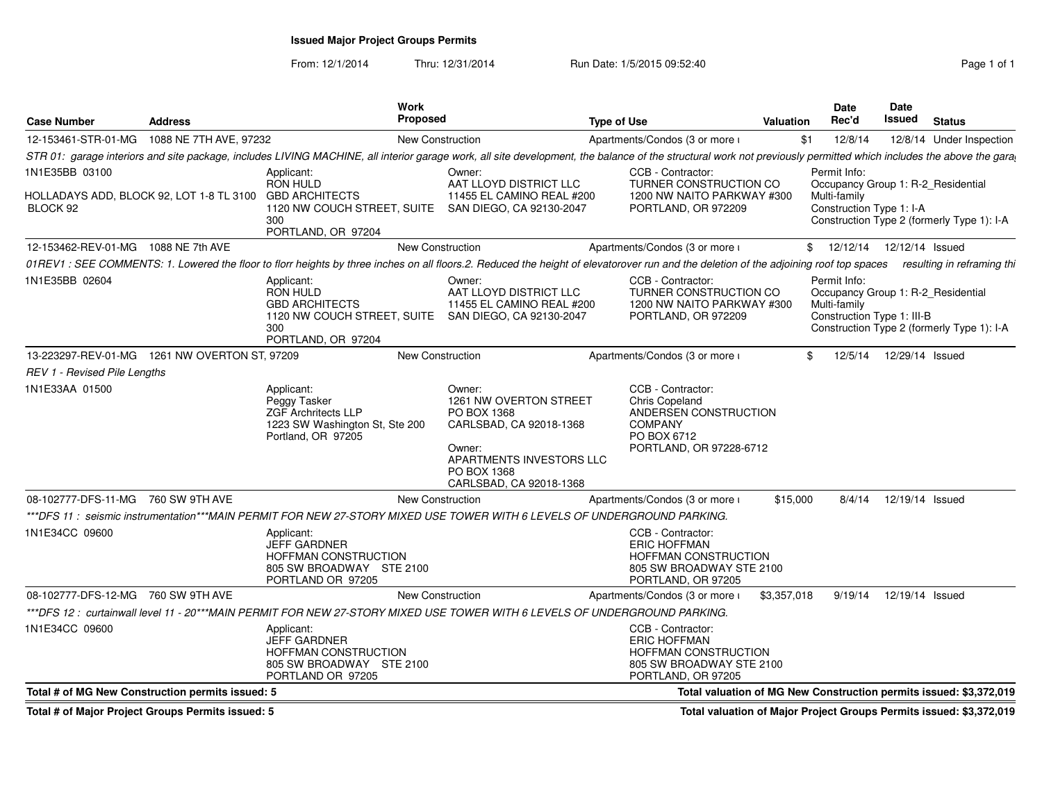## **Issued Major Project Groups Permits**

From: 12/1/2014Thru: 12/31/2014 Run Date: 1/5/2015 09:52:40

| <b>Case Number</b>                                                  | <b>Address</b>         |                                                                                                                   | <b>Work</b><br><b>Proposed</b> |                                                                                                                                                                                                                   | <b>Type of Use</b> |                                                                                                                           | <b>Valuation</b> |     | <b>Date</b><br>Rec'd                                       | <b>Date</b><br>Issued | <b>Status</b>                                                                    |
|---------------------------------------------------------------------|------------------------|-------------------------------------------------------------------------------------------------------------------|--------------------------------|-------------------------------------------------------------------------------------------------------------------------------------------------------------------------------------------------------------------|--------------------|---------------------------------------------------------------------------------------------------------------------------|------------------|-----|------------------------------------------------------------|-----------------------|----------------------------------------------------------------------------------|
| 12-153461-STR-01-MG                                                 | 1088 NE 7TH AVE, 97232 |                                                                                                                   | <b>New Construction</b>        |                                                                                                                                                                                                                   |                    | Apartments/Condos (3 or more i                                                                                            |                  | \$1 | 12/8/14                                                    |                       | 12/8/14 Under Inspection                                                         |
|                                                                     |                        |                                                                                                                   |                                | STR 01: garage interiors and site package, includes LIVING MACHINE, all interior garage work, all site development, the balance of the structural work not previously permitted which includes the above the gara |                    |                                                                                                                           |                  |     |                                                            |                       |                                                                                  |
| 1N1E35BB 03100                                                      |                        | Applicant:<br><b>RON HULD</b>                                                                                     |                                | Owner:<br>AAT LLOYD DISTRICT LLC                                                                                                                                                                                  |                    | CCB - Contractor:<br>TURNER CONSTRUCTION CO                                                                               |                  |     | Permit Info:                                               |                       |                                                                                  |
| HOLLADAYS ADD, BLOCK 92, LOT 1-8 TL 3100 GBD ARCHITECTS<br>BLOCK 92 |                        | 300<br>PORTLAND, OR 97204                                                                                         |                                | 11455 EL CAMINO REAL #200<br>1120 NW COUCH STREET, SUITE SAN DIEGO, CA 92130-2047                                                                                                                                 |                    | 1200 NW NAITO PARKWAY #300<br>PORTLAND, OR 972209                                                                         |                  |     | Multi-family<br>Construction Type 1: I-A                   |                       | Occupancy Group 1: R-2_Residential<br>Construction Type 2 (formerly Type 1): I-A |
| 12-153462-REV-01-MG 1088 NE 7th AVE                                 |                        |                                                                                                                   | <b>New Construction</b>        |                                                                                                                                                                                                                   |                    | Apartments/Condos (3 or more i                                                                                            |                  |     | \$ 12/12/14 12/12/14 Issued                                |                       |                                                                                  |
|                                                                     |                        |                                                                                                                   |                                | 01REV1 : SEE COMMENTS: 1. Lowered the floor to florr heights by three inches on all floors.2. Reduced the height of elevatorover run and the deletion of the adjoining roof top spaces                            |                    |                                                                                                                           |                  |     |                                                            |                       | resulting in reframing thi                                                       |
| 1N1E35BB 02604                                                      |                        | Applicant:<br><b>RON HULD</b><br><b>GBD ARCHITECTS</b><br>300<br>PORTLAND, OR 97204                               |                                | Owner:<br>AAT LLOYD DISTRICT LLC<br>11455 EL CAMINO REAL #200<br>1120 NW COUCH STREET, SUITE SAN DIEGO, CA 92130-2047                                                                                             |                    | CCB - Contractor:<br><b>TURNER CONSTRUCTION CO</b><br>1200 NW NAITO PARKWAY #300<br>PORTLAND, OR 972209                   |                  |     | Permit Info:<br>Multi-family<br>Construction Type 1: III-B |                       | Occupancy Group 1: R-2_Residential<br>Construction Type 2 (formerly Type 1): I-A |
| 13-223297-REV-01-MG  1261 NW OVERTON ST, 97209                      |                        |                                                                                                                   | <b>New Construction</b>        |                                                                                                                                                                                                                   |                    | Apartments/Condos (3 or more i                                                                                            |                  | \$  | 12/5/14                                                    | 12/29/14 Issued       |                                                                                  |
| REV 1 - Revised Pile Lengths                                        |                        |                                                                                                                   |                                |                                                                                                                                                                                                                   |                    |                                                                                                                           |                  |     |                                                            |                       |                                                                                  |
| 1N1E33AA 01500                                                      |                        | Applicant:<br>Peggy Tasker<br><b>ZGF Archritects LLP</b><br>1223 SW Washington St, Ste 200<br>Portland, OR 97205  |                                | Owner:<br>1261 NW OVERTON STREET<br>PO BOX 1368<br>CARLSBAD, CA 92018-1368<br>Owner:<br>APARTMENTS INVESTORS LLC<br>PO BOX 1368<br>CARLSBAD, CA 92018-1368                                                        |                    | CCB - Contractor:<br>Chris Copeland<br>ANDERSEN CONSTRUCTION<br><b>COMPANY</b><br>PO BOX 6712<br>PORTLAND, OR 97228-6712  |                  |     |                                                            |                       |                                                                                  |
| 08-102777-DFS-11-MG 760 SW 9TH AVE                                  |                        |                                                                                                                   | <b>New Construction</b>        |                                                                                                                                                                                                                   |                    | Apartments/Condos (3 or more i                                                                                            | \$15,000         |     | 8/4/14                                                     | 12/19/14 Issued       |                                                                                  |
|                                                                     |                        |                                                                                                                   |                                | ***DFS 11:seismic instrumentation***MAIN PERMIT FOR NEW 27-STORY MIXED USE TOWER WITH 6 LEVELS OF UNDERGROUND PARKING.                                                                                            |                    |                                                                                                                           |                  |     |                                                            |                       |                                                                                  |
| 1N1E34CC 09600                                                      |                        | Applicant:<br><b>JEFF GARDNER</b><br><b>HOFFMAN CONSTRUCTION</b><br>805 SW BROADWAY STE 2100<br>PORTLAND OR 97205 |                                |                                                                                                                                                                                                                   |                    | CCB - Contractor:<br><b>ERIC HOFFMAN</b><br><b>HOFFMAN CONSTRUCTION</b><br>805 SW BROADWAY STE 2100<br>PORTLAND, OR 97205 |                  |     |                                                            |                       |                                                                                  |
| 08-102777-DFS-12-MG 760 SW 9TH AVE                                  |                        |                                                                                                                   | New Construction               |                                                                                                                                                                                                                   |                    | Apartments/Condos (3 or more i                                                                                            | \$3,357,018      |     | 9/19/14                                                    | 12/19/14 Issued       |                                                                                  |
|                                                                     |                        |                                                                                                                   |                                | ***DFS 12: curtainwall level 11 - 20***MAIN PERMIT FOR NEW 27-STORY MIXED USE TOWER WITH 6 LEVELS OF UNDERGROUND PARKING.                                                                                         |                    |                                                                                                                           |                  |     |                                                            |                       |                                                                                  |
| 1N1E34CC 09600                                                      |                        | Applicant:<br><b>JEFF GARDNER</b><br><b>HOFFMAN CONSTRUCTION</b><br>805 SW BROADWAY STE 2100<br>PORTLAND OR 97205 |                                |                                                                                                                                                                                                                   |                    | CCB - Contractor:<br><b>ERIC HOFFMAN</b><br><b>HOFFMAN CONSTRUCTION</b><br>805 SW BROADWAY STE 2100<br>PORTLAND, OR 97205 |                  |     |                                                            |                       |                                                                                  |
| Total # of MG New Construction permits issued: 5                    |                        |                                                                                                                   |                                |                                                                                                                                                                                                                   |                    |                                                                                                                           |                  |     |                                                            |                       | Total valuation of MG New Construction permits issued: \$3,372,019               |
|                                                                     |                        |                                                                                                                   |                                |                                                                                                                                                                                                                   |                    |                                                                                                                           |                  |     |                                                            |                       |                                                                                  |

**Total # of Major Project Groups Permits issued: 5**

**Total valuation of Major Project Groups Permits issued: \$3,372,019**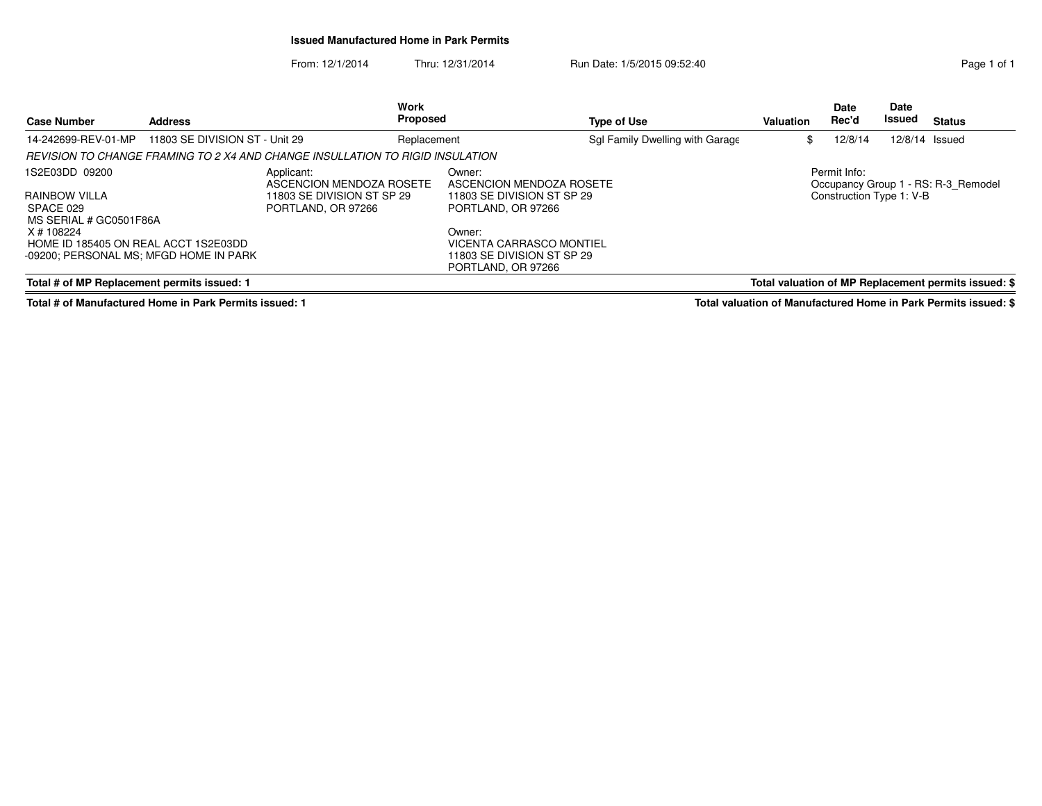## **Issued Manufactured Home in Park Permits**

From: 12/1/2014Thru: 12/31/2014 Run Date: 1/5/2015 09:52:40

| <b>Case Number</b>                                                                           | Work<br><b>Proposed</b><br><b>Address</b><br><b>Type of Use</b> |                                                                               |                                                  | <b>Valuation</b>                                                                       | <b>Date</b><br>Rec'd            | <b>Date</b><br>Issued | <b>Status</b>            |                |                                                      |
|----------------------------------------------------------------------------------------------|-----------------------------------------------------------------|-------------------------------------------------------------------------------|--------------------------------------------------|----------------------------------------------------------------------------------------|---------------------------------|-----------------------|--------------------------|----------------|------------------------------------------------------|
| 14-242699-REV-01-MP                                                                          | 11803 SE DIVISION ST - Unit 29                                  |                                                                               | Replacement                                      |                                                                                        | Sgl Family Dwelling with Garage | \$                    | 12/8/14                  | 12/8/14 Issued |                                                      |
|                                                                                              |                                                                 | REVISION TO CHANGE FRAMING TO 2 X4 AND CHANGE INSULLATION TO RIGID INSULATION |                                                  |                                                                                        |                                 |                       |                          |                |                                                      |
| 1S2E03DD 09200                                                                               |                                                                 | Applicant:<br>ASCENCION MENDOZA ROSETE                                        |                                                  | Owner:<br>ASCENCION MENDOZA ROSETE                                                     |                                 |                       | Permit Info:             |                | Occupancy Group 1 - RS: R-3 Remodel                  |
| RAINBOW VILLA<br>SPACE 029<br>PORTLAND, OR 97266<br>MS SERIAL # GC0501F86A                   |                                                                 | 11803 SE DIVISION ST SP 29                                                    | 11803 SE DIVISION ST SP 29<br>PORTLAND, OR 97266 |                                                                                        |                                 |                       | Construction Type 1: V-B |                |                                                      |
| X # 108224<br>HOME ID 185405 ON REAL ACCT 1S2E03DD<br>-09200; PERSONAL MS; MFGD HOME IN PARK |                                                                 |                                                                               |                                                  | Owner:<br>VICENTA CARRASCO MONTIEL<br>11803 SE DIVISION ST SP 29<br>PORTLAND, OR 97266 |                                 |                       |                          |                |                                                      |
| Total # of MP Replacement permits issued: 1                                                  |                                                                 |                                                                               |                                                  |                                                                                        |                                 |                       |                          |                | Total valuation of MP Replacement permits issued: \$ |

**Total # of Manufactured Home in Park Permits issued: 1**

**Total valuation of Manufactured Home in Park Permits issued: \$**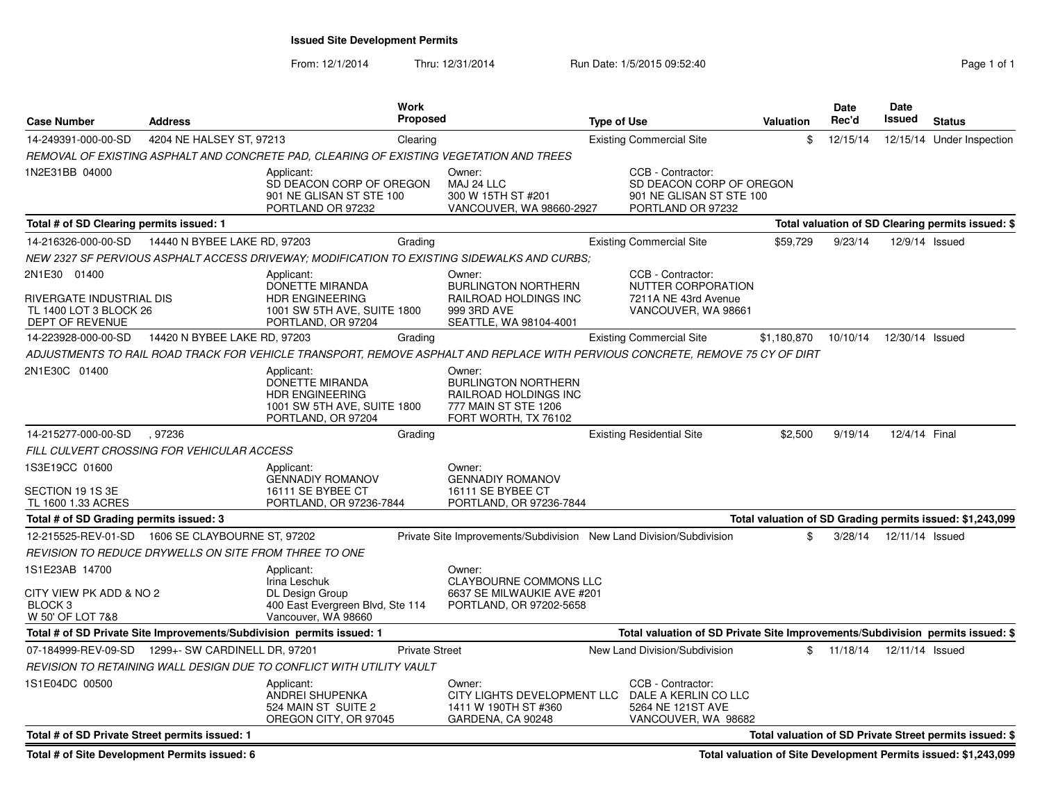**Issued Site Development Permits**

From: 12/1/2014Thru: 12/31/2014 Run Date: 1/5/2015 09:52:40

| Page 1 of |  |
|-----------|--|

| <b>Case Number</b>                                                                    | <b>Address</b>                                                        |                                                                                                                               | <b>Work</b><br><b>Proposed</b> |                                                                                                               | <b>Type of Use</b> |                                                                                                | Valuation   | <b>Date</b><br>Rec'd | Date<br>Issued  | <b>Status</b>                                             |
|---------------------------------------------------------------------------------------|-----------------------------------------------------------------------|-------------------------------------------------------------------------------------------------------------------------------|--------------------------------|---------------------------------------------------------------------------------------------------------------|--------------------|------------------------------------------------------------------------------------------------|-------------|----------------------|-----------------|-----------------------------------------------------------|
| 14-249391-000-00-SD                                                                   | 4204 NE HALSEY ST, 97213                                              |                                                                                                                               | Clearing                       |                                                                                                               |                    | <b>Existing Commercial Site</b>                                                                | \$          | 12/15/14             |                 | 12/15/14 Under Inspection                                 |
|                                                                                       |                                                                       | REMOVAL OF EXISTING ASPHALT AND CONCRETE PAD, CLEARING OF EXISTING VEGETATION AND TREES                                       |                                |                                                                                                               |                    |                                                                                                |             |                      |                 |                                                           |
| 1N2E31BB 04000                                                                        |                                                                       | Applicant:<br>SD DEACON CORP OF OREGON<br>901 NE GLISAN ST STE 100<br>PORTLAND OR 97232                                       |                                | Owner:<br>MAJ 24 LLC<br>300 W 15TH ST #201<br>VANCOUVER, WA 98660-2927                                        |                    | CCB - Contractor:<br>SD DEACON CORP OF OREGON<br>901 NE GLISAN ST STE 100<br>PORTLAND OR 97232 |             |                      |                 |                                                           |
| Total # of SD Clearing permits issued: 1                                              |                                                                       |                                                                                                                               |                                |                                                                                                               |                    |                                                                                                |             |                      |                 | Total valuation of SD Clearing permits issued: \$         |
| 14-216326-000-00-SD                                                                   | 14440 N BYBEE LAKE RD, 97203                                          |                                                                                                                               | Grading                        |                                                                                                               |                    | <b>Existing Commercial Site</b>                                                                | \$59,729    | 9/23/14              | 12/9/14 Issued  |                                                           |
|                                                                                       |                                                                       | NEW 2327 SF PERVIOUS ASPHALT ACCESS DRIVEWAY; MODIFICATION TO EXISTING SIDEWALKS AND CURBS;                                   |                                |                                                                                                               |                    |                                                                                                |             |                      |                 |                                                           |
| 2N1E30 01400<br>RIVERGATE INDUSTRIAL DIS<br>TL 1400 LOT 3 BLOCK 26<br>DEPT OF REVENUE |                                                                       | Applicant:<br><b>DONETTE MIRANDA</b><br><b>HDR ENGINEERING</b><br>1001 SW 5TH AVE, SUITE 1800<br>PORTLAND, OR 97204           |                                | Owner:<br><b>BURLINGTON NORTHERN</b><br>RAILROAD HOLDINGS INC<br>999 3RD AVE<br>SEATTLE, WA 98104-4001        |                    | CCB - Contractor:<br>NUTTER CORPORATION<br>7211A NE 43rd Avenue<br>VANCOUVER, WA 98661         |             |                      |                 |                                                           |
| 14-223928-000-00-SD                                                                   | 14420 N BYBEE LAKE RD, 97203                                          |                                                                                                                               | Grading                        |                                                                                                               |                    | <b>Existing Commercial Site</b>                                                                | \$1,180,870 | 10/10/14             | 12/30/14 Issued |                                                           |
|                                                                                       |                                                                       | ADJUSTMENTS TO RAIL ROAD TRACK FOR VEHICLE TRANSPORT. REMOVE ASPHALT AND REPLACE WITH PERVIOUS CONCRETE. REMOVE 75 CY OF DIRT |                                |                                                                                                               |                    |                                                                                                |             |                      |                 |                                                           |
| 2N1E30C 01400                                                                         |                                                                       | Applicant:<br>DONETTE MIRANDA<br><b>HDR ENGINEERING</b><br>1001 SW 5TH AVE, SUITE 1800<br>PORTLAND, OR 97204                  |                                | Owner:<br><b>BURLINGTON NORTHERN</b><br>RAILROAD HOLDINGS INC<br>777 MAIN ST STE 1206<br>FORT WORTH, TX 76102 |                    |                                                                                                |             |                      |                 |                                                           |
| 14-215277-000-00-SD                                                                   | .97236                                                                |                                                                                                                               | Grading                        |                                                                                                               |                    | <b>Existing Residential Site</b>                                                               | \$2.500     | 9/19/14              | 12/4/14 Final   |                                                           |
|                                                                                       | FILL CULVERT CROSSING FOR VEHICULAR ACCESS                            |                                                                                                                               |                                |                                                                                                               |                    |                                                                                                |             |                      |                 |                                                           |
| 1S3E19CC 01600<br>SECTION 19 1S 3E<br>TL 1600 1.33 ACRES                              |                                                                       | Applicant:<br><b>GENNADIY ROMANOV</b><br>16111 SE BYBEE CT<br>PORTLAND, OR 97236-7844                                         |                                | Owner:<br><b>GENNADIY ROMANOV</b><br>16111 SE BYBEE CT<br>PORTLAND, OR 97236-7844                             |                    |                                                                                                |             |                      |                 |                                                           |
| Total # of SD Grading permits issued: 3                                               |                                                                       |                                                                                                                               |                                |                                                                                                               |                    |                                                                                                |             |                      |                 | Total valuation of SD Grading permits issued: \$1,243,099 |
| 12-215525-REV-01-SD                                                                   | 1606 SE CLAYBOURNE ST, 97202                                          |                                                                                                                               |                                | Private Site Improvements/Subdivision New Land Division/Subdivision                                           |                    |                                                                                                | \$          | 3/28/14              | 12/11/14 Issued |                                                           |
|                                                                                       | REVISION TO REDUCE DRYWELLS ON SITE FROM THREE TO ONE                 |                                                                                                                               |                                |                                                                                                               |                    |                                                                                                |             |                      |                 |                                                           |
| 1S1E23AB 14700<br>CITY VIEW PK ADD & NO 2<br>BLOCK <sub>3</sub><br>W 50' OF LOT 7&8   |                                                                       | Applicant:<br>Irina Leschuk<br>DL Design Group<br>400 East Evergreen Blvd, Ste 114<br>Vancouver, WA 98660                     |                                | Owner:<br><b>CLAYBOURNE COMMONS LLC</b><br>6637 SE MILWAUKIE AVE #201<br>PORTLAND, OR 97202-5658              |                    |                                                                                                |             |                      |                 |                                                           |
|                                                                                       | Total # of SD Private Site Improvements/Subdivision permits issued: 1 |                                                                                                                               |                                |                                                                                                               |                    | Total valuation of SD Private Site Improvements/Subdivision permits issued: \$                 |             |                      |                 |                                                           |
|                                                                                       | 07-184999-REV-09-SD  1299+- SW CARDINELL DR, 97201                    |                                                                                                                               | <b>Private Street</b>          |                                                                                                               |                    | New Land Division/Subdivision                                                                  | \$          | 11/18/14             | 12/11/14 Issued |                                                           |
|                                                                                       |                                                                       | REVISION TO RETAINING WALL DESIGN DUE TO CONFLICT WITH UTILITY VAULT                                                          |                                |                                                                                                               |                    |                                                                                                |             |                      |                 |                                                           |
| 1S1E04DC 00500                                                                        |                                                                       | Applicant:<br>ANDREI SHUPENKA<br>524 MAIN ST SUITE 2<br>OREGON CITY, OR 97045                                                 |                                | Owner:<br>CITY LIGHTS DEVELOPMENT LLC<br>1411 W 190TH ST #360<br>GARDENA, CA 90248                            |                    | CCB - Contractor:<br>DALE A KERLIN CO LLC<br>5264 NE 121ST AVE<br>VANCOUVER, WA 98682          |             |                      |                 |                                                           |
| Total # of SD Private Street permits issued: 1                                        |                                                                       |                                                                                                                               |                                |                                                                                                               |                    |                                                                                                |             |                      |                 | Total valuation of SD Private Street permits issued: \$   |

**Total # of Site Development Permits issued: 6**

**Total valuation of Site Development Permits issued: \$1,243,099**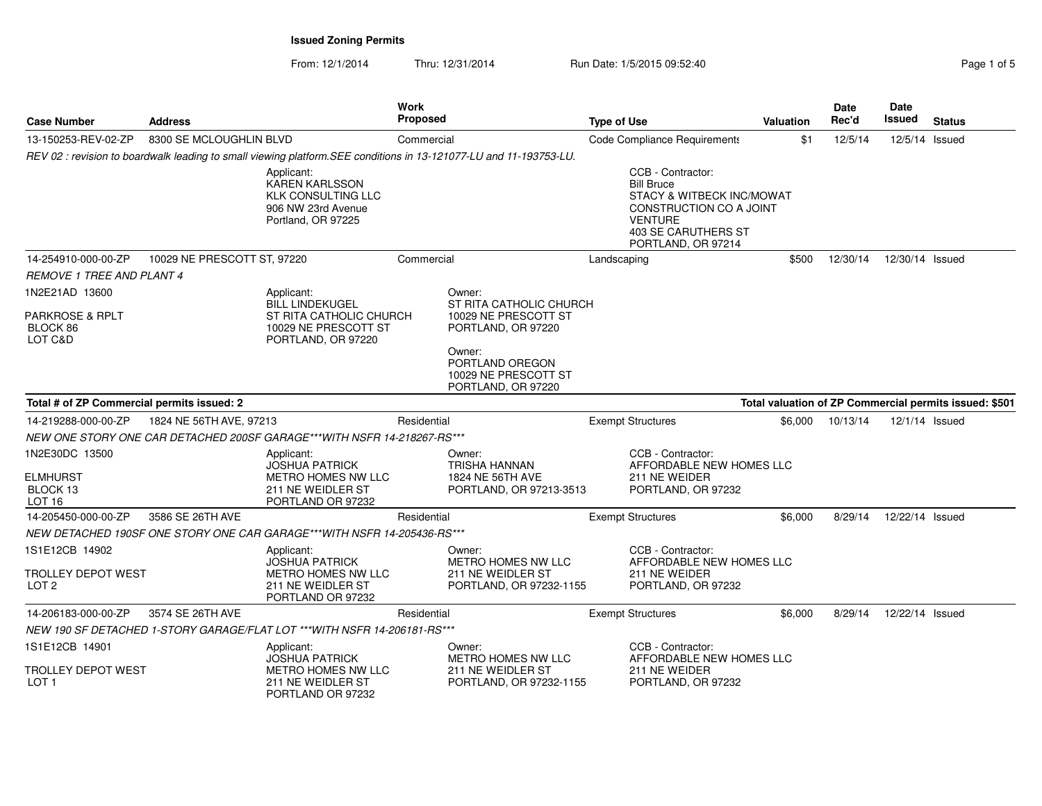From: 12/1/2014Thru: 12/31/2014 Run Date: 1/5/2015 09:52:40

| <b>Case Number</b>                                          | <b>Address</b>              |                                                                                                                   | <b>Work</b><br><b>Proposed</b> |                                                                                                                                                            | <b>Type of Use</b> |                                                                                                                                                               | <b>Valuation</b> | Date<br>Rec'd | Date<br><b>Issued</b> | <b>Status</b>                                          |
|-------------------------------------------------------------|-----------------------------|-------------------------------------------------------------------------------------------------------------------|--------------------------------|------------------------------------------------------------------------------------------------------------------------------------------------------------|--------------------|---------------------------------------------------------------------------------------------------------------------------------------------------------------|------------------|---------------|-----------------------|--------------------------------------------------------|
| 13-150253-REV-02-ZP                                         | 8300 SE MCLOUGHLIN BLVD     |                                                                                                                   | Commercial                     |                                                                                                                                                            |                    | Code Compliance Requirements                                                                                                                                  | \$1              | 12/5/14       | 12/5/14 Issued        |                                                        |
|                                                             |                             | REV 02: revision to boardwalk leading to small viewing platform. SEE conditions in 13-121077-LU and 11-193753-LU. |                                |                                                                                                                                                            |                    |                                                                                                                                                               |                  |               |                       |                                                        |
|                                                             |                             | Applicant:<br><b>KAREN KARLSSON</b><br><b>KLK CONSULTING LLC</b><br>906 NW 23rd Avenue<br>Portland, OR 97225      |                                |                                                                                                                                                            |                    | CCB - Contractor:<br><b>Bill Bruce</b><br>STACY & WITBECK INC/MOWAT<br>CONSTRUCTION CO A JOINT<br><b>VENTURE</b><br>403 SE CARUTHERS ST<br>PORTLAND, OR 97214 |                  |               |                       |                                                        |
| 14-254910-000-00-ZP                                         | 10029 NE PRESCOTT ST, 97220 |                                                                                                                   | Commercial                     |                                                                                                                                                            | Landscaping        |                                                                                                                                                               | \$500            | 12/30/14      | 12/30/14 Issued       |                                                        |
| <b>REMOVE 1 TREE AND PLANT 4</b>                            |                             |                                                                                                                   |                                |                                                                                                                                                            |                    |                                                                                                                                                               |                  |               |                       |                                                        |
| 1N2E21AD 13600<br>PARKROSE & RPLT<br>BLOCK 86<br>LOT C&D    |                             | Applicant:<br><b>BILL LINDEKUGEL</b><br>ST RITA CATHOLIC CHURCH<br>10029 NE PRESCOTT ST<br>PORTLAND, OR 97220     |                                | Owner:<br>ST RITA CATHOLIC CHURCH<br>10029 NE PRESCOTT ST<br>PORTLAND, OR 97220<br>Owner:<br>PORTLAND OREGON<br>10029 NE PRESCOTT ST<br>PORTLAND, OR 97220 |                    |                                                                                                                                                               |                  |               |                       |                                                        |
| Total # of ZP Commercial permits issued: 2                  |                             |                                                                                                                   |                                |                                                                                                                                                            |                    |                                                                                                                                                               |                  |               |                       | Total valuation of ZP Commercial permits issued: \$501 |
| 14-219288-000-00-ZP                                         | 1824 NE 56TH AVE, 97213     |                                                                                                                   | Residential                    |                                                                                                                                                            |                    | <b>Exempt Structures</b>                                                                                                                                      | \$6,000          | 10/13/14      | 12/1/14 Issued        |                                                        |
|                                                             |                             | NEW ONE STORY ONE CAR DETACHED 200SF GARAGE***WITH NSFR 14-218267-RS***                                           |                                |                                                                                                                                                            |                    |                                                                                                                                                               |                  |               |                       |                                                        |
| 1N2E30DC 13500<br>ELMHURST<br>BLOCK 13<br>LOT <sub>16</sub> |                             | Applicant:<br><b>JOSHUA PATRICK</b><br>METRO HOMES NW LLC<br>211 NE WEIDLER ST<br>PORTLAND OR 97232               |                                | Owner:<br>TRISHA HANNAN<br>1824 NE 56TH AVE<br>PORTLAND, OR 97213-3513                                                                                     |                    | CCB - Contractor:<br>AFFORDABLE NEW HOMES LLC<br>211 NE WEIDER<br>PORTLAND, OR 97232                                                                          |                  |               |                       |                                                        |
| 14-205450-000-00-ZP                                         | 3586 SE 26TH AVE            |                                                                                                                   | Residential                    |                                                                                                                                                            |                    | <b>Exempt Structures</b>                                                                                                                                      | \$6,000          | 8/29/14       | 12/22/14 Issued       |                                                        |
|                                                             |                             | NEW DETACHED 190SF ONE STORY ONE CAR GARAGE***WITH NSFR 14-205436-RS***                                           |                                |                                                                                                                                                            |                    |                                                                                                                                                               |                  |               |                       |                                                        |
| 1S1E12CB 14902<br>TROLLEY DEPOT WEST<br>LOT <sub>2</sub>    |                             | Applicant:<br><b>JOSHUA PATRICK</b><br><b>METRO HOMES NW LLC</b><br>211 NE WEIDLER ST<br>PORTLAND OR 97232        |                                | Owner:<br><b>METRO HOMES NW LLC</b><br>211 NE WEIDLER ST<br>PORTLAND, OR 97232-1155                                                                        |                    | CCB - Contractor:<br>AFFORDABLE NEW HOMES LLC<br>211 NE WEIDER<br>PORTLAND, OR 97232                                                                          |                  |               |                       |                                                        |
| 14-206183-000-00-ZP                                         | 3574 SE 26TH AVE            |                                                                                                                   | Residential                    |                                                                                                                                                            |                    | <b>Exempt Structures</b>                                                                                                                                      | \$6.000          | 8/29/14       | 12/22/14 Issued       |                                                        |
|                                                             |                             | NEW 190 SF DETACHED 1-STORY GARAGE/FLAT LOT ***WITH NSFR 14-206181-RS ***                                         |                                |                                                                                                                                                            |                    |                                                                                                                                                               |                  |               |                       |                                                        |
| 1S1E12CB 14901<br>TROLLEY DEPOT WEST<br>LOT <sub>1</sub>    |                             | Applicant:<br><b>JOSHUA PATRICK</b><br>METRO HOMES NW LLC<br>211 NE WEIDLER ST<br>PORTLAND OR 97232               |                                | Owner:<br>METRO HOMES NW LLC<br>211 NE WEIDLER ST<br>PORTLAND, OR 97232-1155                                                                               |                    | CCB - Contractor:<br>AFFORDABLE NEW HOMES LLC<br>211 NE WEIDER<br>PORTLAND, OR 97232                                                                          |                  |               |                       |                                                        |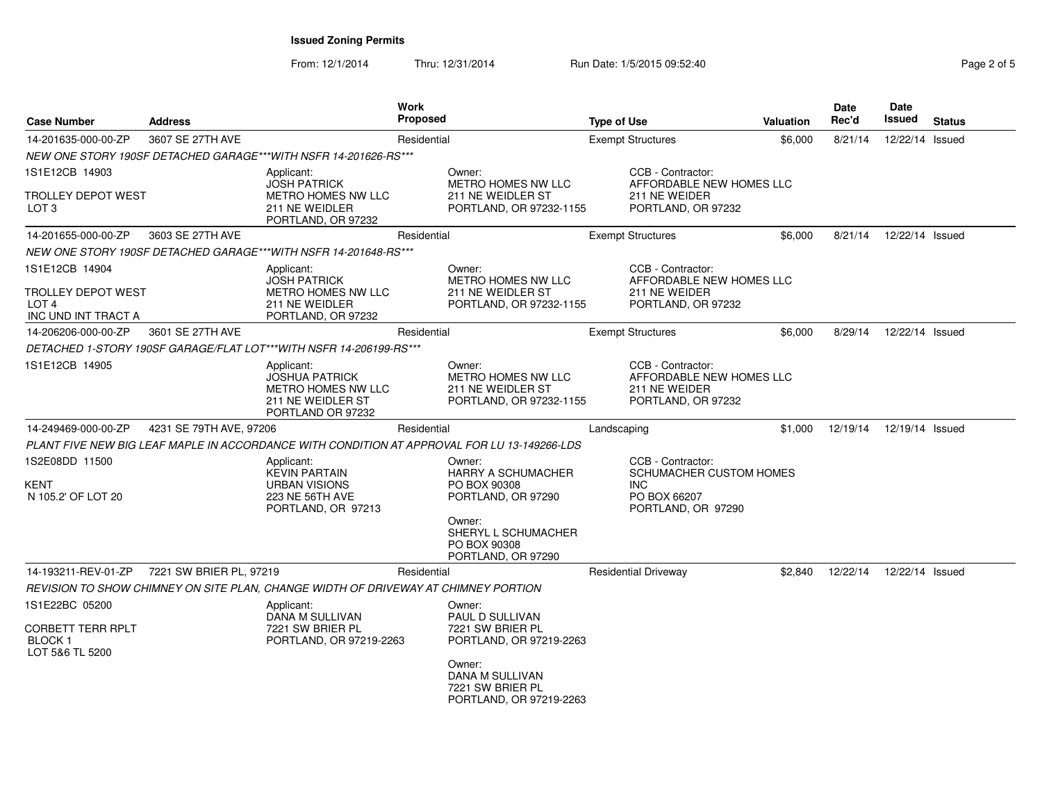From: 12/1/2014Thru: 12/31/2014 **Run Date: 1/5/2015 09:52:40** Regional Company of Fag

| Page 2 of 5 |  |  |
|-------------|--|--|
|-------------|--|--|

| <b>Case Number</b>                                                                     | <b>Address</b>          |                                                                                                            | Work<br>Proposed |                                                                                                                            | <b>Type of Use</b> |                                                                                                   | Valuation | Date<br>Rec'd | Date<br>Issued  | <b>Status</b> |
|----------------------------------------------------------------------------------------|-------------------------|------------------------------------------------------------------------------------------------------------|------------------|----------------------------------------------------------------------------------------------------------------------------|--------------------|---------------------------------------------------------------------------------------------------|-----------|---------------|-----------------|---------------|
| 14-201635-000-00-ZP                                                                    | 3607 SE 27TH AVE        |                                                                                                            | Residential      |                                                                                                                            |                    | <b>Exempt Structures</b>                                                                          | \$6,000   | 8/21/14       | 12/22/14 Issued |               |
|                                                                                        |                         | NEW ONE STORY 190SF DETACHED GARAGE***WITH NSFR 14-201626-RS***                                            |                  |                                                                                                                            |                    |                                                                                                   |           |               |                 |               |
| 1S1E12CB 14903                                                                         |                         | Applicant:<br><b>JOSH PATRICK</b>                                                                          |                  | Owner:<br>METRO HOMES NW LLC                                                                                               |                    | CCB - Contractor:<br>AFFORDABLE NEW HOMES LLC                                                     |           |               |                 |               |
| <b>TROLLEY DEPOT WEST</b><br>LOT 3                                                     |                         | METRO HOMES NW LLC<br>211 NE WEIDLER<br>PORTLAND, OR 97232                                                 |                  | 211 NE WEIDLER ST<br>PORTLAND, OR 97232-1155                                                                               |                    | 211 NE WEIDER<br>PORTLAND, OR 97232                                                               |           |               |                 |               |
| 14-201655-000-00-ZP                                                                    | 3603 SE 27TH AVE        |                                                                                                            | Residential      |                                                                                                                            |                    | <b>Exempt Structures</b>                                                                          | \$6,000   | 8/21/14       | 12/22/14 Issued |               |
|                                                                                        |                         | NEW ONE STORY 190SF DETACHED GARAGE***WITH NSFR 14-201648-RS***                                            |                  |                                                                                                                            |                    |                                                                                                   |           |               |                 |               |
| 1S1E12CB 14904<br><b>TROLLEY DEPOT WEST</b><br>LOT <sub>4</sub><br>INC UND INT TRACT A |                         | Applicant:<br><b>JOSH PATRICK</b><br>METRO HOMES NW LLC<br>211 NE WEIDLER<br>PORTLAND, OR 97232            |                  | Owner:<br>METRO HOMES NW LLC<br>211 NE WEIDLER ST<br>PORTLAND, OR 97232-1155                                               |                    | CCB - Contractor:<br>AFFORDABLE NEW HOMES LLC<br>211 NE WEIDER<br>PORTLAND, OR 97232              |           |               |                 |               |
| 14-206206-000-00-ZP                                                                    | 3601 SE 27TH AVE        |                                                                                                            | Residential      |                                                                                                                            |                    | <b>Exempt Structures</b>                                                                          | \$6,000   | 8/29/14       | 12/22/14 Issued |               |
|                                                                                        |                         | DETACHED 1-STORY 190SF GARAGE/FLAT LOT***WITH NSFR 14-206199-RS***                                         |                  |                                                                                                                            |                    |                                                                                                   |           |               |                 |               |
| 1S1E12CB 14905                                                                         |                         | Applicant:<br><b>JOSHUA PATRICK</b><br><b>METRO HOMES NW LLC</b><br>211 NE WEIDLER ST<br>PORTLAND OR 97232 |                  | Owner:<br>METRO HOMES NW LLC<br>211 NE WEIDLER ST<br>PORTLAND, OR 97232-1155                                               |                    | CCB - Contractor:<br>AFFORDABLE NEW HOMES LLC<br>211 NE WEIDER<br>PORTLAND, OR 97232              |           |               |                 |               |
| 14-249469-000-00-ZP                                                                    | 4231 SE 79TH AVE, 97206 |                                                                                                            | Residential      |                                                                                                                            | Landscaping        |                                                                                                   | \$1,000   | 12/19/14      | 12/19/14 Issued |               |
|                                                                                        |                         |                                                                                                            |                  | PLANT FIVE NEW BIG LEAF MAPLE IN ACCORDANCE WITH CONDITION AT APPROVAL FOR LU 13-149266-LDS                                |                    |                                                                                                   |           |               |                 |               |
| 1S2E08DD 11500<br>KENT<br>N 105.2' OF LOT 20                                           |                         | Applicant:<br><b>KEVIN PARTAIN</b><br><b>URBAN VISIONS</b><br>223 NE 56TH AVE<br>PORTLAND, OR 97213        |                  | Owner:<br><b>HARRY A SCHUMACHER</b><br>PO BOX 90308<br>PORTLAND, OR 97290<br>Owner:<br>SHERYL L SCHUMACHER<br>PO BOX 90308 |                    | CCB - Contractor:<br><b>SCHUMACHER CUSTOM HOMES</b><br>INC.<br>PO BOX 66207<br>PORTLAND, OR 97290 |           |               |                 |               |
|                                                                                        |                         |                                                                                                            |                  | PORTLAND, OR 97290                                                                                                         |                    |                                                                                                   |           |               |                 |               |
| 14-193211-REV-01-ZP                                                                    | 7221 SW BRIER PL, 97219 |                                                                                                            | Residential      |                                                                                                                            |                    | <b>Residential Driveway</b>                                                                       | \$2.840   | 12/22/14      | 12/22/14 Issued |               |
|                                                                                        |                         | REVISION TO SHOW CHIMNEY ON SITE PLAN, CHANGE WIDTH OF DRIVEWAY AT CHIMNEY PORTION                         |                  |                                                                                                                            |                    |                                                                                                   |           |               |                 |               |
| 1S1E22BC 05200<br><b>CORBETT TERR RPLT</b><br><b>BLOCK1</b><br>LOT 5&6 TL 5200         |                         | Applicant:<br>DANA M SULLIVAN<br>7221 SW BRIER PL<br>PORTLAND, OR 97219-2263                               |                  | Owner:<br><b>PAUL D SULLIVAN</b><br>7221 SW BRIER PL<br>PORTLAND, OR 97219-2263                                            |                    |                                                                                                   |           |               |                 |               |
|                                                                                        |                         |                                                                                                            |                  | Owner:<br>DANA M SULLIVAN<br>7221 SW BRIER PL<br>PORTLAND, OR 97219-2263                                                   |                    |                                                                                                   |           |               |                 |               |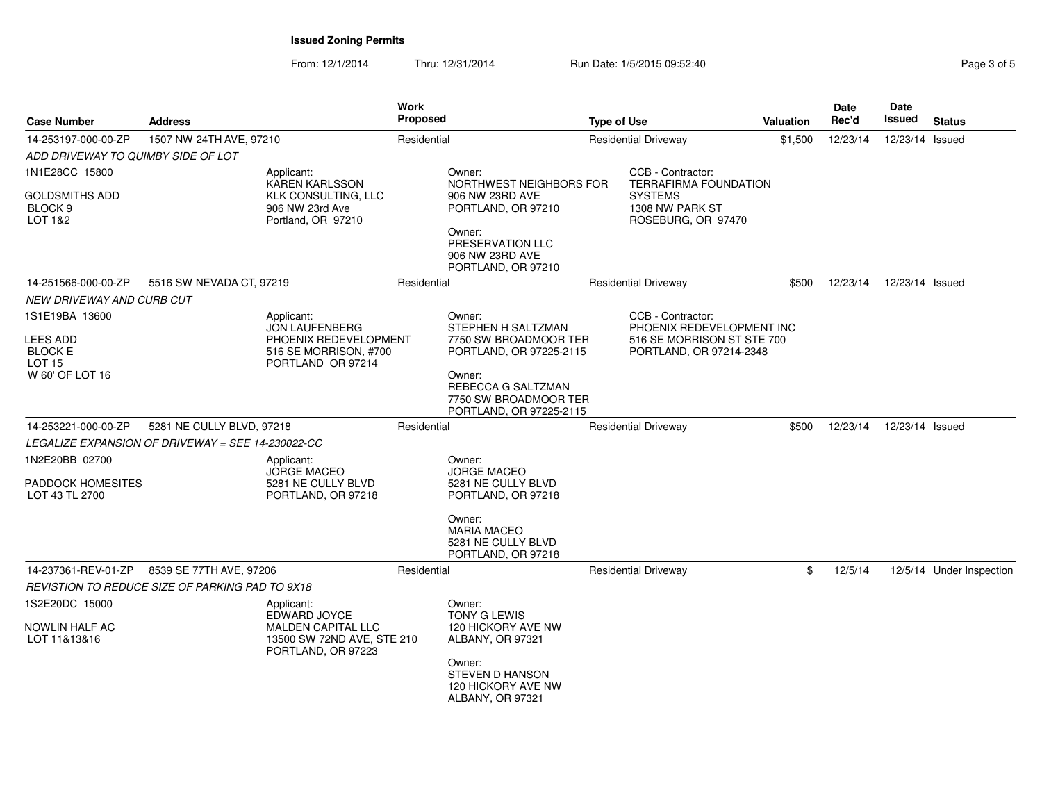From: 12/1/2014Thru: 12/31/2014 Run Date: 1/5/2015 09:52:40

| <b>Case Number</b>                                     | <b>Address</b>                                           |                                                                               | Work<br><b>Proposed</b> |                                                                                  | <b>Type of Use</b> |                                                         | <b>Valuation</b> | Date<br>Rec'd | Date<br><b>Issued</b> | <b>Status</b>            |
|--------------------------------------------------------|----------------------------------------------------------|-------------------------------------------------------------------------------|-------------------------|----------------------------------------------------------------------------------|--------------------|---------------------------------------------------------|------------------|---------------|-----------------------|--------------------------|
| 14-253197-000-00-ZP                                    | 1507 NW 24TH AVE, 97210                                  |                                                                               | Residential             |                                                                                  |                    | <b>Residential Driveway</b>                             | \$1,500          | 12/23/14      | 12/23/14 Issued       |                          |
| ADD DRIVEWAY TO QUIMBY SIDE OF LOT                     |                                                          |                                                                               |                         |                                                                                  |                    |                                                         |                  |               |                       |                          |
| 1N1E28CC 15800                                         |                                                          | Applicant:<br><b>KAREN KARLSSON</b>                                           |                         | Owner:<br>NORTHWEST NEIGHBORS FOR                                                |                    | CCB - Contractor:<br><b>TERRAFIRMA FOUNDATION</b>       |                  |               |                       |                          |
| <b>GOLDSMITHS ADD</b><br>BLOCK <sub>9</sub><br>LOT 1&2 |                                                          | <b>KLK CONSULTING, LLC</b><br>906 NW 23rd Ave<br>Portland, OR 97210           |                         | 906 NW 23RD AVE<br>PORTLAND, OR 97210<br>Owner:                                  |                    | <b>SYSTEMS</b><br>1308 NW PARK ST<br>ROSEBURG, OR 97470 |                  |               |                       |                          |
|                                                        |                                                          |                                                                               |                         | PRESERVATION LLC<br>906 NW 23RD AVE<br>PORTLAND, OR 97210                        |                    |                                                         |                  |               |                       |                          |
| 14-251566-000-00-ZP                                    | 5516 SW NEVADA CT, 97219                                 |                                                                               | Residential             |                                                                                  |                    | <b>Residential Driveway</b>                             | \$500            | 12/23/14      | 12/23/14 Issued       |                          |
| NEW DRIVEWAY AND CURB CUT                              |                                                          |                                                                               |                         |                                                                                  |                    |                                                         |                  |               |                       |                          |
| 1S1E19BA 13600                                         |                                                          | Applicant:<br><b>JON LAUFENBERG</b>                                           |                         | Owner:<br>STEPHEN H SALTZMAN                                                     |                    | CCB - Contractor:<br>PHOENIX REDEVELOPMENT INC          |                  |               |                       |                          |
| <b>LEES ADD</b><br><b>BLOCK E</b><br><b>LOT 15</b>     |                                                          | PHOENIX REDEVELOPMENT<br>516 SE MORRISON, #700<br>PORTLAND OR 97214           |                         | 7750 SW BROADMOOR TER<br>PORTLAND, OR 97225-2115                                 |                    | 516 SE MORRISON ST STE 700<br>PORTLAND, OR 97214-2348   |                  |               |                       |                          |
| W 60' OF LOT 16                                        |                                                          |                                                                               |                         | Owner:<br>REBECCA G SALTZMAN<br>7750 SW BROADMOOR TER<br>PORTLAND, OR 97225-2115 |                    |                                                         |                  |               |                       |                          |
| 14-253221-000-00-ZP                                    | 5281 NE CULLY BLVD, 97218                                |                                                                               | Residential             |                                                                                  |                    | <b>Residential Driveway</b>                             | \$500            | 12/23/14      | 12/23/14 Issued       |                          |
|                                                        | <i>LEGALIZE EXPANSION OF DRIVEWAY = SEE 14-230022-CC</i> |                                                                               |                         |                                                                                  |                    |                                                         |                  |               |                       |                          |
| 1N2E20BB 02700                                         |                                                          | Applicant:                                                                    |                         | Owner:<br><b>JORGE MACEO</b>                                                     |                    |                                                         |                  |               |                       |                          |
| PADDOCK HOMESITES<br>LOT 43 TL 2700                    |                                                          | <b>JORGE MACEO</b><br>5281 NE CULLY BLVD<br>PORTLAND, OR 97218                |                         | 5281 NE CULLY BLVD<br>PORTLAND, OR 97218                                         |                    |                                                         |                  |               |                       |                          |
|                                                        |                                                          |                                                                               |                         | Owner:<br><b>MARIA MACEO</b><br>5281 NE CULLY BLVD<br>PORTLAND, OR 97218         |                    |                                                         |                  |               |                       |                          |
| 14-237361-REV-01-ZP                                    | 8539 SE 77TH AVE, 97206                                  |                                                                               | Residential             |                                                                                  |                    | <b>Residential Driveway</b>                             | \$               | 12/5/14       |                       | 12/5/14 Under Inspection |
|                                                        | REVISTION TO REDUCE SIZE OF PARKING PAD TO 9X18          |                                                                               |                         |                                                                                  |                    |                                                         |                  |               |                       |                          |
| 1S2E20DC 15000                                         |                                                          | Applicant:<br>EDWARD JOYCE                                                    |                         | Owner:<br><b>TONY G LEWIS</b>                                                    |                    |                                                         |                  |               |                       |                          |
| NOWLIN HALF AC<br>LOT 11&13&16                         |                                                          | <b>MALDEN CAPITAL LLC</b><br>13500 SW 72ND AVE, STE 210<br>PORTLAND, OR 97223 |                         | 120 HICKORY AVE NW<br>ALBANY, OR 97321<br>Owner:                                 |                    |                                                         |                  |               |                       |                          |
|                                                        |                                                          |                                                                               |                         | <b>STEVEN D HANSON</b><br>120 HICKORY AVE NW<br>ALBANY, OR 97321                 |                    |                                                         |                  |               |                       |                          |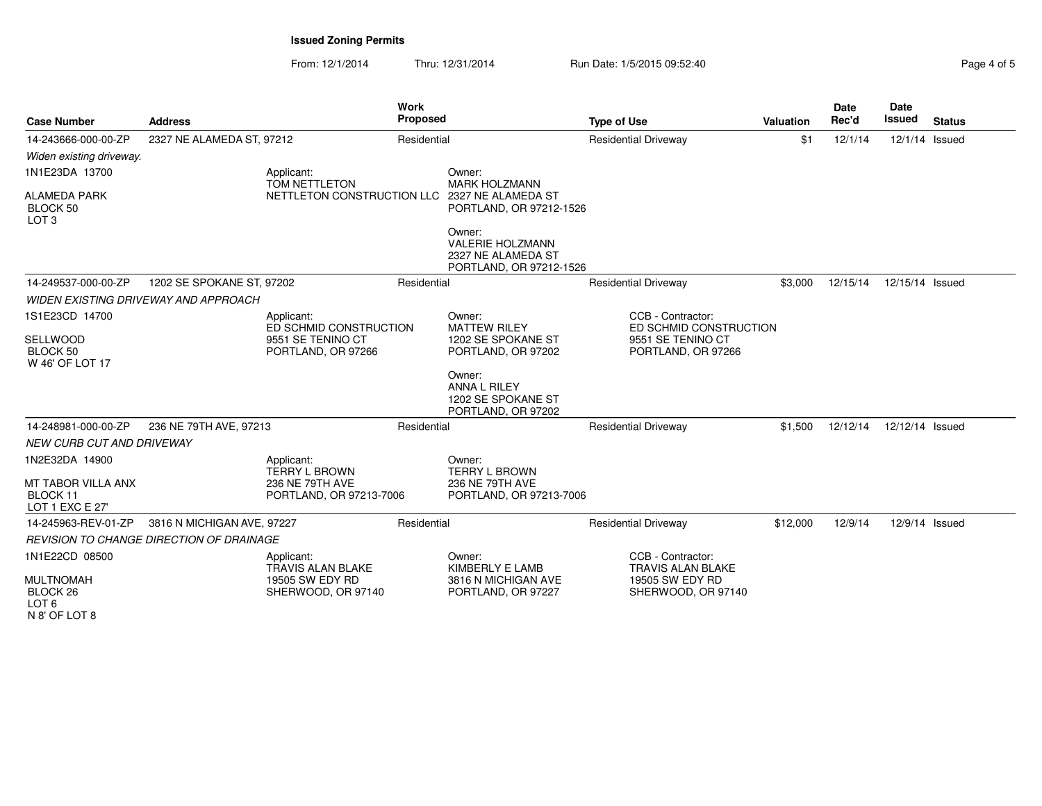From: 12/1/2014Thru: 12/31/2014 Run Date: 1/5/2015 09:52:40

| <b>Case Number</b>                                                | <b>Address</b>                                  |                                            | <b>Work</b><br><b>Proposed</b> |                                                                                    | <b>Type of Use</b>                            | <b>Valuation</b> | <b>Date</b><br>Rec'd | <b>Date</b><br><b>Issued</b> | <b>Status</b> |
|-------------------------------------------------------------------|-------------------------------------------------|--------------------------------------------|--------------------------------|------------------------------------------------------------------------------------|-----------------------------------------------|------------------|----------------------|------------------------------|---------------|
| 14-243666-000-00-ZP                                               | 2327 NE ALAMEDA ST, 97212                       |                                            | Residential                    |                                                                                    | <b>Residential Driveway</b>                   | \$1              | 12/1/14              | 12/1/14 Issued               |               |
| Widen existing driveway.                                          |                                                 |                                            |                                |                                                                                    |                                               |                  |                      |                              |               |
| 1N1E23DA 13700                                                    |                                                 | Applicant:<br>TOM NETTLETON                |                                | Owner:<br><b>MARK HOLZMANN</b>                                                     |                                               |                  |                      |                              |               |
| <b>ALAMEDA PARK</b><br>BLOCK 50<br>LOT <sub>3</sub>               |                                                 | NETTLETON CONSTRUCTION LLC                 |                                | 2327 NE ALAMEDA ST<br>PORTLAND, OR 97212-1526                                      |                                               |                  |                      |                              |               |
|                                                                   |                                                 |                                            |                                | Owner:<br><b>VALERIE HOLZMANN</b><br>2327 NE ALAMEDA ST<br>PORTLAND, OR 97212-1526 |                                               |                  |                      |                              |               |
| 14-249537-000-00-ZP                                               | 1202 SE SPOKANE ST, 97202                       |                                            | Residential                    |                                                                                    | <b>Residential Driveway</b>                   | \$3,000          | 12/15/14             | 12/15/14 Issued              |               |
|                                                                   | <b>WIDEN EXISTING DRIVEWAY AND APPROACH</b>     |                                            |                                |                                                                                    |                                               |                  |                      |                              |               |
| 1S1E23CD 14700                                                    |                                                 | Applicant:<br>ED SCHMID CONSTRUCTION       |                                | Owner:<br><b>MATTEW RILEY</b>                                                      | CCB - Contractor:<br>ED SCHMID CONSTRUCTION   |                  |                      |                              |               |
| SELLWOOD                                                          |                                                 | 9551 SE TENINO CT                          | 1202 SE SPOKANE ST             |                                                                                    | 9551 SE TENINO CT                             |                  |                      |                              |               |
| BLOCK 50<br>W 46' OF LOT 17                                       |                                                 | PORTLAND, OR 97266                         |                                | PORTLAND, OR 97202                                                                 | PORTLAND, OR 97266                            |                  |                      |                              |               |
|                                                                   |                                                 |                                            |                                | Owner:<br>ANNA L RILEY<br>1202 SE SPOKANE ST<br>PORTLAND, OR 97202                 |                                               |                  |                      |                              |               |
| 14-248981-000-00-ZP                                               | 236 NE 79TH AVE, 97213                          |                                            | Residential                    |                                                                                    | <b>Residential Driveway</b>                   | \$1,500          | 12/12/14             | 12/12/14 Issued              |               |
| NEW CURB CUT AND DRIVEWAY                                         |                                                 |                                            |                                |                                                                                    |                                               |                  |                      |                              |               |
| 1N2E32DA 14900                                                    |                                                 | Applicant:<br><b>TERRY L BROWN</b>         |                                | Owner:<br><b>TERRY L BROWN</b>                                                     |                                               |                  |                      |                              |               |
| MT TABOR VILLA ANX<br>BLOCK 11<br>LOT 1 EXC E 27'                 |                                                 | 236 NE 79TH AVE<br>PORTLAND, OR 97213-7006 |                                | 236 NE 79TH AVE<br>PORTLAND, OR 97213-7006                                         |                                               |                  |                      |                              |               |
| 14-245963-REV-01-ZP                                               | 3816 N MICHIGAN AVE, 97227                      |                                            | Residential                    |                                                                                    | <b>Residential Driveway</b>                   | \$12,000         | 12/9/14              | 12/9/14 Issued               |               |
|                                                                   | <b>REVISION TO CHANGE DIRECTION OF DRAINAGE</b> |                                            |                                |                                                                                    |                                               |                  |                      |                              |               |
| 1N1E22CD 08500                                                    |                                                 | Applicant:<br><b>TRAVIS ALAN BLAKE</b>     |                                | Owner:<br>KIMBERLY E LAMB                                                          | CCB - Contractor:<br><b>TRAVIS ALAN BLAKE</b> |                  |                      |                              |               |
| <b>MULTNOMAH</b><br>BLOCK 26<br>LOT <sub>6</sub><br>N 8' OF LOT 8 |                                                 | 19505 SW EDY RD<br>SHERWOOD, OR 97140      |                                | 3816 N MICHIGAN AVE<br>PORTLAND, OR 97227                                          | 19505 SW EDY RD<br>SHERWOOD, OR 97140         |                  |                      |                              |               |